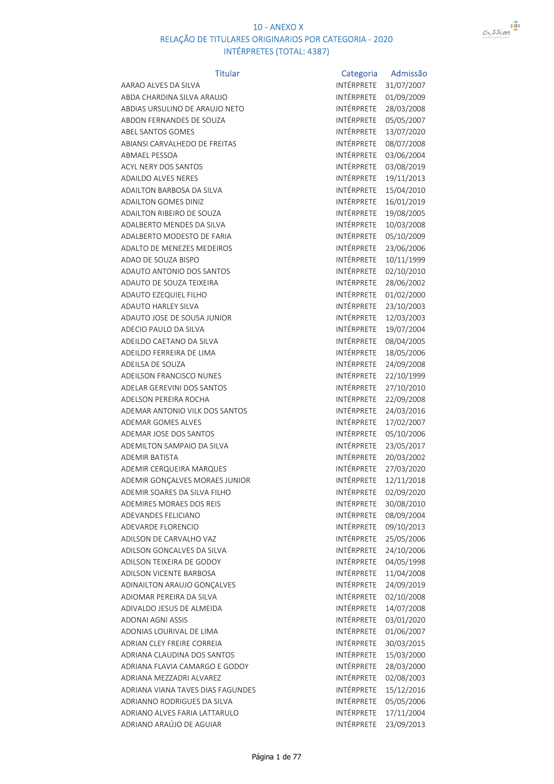

| <b>Titular</b>                    | Categoria         | Admissão   |
|-----------------------------------|-------------------|------------|
| AARAO ALVES DA SILVA              | INTÉRPRETE        | 31/07/2007 |
| ABDA CHARDINA SILVA ARAUJO        | <b>INTÉRPRETE</b> | 01/09/2009 |
| ABDIAS URSULINO DE ARAUJO NETO    | INTÉRPRETE        | 28/03/2008 |
| ABDON FERNANDES DE SOUZA          | INTÉRPRETE        | 05/05/2007 |
| <b>ABEL SANTOS GOMES</b>          | INTÉRPRETE        | 13/07/2020 |
| ABIANSI CARVALHEDO DE FREITAS     | INTÉRPRETE        | 08/07/2008 |
| <b>ABMAEL PESSOA</b>              | INTÉRPRETE        | 03/06/2004 |
| ACYL NERY DOS SANTOS              | INTÉRPRETE        | 03/08/2019 |
| <b>ADAILDO ALVES NERES</b>        | INTÉRPRETE        | 19/11/2013 |
| <b>ADAILTON BARBOSA DA SILVA</b>  | INTÉRPRETE        | 15/04/2010 |
| <b>ADAILTON GOMES DINIZ</b>       | INTÉRPRETE        | 16/01/2019 |
| ADAILTON RIBEIRO DE SOUZA         | INTÉRPRETE        | 19/08/2005 |
| ADALBERTO MENDES DA SILVA         | INTÉRPRETE        | 10/03/2008 |
| ADALBERTO MODESTO DE FARIA        | INTÉRPRETE        | 05/10/2009 |
| ADALTO DE MENEZES MEDEIROS        | INTÉRPRETE        | 23/06/2006 |
| ADAO DE SOUZA BISPO               | INTÉRPRETE        | 10/11/1999 |
| ADAUTO ANTONIO DOS SANTOS         | INTÉRPRETE        | 02/10/2010 |
| ADAUTO DE SOUZA TEIXEIRA          | INTÉRPRETE        | 28/06/2002 |
| ADAUTO EZEQUIEL FILHO             | INTÉRPRETE        | 01/02/2000 |
| ADAUTO HARLEY SILVA               | INTÉRPRETE        | 23/10/2003 |
| ADAUTO JOSE DE SOUSA JUNIOR       | INTÉRPRETE        | 12/03/2003 |
| ADECIO PAULO DA SILVA             | INTÉRPRETE        | 19/07/2004 |
| ADEILDO CAETANO DA SILVA          | INTÉRPRETE        | 08/04/2005 |
| ADEILDO FERREIRA DE LIMA          | INTÉRPRETE        | 18/05/2006 |
| ADEILSA DE SOUZA                  | INTÉRPRETE        | 24/09/2008 |
| ADEILSON FRANCISCO NUNES          | INTÉRPRETE        | 22/10/1999 |
| ADELAR GEREVINI DOS SANTOS        | INTÉRPRETE        | 27/10/2010 |
| <b>ADELSON PEREIRA ROCHA</b>      | INTÉRPRETE        | 22/09/2008 |
| ADEMAR ANTONIO VILK DOS SANTOS    | INTÉRPRETE        | 24/03/2016 |
| <b>ADEMAR GOMES ALVES</b>         | INTÉRPRETE        | 17/02/2007 |
| ADEMAR JOSE DOS SANTOS            | INTÉRPRETE        | 05/10/2006 |
| ADEMILTON SAMPAIO DA SILVA        | INTÉRPRETE        | 23/05/2017 |
| <b>ADEMIR BATISTA</b>             | INTÉRPRETE        | 20/03/2002 |
| ADEMIR CERQUEIRA MARQUES          | INTÉRPRETE        | 27/03/2020 |
| ADEMIR GONÇALVES MORAES JUNIOR    | <b>INTÉRPRETE</b> | 12/11/2018 |
| ADEMIR SOARES DA SILVA FILHO      | INTÉRPRETE        | 02/09/2020 |
| ADEMIRES MORAES DOS REIS          | INTÉRPRETE        | 30/08/2010 |
| ADEVANDES FELICIANO               | INTÉRPRETE        | 08/09/2004 |
| <b>ADEVARDE FLORENCIO</b>         | INTÉRPRETE        | 09/10/2013 |
| ADILSON DE CARVALHO VAZ           | INTÉRPRETE        | 25/05/2006 |
| ADILSON GONCALVES DA SILVA        | INTÉRPRETE        | 24/10/2006 |
| ADILSON TEIXEIRA DE GODOY         | INTÉRPRETE        | 04/05/1998 |
| ADILSON VICENTE BARBOSA           | INTÉRPRETE        | 11/04/2008 |
| ADINAILTON ARAUJO GONÇALVES       | <b>INTÉRPRETE</b> | 24/09/2019 |
| ADIOMAR PEREIRA DA SILVA          | INTÉRPRETE        | 02/10/2008 |
| ADIVALDO JESUS DE ALMEIDA         | INTÉRPRETE        | 14/07/2008 |
| ADONAI AGNI ASSIS                 | INTÉRPRETE        | 03/01/2020 |
| ADONIAS LOURIVAL DE LIMA          | INTÉRPRETE        | 01/06/2007 |
| ADRIAN CLEY FREIRE CORREIA        | INTÉRPRETE        | 30/03/2015 |
| ADRIANA CLAUDINA DOS SANTOS       | INTÉRPRETE        | 15/03/2000 |
| ADRIANA FLAVIA CAMARGO E GODOY    | INTÉRPRETE        | 28/03/2000 |
| ADRIANA MEZZADRI ALVAREZ          | INTÉRPRETE        | 02/08/2003 |
| ADRIANA VIANA TAVES DIAS FAGUNDES | INTÉRPRETE        | 15/12/2016 |
| ADRIANNO RODRIGUES DA SILVA       | INTÉRPRETE        | 05/05/2006 |
| ADRIANO ALVES FARIA LATTARULO     | INTÉRPRETE        | 17/11/2004 |
| ADRIANO ARAÚJO DE AGUIAR          | INTÉRPRETE        | 23/09/2013 |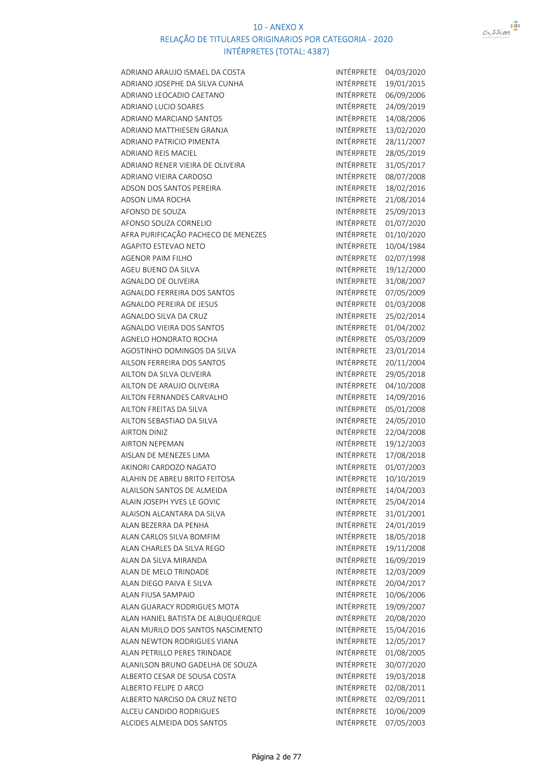

| ADRIANO ARAUJO ISMAEL DA COSTA      | INTÉRPRETE        | 04/03/2020 |
|-------------------------------------|-------------------|------------|
| ADRIANO JOSEPHE DA SILVA CUNHA      | INTÉRPRETE        | 19/01/2015 |
| ADRIANO LEOCADIO CAETANO            | INTÉRPRETE        | 06/09/2006 |
| ADRIANO LUCIO SOARES                | INTÉRPRETE        | 24/09/2019 |
| ADRIANO MARCIANO SANTOS             | INTÉRPRETE        | 14/08/2006 |
| ADRIANO MATTHIESEN GRANJA           | <b>INTÉRPRETE</b> | 13/02/2020 |
| <b>ADRIANO PATRICIO PIMENTA</b>     | INTÉRPRETE        | 28/11/2007 |
| <b>ADRIANO REIS MACIEL</b>          | INTÉRPRETE        | 28/05/2019 |
| ADRIANO RENER VIEIRA DE OLIVEIRA    | INTÉRPRETE        | 31/05/2017 |
| ADRIANO VIEIRA CARDOSO              | INTÉRPRETE        | 08/07/2008 |
| ADSON DOS SANTOS PEREIRA            | INTÉRPRETE        | 18/02/2016 |
| ADSON LIMA ROCHA                    | INTÉRPRETE        | 21/08/2014 |
| AFONSO DE SOUZA                     | INTÉRPRETE        | 25/09/2013 |
| AFONSO SOUZA CORNELIO               | INTÉRPRETE        | 01/07/2020 |
| AFRA PURIFICAÇÃO PACHECO DE MENEZES | INTÉRPRETE        | 01/10/2020 |
| AGAPITO ESTEVAO NETO                | INTÉRPRETE        | 10/04/1984 |
| <b>AGENOR PAIM FILHO</b>            | INTÉRPRETE        | 02/07/1998 |
| AGEU BUENO DA SILVA                 | INTÉRPRETE        | 19/12/2000 |
| AGNALDO DE OLIVEIRA                 | INTÉRPRETE        | 31/08/2007 |
| AGNALDO FERREIRA DOS SANTOS         | INTÉRPRETE        | 07/05/2009 |
| AGNALDO PEREIRA DE JESUS            | INTÉRPRETE        | 01/03/2008 |
| AGNALDO SILVA DA CRUZ               | INTÉRPRETE        | 25/02/2014 |
| <b>AGNALDO VIEIRA DOS SANTOS</b>    | INTÉRPRETE        | 01/04/2002 |
| AGNELO HONORATO ROCHA               | INTÉRPRETE        | 05/03/2009 |
| AGOSTINHO DOMINGOS DA SILVA         | INTÉRPRETE        | 23/01/2014 |
| AILSON FERREIRA DOS SANTOS          | INTÉRPRETE        | 20/11/2004 |
| AILTON DA SILVA OLIVEIRA            | INTÉRPRETE        | 29/05/2018 |
| AILTON DE ARAUJO OLIVEIRA           | INTÉRPRETE        | 04/10/2008 |
| AILTON FERNANDES CARVALHO           | INTÉRPRETE        | 14/09/2016 |
| AILTON FREITAS DA SILVA             | INTÉRPRETE        | 05/01/2008 |
| AILTON SEBASTIAO DA SILVA           | INTÉRPRETE        | 24/05/2010 |
| <b>AIRTON DINIZ</b>                 | <b>INTÉRPRETE</b> | 22/04/2008 |
| <b>AIRTON NEPEMAN</b>               | INTÉRPRETE        | 19/12/2003 |
| AISLAN DE MENEZES LIMA              | INTÉRPRETE        | 17/08/2018 |
| AKINORI CARDOZO NAGATO              | INTÉRPRETE        | 01/07/2003 |
| ALAHIN DE ABREU BRITO FEITOSA       | INTÉRPRETE        | 10/10/2019 |
| ALAILSON SANTOS DE ALMEIDA          | INTÉRPRETE        | 14/04/2003 |
| ALAIN JOSEPH YVES LE GOVIC          | INTÉRPRETE        | 25/04/2014 |
| ALAISON ALCANTARA DA SILVA          | INTÉRPRETE        | 31/01/2001 |
| ALAN BEZERRA DA PENHA               | INTÉRPRETE        | 24/01/2019 |
| ALAN CARLOS SILVA BOMFIM            | INTÉRPRETE        | 18/05/2018 |
| ALAN CHARLES DA SILVA REGO          | INTÉRPRETE        | 19/11/2008 |
| ALAN DA SILVA MIRANDA               | INTÉRPRETE        | 16/09/2019 |
| ALAN DE MELO TRINDADE               | INTÉRPRETE        | 12/03/2009 |
| ALAN DIEGO PAIVA E SILVA            | INTÉRPRETE        | 20/04/2017 |
| ALAN FIUSA SAMPAIO                  | INTÉRPRETE        | 10/06/2006 |
| ALAN GUARACY RODRIGUES MOTA         | INTÉRPRETE        | 19/09/2007 |
| ALAN HANIEL BATISTA DE ALBUQUERQUE  | INTÉRPRETE        | 20/08/2020 |
| ALAN MURILO DOS SANTOS NASCIMENTO   | INTÉRPRETE        | 15/04/2016 |
| ALAN NEWTON RODRIGUES VIANA         | INTÉRPRETE        | 12/05/2017 |
| <b>ALAN PETRILLO PERES TRINDADE</b> | INTÉRPRETE        | 01/08/2005 |
| ALANILSON BRUNO GADELHA DE SOUZA    | INTÉRPRETE        | 30/07/2020 |
| ALBERTO CESAR DE SOUSA COSTA        | INTÉRPRETE        | 19/03/2018 |
| ALBERTO FELIPE D ARCO               | INTÉRPRETE        | 02/08/2011 |
| ALBERTO NARCISO DA CRUZ NETO        | INTÉRPRETE        | 02/09/2011 |
| ALCEU CANDIDO RODRIGUES             | INTÉRPRETE        | 10/06/2009 |
| ALCIDES ALMEIDA DOS SANTOS          | INTÉRPRETE        | 07/05/2003 |
|                                     |                   |            |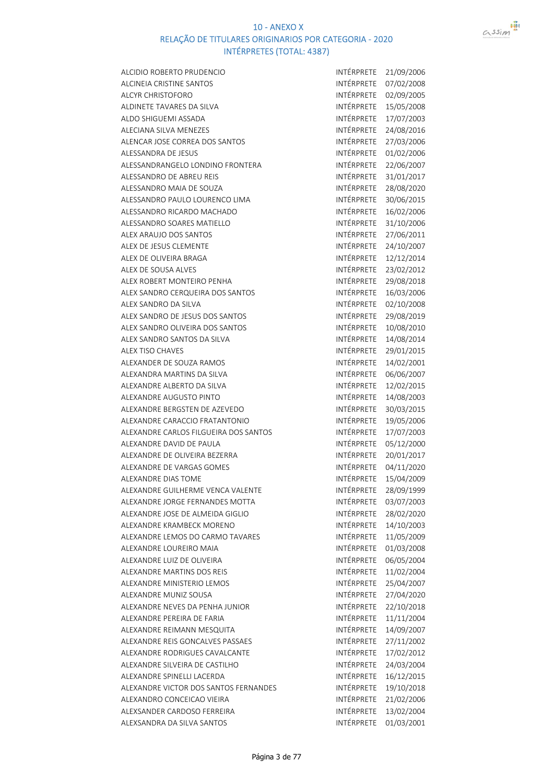



| ALCIDIO ROBERTO PRUDENCIO             | INTÉRPRETE | 21/09/2006 |
|---------------------------------------|------------|------------|
| <b>ALCINEIA CRISTINE SANTOS</b>       | INTÉRPRETE | 07/02/2008 |
| ALCYR CHRISTOFORO                     | INTÉRPRETE | 02/09/2005 |
| ALDINETE TAVARES DA SILVA             | INTÉRPRETE | 15/05/2008 |
| ALDO SHIGUEMI ASSADA                  | INTÉRPRETE | 17/07/2003 |
| <b>ALECIANA SILVA MENEZES</b>         | INTÉRPRETE | 24/08/2016 |
| ALENCAR JOSE CORREA DOS SANTOS        | INTÉRPRETE | 27/03/2006 |
| <b>ALESSANDRA DE JESUS</b>            | INTÉRPRETE | 01/02/2006 |
| ALESSANDRANGELO LONDINO FRONTERA      | INTÉRPRETE | 22/06/2007 |
| ALESSANDRO DE ABREU REIS              | INTÉRPRETE | 31/01/2017 |
| ALESSANDRO MAIA DE SOUZA              | INTÉRPRETE | 28/08/2020 |
| ALESSANDRO PAULO LOURENCO LIMA        | INTÉRPRETE | 30/06/2015 |
| ALESSANDRO RICARDO MACHADO            | INTÉRPRETE | 16/02/2006 |
| ALESSANDRO SOARES MATIELLO            | INTÉRPRETE | 31/10/2006 |
| ALEX ARAUJO DOS SANTOS                | INTÉRPRETE | 27/06/2011 |
| ALEX DE JESUS CLEMENTE                | INTÉRPRETE | 24/10/2007 |
| ALEX DE OLIVEIRA BRAGA                | INTÉRPRETE | 12/12/2014 |
| ALEX DE SOUSA ALVES                   | INTÉRPRETE | 23/02/2012 |
| ALEX ROBERT MONTEIRO PENHA            | INTÉRPRETE | 29/08/2018 |
| ALEX SANDRO CERQUEIRA DOS SANTOS      | INTÉRPRETE | 16/03/2006 |
| ALEX SANDRO DA SILVA                  | INTÉRPRETE | 02/10/2008 |
| ALEX SANDRO DE JESUS DOS SANTOS       | INTÉRPRETE | 29/08/2019 |
| ALEX SANDRO OLIVEIRA DOS SANTOS       | INTÉRPRETE | 10/08/2010 |
| ALEX SANDRO SANTOS DA SILVA           | INTÉRPRETE | 14/08/2014 |
| <b>ALEX TISO CHAVES</b>               | INTÉRPRETE | 29/01/2015 |
| ALEXANDER DE SOUZA RAMOS              | INTÉRPRETE | 14/02/2001 |
| ALEXANDRA MARTINS DA SILVA            | INTÉRPRETE | 06/06/2007 |
| ALEXANDRE ALBERTO DA SILVA            | INTÉRPRETE | 12/02/2015 |
| <b>ALEXANDRE AUGUSTO PINTO</b>        | INTÉRPRETE | 14/08/2003 |
| ALEXANDRE BERGSTEN DE AZEVEDO         | INTÉRPRETE | 30/03/2015 |
| ALEXANDRE CARACCIO FRATANTONIO        | INTÉRPRETE | 19/05/2006 |
| ALEXANDRE CARLOS FILGUEIRA DOS SANTOS | INTÉRPRETE | 17/07/2003 |
| ALEXANDRE DAVID DE PAULA              | INTÉRPRETE | 05/12/2000 |
| ALEXANDRE DE OLIVEIRA BEZERRA         | INTÉRPRETE | 20/01/2017 |
| ALEXANDRE DE VARGAS GOMES             | INTÉRPRETE | 04/11/2020 |
| <b>ALEXANDRE DIAS TOME</b>            | INTÉRPRETE | 15/04/2009 |
| ALEXANDRE GUILHERME VENCA VALENTE     | INTÉRPRETE | 28/09/1999 |
| ALEXANDRE JORGE FERNANDES MOTTA       | INTÉRPRETE | 03/07/2003 |
| ALEXANDRE JOSE DE ALMEIDA GIGLIO      | INTÉRPRETE | 28/02/2020 |
| ALEXANDRE KRAMBECK MORENO             | INTÉRPRETE | 14/10/2003 |
| ALEXANDRE LEMOS DO CARMO TAVARES      | INTÉRPRETE | 11/05/2009 |
| ALEXANDRE LOUREIRO MAIA               | INTÉRPRETE | 01/03/2008 |
| ALEXANDRE LUIZ DE OLIVEIRA            | INTÉRPRETE | 06/05/2004 |
| ALEXANDRE MARTINS DOS REIS            | INTÉRPRETE | 11/02/2004 |
| ALEXANDRE MINISTERIO LEMOS            | INTÉRPRETE | 25/04/2007 |
| ALEXANDRE MUNIZ SOUSA                 | INTÉRPRETE | 27/04/2020 |
| ALEXANDRE NEVES DA PENHA JUNIOR       | INTÉRPRETE | 22/10/2018 |
| ALEXANDRE PEREIRA DE FARIA            | INTÉRPRETE | 11/11/2004 |
| ALEXANDRE REIMANN MESQUITA            | INTÉRPRETE | 14/09/2007 |
| ALEXANDRE REIS GONCALVES PASSAES      | INTÉRPRETE | 27/11/2002 |
| ALEXANDRE RODRIGUES CAVALCANTE        | INTÉRPRETE | 17/02/2012 |
| ALEXANDRE SILVEIRA DE CASTILHO        | INTÉRPRETE | 24/03/2004 |
| ALEXANDRE SPINELLI LACERDA            | INTÉRPRETE | 16/12/2015 |
| ALEXANDRE VICTOR DOS SANTOS FERNANDES | INTÉRPRETE | 19/10/2018 |
| ALEXANDRO CONCEICAO VIEIRA            | INTÉRPRETE | 21/02/2006 |
| ALEXSANDER CARDOSO FERREIRA           | INTÉRPRETE | 13/02/2004 |
| ALEXSANDRA DA SILVA SANTOS            | INTÉRPRETE | 01/03/2001 |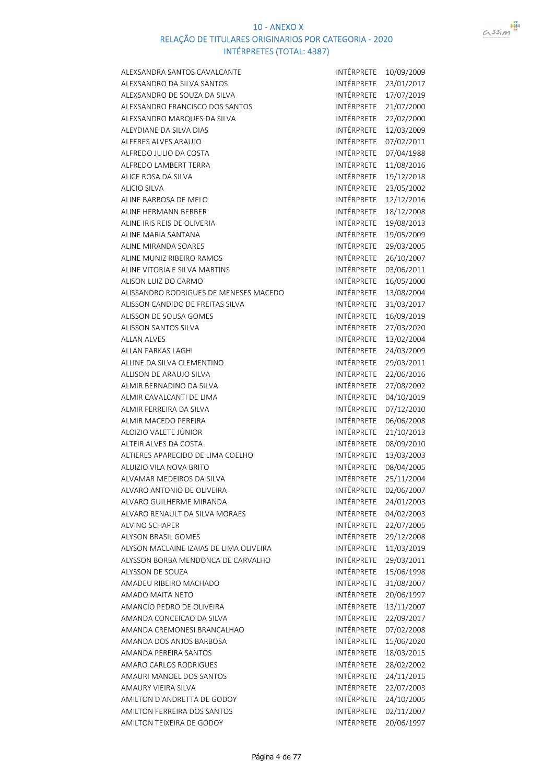

| ALEXSANDRA SANTOS CAVALCANTE            | INTÉRPRETE        | 10/09/2009               |
|-----------------------------------------|-------------------|--------------------------|
| ALEXSANDRO DA SILVA SANTOS              | INTÉRPRETE        | 23/01/2017               |
| ALEXSANDRO DE SOUZA DA SILVA            | INTÉRPRETE        | 17/07/2019               |
| ALEXSANDRO FRANCISCO DOS SANTOS         | INTÉRPRETE        | 21/07/2000               |
| ALEXSANDRO MARQUES DA SILVA             | INTÉRPRETE        | 22/02/2000               |
| ALEYDIANE DA SILVA DIAS                 | INTÉRPRETE        | 12/03/2009               |
| ALFERES ALVES ARAUJO                    | INTÉRPRETE        | 07/02/2011               |
| ALFREDO JULIO DA COSTA                  | INTÉRPRETE        | 07/04/1988               |
| ALFREDO LAMBERT TERRA                   | INTÉRPRETE        | 11/08/2016               |
| ALICE ROSA DA SILVA                     | INTÉRPRETE        | 19/12/2018               |
| <b>ALICIO SILVA</b>                     | INTÉRPRETE        | 23/05/2002               |
| ALINE BARBOSA DE MELO                   | INTÉRPRETE        | 12/12/2016               |
| ALINE HERMANN BERBER                    | INTÉRPRETE        | 18/12/2008               |
| ALINE IRIS REIS DE OLIVERIA             | INTÉRPRETE        | 19/08/2013               |
| ALINE MARIA SANTANA                     | INTÉRPRETE        | 19/05/2009               |
| ALINE MIRANDA SOARES                    | <b>INTÉRPRETE</b> | 29/03/2005               |
| ALINE MUNIZ RIBEIRO RAMOS               | INTÉRPRETE        | 26/10/2007               |
| ALINE VITORIA E SILVA MARTINS           | INTÉRPRETE        | 03/06/2011               |
| ALISON LUIZ DO CARMO                    | INTÉRPRETE        | 16/05/2000               |
| ALISSANDRO RODRIGUES DE MENESES MACEDO  | <b>INTÉRPRETE</b> | 13/08/2004               |
| ALISSON CANDIDO DE FREITAS SILVA        | INTÉRPRETE        | 31/03/2017               |
| ALISSON DE SOUSA GOMES                  | <b>INTÉRPRETE</b> | 16/09/2019               |
| <b>ALISSON SANTOS SILVA</b>             | INTÉRPRETE        | 27/03/2020               |
| <b>ALLAN ALVES</b>                      | INTÉRPRETE        | 13/02/2004               |
| ALLAN FARKAS LAGHI                      | INTÉRPRETE        | 24/03/2009               |
| ALLINE DA SILVA CLEMENTINO              | INTÉRPRETE        | 29/03/2011               |
| ALLISON DE ARAUJO SILVA                 | INTÉRPRETE        | 22/06/2016               |
| ALMIR BERNADINO DA SILVA                | INTÉRPRETE        | 27/08/2002               |
| ALMIR CAVALCANTI DE LIMA                | INTÉRPRETE        | 04/10/2019               |
| ALMIR FERREIRA DA SILVA                 | INTÉRPRETE        | 07/12/2010               |
| ALMIR MACEDO PEREIRA                    | INTÉRPRETE        | 06/06/2008               |
| ALOIZIO VALETE JÚNIOR                   | INTÉRPRETE        | 21/10/2013               |
| ALTEIR ALVES DA COSTA                   | INTÉRPRETE        | 08/09/2010               |
| ALTIERES APARECIDO DE LIMA COELHO       | INTÉRPRETE        | 13/03/2003               |
| ALUIZIO VILA NOVA BRITO                 | INTÉRPRETE        | 08/04/2005               |
| ALVAMAR MEDEIROS DA SILVA               | INTÉRPRETE        | 25/11/2004               |
| ALVARO ANTONIO DE OLIVEIRA              | INTÉRPRETE        | 02/06/2007               |
| ALVARO GUILHERME MIRANDA                | INTÉRPRETE        | 24/01/2003               |
| ALVARO RENAULT DA SILVA MORAES          | INTÉRPRETE        | 04/02/2003               |
| ALVINO SCHAPER                          | INTÉRPRETE        | 22/07/2005               |
| <b>ALYSON BRASIL GOMES</b>              | INTÉRPRETE        | 29/12/2008               |
| ALYSON MACLAINE IZAIAS DE LIMA OLIVEIRA | INTÉRPRETE        | 11/03/2019               |
| ALYSSON BORBA MENDONCA DE CARVALHO      | INTÉRPRETE        | 29/03/2011               |
| ALYSSON DE SOUZA                        | INTÉRPRETE        | 15/06/1998               |
| AMADEU RIBEIRO MACHADO                  | INTÉRPRETE        | 31/08/2007               |
| AMADO MAITA NETO                        | INTÉRPRETE        | 20/06/1997               |
| AMANCIO PEDRO DE OLIVEIRA               | INTÉRPRETE        | 13/11/2007               |
| AMANDA CONCEICAO DA SILVA               | INTÉRPRETE        | 22/09/2017               |
| AMANDA CREMONESI BRANCALHAO             | INTÉRPRETE        | 07/02/2008               |
| AMANDA DOS ANJOS BARBOSA                | INTÉRPRETE        | 15/06/2020               |
| AMANDA PEREIRA SANTOS                   | INTÉRPRETE        | 18/03/2015               |
| AMARO CARLOS RODRIGUES                  | INTÉRPRETE        | 28/02/2002               |
| AMAURI MANOEL DOS SANTOS                | INTÉRPRETE        | 24/11/2015               |
| AMAURY VIEIRA SILVA                     | INTÉRPRETE        |                          |
| AMILTON D'ANDRETTA DE GODOY             | INTÉRPRETE        | 22/07/2003               |
| AMILTON FERREIRA DOS SANTOS             | INTÉRPRETE        | 24/10/2005<br>02/11/2007 |
|                                         | INTÉRPRETE        |                          |
| AMILTON TEIXEIRA DE GODOY               |                   | 20/06/1997               |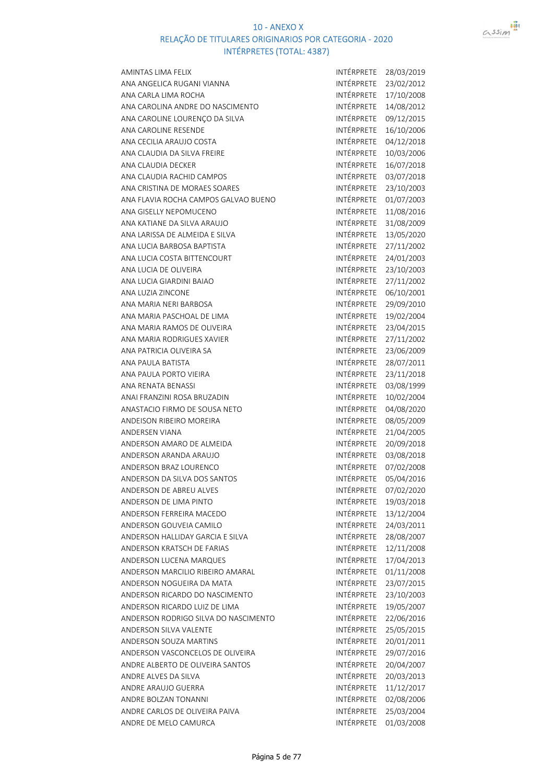

| AMINTAS LIMA FELIX                   | INTÉRPRETE            | 28/03/2019 |
|--------------------------------------|-----------------------|------------|
| ANA ANGELICA RUGANI VIANNA           | INTÉRPRETE            | 23/02/2012 |
| ANA CARLA LIMA ROCHA                 | INTÉRPRETE            | 17/10/2008 |
| ANA CAROLINA ANDRE DO NASCIMENTO     | INTÉRPRETE            | 14/08/2012 |
| ANA CAROLINE LOURENÇO DA SILVA       | INTÉRPRETE            | 09/12/2015 |
| ANA CAROLINE RESENDE                 | INTÉRPRETE            | 16/10/2006 |
| ANA CECILIA ARAUJO COSTA             | <b>INTÉRPRETE</b>     | 04/12/2018 |
| ANA CLAUDIA DA SILVA FREIRE          | INTÉRPRETE            | 10/03/2006 |
| ANA CLAUDIA DECKER                   | INTÉRPRETE            | 16/07/2018 |
| ANA CLAUDIA RACHID CAMPOS            | INTÉRPRETE            | 03/07/2018 |
| ANA CRISTINA DE MORAES SOARES        | INTÉRPRETE            | 23/10/2003 |
| ANA FLAVIA ROCHA CAMPOS GALVAO BUENO | INTÉRPRETE            | 01/07/2003 |
| ANA GISELLY NEPOMUCENO               | <b>INTÉRPRETE</b>     | 11/08/2016 |
| ANA KATIANE DA SILVA ARAUJO          | INTÉRPRETE            | 31/08/2009 |
| ANA LARISSA DE ALMEIDA E SILVA       | INTÉRPRETE            | 13/05/2020 |
| ANA LUCIA BARBOSA BAPTISTA           | INTÉRPRETE            | 27/11/2002 |
| ANA LUCIA COSTA BITTENCOURT          | INTÉRPRETE            | 24/01/2003 |
| ANA LUCIA DE OLIVEIRA                | INTÉRPRETE            | 23/10/2003 |
| ANA LUCIA GIARDINI BAIAO             | <b>INTÉRPRETE</b>     | 27/11/2002 |
| ANA LUZIA ZINCONE                    | INTÉRPRETE            | 06/10/2001 |
| ANA MARIA NERI BARBOSA               | INTÉRPRETE            | 29/09/2010 |
| ANA MARIA PASCHOAL DE LIMA           | INTÉRPRETE            | 19/02/2004 |
| ANA MARIA RAMOS DE OLIVEIRA          | INTÉRPRETE            | 23/04/2015 |
| ANA MARIA RODRIGUES XAVIER           | INTÉRPRETE            | 27/11/2002 |
| ANA PATRICIA OLIVEIRA SA             | INTÉRPRETE            |            |
|                                      | INTÉRPRETE            | 23/06/2009 |
| ANA PAULA BATISTA                    | INTÉRPRETE            | 28/07/2011 |
| ANA PAULA PORTO VIEIRA               | INTÉRPRETE            | 23/11/2018 |
| ANA RENATA BENASSI                   |                       | 03/08/1999 |
| ANAI FRANZINI ROSA BRUZADIN          | INTÉRPRETE            | 10/02/2004 |
| ANASTACIO FIRMO DE SOUSA NETO        | INTÉRPRETE            | 04/08/2020 |
| ANDEISON RIBEIRO MOREIRA             | INTÉRPRETE            | 08/05/2009 |
| <b>ANDERSEN VIANA</b>                | INTÉRPRETE            | 21/04/2005 |
| ANDERSON AMARO DE ALMEIDA            | INTÉRPRETE            | 20/09/2018 |
| ANDERSON ARANDA ARAUJO               | INTÉRPRETE            | 03/08/2018 |
| ANDERSON BRAZ LOURENCO               | INTÉRPRETE            | 07/02/2008 |
| ANDERSON DA SILVA DOS SANTOS         | INTÉRPRETE 05/04/2016 |            |
| ANDERSON DE ABREU ALVES              | INTÉRPRETE            | 07/02/2020 |
| ANDERSON DE LIMA PINTO               | INTÉRPRETE            | 19/03/2018 |
| ANDERSON FERREIRA MACEDO             | INTÉRPRETE            | 13/12/2004 |
| ANDERSON GOUVEIA CAMILO              | INTÉRPRETE            | 24/03/2011 |
| ANDERSON HALLIDAY GARCIA E SILVA     | INTÉRPRETE            | 28/08/2007 |
| ANDERSON KRATSCH DE FARIAS           | INTÉRPRETE            | 12/11/2008 |
| ANDERSON LUCENA MARQUES              | INTÉRPRETE            | 17/04/2013 |
| ANDERSON MARCILIO RIBEIRO AMARAL     | INTÉRPRETE            | 01/11/2008 |
| ANDERSON NOGUEIRA DA MATA            | INTÉRPRETE            | 23/07/2015 |
| ANDERSON RICARDO DO NASCIMENTO       | INTÉRPRETE            | 23/10/2003 |
| ANDERSON RICARDO LUIZ DE LIMA        | INTÉRPRETE            | 19/05/2007 |
| ANDERSON RODRIGO SILVA DO NASCIMENTO | INTÉRPRETE            | 22/06/2016 |
| ANDERSON SILVA VALENTE               | INTÉRPRETE            | 25/05/2015 |
| <b>ANDERSON SOUZA MARTINS</b>        | INTÉRPRETE            | 20/01/2011 |
| ANDERSON VASCONCELOS DE OLIVEIRA     | INTÉRPRETE            | 29/07/2016 |
| ANDRE ALBERTO DE OLIVEIRA SANTOS     | INTÉRPRETE            | 20/04/2007 |
| ANDRE ALVES DA SILVA                 | INTÉRPRETE            | 20/03/2013 |
| ANDRE ARAUJO GUERRA                  | INTÉRPRETE            | 11/12/2017 |
| ANDRE BOLZAN TONANNI                 | INTÉRPRETE            | 02/08/2006 |
| ANDRE CARLOS DE OLIVEIRA PAIVA       | INTÉRPRETE            | 25/03/2004 |
| ANDRE DE MELO CAMURCA                | INTÉRPRETE            | 01/03/2008 |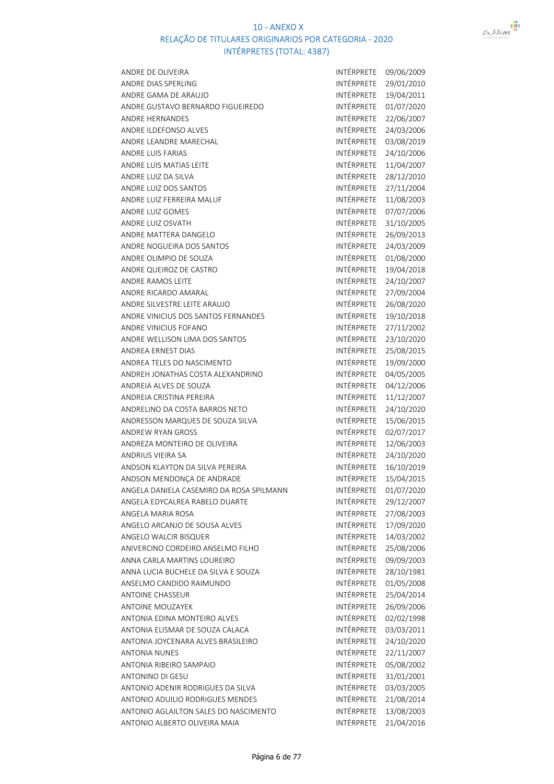

| ANDRE DE OLIVEIRA                        | INTÉRPRETE | 09/06/2009 |
|------------------------------------------|------------|------------|
| ANDRE DIAS SPERLING                      | INTÉRPRETE | 29/01/2010 |
| ANDRE GAMA DE ARAUJO                     | INTÉRPRETE | 19/04/2011 |
| ANDRE GUSTAVO BERNARDO FIGUEIREDO        | INTÉRPRETE | 01/07/2020 |
| <b>ANDRE HERNANDES</b>                   | INTÉRPRETE | 22/06/2007 |
| ANDRE ILDEFONSO ALVES                    | INTÉRPRETE | 24/03/2006 |
| ANDRE LEANDRE MARECHAL                   | INTÉRPRETE | 03/08/2019 |
| <b>ANDRE LUIS FARIAS</b>                 | INTÉRPRETE | 24/10/2006 |
| ANDRE LUIS MATIAS LEITE                  | INTÉRPRETE | 11/04/2007 |
| ANDRE LUIZ DA SILVA                      | INTÉRPRETE | 28/12/2010 |
| ANDRE LUIZ DOS SANTOS                    | INTÉRPRETE | 27/11/2004 |
| ANDRE LUIZ FERREIRA MALUF                | INTÉRPRETE | 11/08/2003 |
| ANDRE LUIZ GOMES                         | INTÉRPRETE | 07/07/2006 |
| ANDRE LUIZ OSVATH                        | INTÉRPRETE | 31/10/2005 |
| ANDRE MATTERA DANGELO                    | INTÉRPRETE | 26/09/2013 |
| ANDRE NOGUEIRA DOS SANTOS                | INTÉRPRETE | 24/03/2009 |
| ANDRE OLIMPIO DE SOUZA                   | INTÉRPRETE | 01/08/2000 |
| ANDRE QUEIROZ DE CASTRO                  | INTÉRPRETE | 19/04/2018 |
| ANDRE RAMOS LEITE                        | INTÉRPRETE | 24/10/2007 |
| ANDRE RICARDO AMARAL                     | INTÉRPRETE | 27/09/2004 |
| ANDRE SILVESTRE LEITE ARAUJO             | INTÉRPRETE | 26/08/2020 |
| ANDRE VINICIUS DOS SANTOS FERNANDES      | INTÉRPRETE | 19/10/2018 |
| ANDRE VINICIUS FOFANO                    | INTÉRPRETE | 27/11/2002 |
| ANDRE WELLISON LIMA DOS SANTOS           | INTÉRPRETE | 23/10/2020 |
| <b>ANDREA ERNEST DIAS</b>                | INTÉRPRETE | 25/08/2015 |
| ANDREA TELES DO NASCIMENTO               | INTÉRPRETE | 19/09/2000 |
| ANDREH JONATHAS COSTA ALEXANDRINO        | INTÉRPRETE | 04/05/2005 |
| ANDREIA ALVES DE SOUZA                   | INTÉRPRETE | 04/12/2006 |
| ANDREIA CRISTINA PEREIRA                 | INTÉRPRETE | 11/12/2007 |
| ANDRELINO DA COSTA BARROS NETO           | INTÉRPRETE | 24/10/2020 |
| ANDRESSON MARQUES DE SOUZA SILVA         | INTÉRPRETE | 15/06/2015 |
| <b>ANDREW RYAN GROSS</b>                 | INTÉRPRETE | 02/07/2017 |
| ANDREZA MONTEIRO DE OLIVEIRA             | INTÉRPRETE | 12/06/2003 |
| ANDRIUS VIEIRA SA                        | INTÉRPRETE | 24/10/2020 |
| ANDSON KLAYTON DA SILVA PEREIRA          | INTÉRPRETE | 16/10/2019 |
| ANDSON MENDONÇA DE ANDRADE               | INTÉRPRETE | 15/04/2015 |
| ANGELA DANIELA CASEMIRO DA ROSA SPILMANN | INTÉRPRETE | 01/07/2020 |
| ANGELA EDYCALREA RABELO DUARTE           | INTÉRPRETE | 29/12/2007 |
| ANGELA MARIA ROSA                        | INTÉRPRETE | 27/08/2003 |
| ANGELO ARCANJO DE SOUSA ALVES            | INTÉRPRETE | 17/09/2020 |
| ANGELO WALCIR BISQUER                    | INTÉRPRETE | 14/03/2002 |
| ANIVERCINO CORDEIRO ANSELMO FILHO        | INTÉRPRETE | 25/08/2006 |
| ANNA CARLA MARTINS LOUREIRO              | INTÉRPRETE | 09/09/2003 |
| ANNA LUCIA BUCHELE DA SILVA E SOUZA      | INTÉRPRETE | 28/10/1981 |
| ANSELMO CANDIDO RAIMUNDO                 | INTÉRPRETE | 01/05/2008 |
| <b>ANTOINE CHASSEUR</b>                  | INTÉRPRETE | 25/04/2014 |
| <b>ANTOINE MOUZAYEK</b>                  | INTÉRPRETE | 26/09/2006 |
| ANTONIA EDINA MONTEIRO ALVES             | INTÉRPRETE | 02/02/1998 |
| ANTONIA ELISMAR DE SOUZA CALACA          | INTÉRPRETE | 03/03/2011 |
| ANTONIA JOYCENARA ALVES BRASILEIRO       | INTÉRPRETE | 24/10/2020 |
| <b>ANTONIA NUNES</b>                     | INTÉRPRETE | 22/11/2007 |
| ANTONIA RIBEIRO SAMPAIO                  | INTÉRPRETE | 05/08/2002 |
| <b>ANTONINO DI GESU</b>                  | INTÉRPRETE | 31/01/2001 |
| ANTONIO ADENIR RODRIGUES DA SILVA        | INTÉRPRETE | 03/03/2005 |
| ANTONIO ADUILIO RODRIGUES MENDES         | INTÉRPRETE | 21/08/2014 |
| ANTONIO AGLAILTON SALES DO NASCIMENTO    | INTÉRPRETE | 13/08/2003 |
| ANTONIO ALBERTO OLIVEIRA MAIA            | INTÉRPRETE | 21/04/2016 |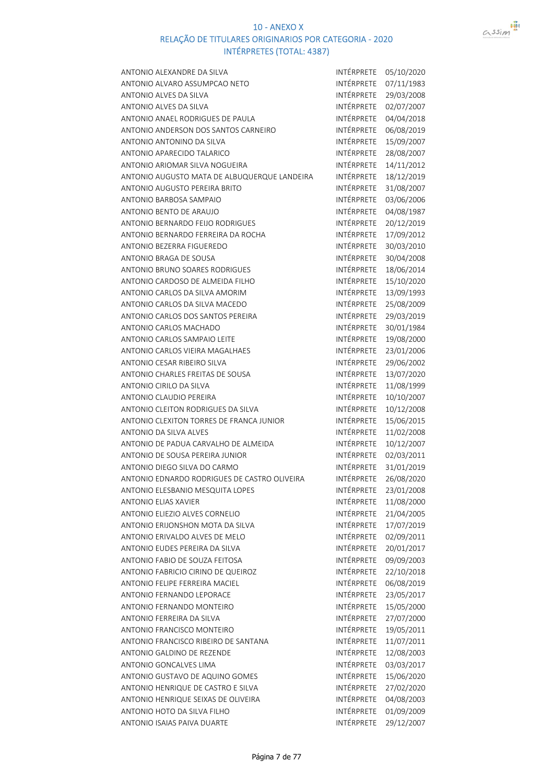

| ANTONIO ALEXANDRE DA SILVA                   | INTÉRPRETE | 05/10/2020 |
|----------------------------------------------|------------|------------|
| ANTONIO ALVARO ASSUMPCAO NETO                | INTÉRPRETE | 07/11/1983 |
| ANTONIO ALVES DA SILVA                       | INTÉRPRETE | 29/03/2008 |
| ANTONIO ALVES DA SILVA                       | INTÉRPRETE | 02/07/2007 |
| ANTONIO ANAEL RODRIGUES DE PAULA             | INTÉRPRETE | 04/04/2018 |
| ANTONIO ANDERSON DOS SANTOS CARNEIRO         | INTÉRPRETE | 06/08/2019 |
| ANTONIO ANTONINO DA SILVA                    | INTÉRPRETE | 15/09/2007 |
| ANTONIO APARECIDO TALARICO                   | INTÉRPRETE | 28/08/2007 |
| ANTONIO ARIOMAR SILVA NOGUEIRA               | INTÉRPRETE | 14/11/2012 |
| ANTONIO AUGUSTO MATA DE ALBUQUERQUE LANDEIRA | INTÉRPRETE | 18/12/2019 |
| ANTONIO AUGUSTO PEREIRA BRITO                | INTÉRPRETE | 31/08/2007 |
| ANTONIO BARBOSA SAMPAIO                      | INTÉRPRETE | 03/06/2006 |
| ANTONIO BENTO DE ARAUJO                      | INTÉRPRETE | 04/08/1987 |
| ANTONIO BERNARDO FEIJO RODRIGUES             | INTÉRPRETE | 20/12/2019 |
| ANTONIO BERNARDO FERREIRA DA ROCHA           | INTÉRPRETE | 17/09/2012 |
| ANTONIO BEZERRA FIGUEREDO                    | INTÉRPRETE | 30/03/2010 |
| <b>ANTONIO BRAGA DE SOUSA</b>                | INTÉRPRETE | 30/04/2008 |
| ANTONIO BRUNO SOARES RODRIGUES               | INTÉRPRETE | 18/06/2014 |
| ANTONIO CARDOSO DE ALMEIDA FILHO             | INTÉRPRETE | 15/10/2020 |
| ANTONIO CARLOS DA SILVA AMORIM               | INTÉRPRETE | 13/09/1993 |
| ANTONIO CARLOS DA SILVA MACEDO               | INTÉRPRETE | 25/08/2009 |
| ANTONIO CARLOS DOS SANTOS PEREIRA            | INTÉRPRETE | 29/03/2019 |
| ANTONIO CARLOS MACHADO                       | INTÉRPRETE | 30/01/1984 |
| ANTONIO CARLOS SAMPAIO LEITE                 | INTÉRPRETE | 19/08/2000 |
| ANTONIO CARLOS VIEIRA MAGALHAES              | INTÉRPRETE | 23/01/2006 |
| ANTONIO CESAR RIBEIRO SILVA                  | INTÉRPRETE | 29/06/2002 |
| ANTONIO CHARLES FREITAS DE SOUSA             | INTÉRPRETE | 13/07/2020 |
| ANTONIO CIRILO DA SILVA                      | INTÉRPRETE | 11/08/1999 |
| <b>ANTONIO CLAUDIO PEREIRA</b>               | INTÉRPRETE | 10/10/2007 |
| ANTONIO CLEITON RODRIGUES DA SILVA           | INTÉRPRETE | 10/12/2008 |
| ANTONIO CLEXITON TORRES DE FRANCA JUNIOR     | INTÉRPRETE | 15/06/2015 |
| <b>ANTONIO DA SILVA ALVES</b>                | INTÉRPRETE | 11/02/2008 |
| ANTONIO DE PADUA CARVALHO DE ALMEIDA         | INTÉRPRETE | 10/12/2007 |
| ANTONIO DE SOUSA PEREIRA JUNIOR              | INTÉRPRETE | 02/03/2011 |
| ANTONIO DIEGO SILVA DO CARMO                 | INTÉRPRETE | 31/01/2019 |
| ANTONIO EDNARDO RODRIGUES DE CASTRO OLIVEIRA | INTÉRPRETE | 26/08/2020 |
| ANTONIO ELESBANIO MESQUITA LOPES             | INTÉRPRETE | 23/01/2008 |
| <b>ANTONIO ELIAS XAVIER</b>                  | INTÉRPRETE | 11/08/2000 |
| ANTONIO ELIEZIO ALVES CORNELIO               | INTÉRPRETE | 21/04/2005 |
| ANTONIO ERIJONSHON MOTA DA SILVA             | INTÉRPRETE | 17/07/2019 |
| ANTONIO ERIVALDO ALVES DE MELO               | INTÉRPRETE | 02/09/2011 |
| ANTONIO EUDES PEREIRA DA SILVA               | INTÉRPRETE | 20/01/2017 |
| ANTONIO FABIO DE SOUZA FEITOSA               | INTÉRPRETE | 09/09/2003 |
| ANTONIO FABRICIO CIRINO DE QUEIROZ           | INTÉRPRETE | 22/10/2018 |
| ANTONIO FELIPE FERREIRA MACIEL               | INTÉRPRETE | 06/08/2019 |
| <b>ANTONIO FERNANDO LEPORACE</b>             | INTÉRPRETE | 23/05/2017 |
| ANTONIO FERNANDO MONTEIRO                    | INTÉRPRETE | 15/05/2000 |
| ANTONIO FERREIRA DA SILVA                    | INTÉRPRETE | 27/07/2000 |
| ANTONIO FRANCISCO MONTEIRO                   | INTÉRPRETE | 19/05/2011 |
| ANTONIO FRANCISCO RIBEIRO DE SANTANA         | INTÉRPRETE | 11/07/2011 |
| ANTONIO GALDINO DE REZENDE                   | INTÉRPRETE | 12/08/2003 |
| ANTONIO GONCALVES LIMA                       | INTÉRPRETE | 03/03/2017 |
| ANTONIO GUSTAVO DE AQUINO GOMES              | INTÉRPRETE | 15/06/2020 |
| ANTONIO HENRIQUE DE CASTRO E SILVA           | INTÉRPRETE | 27/02/2020 |
| ANTONIO HENRIQUE SEIXAS DE OLIVEIRA          | INTÉRPRETE | 04/08/2003 |
| ANTONIO HOTO DA SILVA FILHO                  | INTÉRPRETE | 01/09/2009 |
| ANTONIO ISAIAS PAIVA DUARTE                  | INTÉRPRETE | 29/12/2007 |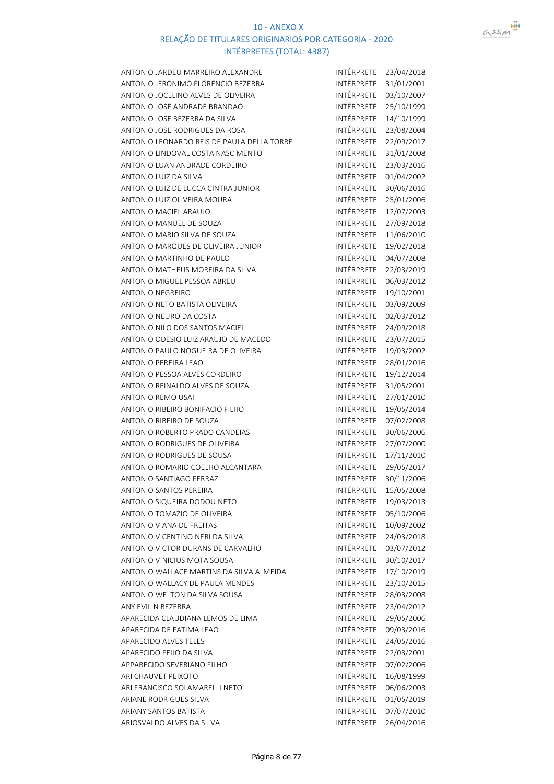

| ANTONIO JARDEU MARREIRO ALEXANDRE          | INTÉRPRETE        | 23/04/2018 |
|--------------------------------------------|-------------------|------------|
| ANTONIO JERONIMO FLORENCIO BEZERRA         | INTÉRPRETE        | 31/01/2001 |
| ANTONIO JOCELINO ALVES DE OLIVEIRA         | INTÉRPRETE        | 03/10/2007 |
| ANTONIO JOSE ANDRADE BRANDAO               | INTÉRPRETE        | 25/10/1999 |
| ANTONIO JOSE BEZERRA DA SILVA              | INTÉRPRETE        | 14/10/1999 |
| ANTONIO JOSE RODRIGUES DA ROSA             | INTÉRPRETE        | 23/08/2004 |
| ANTONIO LEONARDO REIS DE PAULA DELLA TORRE | INTÉRPRETE        | 22/09/2017 |
| ANTONIO LINDOVAL COSTA NASCIMENTO          | INTÉRPRETE        | 31/01/2008 |
| ANTONIO LUAN ANDRADE CORDEIRO              | INTÉRPRETE        | 23/03/2016 |
| ANTONIO LUIZ DA SILVA                      | INTÉRPRETE        | 01/04/2002 |
| ANTONIO LUIZ DE LUCCA CINTRA JUNIOR        | INTÉRPRETE        | 30/06/2016 |
| ANTONIO LUIZ OLIVEIRA MOURA                | INTÉRPRETE        | 25/01/2006 |
| ANTONIO MACIEL ARAUJO                      | INTÉRPRETE        | 12/07/2003 |
| ANTONIO MANUEL DE SOUZA                    | INTÉRPRETE        | 27/09/2018 |
| ANTONIO MARIO SILVA DE SOUZA               | INTÉRPRETE        | 11/06/2010 |
| ANTONIO MARQUES DE OLIVEIRA JUNIOR         | INTÉRPRETE        | 19/02/2018 |
| ANTONIO MARTINHO DE PAULO                  | INTÉRPRETE        | 04/07/2008 |
| ANTONIO MATHEUS MOREIRA DA SILVA           | INTÉRPRETE        | 22/03/2019 |
| ANTONIO MIGUEL PESSOA ABREU                | INTÉRPRETE        | 06/03/2012 |
| <b>ANTONIO NEGREIRO</b>                    | INTÉRPRETE        | 19/10/2001 |
| ANTONIO NETO BATISTA OLIVEIRA              | INTÉRPRETE        | 03/09/2009 |
| ANTONIO NEURO DA COSTA                     | INTÉRPRETE        | 02/03/2012 |
| ANTONIO NILO DOS SANTOS MACIEL             | INTÉRPRETE        | 24/09/2018 |
| ANTONIO ODESIO LUIZ ARAUJO DE MACEDO       | INTÉRPRETE        | 23/07/2015 |
| ANTONIO PAULO NOGUEIRA DE OLIVEIRA         | INTÉRPRETE        | 19/03/2002 |
| ANTONIO PEREIRA LEAO                       | INTÉRPRETE        | 28/01/2016 |
| ANTONIO PESSOA ALVES CORDEIRO              | INTÉRPRETE        | 19/12/2014 |
| ANTONIO REINALDO ALVES DE SOUZA            | INTÉRPRETE        | 31/05/2001 |
| <b>ANTONIO REMO USAI</b>                   | INTÉRPRETE        | 27/01/2010 |
| ANTONIO RIBEIRO BONIFACIO FILHO            | INTÉRPRETE        | 19/05/2014 |
| ANTONIO RIBEIRO DE SOUZA                   | INTÉRPRETE        | 07/02/2008 |
| ANTONIO ROBERTO PRADO CANDEIAS             | INTÉRPRETE        | 30/06/2006 |
| ANTONIO RODRIGUES DE OLIVEIRA              | INTÉRPRETE        | 27/07/2000 |
| ANTONIO RODRIGUES DE SOUSA                 | INTÉRPRETE        | 17/11/2010 |
| ANTONIO ROMARIO COELHO ALCANTARA           | INTÉRPRETE        | 29/05/2017 |
| ANTONIO SANTIAGO FERRAZ                    | <b>INTÉRPRETE</b> | 30/11/2006 |
| <b>ANTONIO SANTOS PEREIRA</b>              | INTÉRPRETE        | 15/05/2008 |
| ANTONIO SIQUEIRA DODOU NETO                | INTÉRPRETE        | 19/03/2013 |
| ANTONIO TOMAZIO DE OLIVEIRA                | <b>INTÉRPRETE</b> | 05/10/2006 |
| ANTONIO VIANA DE FREITAS                   | INTÉRPRETE        | 10/09/2002 |
| ANTONIO VICENTINO NERI DA SILVA            | INTÉRPRETE        | 24/03/2018 |
| ANTONIO VICTOR DURANS DE CARVALHO          | INTÉRPRETE        | 03/07/2012 |
| ANTONIO VINICIUS MOTA SOUSA                | INTÉRPRETE        | 30/10/2017 |
| ANTONIO WALLACE MARTINS DA SILVA ALMEIDA   | <b>INTÉRPRETE</b> | 17/10/2019 |
| ANTONIO WALLACY DE PAULA MENDES            | INTÉRPRETE        | 23/10/2015 |
| ANTONIO WELTON DA SILVA SOUSA              | INTÉRPRETE        | 28/03/2008 |
| ANY EVILIN BEZERRA                         | <b>INTÉRPRETE</b> | 23/04/2012 |
| APARECIDA CLAUDIANA LEMOS DE LIMA          | INTÉRPRETE        | 29/05/2006 |
| APARECIDA DE FATIMA LEAO                   | INTÉRPRETE        | 09/03/2016 |
| APARECIDO ALVES TELES                      | INTÉRPRETE        | 24/05/2016 |
| APARECIDO FEIJO DA SILVA                   | INTÉRPRETE        | 22/03/2001 |
| APPARECIDO SEVERIANO FILHO                 | INTÉRPRETE        | 07/02/2006 |
| ARI CHAUVET PEIXOTO                        | INTÉRPRETE        | 16/08/1999 |
| ARI FRANCISCO SOLAMARELLI NETO             | INTÉRPRETE        | 06/06/2003 |
| ARIANE RODRIGUES SILVA                     | INTÉRPRETE        | 01/05/2019 |
| ARIANY SANTOS BATISTA                      | INTÉRPRETE        | 07/07/2010 |
| ARIOSVALDO ALVES DA SILVA                  | INTÉRPRETE        | 26/04/2016 |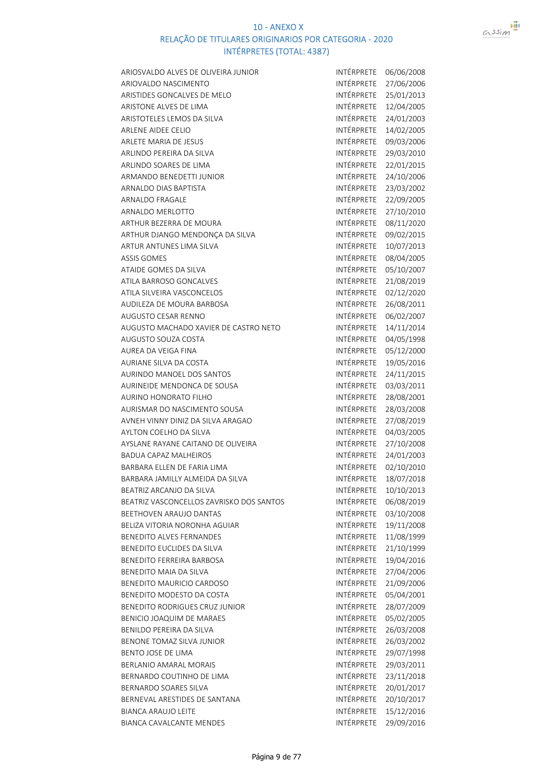

| ARIOSVALDO ALVES DE OLIVEIRA JUNIOR                  | INTÉRPRETE        | 06/06/2008 |
|------------------------------------------------------|-------------------|------------|
| ARIOVALDO NASCIMENTO                                 | INTÉRPRETE        | 27/06/2006 |
| ARISTIDES GONCALVES DE MELO                          | INTÉRPRETE        | 25/01/2013 |
| ARISTONE ALVES DE LIMA                               | INTÉRPRETE        | 12/04/2005 |
| ARISTOTELES LEMOS DA SILVA                           | <b>INTÉRPRETE</b> | 24/01/2003 |
| ARLENE AIDEE CELIO                                   | INTÉRPRETE        | 14/02/2005 |
| ARLETE MARIA DE JESUS                                | INTÉRPRETE        | 09/03/2006 |
| ARLINDO PEREIRA DA SILVA                             | INTÉRPRETE        | 29/03/2010 |
| ARLINDO SOARES DE LIMA                               | INTÉRPRETE        | 22/01/2015 |
| ARMANDO BENEDETTI JUNIOR                             | INTÉRPRETE        | 24/10/2006 |
| ARNALDO DIAS BAPTISTA                                | INTÉRPRETE        | 23/03/2002 |
| <b>ARNALDO FRAGALE</b>                               | INTÉRPRETE        | 22/09/2005 |
| ARNALDO MERLOTTO                                     | INTÉRPRETE        | 27/10/2010 |
| ARTHUR BEZERRA DE MOURA                              | INTÉRPRETE        | 08/11/2020 |
| ARTHUR DJANGO MENDONÇA DA SILVA                      | INTÉRPRETE        | 09/02/2015 |
| ARTUR ANTUNES LIMA SILVA                             | INTÉRPRETE        | 10/07/2013 |
| <b>ASSIS GOMES</b>                                   | INTÉRPRETE        | 08/04/2005 |
| ATAIDE GOMES DA SILVA                                | INTÉRPRETE        | 05/10/2007 |
| <b>ATILA BARROSO GONCALVES</b>                       | INTÉRPRETE        | 21/08/2019 |
| ATILA SILVEIRA VASCONCELOS                           | INTÉRPRETE        | 02/12/2020 |
| AUDILEZA DE MOURA BARBOSA                            | <b>INTÉRPRETE</b> | 26/08/2011 |
| AUGUSTO CESAR RENNO                                  | INTÉRPRETE        | 06/02/2007 |
| AUGUSTO MACHADO XAVIER DE CASTRO NETO                | INTÉRPRETE        | 14/11/2014 |
| AUGUSTO SOUZA COSTA                                  | INTÉRPRETE        | 04/05/1998 |
| AUREA DA VEIGA FINA                                  | INTÉRPRETE        | 05/12/2000 |
| AURIANE SILVA DA COSTA                               | INTÉRPRETE        | 19/05/2016 |
| AURINDO MANOEL DOS SANTOS                            | INTÉRPRETE        | 24/11/2015 |
| AURINEIDE MENDONCA DE SOUSA                          | INTÉRPRETE        | 03/03/2011 |
| AURINO HONORATO FILHO                                | INTÉRPRETE        | 28/08/2001 |
| AURISMAR DO NASCIMENTO SOUSA                         | INTÉRPRETE        | 28/03/2008 |
| AVNEH VINNY DINIZ DA SILVA ARAGAO                    | INTÉRPRETE        | 27/08/2019 |
| AYLTON COELHO DA SILVA                               | INTÉRPRETE        | 04/03/2005 |
| AYSLANE RAYANE CAITANO DE OLIVEIRA                   | INTÉRPRETE        | 27/10/2008 |
|                                                      | INTÉRPRETE        | 24/01/2003 |
| BADUA CAPAZ MALHEIROS<br>BARBARA ELLEN DE FARIA LIMA | INTÉRPRETE        |            |
|                                                      |                   | 02/10/2010 |
| BARBARA JAMILLY ALMEIDA DA SILVA                     | INTÉRPRETE        | 18/07/2018 |
| BEATRIZ ARCANJO DA SILVA                             | INTÉRPRETE        | 10/10/2013 |
| BEATRIZ VASCONCELLOS ZAVRISKO DOS SANTOS             | INTÉRPRETE        | 06/08/2019 |
| BEETHOVEN ARAUJO DANTAS                              | INTÉRPRETE        | 03/10/2008 |
| BELIZA VITORIA NORONHA AGUIAR                        | INTÉRPRETE        | 19/11/2008 |
| BENEDITO ALVES FERNANDES                             | INTÉRPRETE        | 11/08/1999 |
| BENEDITO EUCLIDES DA SILVA                           | INTÉRPRETE        | 21/10/1999 |
| <b>BENEDITO FERREIRA BARBOSA</b>                     | INTÉRPRETE        | 19/04/2016 |
| BENEDITO MAIA DA SILVA                               | INTÉRPRETE        | 27/04/2006 |
| BENEDITO MAURICIO CARDOSO                            | INTÉRPRETE        | 21/09/2006 |
| BENEDITO MODESTO DA COSTA                            | INTÉRPRETE        | 05/04/2001 |
| BENEDITO RODRIGUES CRUZ JUNIOR                       | INTÉRPRETE        | 28/07/2009 |
| BENICIO JOAQUIM DE MARAES                            | INTÉRPRETE        | 05/02/2005 |
| BENILDO PEREIRA DA SILVA                             | INTÉRPRETE        | 26/03/2008 |
| BENONE TOMAZ SILVA JUNIOR                            | INTÉRPRETE        | 26/03/2002 |
| BENTO JOSE DE LIMA                                   | INTÉRPRETE        | 29/07/1998 |
| BERLANIO AMARAL MORAIS                               | INTÉRPRETE        | 29/03/2011 |
| BERNARDO COUTINHO DE LIMA                            | INTÉRPRETE        | 23/11/2018 |
| <b>BERNARDO SOARES SILVA</b>                         | INTÉRPRETE        | 20/01/2017 |
| BERNEVAL ARESTIDES DE SANTANA                        | INTÉRPRETE        | 20/10/2017 |
| <b>BIANCA ARAUJO LEITE</b>                           | INTÉRPRETE        | 15/12/2016 |
| BIANCA CAVALCANTE MENDES                             | INTÉRPRETE        | 29/09/2016 |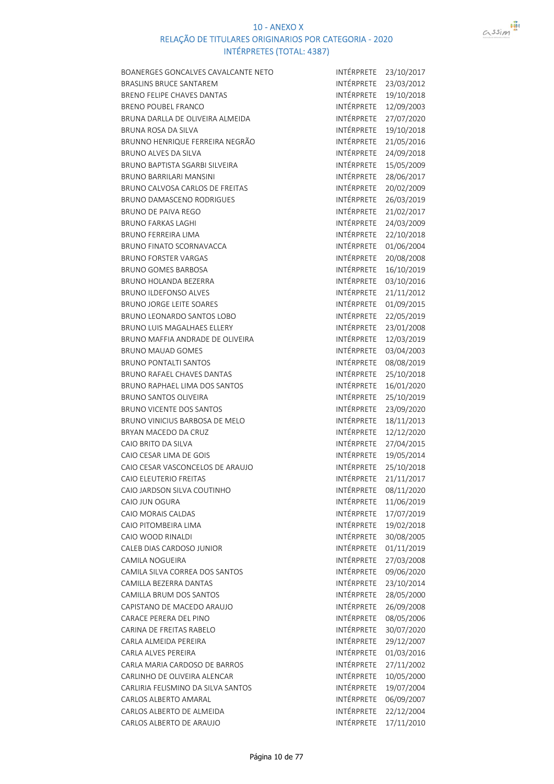

| BOANERGES GONCALVES CAVALCANTE NETO  | INTÉRPRETE        | 23/10/2017 |
|--------------------------------------|-------------------|------------|
| BRASLINS BRUCE SANTAREM              | INTÉRPRETE        | 23/03/2012 |
| BRENO FELIPE CHAVES DANTAS           | INTÉRPRETE        | 19/10/2018 |
| <b>BRENO POUBEL FRANCO</b>           | INTÉRPRETE        | 12/09/2003 |
| BRUNA DARLLA DE OLIVEIRA ALMEIDA     | INTÉRPRETE        | 27/07/2020 |
| <b>BRUNA ROSA DA SILVA</b>           | INTÉRPRETE        | 19/10/2018 |
| BRUNNO HENRIQUE FERREIRA NEGRÃO      | INTÉRPRETE        | 21/05/2016 |
| <b>BRUNO ALVES DA SILVA</b>          | INTÉRPRETE        | 24/09/2018 |
| BRUNO BAPTISTA SGARBI SILVEIRA       | INTÉRPRETE        | 15/05/2009 |
| <b>BRUNO BARRILARI MANSINI</b>       | INTÉRPRETE        | 28/06/2017 |
| BRUNO CALVOSA CARLOS DE FREITAS      | INTÉRPRETE        | 20/02/2009 |
| <b>BRUNO DAMASCENO RODRIGUES</b>     | INTÉRPRETE        | 26/03/2019 |
| BRUNO DE PAIVA REGO                  | INTÉRPRETE        | 21/02/2017 |
| <b>BRUNO FARKAS LAGHI</b>            | INTÉRPRETE        | 24/03/2009 |
| <b>BRUNO FERREIRA LIMA</b>           | INTÉRPRETE        | 22/10/2018 |
| BRUNO FINATO SCORNAVACCA             | INTÉRPRETE        | 01/06/2004 |
| <b>BRUNO FORSTER VARGAS</b>          | INTÉRPRETE        | 20/08/2008 |
| <b>BRUNO GOMES BARBOSA</b>           | INTÉRPRETE        | 16/10/2019 |
| BRUNO HOLANDA BEZERRA                | INTÉRPRETE        | 03/10/2016 |
| <b>BRUNO ILDEFONSO ALVES</b>         | INTÉRPRETE        | 21/11/2012 |
| <b>BRUNO JORGE LEITE SOARES</b>      | <b>INTÉRPRETE</b> | 01/09/2015 |
| BRUNO LEONARDO SANTOS LOBO           | INTÉRPRETE        | 22/05/2019 |
| BRUNO LUIS MAGALHAES ELLERY          | INTÉRPRETE        | 23/01/2008 |
| BRUNO MAFFIA ANDRADE DE OLIVEIRA     | INTÉRPRETE        | 12/03/2019 |
| <b>BRUNO MAUAD GOMES</b>             | INTÉRPRETE        | 03/04/2003 |
| <b>BRUNO PONTALTI SANTOS</b>         | INTÉRPRETE        | 08/08/2019 |
| BRUNO RAFAEL CHAVES DANTAS           | INTÉRPRETE        | 25/10/2018 |
| <b>BRUNO RAPHAEL LIMA DOS SANTOS</b> | INTÉRPRETE        | 16/01/2020 |
| <b>BRUNO SANTOS OLIVEIRA</b>         | INTÉRPRETE        | 25/10/2019 |
| <b>BRUNO VICENTE DOS SANTOS</b>      | INTÉRPRETE        | 23/09/2020 |
| BRUNO VINICIUS BARBOSA DE MELO       | INTÉRPRETE        | 18/11/2013 |
| BRYAN MACEDO DA CRUZ                 | INTÉRPRETE        | 12/12/2020 |
| CAIO BRITO DA SILVA                  | INTÉRPRETE        | 27/04/2015 |
| CAIO CESAR LIMA DE GOIS              | <b>INTÉRPRETE</b> | 19/05/2014 |
| CAIO CESAR VASCONCELOS DE ARAUJO     | INTÉRPRETE        | 25/10/2018 |
| CAIO ELEUTERIO FREITAS               | INTÉRPRETE        | 21/11/2017 |
| CAIO JARDSON SILVA COUTINHO          | INTÉRPRETE        | 08/11/2020 |
| CAIO JUN OGURA                       | <b>INTÉRPRETE</b> | 11/06/2019 |
| CAIO MORAIS CALDAS                   | INTÉRPRETE        | 17/07/2019 |
| CAIO PITOMBEIRA LIMA                 | INTÉRPRETE        | 19/02/2018 |
| CAIO WOOD RINALDI                    | INTÉRPRETE        | 30/08/2005 |
| CALEB DIAS CARDOSO JUNIOR            | INTÉRPRETE        | 01/11/2019 |
| CAMILA NOGUEIRA                      | INTÉRPRETE        | 27/03/2008 |
| CAMILA SILVA CORREA DOS SANTOS       | INTÉRPRETE        | 09/06/2020 |
| CAMILLA BEZERRA DANTAS               | INTÉRPRETE        | 23/10/2014 |
| CAMILLA BRUM DOS SANTOS              | INTÉRPRETE        | 28/05/2000 |
| CAPISTANO DE MACEDO ARAUJO           | INTÉRPRETE        | 26/09/2008 |
| CARACE PERERA DEL PINO               | INTÉRPRETE        | 08/05/2006 |
| CARINA DE FREITAS RABELO             | INTÉRPRETE        | 30/07/2020 |
| CARLA ALMEIDA PEREIRA                | INTÉRPRETE        | 29/12/2007 |
| CARLA ALVES PEREIRA                  | INTÉRPRETE        | 01/03/2016 |
| CARLA MARIA CARDOSO DE BARROS        | INTÉRPRETE        | 27/11/2002 |
| CARLINHO DE OLIVEIRA ALENCAR         | INTÉRPRETE        | 10/05/2000 |
| CARLIRIA FELISMINO DA SILVA SANTOS   | INTÉRPRETE        | 19/07/2004 |
| CARLOS ALBERTO AMARAL                | INTÉRPRETE        | 06/09/2007 |
| CARLOS ALBERTO DE ALMEIDA            | INTÉRPRETE        | 22/12/2004 |
| CARLOS ALBERTO DE ARAUJO             | INTÉRPRETE        | 17/11/2010 |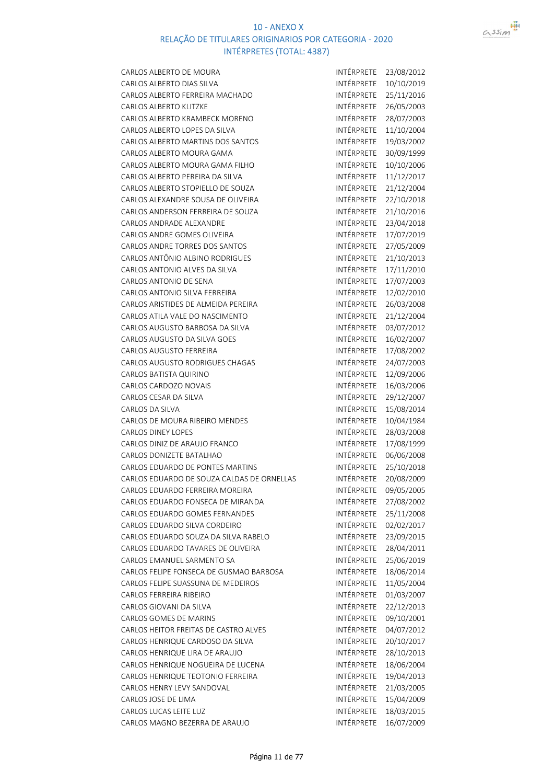

| CARLOS ALBERTO DE MOURA                                      | INTÉRPRETE               | 23/08/2012 |
|--------------------------------------------------------------|--------------------------|------------|
| CARLOS ALBERTO DIAS SILVA                                    | INTÉRPRETE               | 10/10/2019 |
| CARLOS ALBERTO FERREIRA MACHADO                              | INTÉRPRETE               | 25/11/2016 |
| <b>CARLOS ALBERTO KLITZKE</b>                                | INTÉRPRETE               | 26/05/2003 |
| CARLOS ALBERTO KRAMBECK MORENO                               | INTÉRPRETE               | 28/07/2003 |
| CARLOS ALBERTO LOPES DA SILVA                                | INTÉRPRETE               | 11/10/2004 |
| CARLOS ALBERTO MARTINS DOS SANTOS                            | INTÉRPRETE               | 19/03/2002 |
| CARLOS ALBERTO MOURA GAMA                                    | INTÉRPRETE               | 30/09/1999 |
| CARLOS ALBERTO MOURA GAMA FILHO                              | INTÉRPRETE               | 10/10/2006 |
| CARLOS ALBERTO PEREIRA DA SILVA                              | INTÉRPRETE               | 11/12/2017 |
| CARLOS ALBERTO STOPIELLO DE SOUZA                            | INTÉRPRETE               | 21/12/2004 |
| CARLOS ALEXANDRE SOUSA DE OLIVEIRA                           | INTÉRPRETE               | 22/10/2018 |
| CARLOS ANDERSON FERREIRA DE SOUZA                            | INTÉRPRETE               | 21/10/2016 |
| CARLOS ANDRADE ALEXANDRE                                     | INTÉRPRETE               | 23/04/2018 |
| CARLOS ANDRE GOMES OLIVEIRA                                  | INTÉRPRETE               | 17/07/2019 |
| CARLOS ANDRE TORRES DOS SANTOS                               | INTÉRPRETE               | 27/05/2009 |
| CARLOS ANTÔNIO ALBINO RODRIGUES                              | INTÉRPRETE               | 21/10/2013 |
| CARLOS ANTONIO ALVES DA SILVA                                | INTÉRPRETE               | 17/11/2010 |
| CARLOS ANTONIO DE SENA                                       | INTÉRPRETE               | 17/07/2003 |
| CARLOS ANTONIO SILVA FERREIRA                                | INTÉRPRETE               | 12/02/2010 |
| CARLOS ARISTIDES DE ALMEIDA PEREIRA                          | INTÉRPRETE               | 26/03/2008 |
| CARLOS ATILA VALE DO NASCIMENTO                              | INTÉRPRETE               | 21/12/2004 |
| CARLOS AUGUSTO BARBOSA DA SILVA                              | INTÉRPRETE               | 03/07/2012 |
| <b>CARLOS AUGUSTO DA SILVA GOES</b>                          | INTÉRPRETE               |            |
|                                                              | INTÉRPRETE               | 16/02/2007 |
| <b>CARLOS AUGUSTO FERREIRA</b>                               | INTÉRPRETE               | 17/08/2002 |
| <b>CARLOS AUGUSTO RODRIGUES CHAGAS</b>                       |                          | 24/07/2003 |
| CARLOS BATISTA QUIRINO                                       | INTÉRPRETE               | 12/09/2006 |
| CARLOS CARDOZO NOVAIS                                        | INTÉRPRETE               | 16/03/2006 |
| CARLOS CESAR DA SILVA                                        | INTÉRPRETE               | 29/12/2007 |
| CARLOS DA SILVA                                              | INTÉRPRETE<br>INTÉRPRETE | 15/08/2014 |
| CARLOS DE MOURA RIBEIRO MENDES                               |                          | 10/04/1984 |
| <b>CARLOS DINEY LOPES</b>                                    | INTÉRPRETE               | 28/03/2008 |
| CARLOS DINIZ DE ARAUJO FRANCO                                | INTÉRPRETE               | 17/08/1999 |
| CARLOS DONIZETE BATALHAO<br>CARLOS EDUARDO DE PONTES MARTINS | INTÉRPRETE<br>INTÉRPRETE | 06/06/2008 |
|                                                              |                          | 25/10/2018 |
| CARLOS EDUARDO DE SOUZA CALDAS DE ORNELLAS                   | INTÉRPRETE               | 20/08/2009 |
| CARLOS EDUARDO FERREIRA MOREIRA                              | INTÉRPRETE               | 09/05/2005 |
| CARLOS EDUARDO FONSECA DE MIRANDA                            | INTÉRPRETE               | 27/08/2002 |
| CARLOS EDUARDO GOMES FERNANDES                               | INTÉRPRETE               | 25/11/2008 |
| CARLOS EDUARDO SILVA CORDEIRO                                | INTÉRPRETE               | 02/02/2017 |
| CARLOS EDUARDO SOUZA DA SILVA RABELO                         | INTÉRPRETE               | 23/09/2015 |
| CARLOS EDUARDO TAVARES DE OLIVEIRA                           | INTÉRPRETE               | 28/04/2011 |
| CARLOS EMANUEL SARMENTO SA                                   | <b>INTÉRPRETE</b>        | 25/06/2019 |
| CARLOS FELIPE FONSECA DE GUSMAO BARBOSA                      | INTÉRPRETE               | 18/06/2014 |
| CARLOS FELIPE SUASSUNA DE MEDEIROS                           | INTÉRPRETE               | 11/05/2004 |
| CARLOS FERREIRA RIBEIRO                                      | INTÉRPRETE               | 01/03/2007 |
| CARLOS GIOVANI DA SILVA                                      | INTÉRPRETE               | 22/12/2013 |
| CARLOS GOMES DE MARINS                                       | INTÉRPRETE               | 09/10/2001 |
| CARLOS HEITOR FREITAS DE CASTRO ALVES                        | INTÉRPRETE               | 04/07/2012 |
| CARLOS HENRIQUE CARDOSO DA SILVA                             | INTÉRPRETE               | 20/10/2017 |
| CARLOS HENRIQUE LIRA DE ARAUJO                               | INTÉRPRETE               | 28/10/2013 |
| CARLOS HENRIQUE NOGUEIRA DE LUCENA                           | INTÉRPRETE               | 18/06/2004 |
| CARLOS HENRIQUE TEOTONIO FERREIRA                            | INTÉRPRETE               | 19/04/2013 |
| CARLOS HENRY LEVY SANDOVAL                                   | INTÉRPRETE               | 21/03/2005 |
| CARLOS JOSE DE LIMA                                          | INTÉRPRETE               | 15/04/2009 |
| CARLOS LUCAS LEITE LUZ                                       | INTÉRPRETE               | 18/03/2015 |
| CARLOS MAGNO BEZERRA DE ARAUJO                               | INTÉRPRETE               | 16/07/2009 |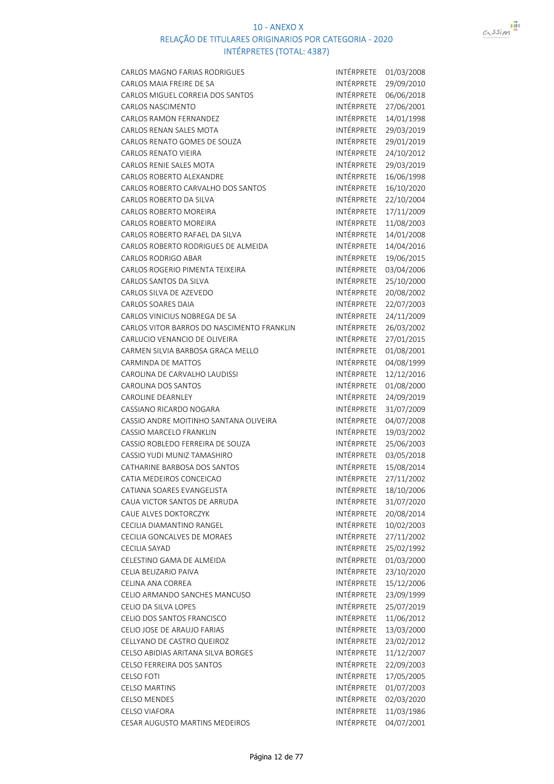

| CARLOS MAGNO FARIAS RODRIGUES              | INTÉRPRETE        | 01/03/2008 |
|--------------------------------------------|-------------------|------------|
| CARLOS MAIA FREIRE DE SA                   | INTÉRPRETE        | 29/09/2010 |
| CARLOS MIGUEL CORREIA DOS SANTOS           | INTÉRPRETE        | 06/06/2018 |
| <b>CARLOS NASCIMENTO</b>                   | INTÉRPRETE        | 27/06/2001 |
| CARLOS RAMON FERNANDEZ                     | INTÉRPRETE        | 14/01/1998 |
| CARLOS RENAN SALES MOTA                    | INTÉRPRETE        | 29/03/2019 |
| CARLOS RENATO GOMES DE SOUZA               | INTÉRPRETE        | 29/01/2019 |
| <b>CARLOS RENATO VIEIRA</b>                | INTÉRPRETE        | 24/10/2012 |
| CARLOS RENIE SALES MOTA                    | INTÉRPRETE        | 29/03/2019 |
| <b>CARLOS ROBERTO ALEXANDRE</b>            | <b>INTÉRPRETE</b> | 16/06/1998 |
| CARLOS ROBERTO CARVALHO DOS SANTOS         | INTÉRPRETE        | 16/10/2020 |
| CARLOS ROBERTO DA SILVA                    | INTÉRPRETE        | 22/10/2004 |
| <b>CARLOS ROBERTO MOREIRA</b>              | INTÉRPRETE        | 17/11/2009 |
| <b>CARLOS ROBERTO MOREIRA</b>              | INTÉRPRETE        | 11/08/2003 |
| CARLOS ROBERTO RAFAEL DA SILVA             | INTÉRPRETE        | 14/01/2008 |
| CARLOS ROBERTO RODRIGUES DE ALMEIDA        | INTÉRPRETE        | 14/04/2016 |
| <b>CARLOS RODRIGO ABAR</b>                 | INTÉRPRETE        | 19/06/2015 |
| CARLOS ROGERIO PIMENTA TEIXEIRA            | INTÉRPRETE        | 03/04/2006 |
| CARLOS SANTOS DA SILVA                     | INTÉRPRETE        | 25/10/2000 |
| CARLOS SILVA DE AZEVEDO                    | INTÉRPRETE        | 20/08/2002 |
| CARLOS SOARES DAIA                         | INTÉRPRETE        | 22/07/2003 |
| CARLOS VINICIUS NOBREGA DE SA              | INTÉRPRETE        | 24/11/2009 |
| CARLOS VITOR BARROS DO NASCIMENTO FRANKLIN | INTÉRPRETE        | 26/03/2002 |
| CARLUCIO VENANCIO DE OLIVEIRA              | INTÉRPRETE        | 27/01/2015 |
| CARMEN SILVIA BARBOSA GRACA MELLO          | INTÉRPRETE        | 01/08/2001 |
| CARMINDA DE MATTOS                         | INTÉRPRETE        | 04/08/1999 |
| CAROLINA DE CARVALHO LAUDISSI              | INTÉRPRETE        | 12/12/2016 |
| CAROLINA DOS SANTOS                        | INTÉRPRETE        | 01/08/2000 |
| <b>CAROLINE DEARNLEY</b>                   | INTÉRPRETE        | 24/09/2019 |
| CASSIANO RICARDO NOGARA                    | INTÉRPRETE        | 31/07/2009 |
| CASSIO ANDRE MOITINHO SANTANA OLIVEIRA     | INTÉRPRETE        | 04/07/2008 |
| <b>CASSIO MARCELO FRANKLIN</b>             | INTÉRPRETE        | 19/03/2002 |
| CASSIO ROBLEDO FERREIRA DE SOUZA           | INTÉRPRETE        | 25/06/2003 |
| CASSIO YUDI MUNIZ TAMASHIRO                | INTÉRPRETE        | 03/05/2018 |
| CATHARINE BARBOSA DOS SANTOS               | <b>INTÉRPRETE</b> | 15/08/2014 |
| CATIA MEDEIROS CONCEICAO                   | INTÉRPRETE        | 27/11/2002 |
| CATIANA SOARES EVANGELISTA                 | INTÉRPRETE        | 18/10/2006 |
| CAUA VICTOR SANTOS DE ARRUDA               | INTÉRPRETE        | 31/07/2020 |
| CAUE ALVES DOKTORCZYK                      | INTÉRPRETE        | 20/08/2014 |
| CECILIA DIAMANTINO RANGEL                  | INTÉRPRETE        | 10/02/2003 |
| CECILIA GONCALVES DE MORAES                | INTÉRPRETE        | 27/11/2002 |
| <b>CECILIA SAYAD</b>                       | INTÉRPRETE        | 25/02/1992 |
| CELESTINO GAMA DE ALMEIDA                  | INTÉRPRETE        | 01/03/2000 |
| CELIA BELIZARIO PAIVA                      | INTÉRPRETE        | 23/10/2020 |
| CELINA ANA CORREA                          | INTÉRPRETE        | 15/12/2006 |
| CELIO ARMANDO SANCHES MANCUSO              | INTÉRPRETE        | 23/09/1999 |
| CELIO DA SILVA LOPES                       | <b>INTÉRPRETE</b> | 25/07/2019 |
| CELIO DOS SANTOS FRANCISCO                 | INTÉRPRETE        | 11/06/2012 |
| CELIO JOSE DE ARAUJO FARIAS                | INTÉRPRETE        | 13/03/2000 |
| CELLYANO DE CASTRO QUEIROZ                 | INTÉRPRETE        | 23/02/2012 |
| CELSO ABIDIAS ARITANA SILVA BORGES         | INTÉRPRETE        | 11/12/2007 |
| CELSO FERREIRA DOS SANTOS                  | INTÉRPRETE        | 22/09/2003 |
| <b>CELSO FOTI</b>                          | INTÉRPRETE        | 17/05/2005 |
| <b>CELSO MARTINS</b>                       | INTÉRPRETE        | 01/07/2003 |
| <b>CELSO MENDES</b>                        | INTÉRPRETE        | 02/03/2020 |
| <b>CELSO VIAFORA</b>                       | INTÉRPRETE        | 11/03/1986 |
| CESAR AUGUSTO MARTINS MEDEIROS             | INTÉRPRETE        | 04/07/2001 |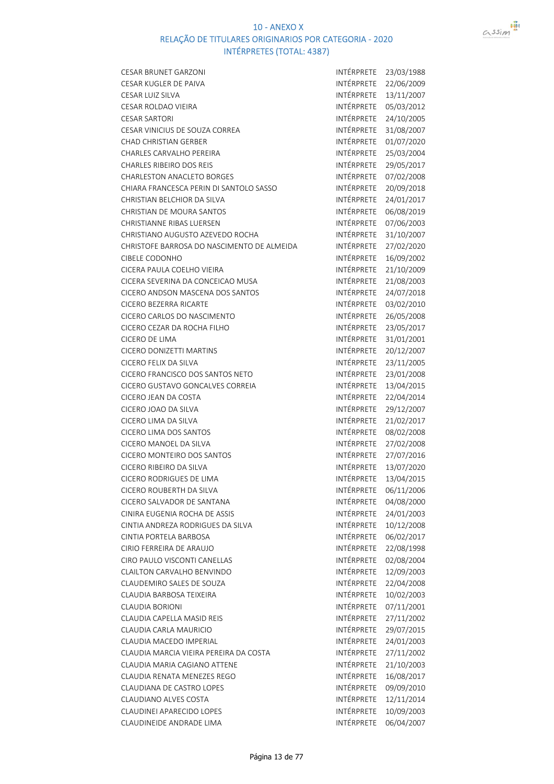

| <b>CESAR BRUNET GARZONI</b>                | INTÉRPRETE        | 23/03/1988 |
|--------------------------------------------|-------------------|------------|
| <b>CESAR KUGLER DE PAIVA</b>               | INTÉRPRETE        | 22/06/2009 |
| CESAR LUIZ SILVA                           | INTÉRPRETE        | 13/11/2007 |
| <b>CESAR ROLDAO VIEIRA</b>                 | INTÉRPRETE        | 05/03/2012 |
| <b>CESAR SARTORI</b>                       | INTÉRPRETE        | 24/10/2005 |
| CESAR VINICIUS DE SOUZA CORREA             | <b>INTÉRPRETE</b> | 31/08/2007 |
| <b>CHAD CHRISTIAN GERBER</b>               | INTÉRPRETE        | 01/07/2020 |
| <b>CHARLES CARVALHO PEREIRA</b>            | INTÉRPRETE        | 25/03/2004 |
| CHARLES RIBEIRO DOS REIS                   | INTÉRPRETE        | 29/05/2017 |
| <b>CHARLESTON ANACLETO BORGES</b>          | INTÉRPRETE        | 07/02/2008 |
| CHIARA FRANCESCA PERIN DI SANTOLO SASSO    | INTÉRPRETE        | 20/09/2018 |
| CHRISTIAN BELCHIOR DA SILVA                | INTÉRPRETE        | 24/01/2017 |
| CHRISTIAN DE MOURA SANTOS                  | INTÉRPRETE        | 06/08/2019 |
| <b>CHRISTIANNE RIBAS LUERSEN</b>           | INTÉRPRETE        | 07/06/2003 |
| CHRISTIANO AUGUSTO AZEVEDO ROCHA           | INTÉRPRETE        | 31/10/2007 |
| CHRISTOFE BARROSA DO NASCIMENTO DE ALMEIDA | INTÉRPRETE        | 27/02/2020 |
| <b>CIBELE CODONHO</b>                      | <b>INTÉRPRETE</b> | 16/09/2002 |
| CICERA PAULA COELHO VIEIRA                 | INTÉRPRETE        | 21/10/2009 |
| CICERA SEVERINA DA CONCEICAO MUSA          | INTÉRPRETE        | 21/08/2003 |
| CICERO ANDSON MASCENA DOS SANTOS           | INTÉRPRETE        | 24/07/2018 |
| CICERO BEZERRA RICARTE                     | INTÉRPRETE        | 03/02/2010 |
| CICERO CARLOS DO NASCIMENTO                | INTÉRPRETE        | 26/05/2008 |
| CICERO CEZAR DA ROCHA FILHO                | INTÉRPRETE        | 23/05/2017 |
| <b>CICERO DE LIMA</b>                      | INTÉRPRETE        | 31/01/2001 |
| CICERO DONIZETTI MARTINS                   | INTÉRPRETE        | 20/12/2007 |
| CICERO FELIX DA SILVA                      | INTÉRPRETE        | 23/11/2005 |
| CICERO FRANCISCO DOS SANTOS NETO           | INTÉRPRETE        | 23/01/2008 |
| CICERO GUSTAVO GONCALVES CORREIA           | INTÉRPRETE        | 13/04/2015 |
| CICERO JEAN DA COSTA                       | INTÉRPRETE        | 22/04/2014 |
| CICERO JOAO DA SILVA                       | INTÉRPRETE        | 29/12/2007 |
| CICERO LIMA DA SILVA                       | INTÉRPRETE        | 21/02/2017 |
| <b>CICERO LIMA DOS SANTOS</b>              | INTÉRPRETE        | 08/02/2008 |
| CICERO MANOEL DA SILVA                     | INTÉRPRETE        | 27/02/2008 |
| CICERO MONTEIRO DOS SANTOS                 | INTÉRPRETE        | 27/07/2016 |
| CICERO RIBEIRO DA SILVA                    | INTÉRPRETE        | 13/07/2020 |
| CICERO RODRIGUES DE LIMA                   | INTÉRPRETE        | 13/04/2015 |
| CICERO ROUBERTH DA SILVA                   | INTÉRPRETE        | 06/11/2006 |
| CICERO SALVADOR DE SANTANA                 | INTÉRPRETE        | 04/08/2000 |
| CINIRA EUGENIA ROCHA DE ASSIS              | <b>INTÉRPRETE</b> | 24/01/2003 |
| CINTIA ANDREZA RODRIGUES DA SILVA          | INTÉRPRETE        | 10/12/2008 |
| CINTIA PORTELA BARBOSA                     | INTÉRPRETE        | 06/02/2017 |
| CIRIO FERREIRA DE ARAUJO                   | INTÉRPRETE        | 22/08/1998 |
| CIRO PAULO VISCONTI CANELLAS               | <b>INTÉRPRETE</b> | 02/08/2004 |
| CLAILTON CARVALHO BENVINDO                 | INTÉRPRETE        | 12/09/2003 |
| CLAUDEMIRO SALES DE SOUZA                  | INTÉRPRETE        | 22/04/2008 |
| CLAUDIA BARBOSA TEIXEIRA                   | INTÉRPRETE        | 10/02/2003 |
| <b>CLAUDIA BORIONI</b>                     | INTÉRPRETE        | 07/11/2001 |
| CLAUDIA CAPELLA MASID REIS                 | INTÉRPRETE        | 27/11/2002 |
| CLAUDIA CARLA MAURICIO                     | INTÉRPRETE        | 29/07/2015 |
| CLAUDIA MACEDO IMPERIAL                    | INTÉRPRETE        | 24/01/2003 |
| CLAUDIA MARCIA VIEIRA PEREIRA DA COSTA     | INTÉRPRETE        | 27/11/2002 |
| CLAUDIA MARIA CAGIANO ATTENE               | INTÉRPRETE        | 21/10/2003 |
| CLAUDIA RENATA MENEZES REGO                | INTÉRPRETE        | 16/08/2017 |
| <b>CLAUDIANA DE CASTRO LOPES</b>           | INTÉRPRETE        | 09/09/2010 |
| CLAUDIANO ALVES COSTA                      | INTÉRPRETE        | 12/11/2014 |
| CLAUDINEI APARECIDO LOPES                  | INTÉRPRETE        | 10/09/2003 |
| CLAUDINEIDE ANDRADE LIMA                   | INTÉRPRETE        | 06/04/2007 |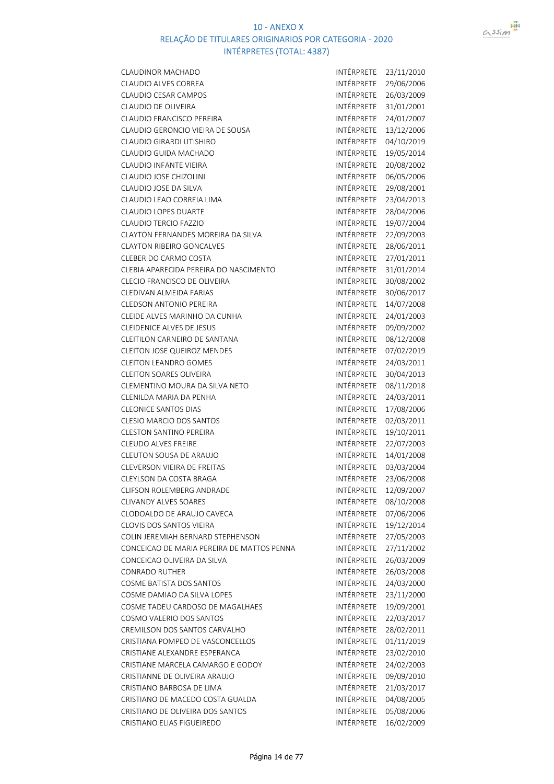

| CLAUDINOR MACHADO                          | INTÉRPRETE        | 23/11/2010 |
|--------------------------------------------|-------------------|------------|
| <b>CLAUDIO ALVES CORREA</b>                | INTÉRPRETE        | 29/06/2006 |
| CLAUDIO CESAR CAMPOS                       | INTÉRPRETE        | 26/03/2009 |
| CLAUDIO DE OLIVEIRA                        | INTÉRPRETE        | 31/01/2001 |
| <b>CLAUDIO FRANCISCO PEREIRA</b>           | INTÉRPRETE        | 24/01/2007 |
| CLAUDIO GERONCIO VIEIRA DE SOUSA           | INTÉRPRETE        | 13/12/2006 |
| <b>CLAUDIO GIRARDI UTISHIRO</b>            | INTÉRPRETE        | 04/10/2019 |
| CLAUDIO GUIDA MACHADO                      | INTÉRPRETE        | 19/05/2014 |
| <b>CLAUDIO INFANTE VIEIRA</b>              | <b>INTÉRPRETE</b> | 20/08/2002 |
| CLAUDIO JOSE CHIZOLINI                     | INTÉRPRETE        | 06/05/2006 |
| CLAUDIO JOSE DA SILVA                      | INTÉRPRETE        | 29/08/2001 |
| CLAUDIO LEAO CORREIA LIMA                  | INTÉRPRETE        | 23/04/2013 |
| CLAUDIO LOPES DUARTE                       | INTÉRPRETE        | 28/04/2006 |
| <b>CLAUDIO TERCIO FAZZIO</b>               | INTÉRPRETE        | 19/07/2004 |
| CLAYTON FERNANDES MOREIRA DA SILVA         | INTÉRPRETE        | 22/09/2003 |
| <b>CLAYTON RIBEIRO GONCALVES</b>           | INTÉRPRETE        | 28/06/2011 |
| CLEBER DO CARMO COSTA                      | INTÉRPRETE        | 27/01/2011 |
| CLEBIA APARECIDA PEREIRA DO NASCIMENTO     | INTÉRPRETE        | 31/01/2014 |
| CLECIO FRANCISCO DE OLIVEIRA               | <b>INTÉRPRETE</b> | 30/08/2002 |
| CLEDIVAN ALMEIDA FARIAS                    | INTÉRPRETE        | 30/06/2017 |
| <b>CLEDSON ANTONIO PEREIRA</b>             | INTÉRPRETE        | 14/07/2008 |
| CLEIDE ALVES MARINHO DA CUNHA              | INTÉRPRETE        | 24/01/2003 |
| <b>CLEIDENICE ALVES DE JESUS</b>           | INTÉRPRETE        | 09/09/2002 |
| CLEITILON CARNEIRO DE SANTANA              | INTÉRPRETE        | 08/12/2008 |
| <b>CLEITON JOSE QUEIROZ MENDES</b>         | INTÉRPRETE        | 07/02/2019 |
| <b>CLEITON LEANDRO GOMES</b>               | INTÉRPRETE        | 24/03/2011 |
| <b>CLEITON SOARES OLIVEIRA</b>             | INTÉRPRETE        | 30/04/2013 |
| CLEMENTINO MOURA DA SILVA NETO             | INTÉRPRETE        | 08/11/2018 |
| CLENILDA MARIA DA PENHA                    | INTÉRPRETE        | 24/03/2011 |
| <b>CLEONICE SANTOS DIAS</b>                | INTÉRPRETE        | 17/08/2006 |
| <b>CLESIO MARCIO DOS SANTOS</b>            | INTÉRPRETE        | 02/03/2011 |
| <b>CLESTON SANTINO PEREIRA</b>             | <b>INTÉRPRETE</b> | 19/10/2011 |
| <b>CLEUDO ALVES FREIRE</b>                 | <b>INTÉRPRETE</b> | 22/07/2003 |
| CLEUTON SOUSA DE ARAUJO                    | INTÉRPRETE        | 14/01/2008 |
| CLEVERSON VIEIRA DE FREITAS                | INTÉRPRETE        | 03/03/2004 |
| CLEYLSON DA COSTA BRAGA                    | INTÉRPRETE        | 23/06/2008 |
| CLIFSON ROLEMBERG ANDRADE                  | INTÉRPRETE        | 12/09/2007 |
| <b>CLIVANDY ALVES SOARES</b>               | INTÉRPRETE        | 08/10/2008 |
| CLODOALDO DE ARAUJO CAVECA                 | INTÉRPRETE        | 07/06/2006 |
| CLOVIS DOS SANTOS VIEIRA                   | <b>INTÉRPRETE</b> | 19/12/2014 |
| COLIN JEREMIAH BERNARD STEPHENSON          | INTÉRPRETE        | 27/05/2003 |
| CONCEICAO DE MARIA PEREIRA DE MATTOS PENNA | INTÉRPRETE        | 27/11/2002 |
| CONCEICAO OLIVEIRA DA SILVA                | INTÉRPRETE        | 26/03/2009 |
| <b>CONRADO RUTHER</b>                      | <b>INTÉRPRETE</b> | 26/03/2008 |
| <b>COSME BATISTA DOS SANTOS</b>            | INTÉRPRETE        | 24/03/2000 |
| COSME DAMIAO DA SILVA LOPES                | <b>INTÉRPRETE</b> | 23/11/2000 |
| COSME TADEU CARDOSO DE MAGALHAES           | INTÉRPRETE        | 19/09/2001 |
| COSMO VALERIO DOS SANTOS                   | INTÉRPRETE        | 22/03/2017 |
| CREMILSON DOS SANTOS CARVALHO              | INTÉRPRETE        | 28/02/2011 |
| CRISTIANA POMPEO DE VASCONCELLOS           | INTÉRPRETE        | 01/11/2019 |
| CRISTIANE ALEXANDRE ESPERANCA              | INTÉRPRETE        | 23/02/2010 |
| CRISTIANE MARCELA CAMARGO E GODOY          | INTÉRPRETE        | 24/02/2003 |
| CRISTIANNE DE OLIVEIRA ARAUJO              | INTÉRPRETE        | 09/09/2010 |
| CRISTIANO BARBOSA DE LIMA                  | INTÉRPRETE        | 21/03/2017 |
| CRISTIANO DE MACEDO COSTA GUALDA           | INTÉRPRETE        | 04/08/2005 |
| CRISTIANO DE OLIVEIRA DOS SANTOS           | INTÉRPRETE        | 05/08/2006 |
| CRISTIANO ELIAS FIGUEIREDO                 | INTÉRPRETE        | 16/02/2009 |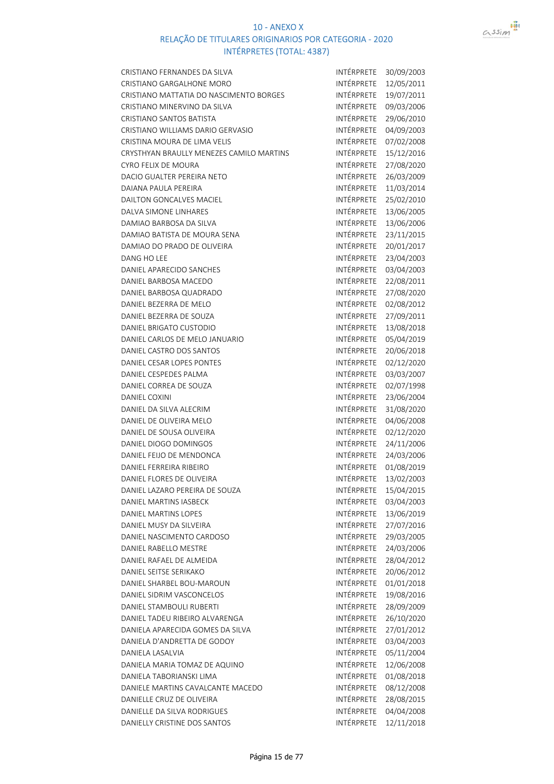

| CRISTIANO FERNANDES DA SILVA             | INTÉRPRETE | 30/09/2003 |
|------------------------------------------|------------|------------|
| CRISTIANO GARGALHONE MORO                | INTÉRPRETE | 12/05/2011 |
| CRISTIANO MATTATIA DO NASCIMENTO BORGES  | INTÉRPRETE | 19/07/2011 |
| CRISTIANO MINERVINO DA SILVA             | INTÉRPRETE | 09/03/2006 |
| <b>CRISTIANO SANTOS BATISTA</b>          | INTÉRPRETE | 29/06/2010 |
| CRISTIANO WILLIAMS DARIO GERVASIO        | INTÉRPRETE | 04/09/2003 |
| CRISTINA MOURA DE LIMA VELIS             | INTÉRPRETE | 07/02/2008 |
| CRYSTHYAN BRAULLY MENEZES CAMILO MARTINS | INTÉRPRETE | 15/12/2016 |
| CYRO FELIX DE MOURA                      | INTÉRPRETE | 27/08/2020 |
| DACIO GUALTER PEREIRA NETO               | INTÉRPRETE | 26/03/2009 |
| DAIANA PAULA PEREIRA                     | INTÉRPRETE | 11/03/2014 |
| DAILTON GONCALVES MACIEL                 | INTÉRPRETE | 25/02/2010 |
| DALVA SIMONE LINHARES                    | INTÉRPRETE | 13/06/2005 |
| DAMIAO BARBOSA DA SILVA                  | INTÉRPRETE | 13/06/2006 |
| DAMIAO BATISTA DE MOURA SENA             | INTÉRPRETE | 23/11/2015 |
| DAMIAO DO PRADO DE OLIVEIRA              | INTÉRPRETE | 20/01/2017 |
| DANG HO LEE                              | INTÉRPRETE | 23/04/2003 |
| DANIEL APARECIDO SANCHES                 | INTÉRPRETE | 03/04/2003 |
| DANIEL BARBOSA MACEDO                    | INTÉRPRETE | 22/08/2011 |
| DANIEL BARBOSA QUADRADO                  | INTÉRPRETE | 27/08/2020 |
| DANIEL BEZERRA DE MELO                   | INTÉRPRETE | 02/08/2012 |
| DANIEL BEZERRA DE SOUZA                  | INTÉRPRETE | 27/09/2011 |
| <b>DANIEL BRIGATO CUSTODIO</b>           | INTÉRPRETE | 13/08/2018 |
| DANIEL CARLOS DE MELO JANUARIO           | INTÉRPRETE | 05/04/2019 |
| DANIEL CASTRO DOS SANTOS                 | INTÉRPRETE | 20/06/2018 |
| DANIEL CESAR LOPES PONTES                | INTÉRPRETE | 02/12/2020 |
| DANIEL CESPEDES PALMA                    | INTÉRPRETE | 03/03/2007 |
| DANIEL CORREA DE SOUZA                   | INTÉRPRETE | 02/07/1998 |
| <b>DANIEL COXINI</b>                     | INTÉRPRETE | 23/06/2004 |
| DANIEL DA SILVA ALECRIM                  | INTÉRPRETE | 31/08/2020 |
| DANIEL DE OLIVEIRA MELO                  | INTÉRPRETE | 04/06/2008 |
| DANIEL DE SOUSA OLIVEIRA                 | INTÉRPRETE | 02/12/2020 |
| DANIEL DIOGO DOMINGOS                    | INTÉRPRETE | 24/11/2006 |
| DANIEL FEIJO DE MENDONCA                 | INTÉRPRETE | 24/03/2006 |
| DANIEL FERREIRA RIBEIRO                  | INTÉRPRETE | 01/08/2019 |
| DANIEL FLORES DE OLIVEIRA                | INTÉRPRETE | 13/02/2003 |
| DANIEL LAZARO PEREIRA DE SOUZA           | INTÉRPRETE | 15/04/2015 |
| <b>DANIEL MARTINS IASBECK</b>            | INTÉRPRETE | 03/04/2003 |
| <b>DANIEL MARTINS LOPES</b>              | INTÉRPRETE | 13/06/2019 |
| DANIEL MUSY DA SILVEIRA                  | INTÉRPRETE | 27/07/2016 |
| DANIEL NASCIMENTO CARDOSO                | INTÉRPRETE | 29/03/2005 |
| DANIEL RABELLO MESTRE                    | INTÉRPRETE | 24/03/2006 |
| DANIEL RAFAEL DE ALMEIDA                 | INTÉRPRETE | 28/04/2012 |
| DANIEL SEITSE SERIKAKO                   | INTÉRPRETE | 20/06/2012 |
| DANIEL SHARBEL BOU-MAROUN                | INTÉRPRETE | 01/01/2018 |
| DANIEL SIDRIM VASCONCELOS                | INTÉRPRETE | 19/08/2016 |
| DANIEL STAMBOULI RUBERTI                 | INTÉRPRETE | 28/09/2009 |
| DANIEL TADEU RIBEIRO ALVARENGA           | INTÉRPRETE | 26/10/2020 |
| DANIELA APARECIDA GOMES DA SILVA         | INTÉRPRETE | 27/01/2012 |
| DANIELA D'ANDRETTA DE GODOY              | INTÉRPRETE | 03/04/2003 |
| DANIELA LASALVIA                         | INTÉRPRETE | 05/11/2004 |
| DANIELA MARIA TOMAZ DE AQUINO            | INTÉRPRETE | 12/06/2008 |
| DANIELA TABORIANSKI LIMA                 | INTÉRPRETE | 01/08/2018 |
| DANIELE MARTINS CAVALCANTE MACEDO        | INTÉRPRETE | 08/12/2008 |
| DANIELLE CRUZ DE OLIVEIRA                | INTÉRPRETE | 28/08/2015 |
| DANIELLE DA SILVA RODRIGUES              | INTÉRPRETE | 04/04/2008 |
| DANIELLY CRISTINE DOS SANTOS             | INTÉRPRETE | 12/11/2018 |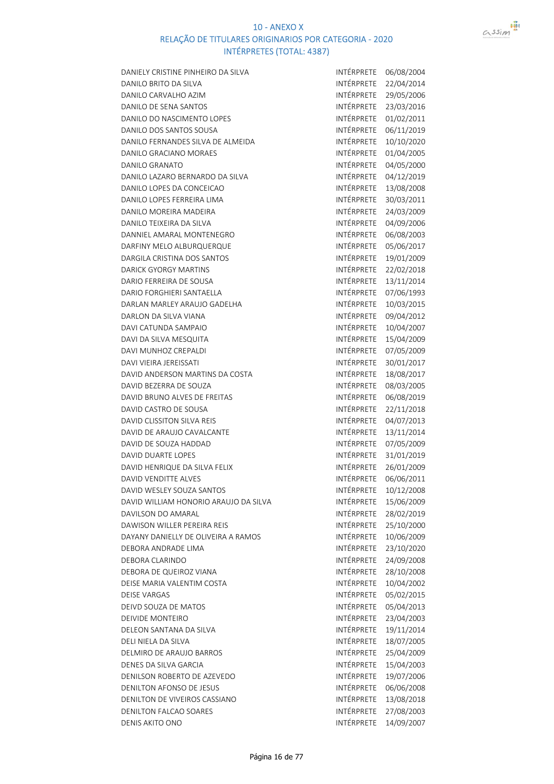



| DANIELY CRISTINE PINHEIRO DA SILVA    | INTÉRPRETE        | 06/08/2004 |
|---------------------------------------|-------------------|------------|
| DANILO BRITO DA SILVA                 | INTÉRPRETE        | 22/04/2014 |
| DANILO CARVALHO AZIM                  | INTÉRPRETE        | 29/05/2006 |
| DANILO DE SENA SANTOS                 | INTÉRPRETE        | 23/03/2016 |
| DANILO DO NASCIMENTO LOPES            | INTÉRPRETE        | 01/02/2011 |
| DANILO DOS SANTOS SOUSA               | INTÉRPRETE        | 06/11/2019 |
| DANILO FERNANDES SILVA DE ALMEIDA     | INTÉRPRETE        | 10/10/2020 |
| DANILO GRACIANO MORAES                | INTÉRPRETE        | 01/04/2005 |
| <b>DANILO GRANATO</b>                 | INTÉRPRETE        | 04/05/2000 |
| DANILO LAZARO BERNARDO DA SILVA       | INTÉRPRETE        | 04/12/2019 |
| DANILO LOPES DA CONCEICAO             | INTÉRPRETE        | 13/08/2008 |
| DANILO LOPES FERREIRA LIMA            | INTÉRPRETE        | 30/03/2011 |
| DANILO MOREIRA MADEIRA                | INTÉRPRETE        | 24/03/2009 |
| DANILO TEIXEIRA DA SILVA              | INTÉRPRETE        | 04/09/2006 |
| DANNIEL AMARAL MONTENEGRO             | INTÉRPRETE        | 06/08/2003 |
| DARFINY MELO ALBURQUERQUE             | INTÉRPRETE        | 05/06/2017 |
| DARGILA CRISTINA DOS SANTOS           | INTÉRPRETE        | 19/01/2009 |
| <b>DARICK GYORGY MARTINS</b>          | INTÉRPRETE        | 22/02/2018 |
| DARIO FERREIRA DE SOUSA               | INTÉRPRETE        | 13/11/2014 |
| <b>DARIO FORGHIERI SANTAELLA</b>      | INTÉRPRETE        | 07/06/1993 |
| DARLAN MARLEY ARAUJO GADELHA          | INTÉRPRETE        | 10/03/2015 |
| DARLON DA SILVA VIANA                 | INTÉRPRETE        | 09/04/2012 |
| DAVI CATUNDA SAMPAIO                  | INTÉRPRETE        | 10/04/2007 |
| DAVI DA SILVA MESQUITA                | INTÉRPRETE        | 15/04/2009 |
| DAVI MUNHOZ CREPALDI                  | INTÉRPRETE        | 07/05/2009 |
| DAVI VIEIRA JEREISSATI                | INTÉRPRETE        | 30/01/2017 |
| DAVID ANDERSON MARTINS DA COSTA       | INTÉRPRETE        | 18/08/2017 |
| DAVID BEZERRA DE SOUZA                | INTÉRPRETE        | 08/03/2005 |
| DAVID BRUNO ALVES DE FREITAS          | INTÉRPRETE        | 06/08/2019 |
| DAVID CASTRO DE SOUSA                 | INTÉRPRETE        | 22/11/2018 |
| DAVID CLISSITON SILVA REIS            | INTÉRPRETE        | 04/07/2013 |
| DAVID DE ARAUJO CAVALCANTE            | INTÉRPRETE        | 13/11/2014 |
| DAVID DE SOUZA HADDAD                 | INTÉRPRETE        | 07/05/2009 |
| DAVID DUARTE LOPES                    | INTÉRPRETE        | 31/01/2019 |
| DAVID HENRIQUE DA SILVA FELIX         | INTÉRPRETE        | 26/01/2009 |
| <b>DAVID VENDITTE ALVES</b>           | INTÉRPRETE        | 06/06/2011 |
| DAVID WESLEY SOUZA SANTOS             | INTÉRPRETE        | 10/12/2008 |
| DAVID WILLIAM HONORIO ARAUJO DA SILVA | INTÉRPRETE        | 15/06/2009 |
| DAVILSON DO AMARAL                    | INTÉRPRETE        | 28/02/2019 |
| DAWISON WILLER PEREIRA REIS           | INTÉRPRETE        | 25/10/2000 |
| DAYANY DANIELLY DE OLIVEIRA A RAMOS   | <b>INTÉRPRETE</b> | 10/06/2009 |
| DEBORA ANDRADE LIMA                   | INTÉRPRETE        | 23/10/2020 |
| DEBORA CLARINDO                       | <b>INTÉRPRETE</b> | 24/09/2008 |
| DEBORA DE QUEIROZ VIANA               | INTÉRPRETE        | 28/10/2008 |
| DEISE MARIA VALENTIM COSTA            | INTÉRPRETE        | 10/04/2002 |
| <b>DEISE VARGAS</b>                   | INTÉRPRETE        | 05/02/2015 |
| DEIVD SOUZA DE MATOS                  | INTÉRPRETE        | 05/04/2013 |
| <b>DEIVIDE MONTEIRO</b>               | INTÉRPRETE        | 23/04/2003 |
| DELEON SANTANA DA SILVA               | INTÉRPRETE        | 19/11/2014 |
| DELI NIELA DA SILVA                   | INTÉRPRETE        | 18/07/2005 |
| DELMIRO DE ARAUJO BARROS              | INTÉRPRETE        | 25/04/2009 |
| DENES DA SILVA GARCIA                 | INTÉRPRETE        | 15/04/2003 |
| DENILSON ROBERTO DE AZEVEDO           | INTÉRPRETE        | 19/07/2006 |
| <b>DENILTON AFONSO DE JESUS</b>       | INTÉRPRETE        | 06/06/2008 |
| DENILTON DE VIVEIROS CASSIANO         | INTÉRPRETE        | 13/08/2018 |
| <b>DENILTON FALCAO SOARES</b>         | INTÉRPRETE        | 27/08/2003 |
| DENIS AKITO ONO                       | INTÉRPRETE        | 14/09/2007 |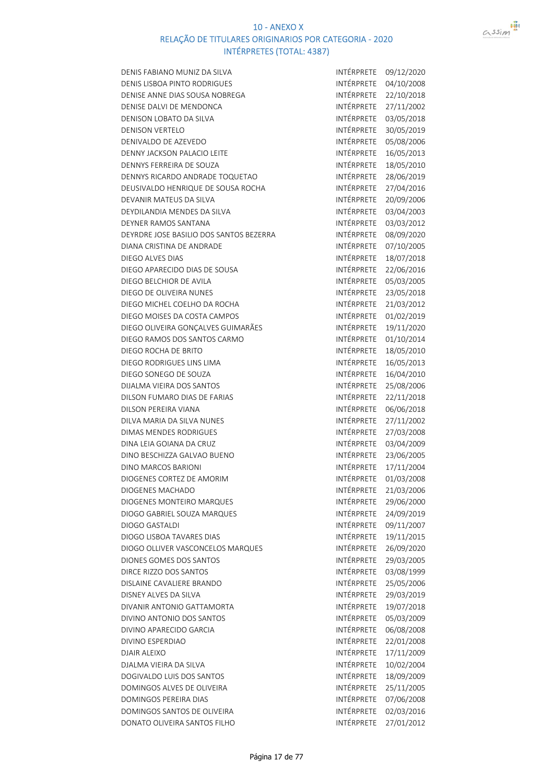



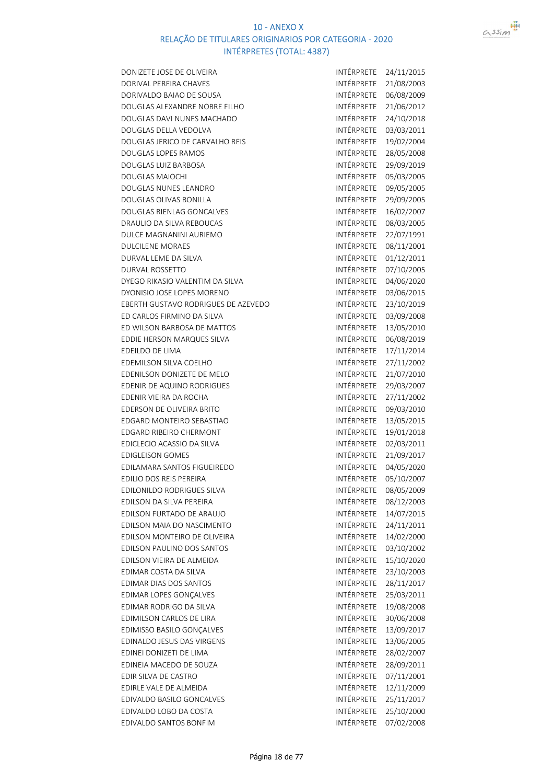

DONIZETE JOSE DE OLIVEIRA INTÉRPRETE 24/11/2015 DORIVAL PEREIRA CHAVES **INTÉRPRETE** 21/08/2003 DORIVALDO BAIAO DE SOUSA INTÉRPRETE 06/08/2009 DOUGLAS ALEXANDRE NOBRE FILHO INTÉRPRETE 21/06/2012 DOUGLAS DAVI NUNES MACHADO INTÉRPRETE 24/10/2018 DOUGLAS DELLA VEDOLVA international and the international international international international international international international international international international international international internatio DOUGLAS JERICO DE CARVALHO REIS INTÉRPRETE 19/02/2004 DOUGLAS LOPES RAMOS **INTÉRPRETE** 28/05/2008 DOUGLAS LUIZ BARBOSA INTÉRPRETE 29/09/2019 DOUGLAS MAIOCHI **INTÉRPRETE** 05/03/2005 DOUGLAS NUNES LEANDRO INTÉRPRETE 09/05/2005 DOUGLAS OLIVAS BONILLA INTÉRPRETE 29/09/2005 DOUGLAS RIENLAG GONCALVES INTÉRPRETE 16/02/2007 DRAULIO DA SILVA REBOUCAS INTÉRPRETE 08/03/2005 DULCE MAGNANINI AURIEMO<br>INTÉRPRETE 22/07/1991 DULCILENE MORAES INTÉRPRETE 08/11/2001 DURVAL LEME DA SILVA INTÉRPRETE 01/12/2011 DURVAL ROSSETTO **INTÉRPRETE 07/10/2005** DYEGO RIKASIO VALENTIM DA SILVA INTÉRPRETE 04/06/2020 DYONISIO JOSE LOPES MORENO<br>
EBERTH GUSTAVO RODRIGUES DE AZEVEDO INTÉRPRETE 23/10/2019 EBERTH GUSTAVO RODRIGUES DE AZEVEDO ED CARLOS FIRMINO DA SILVA INTÉRPRETE 03/09/2008 ED WILSON BARBOSA DE MATTOS INTÉRPRETE 13/05/2010 EDDIE HERSON MARQUES SILVA INTÉRPRETE 06/08/2019 EDEILDO DE LIMA internacional de la contrata de la internacional de la internacional de la internacional de la EDEMILSON SILVA COELHO **INTÉRPRETE** 27/11/2002 EDENILSON DONIZETE DE MELO INTÉRPRETE 21/07/2010 EDENIR DE AQUINO RODRIGUES INTÉRPRETE 29/03/2007 EDENIR VIEIRA DA ROCHA INTÉRPRETE 27/11/2002 EDERSON DE OLIVEIRA BRITO **INTÉRPRETE** 09/03/2010 EDGARD MONTEIRO SEBASTIAO **INTÉRPRETE** 13/05/2015 EDGARD RIBEIRO CHERMONT **INTÉRPRETE** 19/01/2018 EDICLECIO ACASSIO DA SILVA internacional de internacional intérprete 02/03/2011 EDIGLEISON GOMES INTÉRPRETE 21/09/2017 EDILAMARA SANTOS FIGUEIREDO INTÉRPRETE 04/05/2020 EDILIO DOS REIS PEREIRA INTÉRPRETE 05/10/2007 EDILONILDO RODRIGUES SILVA INTÉRPRETE 08/05/2009 EDILSON DA SILVA PEREIRA INTÉRPRETE 08/12/2003 EDILSON FURTADO DE ARAUJO **INTÉRPRETE** 14/07/2015 EDILSON MAIA DO NASCIMENTO **INTÉRPRETE** 24/11/2011 EDILSON MONTEIRO DE OLIVEIRA INTÉRPRETE 14/02/2000 EDILSON PAULINO DOS SANTOS INTÉRPRETE 03/10/2002 EDILSON VIEIRA DE ALMEIDA INTÉRPRETE 15/10/2020 EDIMAR COSTA DA SILVA INTÉRPRETE 23/10/2003 EDIMAR DIAS DOS SANTOS INTÉRPRETE 28/11/2017 EDIMAR LOPES GONCALVES<br>INTÉRPRETE 25/03/2011 EDIMAR RODRIGO DA SILVA INTÉRPRETE 19/08/2008 EDIMILSON CARLOS DE LIRA **INTÉRPRETE** 30/06/2008 EDIMISSO BASILO GONÇALVES **INTÉRPRETE** 13/09/2017 EDINALDO JESUS DAS VIRGENS **INTÉRPRETE** 13/06/2005 EDINEI DONIZETI DE LIMA **intérprete de la production de la production de la production de la production de la pro** EDINEIA MACEDO DE SOUZA internacional de la provincia de la provincia de la provincia de la provincia de la pr EDIR SILVA DE CASTRO **INTÉRPRETE** 07/11/2001 EDIRLE VALE DE ALMEIDA INTÉRPRETE 12/11/2009 EDIVALDO BASILO GONCALVES **INTÉRPRETE** 25/11/2017 EDIVALDO LOBO DA COSTA INTÉRPRETE 25/10/2000 EDIVALDO SANTOS BONFIM **INTÉRPRETE** 07/02/2008

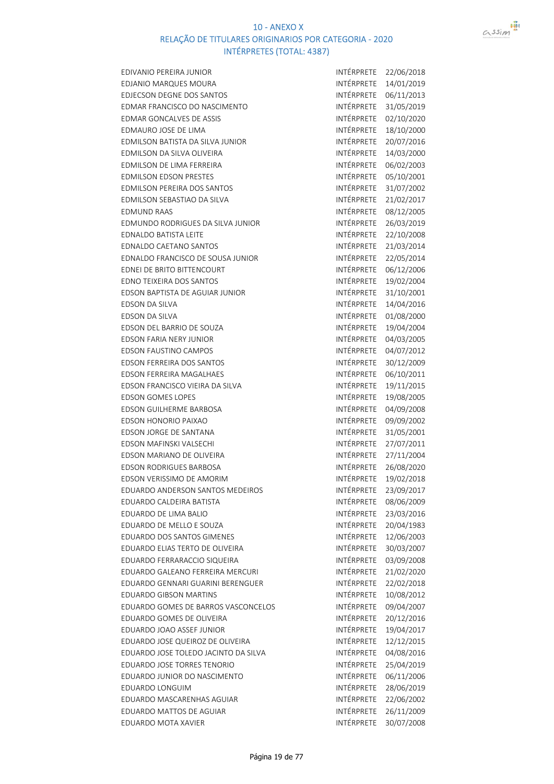

| EDIVANIO PEREIRA JUNIOR              | INTÉRPRETE        | 22/06/2018 |
|--------------------------------------|-------------------|------------|
| EDJANIO MARQUES MOURA                | INTÉRPRETE        | 14/01/2019 |
| <b>EDJECSON DEGNE DOS SANTOS</b>     | INTÉRPRETE        | 06/11/2013 |
| EDMAR FRANCISCO DO NASCIMENTO        | INTÉRPRETE        | 31/05/2019 |
| <b>EDMAR GONCALVES DE ASSIS</b>      | INTÉRPRETE        | 02/10/2020 |
| EDMAURO JOSE DE LIMA                 | INTÉRPRETE        | 18/10/2000 |
| EDMILSON BATISTA DA SILVA JUNIOR     | INTÉRPRETE        | 20/07/2016 |
| EDMILSON DA SILVA OLIVEIRA           | INTÉRPRETE        | 14/03/2000 |
| EDMILSON DE LIMA FERREIRA            | <b>INTÉRPRETE</b> | 06/02/2003 |
| <b>EDMILSON EDSON PRESTES</b>        | INTÉRPRETE        | 05/10/2001 |
| EDMILSON PEREIRA DOS SANTOS          | INTÉRPRETE        | 31/07/2002 |
| EDMILSON SEBASTIAO DA SILVA          | INTÉRPRETE        | 21/02/2017 |
| <b>EDMUND RAAS</b>                   | INTÉRPRETE        | 08/12/2005 |
| EDMUNDO RODRIGUES DA SILVA JUNIOR    | INTÉRPRETE        | 26/03/2019 |
| <b>EDNALDO BATISTA LEITE</b>         | INTÉRPRETE        | 22/10/2008 |
| EDNALDO CAETANO SANTOS               | INTÉRPRETE        | 21/03/2014 |
| EDNALDO FRANCISCO DE SOUSA JUNIOR    | INTÉRPRETE        | 22/05/2014 |
| EDNEI DE BRITO BITTENCOURT           | INTÉRPRETE        | 06/12/2006 |
| EDNO TEIXEIRA DOS SANTOS             | INTÉRPRETE        | 19/02/2004 |
| EDSON BAPTISTA DE AGUIAR JUNIOR      | INTÉRPRETE        | 31/10/2001 |
| <b>EDSON DA SILVA</b>                | INTÉRPRETE        | 14/04/2016 |
| <b>EDSON DA SILVA</b>                | INTÉRPRETE        | 01/08/2000 |
| EDSON DEL BARRIO DE SOUZA            | INTÉRPRETE        | 19/04/2004 |
| EDSON FARIA NERY JUNIOR              | INTÉRPRETE        | 04/03/2005 |
| <b>EDSON FAUSTINO CAMPOS</b>         | INTÉRPRETE        | 04/07/2012 |
| EDSON FERREIRA DOS SANTOS            | INTÉRPRETE        | 30/12/2009 |
| EDSON FERREIRA MAGALHAES             | INTÉRPRETE        | 06/10/2011 |
| EDSON FRANCISCO VIEIRA DA SILVA      | INTÉRPRETE        | 19/11/2015 |
| <b>EDSON GOMES LOPES</b>             | INTÉRPRETE        | 19/08/2005 |
| EDSON GUILHERME BARBOSA              | INTÉRPRETE        | 04/09/2008 |
| <b>EDSON HONORIO PAIXAO</b>          | INTÉRPRETE        | 09/09/2002 |
| <b>EDSON JORGE DE SANTANA</b>        | INTÉRPRETE        | 31/05/2001 |
| EDSON MAFINSKI VALSECHI              | INTÉRPRETE        | 27/07/2011 |
| EDSON MARIANO DE OLIVEIRA            | INTÉRPRETE        | 27/11/2004 |
| <b>EDSON RODRIGUES BARBOSA</b>       | INTÉRPRETE        | 26/08/2020 |
| EDSON VERISSIMO DE AMORIM            | INTÉRPRETE        | 19/02/2018 |
| EDUARDO ANDERSON SANTOS MEDEIROS     | INTÉRPRETE        | 23/09/2017 |
| EDUARDO CALDEIRA BATISTA             | <b>INTÉRPRETE</b> | 08/06/2009 |
| EDUARDO DE LIMA BALIO                | INTÉRPRETE        | 23/03/2016 |
| EDUARDO DE MELLO E SOUZA             | INTÉRPRETE        | 20/04/1983 |
| <b>EDUARDO DOS SANTOS GIMENES</b>    | INTÉRPRETE        | 12/06/2003 |
| EDUARDO ELIAS TERTO DE OLIVEIRA      | INTÉRPRETE        | 30/03/2007 |
| EDUARDO FERRARACCIO SIQUEIRA         | <b>INTÉRPRETE</b> | 03/09/2008 |
| EDUARDO GALEANO FERREIRA MERCURI     | INTÉRPRETE        | 21/02/2020 |
| EDUARDO GENNARI GUARINI BERENGUER    | INTÉRPRETE        | 22/02/2018 |
| <b>EDUARDO GIBSON MARTINS</b>        | INTÉRPRETE        | 10/08/2012 |
| EDUARDO GOMES DE BARROS VASCONCELOS  | INTÉRPRETE        | 09/04/2007 |
| EDUARDO GOMES DE OLIVEIRA            | INTÉRPRETE        | 20/12/2016 |
| EDUARDO JOAO ASSEF JUNIOR            | <b>INTÉRPRETE</b> | 19/04/2017 |
| EDUARDO JOSE QUEIROZ DE OLIVEIRA     | INTÉRPRETE        | 12/12/2015 |
| EDUARDO JOSE TOLEDO JACINTO DA SILVA | INTÉRPRETE        | 04/08/2016 |
| EDUARDO JOSE TORRES TENORIO          | INTÉRPRETE        | 25/04/2019 |
| EDUARDO JUNIOR DO NASCIMENTO         | INTÉRPRETE        | 06/11/2006 |
| EDUARDO LONGUIM                      | INTÉRPRETE        | 28/06/2019 |
| EDUARDO MASCARENHAS AGUIAR           | INTÉRPRETE        | 22/06/2002 |
| EDUARDO MATTOS DE AGUIAR             | INTÉRPRETE        | 26/11/2009 |
| EDUARDO MOTA XAVIER                  | INTÉRPRETE        | 30/07/2008 |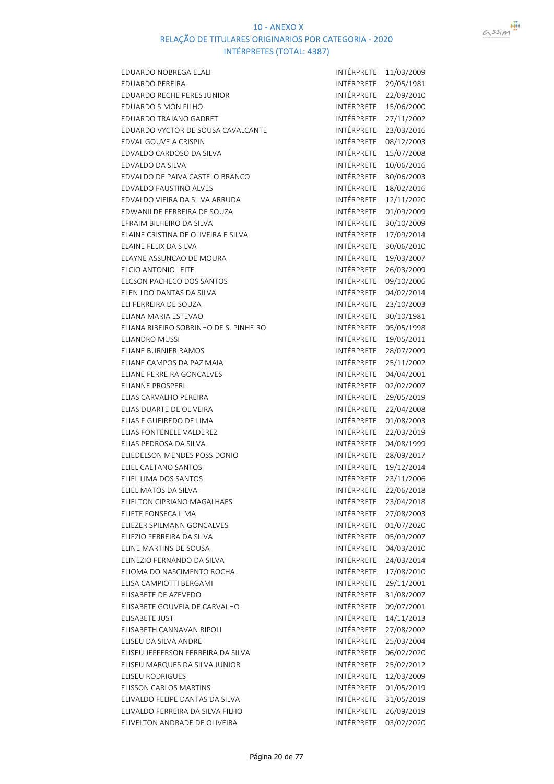

| EDUARDO NOBREGA ELALI                  | INTÉRPRETE        | 11/03/2009               |
|----------------------------------------|-------------------|--------------------------|
| <b>EDUARDO PEREIRA</b>                 | INTÉRPRETE        | 29/05/1981               |
| <b>EDUARDO RECHE PERES JUNIOR</b>      | INTÉRPRETE        | 22/09/2010               |
| EDUARDO SIMON FILHO                    | INTÉRPRETE        | 15/06/2000               |
| EDUARDO TRAJANO GADRET                 | INTÉRPRETE        | 27/11/2002               |
| EDUARDO VYCTOR DE SOUSA CAVALCANTE     | INTÉRPRETE        | 23/03/2016               |
| EDVAL GOUVEIA CRISPIN                  | INTÉRPRETE        | 08/12/2003               |
| EDVALDO CARDOSO DA SILVA               | INTÉRPRETE        | 15/07/2008               |
| EDVALDO DA SILVA                       | INTÉRPRETE        | 10/06/2016               |
| EDVALDO DE PAIVA CASTELO BRANCO        | INTÉRPRETE        | 30/06/2003               |
| EDVALDO FAUSTINO ALVES                 | INTÉRPRETE        | 18/02/2016               |
| EDVALDO VIEIRA DA SILVA ARRUDA         | INTÉRPRETE        | 12/11/2020               |
| EDWANILDE FERREIRA DE SOUZA            | INTÉRPRETE        | 01/09/2009               |
| EFRAIM BILHEIRO DA SILVA               | INTÉRPRETE        | 30/10/2009               |
| ELAINE CRISTINA DE OLIVEIRA E SILVA    | INTÉRPRETE        | 17/09/2014               |
| ELAINE FELIX DA SILVA                  | INTÉRPRETE        | 30/06/2010               |
| <b>ELAYNE ASSUNCAO DE MOURA</b>        | <b>INTÉRPRETE</b> | 19/03/2007               |
| ELCIO ANTONIO LEITE                    | INTÉRPRETE        | 26/03/2009               |
| <b>ELCSON PACHECO DOS SANTOS</b>       | INTÉRPRETE        | 09/10/2006               |
| ELENILDO DANTAS DA SILVA               | INTÉRPRETE        |                          |
| ELI FERREIRA DE SOUZA                  | INTÉRPRETE        | 04/02/2014               |
|                                        | INTÉRPRETE        | 23/10/2003               |
| ELIANA MARIA ESTEVAO                   |                   | 30/10/1981               |
| ELIANA RIBEIRO SOBRINHO DE S. PINHEIRO | INTÉRPRETE        | 05/05/1998               |
| <b>ELIANDRO MUSSI</b>                  | INTÉRPRETE        | 19/05/2011               |
| <b>ELIANE BURNIER RAMOS</b>            | INTÉRPRETE        | 28/07/2009               |
| ELIANE CAMPOS DA PAZ MAIA              | INTÉRPRETE        | 25/11/2002               |
| ELIANE FERREIRA GONCALVES              | INTÉRPRETE        | 04/04/2001               |
| <b>ELIANNE PROSPERI</b>                | INTÉRPRETE        | 02/02/2007               |
| ELIAS CARVALHO PEREIRA                 | INTÉRPRETE        | 29/05/2019               |
| ELIAS DUARTE DE OLIVEIRA               | INTÉRPRETE        | 22/04/2008               |
| ELIAS FIGUEIREDO DE LIMA               | INTÉRPRETE        | 01/08/2003               |
| ELIAS FONTENELE VALDEREZ               | INTÉRPRETE        | 22/03/2019               |
| ELIAS PEDROSA DA SILVA                 | INTÉRPRETE        | 04/08/1999               |
| ELIEDELSON MENDES POSSIDONIO           | INTÉRPRETE        | 28/09/2017               |
| ELIEL CAETANO SANTOS                   | INTÉRPRETE        | 19/12/2014               |
| ELIEL LIMA DOS SANTOS                  | INTÉRPRETE        | 23/11/2006               |
| ELIEL MATOS DA SILVA                   | INTÉRPRETE        | 22/06/2018               |
| ELIELTON CIPRIANO MAGALHAES            | INTÉRPRETE        | 23/04/2018               |
| ELIETE FONSECA LIMA                    | INTÉRPRETE        | 27/08/2003               |
| ELIEZER SPILMANN GONCALVES             | INTÉRPRETE        | 01/07/2020               |
| ELIEZIO FERREIRA DA SILVA              | INTÉRPRETE        | 05/09/2007               |
| ELINE MARTINS DE SOUSA                 | INTÉRPRETE        | 04/03/2010               |
| ELINEZIO FERNANDO DA SILVA             | <b>INTÉRPRETE</b> | 24/03/2014               |
| ELIOMA DO NASCIMENTO ROCHA             | INTÉRPRETE        | 17/08/2010               |
| ELISA CAMPIOTTI BERGAMI                | INTÉRPRETE        | 29/11/2001               |
| ELISABETE DE AZEVEDO                   | INTÉRPRETE        | 31/08/2007               |
| ELISABETE GOUVEIA DE CARVALHO          | INTÉRPRETE        | 09/07/2001               |
| ELISABETE JUST                         | INTÉRPRETE        | 14/11/2013               |
| ELISABETH CANNAVAN RIPOLI              | INTÉRPRETE        | 27/08/2002               |
| ELISEU DA SILVA ANDRE                  | INTÉRPRETE        | 25/03/2004               |
| ELISEU JEFFERSON FERREIRA DA SILVA     |                   |                          |
|                                        | INTÉRPRETE        |                          |
| ELISEU MARQUES DA SILVA JUNIOR         | INTÉRPRETE        | 06/02/2020<br>25/02/2012 |
| <b>ELISEU RODRIGUES</b>                | INTÉRPRETE        |                          |
| <b>ELISSON CARLOS MARTINS</b>          | INTÉRPRETE        | 12/03/2009               |
| ELIVALDO FELIPE DANTAS DA SILVA        | INTÉRPRETE        | 01/05/2019               |
| ELIVALDO FERREIRA DA SILVA FILHO       | INTÉRPRETE        | 31/05/2019<br>26/09/2019 |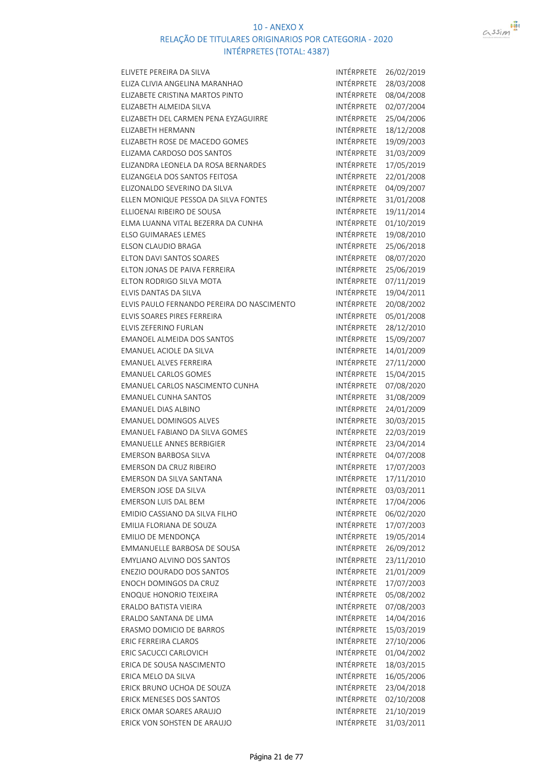

| ELIVETE PEREIRA DA SILVA                   | INTÉRPRETE        | 26/02/2019 |
|--------------------------------------------|-------------------|------------|
| ELIZA CLIVIA ANGELINA MARANHAO             | INTÉRPRETE        | 28/03/2008 |
| ELIZABETE CRISTINA MARTOS PINTO            | INTÉRPRETE        | 08/04/2008 |
| ELIZABETH ALMEIDA SILVA                    | INTÉRPRETE        | 02/07/2004 |
| ELIZABETH DEL CARMEN PENA EYZAGUIRRE       | <b>INTÉRPRETE</b> | 25/04/2006 |
| <b>ELIZABETH HERMANN</b>                   | INTÉRPRETE        | 18/12/2008 |
| ELIZABETH ROSE DE MACEDO GOMES             | INTÉRPRETE        | 19/09/2003 |
| ELIZAMA CARDOSO DOS SANTOS                 | INTÉRPRETE        | 31/03/2009 |
| ELIZANDRA LEONELA DA ROSA BERNARDES        | INTÉRPRETE        | 17/05/2019 |
| ELIZANGELA DOS SANTOS FEITOSA              | INTÉRPRETE        | 22/01/2008 |
| ELIZONALDO SEVERINO DA SILVA               | INTÉRPRETE        | 04/09/2007 |
| ELLEN MONIQUE PESSOA DA SILVA FONTES       | INTÉRPRETE        | 31/01/2008 |
| ELLIOENAI RIBEIRO DE SOUSA                 | INTÉRPRETE        | 19/11/2014 |
| ELMA LUANNA VITAL BEZERRA DA CUNHA         | INTÉRPRETE        | 01/10/2019 |
| ELSO GUIMARAES LEMES                       | INTÉRPRETE        | 19/08/2010 |
| ELSON CLAUDIO BRAGA                        | INTÉRPRETE        | 25/06/2018 |
| <b>ELTON DAVI SANTOS SOARES</b>            | INTÉRPRETE        | 08/07/2020 |
| ELTON JONAS DE PAIVA FERREIRA              | INTÉRPRETE        | 25/06/2019 |
| ELTON RODRIGO SILVA MOTA                   | INTÉRPRETE        | 07/11/2019 |
| ELVIS DANTAS DA SILVA                      | INTÉRPRETE        | 19/04/2011 |
| ELVIS PAULO FERNANDO PEREIRA DO NASCIMENTO | INTÉRPRETE        | 20/08/2002 |
| ELVIS SOARES PIRES FERREIRA                | INTÉRPRETE        | 05/01/2008 |
| ELVIS ZEFERINO FURLAN                      | INTÉRPRETE        | 28/12/2010 |
| EMANOEL ALMEIDA DOS SANTOS                 | INTÉRPRETE        | 15/09/2007 |
| <b>EMANUEL ACIOLE DA SILVA</b>             | INTÉRPRETE        | 14/01/2009 |
| <b>EMANUEL ALVES FERREIRA</b>              | INTÉRPRETE        | 27/11/2000 |
| <b>EMANUEL CARLOS GOMES</b>                | INTÉRPRETE        | 15/04/2015 |
| EMANUEL CARLOS NASCIMENTO CUNHA            | INTÉRPRETE        | 07/08/2020 |
| <b>EMANUEL CUNHA SANTOS</b>                | INTÉRPRETE        | 31/08/2009 |
| <b>EMANUEL DIAS ALBINO</b>                 | INTÉRPRETE        | 24/01/2009 |
| <b>EMANUEL DOMINGOS ALVES</b>              | INTÉRPRETE        | 30/03/2015 |
| <b>EMANUEL FABIANO DA SILVA GOMES</b>      | INTÉRPRETE        | 22/03/2019 |
| <b>EMANUELLE ANNES BERBIGIER</b>           | INTÉRPRETE        | 23/04/2014 |
| <b>EMERSON BARBOSA SILVA</b>               | INTÉRPRETE        | 04/07/2008 |
| <b>EMERSON DA CRUZ RIBEIRO</b>             | INTÉRPRETE        | 17/07/2003 |
| EMERSON DA SILVA SANTANA                   | INTÉRPRETE        | 17/11/2010 |
| EMERSON JOSE DA SILVA                      | INTÉRPRETE        | 03/03/2011 |
| <b>EMERSON LUIS DAL BEM</b>                | INTÉRPRETE        | 17/04/2006 |
| EMIDIO CASSIANO DA SILVA FILHO             | INTÉRPRETE        | 06/02/2020 |
| EMILIA FLORIANA DE SOUZA                   | INTÉRPRETE        | 17/07/2003 |
| EMILIO DE MENDONÇA                         | INTÉRPRETE        | 19/05/2014 |
| EMMANUELLE BARBOSA DE SOUSA                | INTÉRPRETE        | 26/09/2012 |
| <b>EMYLIANO ALVINO DOS SANTOS</b>          | INTÉRPRETE        | 23/11/2010 |
| ENEZIO DOURADO DOS SANTOS                  | INTÉRPRETE        | 21/01/2009 |
| ENOCH DOMINGOS DA CRUZ                     | <b>INTÉRPRETE</b> | 17/07/2003 |
| <b>ENOQUE HONORIO TEIXEIRA</b>             | <b>INTÉRPRETE</b> | 05/08/2002 |
| ERALDO BATISTA VIEIRA                      | INTÉRPRETE        | 07/08/2003 |
| ERALDO SANTANA DE LIMA                     | INTÉRPRETE        | 14/04/2016 |
| ERASMO DOMICIO DE BARROS                   | <b>INTÉRPRETE</b> | 15/03/2019 |
| <b>ERIC FERREIRA CLAROS</b>                | INTÉRPRETE        | 27/10/2006 |
| ERIC SACUCCI CARLOVICH                     | INTÉRPRETE        | 01/04/2002 |
| ERICA DE SOUSA NASCIMENTO                  | INTÉRPRETE        | 18/03/2015 |
| ERICA MELO DA SILVA                        | INTÉRPRETE        | 16/05/2006 |
| ERICK BRUNO UCHOA DE SOUZA                 | INTÉRPRETE        | 23/04/2018 |
| ERICK MENESES DOS SANTOS                   | INTÉRPRETE        | 02/10/2008 |
| ERICK OMAR SOARES ARAUJO                   | INTÉRPRETE        | 21/10/2019 |
| ERICK VON SOHSTEN DE ARAUJO                | INTÉRPRETE        | 31/03/2011 |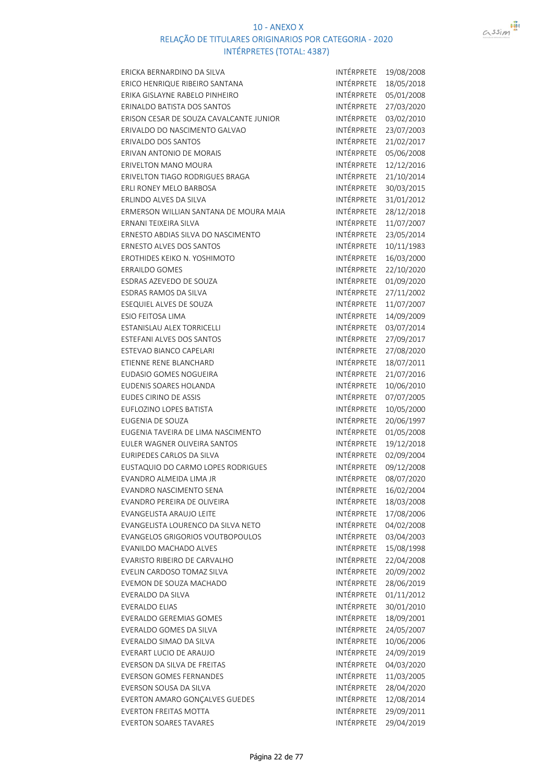

| ERICKA BERNARDINO DA SILVA              | INTÉRPRETE        | 19/08/2008 |
|-----------------------------------------|-------------------|------------|
| ERICO HENRIQUE RIBEIRO SANTANA          | INTÉRPRETE        | 18/05/2018 |
| ERIKA GISLAYNE RABELO PINHEIRO          | INTÉRPRETE        | 05/01/2008 |
| ERINALDO BATISTA DOS SANTOS             | INTÉRPRETE        | 27/03/2020 |
| ERISON CESAR DE SOUZA CAVALCANTE JUNIOR | INTÉRPRETE        | 03/02/2010 |
| ERIVALDO DO NASCIMENTO GALVAO           | INTÉRPRETE        | 23/07/2003 |
| <b>ERIVALDO DOS SANTOS</b>              | INTÉRPRETE        | 21/02/2017 |
| ERIVAN ANTONIO DE MORAIS                | INTÉRPRETE        | 05/06/2008 |
| <b>ERIVELTON MANO MOURA</b>             | INTÉRPRETE        | 12/12/2016 |
| ERIVELTON TIAGO RODRIGUES BRAGA         | INTÉRPRETE        | 21/10/2014 |
| ERLI RONEY MELO BARBOSA                 | INTÉRPRETE        | 30/03/2015 |
| ERLINDO ALVES DA SILVA                  | INTÉRPRETE        | 31/01/2012 |
| ERMERSON WILLIAN SANTANA DE MOURA MAIA  | INTÉRPRETE        | 28/12/2018 |
| ERNANI TEIXEIRA SILVA                   | INTÉRPRETE        | 11/07/2007 |
| ERNESTO ABDIAS SILVA DO NASCIMENTO      | INTÉRPRETE        | 23/05/2014 |
| ERNESTO ALVES DOS SANTOS                | INTÉRPRETE        | 10/11/1983 |
| EROTHIDES KEIKO N. YOSHIMOTO            | INTÉRPRETE        | 16/03/2000 |
| <b>ERRAILDO GOMES</b>                   | INTÉRPRETE        | 22/10/2020 |
| ESDRAS AZEVEDO DE SOUZA                 | INTÉRPRETE        | 01/09/2020 |
| ESDRAS RAMOS DA SILVA                   | INTÉRPRETE        | 27/11/2002 |
| ESEQUIEL ALVES DE SOUZA                 | INTÉRPRETE        | 11/07/2007 |
| <b>ESIO FEITOSA LIMA</b>                | INTÉRPRETE        | 14/09/2009 |
| <b>ESTANISLAU ALEX TORRICELLI</b>       | INTÉRPRETE        | 03/07/2014 |
| ESTEFANI ALVES DOS SANTOS               | INTÉRPRETE        | 27/09/2017 |
| ESTEVAO BIANCO CAPELARI                 | INTÉRPRETE        | 27/08/2020 |
| ETIENNE RENE BLANCHARD                  | INTÉRPRETE        | 18/07/2011 |
| EUDASIO GOMES NOGUEIRA                  | INTÉRPRETE        | 21/07/2016 |
| EUDENIS SOARES HOLANDA                  | INTÉRPRETE        | 10/06/2010 |
| <b>EUDES CIRINO DE ASSIS</b>            | INTÉRPRETE        | 07/07/2005 |
| EUFLOZINO LOPES BATISTA                 | INTÉRPRETE        | 10/05/2000 |
| EUGENIA DE SOUZA                        | INTÉRPRETE        | 20/06/1997 |
| EUGENIA TAVEIRA DE LIMA NASCIMENTO      | INTÉRPRETE        | 01/05/2008 |
| EULER WAGNER OLIVEIRA SANTOS            | INTÉRPRETE        | 19/12/2018 |
| <b>EURIPEDES CARLOS DA SILVA</b>        | INTÉRPRETE        | 02/09/2004 |
| EUSTAQUIO DO CARMO LOPES RODRIGUES      | INTÉRPRETE        | 09/12/2008 |
| EVANDRO ALMEIDA LIMA JR                 | <b>INTÉRPRETE</b> | 08/07/2020 |
| EVANDRO NASCIMENTO SENA                 | INTÉRPRETE        | 16/02/2004 |
| EVANDRO PEREIRA DE OLIVEIRA             | <b>INTÉRPRETE</b> | 18/03/2008 |
| <b>EVANGELISTA ARAUJO LEITE</b>         | INTÉRPRETE        | 17/08/2006 |
| EVANGELISTA LOURENCO DA SILVA NETO      | INTÉRPRETE        | 04/02/2008 |
| <b>EVANGELOS GRIGORIOS VOUTBOPOULOS</b> | INTÉRPRETE        | 03/04/2003 |
| EVANILDO MACHADO ALVES                  | INTÉRPRETE        | 15/08/1998 |
| EVARISTO RIBEIRO DE CARVALHO            | INTÉRPRETE        | 22/04/2008 |
| EVELIN CARDOSO TOMAZ SILVA              | INTÉRPRETE        | 20/09/2002 |
| EVEMON DE SOUZA MACHADO                 | INTÉRPRETE        | 28/06/2019 |
| EVERALDO DA SILVA                       | INTÉRPRETE        | 01/11/2012 |
| <b>EVERALDO ELIAS</b>                   | <b>INTÉRPRETE</b> | 30/01/2010 |
| EVERALDO GEREMIAS GOMES                 | INTÉRPRETE        | 18/09/2001 |
| EVERALDO GOMES DA SILVA                 | INTÉRPRETE        | 24/05/2007 |
| EVERALDO SIMAO DA SILVA                 | INTÉRPRETE        | 10/06/2006 |
| EVERART LUCIO DE ARAUJO                 | INTÉRPRETE        | 24/09/2019 |
| EVERSON DA SILVA DE FREITAS             | INTÉRPRETE        | 04/03/2020 |
| <b>EVERSON GOMES FERNANDES</b>          | INTÉRPRETE        | 11/03/2005 |
| EVERSON SOUSA DA SILVA                  | INTÉRPRETE        | 28/04/2020 |
| EVERTON AMARO GONÇALVES GUEDES          | INTÉRPRETE        | 12/08/2014 |
| <b>EVERTON FREITAS MOTTA</b>            | INTÉRPRETE        | 29/09/2011 |
| <b>EVERTON SOARES TAVARES</b>           | INTÉRPRETE        | 29/04/2019 |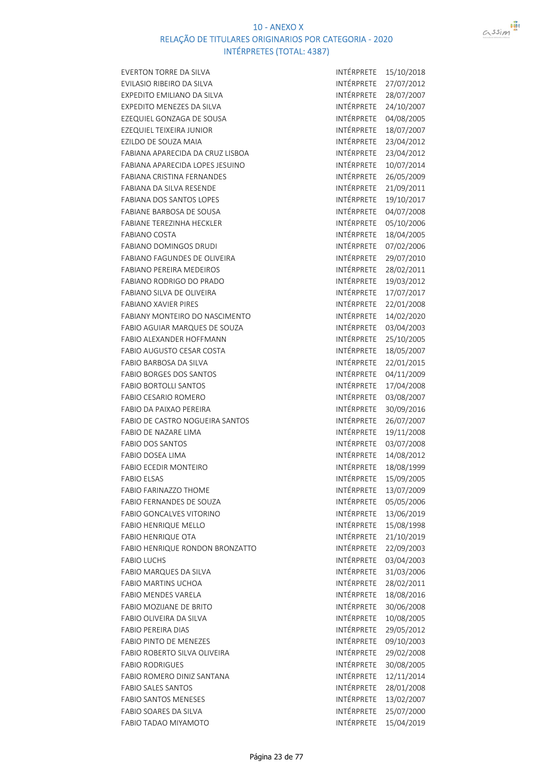

| <b>EVERTON TORRE DA SILVA</b>          | <b>INTÉRPRETE</b> | 15/10/2018 |
|----------------------------------------|-------------------|------------|
| EVILASIO RIBEIRO DA SILVA              | INTÉRPRETE        | 27/07/2012 |
| EXPEDITO EMILIANO DA SILVA             | INTÉRPRETE        | 28/07/2007 |
| EXPEDITO MENEZES DA SILVA              | INTÉRPRETE        | 24/10/2007 |
| EZEQUIEL GONZAGA DE SOUSA              | INTÉRPRETE        | 04/08/2005 |
| EZEQUIEL TEIXEIRA JUNIOR               | INTÉRPRETE        | 18/07/2007 |
| EZILDO DE SOUZA MAIA                   | INTÉRPRETE        | 23/04/2012 |
| FABIANA APARECIDA DA CRUZ LISBOA       | INTÉRPRETE        | 23/04/2012 |
| FABIANA APARECIDA LOPES JESUINO        | INTÉRPRETE        | 10/07/2014 |
| <b>FABIANA CRISTINA FERNANDES</b>      | INTÉRPRETE        | 26/05/2009 |
| FABIANA DA SILVA RESENDE               | INTÉRPRETE        | 21/09/2011 |
| <b>FABIANA DOS SANTOS LOPES</b>        | INTÉRPRETE        | 19/10/2017 |
| <b>FABIANE BARBOSA DE SOUSA</b>        | INTÉRPRETE        | 04/07/2008 |
| <b>FABIANE TEREZINHA HECKLER</b>       | INTÉRPRETE        | 05/10/2006 |
| <b>FABIANO COSTA</b>                   | INTÉRPRETE        | 18/04/2005 |
| FABIANO DOMINGOS DRUDI                 | INTÉRPRETE        | 07/02/2006 |
| <b>FABIANO FAGUNDES DE OLIVEIRA</b>    | <b>INTÉRPRETE</b> | 29/07/2010 |
| <b>FABIANO PEREIRA MEDEIROS</b>        | <b>INTÉRPRETE</b> | 28/02/2011 |
| <b>FABIANO RODRIGO DO PRADO</b>        | INTÉRPRETE        | 19/03/2012 |
| FABIANO SILVA DE OLIVEIRA              | INTÉRPRETE        | 17/07/2017 |
| <b>FABIANO XAVIER PIRES</b>            | INTÉRPRETE        | 22/01/2008 |
| FABIANY MONTEIRO DO NASCIMENTO         | INTÉRPRETE        | 14/02/2020 |
| FABIO AGUIAR MARQUES DE SOUZA          | INTÉRPRETE        | 03/04/2003 |
| FABIO ALEXANDER HOFFMANN               | INTÉRPRETE        | 25/10/2005 |
| <b>FABIO AUGUSTO CESAR COSTA</b>       | INTÉRPRETE        | 18/05/2007 |
| FABIO BARBOSA DA SILVA                 | <b>INTÉRPRETE</b> | 22/01/2015 |
| <b>FABIO BORGES DOS SANTOS</b>         | <b>INTÉRPRETE</b> | 04/11/2009 |
| <b>FABIO BORTOLLI SANTOS</b>           | INTÉRPRETE        | 17/04/2008 |
| <b>FABIO CESARIO ROMERO</b>            | INTÉRPRETE        | 03/08/2007 |
| <b>FABIO DA PAIXAO PEREIRA</b>         | INTÉRPRETE        | 30/09/2016 |
| <b>FABIO DE CASTRO NOGUEIRA SANTOS</b> | INTÉRPRETE        | 26/07/2007 |
| FABIO DE NAZARE LIMA                   | INTÉRPRETE        | 19/11/2008 |
| <b>FABIO DOS SANTOS</b>                | INTÉRPRETE        | 03/07/2008 |
| <b>FABIO DOSEA LIMA</b>                | INTÉRPRETE        | 14/08/2012 |
| FABIO ECEDIR MONTEIRO                  | INTÉRPRETE        | 18/08/1999 |
| <b>FABIO ELSAS</b>                     | INTÉRPRETE        | 15/09/2005 |
| <b>FABIO FARINAZZO THOME</b>           | INTÉRPRETE        | 13/07/2009 |
| FABIO FERNANDES DE SOUZA               | INTÉRPRETE        | 05/05/2006 |
| <b>FABIO GONCALVES VITORINO</b>        | INTÉRPRETE        | 13/06/2019 |
| <b>FABIO HENRIQUE MELLO</b>            | INTÉRPRETE        | 15/08/1998 |
| <b>FABIO HENRIQUE OTA</b>              | INTÉRPRETE        | 21/10/2019 |
| FABIO HENRIQUE RONDON BRONZATTO        | INTÉRPRETE        | 22/09/2003 |
| <b>FABIO LUCHS</b>                     | INTÉRPRETE        | 03/04/2003 |
| FABIO MARQUES DA SILVA                 | INTÉRPRETE        | 31/03/2006 |
| <b>FABIO MARTINS UCHOA</b>             | INTÉRPRETE        | 28/02/2011 |
| <b>FABIO MENDES VARELA</b>             | INTÉRPRETE        | 18/08/2016 |
| FABIO MOZIJANE DE BRITO                | INTÉRPRETE        | 30/06/2008 |
| FABIO OLIVEIRA DA SILVA                | INTÉRPRETE        | 10/08/2005 |
| <b>FABIO PEREIRA DIAS</b>              | INTÉRPRETE        | 29/05/2012 |
| <b>FABIO PINTO DE MENEZES</b>          | INTÉRPRETE        | 09/10/2003 |
| FABIO ROBERTO SILVA OLIVEIRA           | INTÉRPRETE        | 29/02/2008 |
| <b>FABIO RODRIGUES</b>                 | INTÉRPRETE        | 30/08/2005 |
| FABIO ROMERO DINIZ SANTANA             | INTÉRPRETE        | 12/11/2014 |
| <b>FABIO SALES SANTOS</b>              | INTÉRPRETE        | 28/01/2008 |
| <b>FABIO SANTOS MENESES</b>            | INTÉRPRETE        | 13/02/2007 |
| FABIO SOARES DA SILVA                  | INTÉRPRETE        | 25/07/2000 |
| FABIO TADAO MIYAMOTO                   | INTÉRPRETE        | 15/04/2019 |
|                                        |                   |            |

| INTÉRPRETE | 15/10/2018 |
|------------|------------|
| INTÉRPRETE | 27/07/2012 |
| INTÉRPRETE | 28/07/2007 |
| INTÉRPRETE |            |
|            | 24/10/2007 |
| INTÉRPRETE | 04/08/2005 |
| INTÉRPRETE | 18/07/2007 |
| INTÉRPRETE | 23/04/2012 |
| INTÉRPRETE | 23/04/2012 |
| INTÉRPRETE | 10/07/2014 |
| INTÉRPRETE | 26/05/2009 |
| INTÉRPRETE | 21/09/2011 |
| INTÉRPRETE | 19/10/2017 |
| INTÉRPRETE | 04/07/2008 |
| INTÉRPRETE | 05/10/2006 |
| INTÉRPRETE | 18/04/2005 |
| INTÉRPRETE |            |
|            | 07/02/2006 |
| INTÉRPRETE | 29/07/2010 |
| INTÉRPRETE | 28/02/2011 |
| INTÉRPRETE | 19/03/2012 |
| INTÉRPRETE | 17/07/2017 |
| INTÉRPRETE | 22/01/2008 |
| INTÉRPRETE | 14/02/2020 |
| INTÉRPRETE | 03/04/2003 |
| INTÉRPRETE | 25/10/2005 |
| INTÉRPRETE | 18/05/2007 |
| INTÉRPRETE | 22/01/2015 |
| INTÉRPRETE | 04/11/2009 |
| INTÉRPRETE | 17/04/2008 |
| INTÉRPRETE |            |
|            | 03/08/2007 |
| INTÉRPRETE | 30/09/2016 |
| INTÉRPRETE | 26/07/2007 |
| INTÉRPRETE | 19/11/2008 |
| INTÉRPRETE | 03/07/2008 |
| INTÉRPRETE | 14/08/2012 |
| INTÉRPRETE | 18/08/1999 |
| INTÉRPRETE | 15/09/2005 |
| INTÉRPRETE | 13/07/2009 |
| INTÉRPRETE | 05/05/2006 |
| INTÉRPRETE | 13/06/2019 |
| INTÉRPRETE | 15/08/1998 |
| INTÉRPRETE | 21/10/2019 |
| INTÉRPRETE | 22/09/2003 |
| INTÉRPRETE | 03/04/2003 |
| INTÉRPRETE | 31/03/2006 |
| INTÉRPRETE |            |
|            | 28/02/2011 |
| INTÉRPRETE | 18/08/2016 |
| INTÉRPRETE | 30/06/2008 |
| INTÉRPRETE | 10/08/2005 |
| INTÉRPRETE | 29/05/2012 |
| INTÉRPRETE | 09/10/2003 |
| INTÉRPRETE | 29/02/2008 |
| INTÉRPRETE | 30/08/2005 |
| INTÉRPRETE | 12/11/2014 |
| INTÉRPRETE | 28/01/2008 |
| INTÉRPRETE | 13/02/2007 |
| INTÉRPRETE | 25/07/2000 |
| INTÉRPRETE | 15/04/2019 |
|            |            |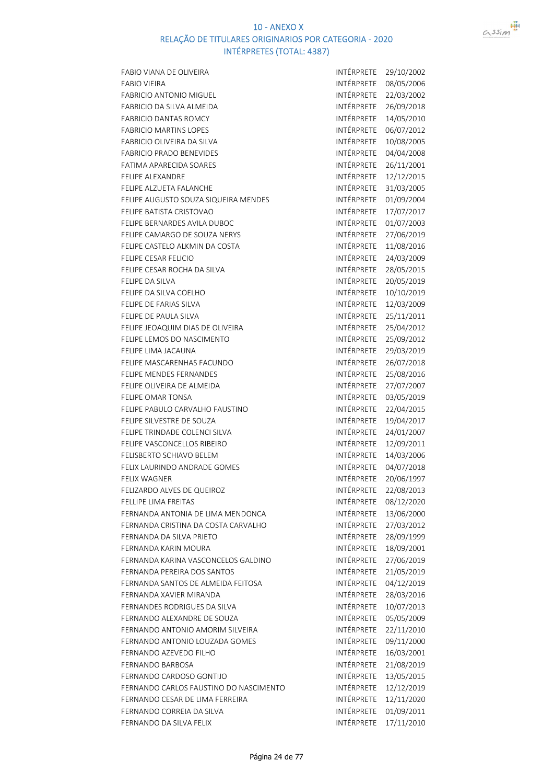

| FABIO VIANA DE OLIVEIRA                | INTÉRPRETE        | 29/10/2002 |
|----------------------------------------|-------------------|------------|
| <b>FABIO VIEIRA</b>                    | INTÉRPRETE        | 08/05/2006 |
| <b>FABRICIO ANTONIO MIGUEL</b>         | INTÉRPRETE        | 22/03/2002 |
| FABRICIO DA SILVA ALMEIDA              | INTÉRPRETE        | 26/09/2018 |
| <b>FABRICIO DANTAS ROMCY</b>           | INTÉRPRETE        | 14/05/2010 |
| <b>FABRICIO MARTINS LOPES</b>          | INTÉRPRETE        | 06/07/2012 |
| FABRICIO OLIVEIRA DA SILVA             | INTÉRPRETE        | 10/08/2005 |
| <b>FABRICIO PRADO BENEVIDES</b>        | INTÉRPRETE        | 04/04/2008 |
| FATIMA APARECIDA SOARES                | INTÉRPRETE        | 26/11/2001 |
| <b>FELIPE ALEXANDRE</b>                | INTÉRPRETE        | 12/12/2015 |
| FELIPE ALZUETA FALANCHE                | INTÉRPRETE        | 31/03/2005 |
| FELIPE AUGUSTO SOUZA SIQUEIRA MENDES   | INTÉRPRETE        | 01/09/2004 |
| FELIPE BATISTA CRISTOVAO               | INTÉRPRETE        | 17/07/2017 |
| FELIPE BERNARDES AVILA DUBOC           | INTÉRPRETE        | 01/07/2003 |
| FELIPE CAMARGO DE SOUZA NERYS          | INTÉRPRETE        | 27/06/2019 |
| FELIPE CASTELO ALKMIN DA COSTA         | INTÉRPRETE        | 11/08/2016 |
| FELIPE CESAR FELICIO                   | INTÉRPRETE        | 24/03/2009 |
| FELIPE CESAR ROCHA DA SILVA            | INTÉRPRETE        | 28/05/2015 |
| FELIPE DA SILVA                        | INTÉRPRETE        | 20/05/2019 |
| FELIPE DA SILVA COELHO                 | INTÉRPRETE        | 10/10/2019 |
| FELIPE DE FARIAS SILVA                 | INTÉRPRETE        | 12/03/2009 |
| FELIPE DE PAULA SILVA                  | <b>INTÉRPRETE</b> | 25/11/2011 |
| FELIPE JEOAQUIM DIAS DE OLIVEIRA       | INTÉRPRETE        | 25/04/2012 |
| FELIPE LEMOS DO NASCIMENTO             | INTÉRPRETE        | 25/09/2012 |
| FELIPE LIMA JACAUNA                    | INTÉRPRETE        | 29/03/2019 |
| FELIPE MASCARENHAS FACUNDO             | INTÉRPRETE        | 26/07/2018 |
| <b>FELIPE MENDES FERNANDES</b>         | INTÉRPRETE        | 25/08/2016 |
| FELIPE OLIVEIRA DE ALMEIDA             | INTÉRPRETE        | 27/07/2007 |
| <b>FELIPE OMAR TONSA</b>               | INTÉRPRETE        | 03/05/2019 |
| FELIPE PABULO CARVALHO FAUSTINO        | INTÉRPRETE        | 22/04/2015 |
| FELIPE SILVESTRE DE SOUZA              | INTÉRPRETE        | 19/04/2017 |
| FELIPE TRINDADE COLENCI SILVA          | INTÉRPRETE        | 24/01/2007 |
| FELIPE VASCONCELLOS RIBEIRO            | INTÉRPRETE        | 12/09/2011 |
| <b>FELISBERTO SCHIAVO BELEM</b>        | INTÉRPRETE        | 14/03/2006 |
| FELIX LAURINDO ANDRADE GOMES           | INTÉRPRETE        | 04/07/2018 |
| FELIX WAGNER                           | INTÉRPRETE        | 20/06/1997 |
| FELIZARDO ALVES DE QUEIROZ             | INTÉRPRETE        | 22/08/2013 |
| FELLIPE LIMA FREITAS                   | INTÉRPRETE        | 08/12/2020 |
| FERNANDA ANTONIA DE LIMA MENDONCA      | INTÉRPRETE        | 13/06/2000 |
| FERNANDA CRISTINA DA COSTA CARVALHO    | <b>INTÉRPRETE</b> | 27/03/2012 |
| FERNANDA DA SILVA PRIETO               | INTÉRPRETE        | 28/09/1999 |
| FERNANDA KARIN MOURA                   | INTÉRPRETE        | 18/09/2001 |
| FERNANDA KARINA VASCONCELOS GALDINO    | INTÉRPRETE        | 27/06/2019 |
| FERNANDA PEREIRA DOS SANTOS            | INTÉRPRETE        | 21/05/2019 |
| FERNANDA SANTOS DE ALMEIDA FEITOSA     | INTÉRPRETE        | 04/12/2019 |
| FERNANDA XAVIER MIRANDA                | INTÉRPRETE        | 28/03/2016 |
| FERNANDES RODRIGUES DA SILVA           | INTÉRPRETE        | 10/07/2013 |
| FERNANDO ALEXANDRE DE SOUZA            | INTÉRPRETE        | 05/05/2009 |
| FERNANDO ANTONIO AMORIM SILVEIRA       | INTÉRPRETE        | 22/11/2010 |
| FERNANDO ANTONIO LOUZADA GOMES         | INTÉRPRETE        | 09/11/2000 |
| FERNANDO AZEVEDO FILHO                 | INTÉRPRETE        | 16/03/2001 |
| <b>FERNANDO BARBOSA</b>                | INTÉRPRETE        | 21/08/2019 |
| FERNANDO CARDOSO GONTIJO               | INTÉRPRETE        | 13/05/2015 |
| FERNANDO CARLOS FAUSTINO DO NASCIMENTO | INTÉRPRETE        | 12/12/2019 |
| FERNANDO CESAR DE LIMA FERREIRA        | INTÉRPRETE        | 12/11/2020 |
| FERNANDO CORREIA DA SILVA              | INTÉRPRETE        | 01/09/2011 |
| FERNANDO DA SILVA FELIX                | INTÉRPRETE        | 17/11/2010 |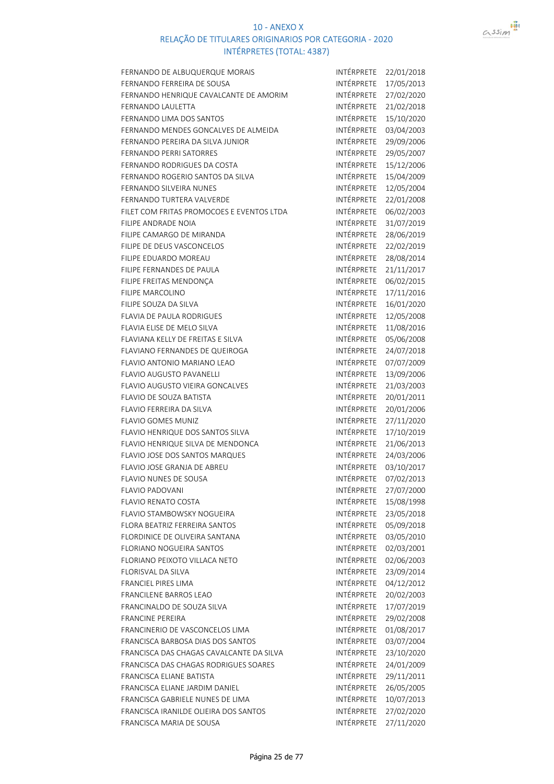

| FERNANDO DE ALBUQUERQUE MORAIS            | INTÉRPRETE        | 22/01/2018 |
|-------------------------------------------|-------------------|------------|
| FERNANDO FERREIRA DE SOUSA                | INTÉRPRETE        | 17/05/2013 |
| FERNANDO HENRIQUE CAVALCANTE DE AMORIM    | INTÉRPRETE        | 27/02/2020 |
| FERNANDO LAULETTA                         | INTÉRPRETE        | 21/02/2018 |
| FERNANDO LIMA DOS SANTOS                  | INTÉRPRETE        | 15/10/2020 |
| FERNANDO MENDES GONCALVES DE ALMEIDA      | INTÉRPRETE        | 03/04/2003 |
| FERNANDO PEREIRA DA SILVA JUNIOR          | INTÉRPRETE        | 29/09/2006 |
| <b>FERNANDO PERRI SATORRES</b>            | INTÉRPRETE        | 29/05/2007 |
| FERNANDO RODRIGUES DA COSTA               | INTÉRPRETE        | 15/12/2006 |
| FERNANDO ROGERIO SANTOS DA SILVA          | INTÉRPRETE        | 15/04/2009 |
| FERNANDO SILVEIRA NUNES                   | INTÉRPRETE        | 12/05/2004 |
| FERNANDO TURTERA VALVERDE                 | INTÉRPRETE        | 22/01/2008 |
| FILET COM FRITAS PROMOCOES E EVENTOS LTDA | INTÉRPRETE        | 06/02/2003 |
| FILIPE ANDRADE NOIA                       | INTÉRPRETE        | 31/07/2019 |
| FILIPE CAMARGO DE MIRANDA                 | INTÉRPRETE        | 28/06/2019 |
| FILIPE DE DEUS VASCONCELOS                | INTÉRPRETE        | 22/02/2019 |
| FILIPE EDUARDO MOREAU                     | INTÉRPRETE        | 28/08/2014 |
| FILIPE FERNANDES DE PAULA                 | INTÉRPRETE        | 21/11/2017 |
| FILIPE FREITAS MENDONÇA                   | INTÉRPRETE        | 06/02/2015 |
| <b>FILIPE MARCOLINO</b>                   | INTÉRPRETE        | 17/11/2016 |
| FILIPE SOUZA DA SILVA                     | <b>INTÉRPRETE</b> | 16/01/2020 |
| <b>FLAVIA DE PAULA RODRIGUES</b>          | INTÉRPRETE        | 12/05/2008 |
| FLAVIA ELISE DE MELO SILVA                | INTÉRPRETE        | 11/08/2016 |
| FLAVIANA KELLY DE FREITAS E SILVA         | INTÉRPRETE        | 05/06/2008 |
| FLAVIANO FERNANDES DE QUEIROGA            | INTÉRPRETE        | 24/07/2018 |
| FLAVIO ANTONIO MARIANO LEAO               | INTÉRPRETE        | 07/07/2009 |
| <b>FLAVIO AUGUSTO PAVANELLI</b>           | INTÉRPRETE        | 13/09/2006 |
| <b>FLAVIO AUGUSTO VIEIRA GONCALVES</b>    | INTÉRPRETE        | 21/03/2003 |
| <b>FLAVIO DE SOUZA BATISTA</b>            | INTÉRPRETE        | 20/01/2011 |
| FLAVIO FERREIRA DA SILVA                  | INTÉRPRETE        | 20/01/2006 |
| <b>FLAVIO GOMES MUNIZ</b>                 | INTÉRPRETE        | 27/11/2020 |
| FLAVIO HENRIQUE DOS SANTOS SILVA          | INTÉRPRETE        | 17/10/2019 |
| FLAVIO HENRIQUE SILVA DE MENDONCA         | INTÉRPRETE        | 21/06/2013 |
| FLAVIO JOSE DOS SANTOS MARQUES            | INTÉRPRETE        | 24/03/2006 |
| FLAVIO JOSE GRANJA DE ABREU               | INTÉRPRETE        | 03/10/2017 |
| <b>FLAVIO NUNES DE SOUSA</b>              | INTÉRPRETE        | 07/02/2013 |
| <b>FLAVIO PADOVANI</b>                    | INTÉRPRETE        | 27/07/2000 |
| <b>FLAVIO RENATO COSTA</b>                | INTÉRPRETE        | 15/08/1998 |
| FLAVIO STAMBOWSKY NOGUEIRA                | INTÉRPRETE        | 23/05/2018 |
| <b>FLORA BEATRIZ FERREIRA SANTOS</b>      | INTÉRPRETE        | 05/09/2018 |
| FLORDINICE DE OLIVEIRA SANTANA            | INTÉRPRETE        | 03/05/2010 |
| <b>FLORIANO NOGUEIRA SANTOS</b>           | INTÉRPRETE        | 02/03/2001 |
| FLORIANO PEIXOTO VILLACA NETO             | INTÉRPRETE        | 02/06/2003 |
| <b>FLORISVAL DA SILVA</b>                 | INTÉRPRETE        | 23/09/2014 |
| <b>FRANCIEL PIRES LIMA</b>                | <b>INTÉRPRETE</b> | 04/12/2012 |
| <b>FRANCILENE BARROS LEAO</b>             | INTÉRPRETE        | 20/02/2003 |
| FRANCINALDO DE SOUZA SILVA                | INTÉRPRETE        | 17/07/2019 |
| <b>FRANCINE PEREIRA</b>                   | INTÉRPRETE        | 29/02/2008 |
| FRANCINERIO DE VASCONCELOS LIMA           | INTÉRPRETE        | 01/08/2017 |
| FRANCISCA BARBOSA DIAS DOS SANTOS         | INTÉRPRETE        | 03/07/2004 |
| FRANCISCA DAS CHAGAS CAVALCANTE DA SILVA  | INTÉRPRETE        | 23/10/2020 |
| FRANCISCA DAS CHAGAS RODRIGUES SOARES     | INTÉRPRETE        | 24/01/2009 |
| FRANCISCA ELIANE BATISTA                  | INTÉRPRETE        | 29/11/2011 |
| FRANCISCA ELIANE JARDIM DANIEL            | INTÉRPRETE        | 26/05/2005 |
| FRANCISCA GABRIELE NUNES DE LIMA          | INTÉRPRETE        | 10/07/2013 |
| FRANCISCA IRANILDE OLIEIRA DOS SANTOS     | INTÉRPRETE        | 27/02/2020 |
| FRANCISCA MARIA DE SOUSA                  | INTÉRPRETE        | 27/11/2020 |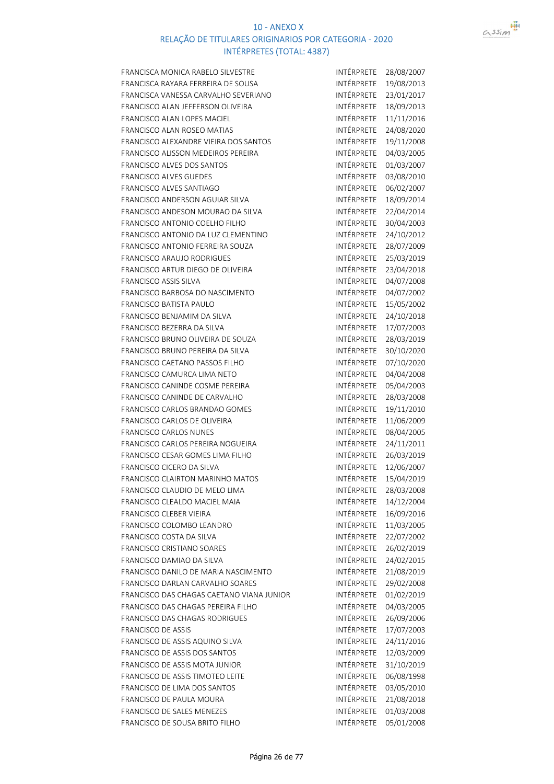

| FRANCISCA MONICA RABELO SILVESTRE         | INTÉRPRETE        | 28/08/2007 |
|-------------------------------------------|-------------------|------------|
| FRANCISCA RAYARA FERREIRA DE SOUSA        | INTÉRPRETE        | 19/08/2013 |
| FRANCISCA VANESSA CARVALHO SEVERIANO      | INTÉRPRETE        | 23/01/2017 |
| FRANCISCO ALAN JEFFERSON OLIVEIRA         | INTÉRPRETE        | 18/09/2013 |
| FRANCISCO ALAN LOPES MACIEL               | INTÉRPRETE        | 11/11/2016 |
| FRANCISCO ALAN ROSEO MATIAS               | <b>INTÉRPRETE</b> | 24/08/2020 |
| FRANCISCO ALEXANDRE VIEIRA DOS SANTOS     | INTÉRPRETE        | 19/11/2008 |
| FRANCISCO ALISSON MEDEIROS PEREIRA        | INTÉRPRETE        | 04/03/2005 |
| FRANCISCO ALVES DOS SANTOS                | INTÉRPRETE        | 01/03/2007 |
| FRANCISCO ALVES GUEDES                    | INTÉRPRETE        | 03/08/2010 |
| <b>FRANCISCO ALVES SANTIAGO</b>           | INTÉRPRETE        | 06/02/2007 |
| FRANCISCO ANDERSON AGUIAR SILVA           | <b>INTÉRPRETE</b> | 18/09/2014 |
| FRANCISCO ANDESON MOURAO DA SILVA         | INTÉRPRETE        | 22/04/2014 |
| FRANCISCO ANTONIO COELHO FILHO            | INTÉRPRETE        | 30/04/2003 |
| FRANCISCO ANTONIO DA LUZ CLEMENTINO       | INTÉRPRETE        | 24/10/2012 |
| FRANCISCO ANTONIO FERREIRA SOUZA          | INTÉRPRETE        | 28/07/2009 |
| <b>FRANCISCO ARAUJO RODRIGUES</b>         | INTÉRPRETE        | 25/03/2019 |
| FRANCISCO ARTUR DIEGO DE OLIVEIRA         | <b>INTÉRPRETE</b> | 23/04/2018 |
| <b>FRANCISCO ASSIS SILVA</b>              | <b>INTÉRPRETE</b> | 04/07/2008 |
| FRANCISCO BARBOSA DO NASCIMENTO           | INTÉRPRETE        | 04/07/2002 |
| <b>FRANCISCO BATISTA PAULO</b>            | INTÉRPRETE        | 15/05/2002 |
| FRANCISCO BENJAMIM DA SILVA               | INTÉRPRETE        | 24/10/2018 |
| FRANCISCO BEZERRA DA SILVA                | INTÉRPRETE        | 17/07/2003 |
| FRANCISCO BRUNO OLIVEIRA DE SOUZA         | INTÉRPRETE        | 28/03/2019 |
| FRANCISCO BRUNO PEREIRA DA SILVA          | INTÉRPRETE        | 30/10/2020 |
| FRANCISCO CAETANO PASSOS FILHO            | INTÉRPRETE        |            |
|                                           | INTÉRPRETE        | 07/10/2020 |
| FRANCISCO CAMURCA LIMA NETO               |                   | 04/04/2008 |
| FRANCISCO CANINDE COSME PEREIRA           | INTÉRPRETE        | 05/04/2003 |
| FRANCISCO CANINDE DE CARVALHO             | INTÉRPRETE        | 28/03/2008 |
| FRANCISCO CARLOS BRANDAO GOMES            | INTÉRPRETE        | 19/11/2010 |
| FRANCISCO CARLOS DE OLIVEIRA              | INTÉRPRETE        | 11/06/2009 |
| <b>FRANCISCO CARLOS NUNES</b>             | INTÉRPRETE        | 08/04/2005 |
| FRANCISCO CARLOS PEREIRA NOGUEIRA         | INTÉRPRETE        | 24/11/2011 |
| FRANCISCO CESAR GOMES LIMA FILHO          | INTÉRPRETE        | 26/03/2019 |
| FRANCISCO CICERO DA SILVA                 | <b>INTÉRPRETE</b> | 12/06/2007 |
| FRANCISCO CLAIRTON MARINHO MATOS          | INTÉRPRETE        | 15/04/2019 |
| FRANCISCO CLAUDIO DE MELO LIMA            | INTÉRPRETE        | 28/03/2008 |
| FRANCISCO CLEALDO MACIEL MAIA             | <b>INTÉRPRETE</b> | 14/12/2004 |
| FRANCISCO CLEBER VIEIRA                   | INTÉRPRETE        | 16/09/2016 |
| FRANCISCO COLOMBO LEANDRO                 | INTÉRPRETE        | 11/03/2005 |
| FRANCISCO COSTA DA SILVA                  | <b>INTÉRPRETE</b> | 22/07/2002 |
| FRANCISCO CRISTIANO SOARES                | INTÉRPRETE        | 26/02/2019 |
| FRANCISCO DAMIAO DA SILVA                 | INTÉRPRETE        | 24/02/2015 |
| FRANCISCO DANILO DE MARIA NASCIMENTO      | INTÉRPRETE        | 21/08/2019 |
| FRANCISCO DARLAN CARVALHO SOARES          | INTÉRPRETE        | 29/02/2008 |
| FRANCISCO DAS CHAGAS CAETANO VIANA JUNIOR | INTÉRPRETE        | 01/02/2019 |
| FRANCISCO DAS CHAGAS PEREIRA FILHO        | INTÉRPRETE        | 04/03/2005 |
| <b>FRANCISCO DAS CHAGAS RODRIGUES</b>     | INTÉRPRETE        | 26/09/2006 |
| <b>FRANCISCO DE ASSIS</b>                 | INTÉRPRETE        | 17/07/2003 |
| FRANCISCO DE ASSIS AQUINO SILVA           |                   | 24/11/2016 |
| FRANCISCO DE ASSIS DOS SANTOS             | INTÉRPRETE        |            |
|                                           | INTÉRPRETE        | 12/03/2009 |
| FRANCISCO DE ASSIS MOTA JUNIOR            | INTÉRPRETE        | 31/10/2019 |
| FRANCISCO DE ASSIS TIMOTEO LEITE          | INTÉRPRETE        | 06/08/1998 |
| FRANCISCO DE LIMA DOS SANTOS              | INTÉRPRETE        | 03/05/2010 |
| FRANCISCO DE PAULA MOURA                  | INTÉRPRETE        | 21/08/2018 |
| <b>FRANCISCO DE SALES MENEZES</b>         | INTÉRPRETE        | 01/03/2008 |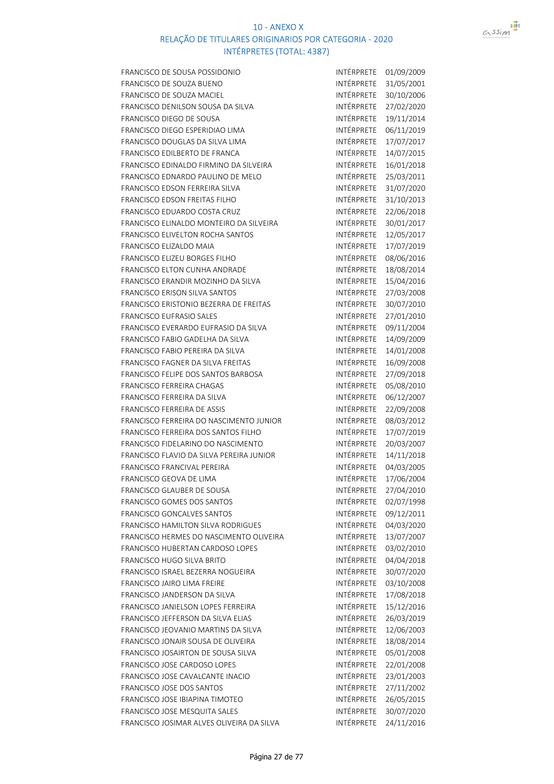

| FRANCISCO DE SOUSA POSSIDONIO                                 | INTÉRPRETE        | 01/09/2009               |
|---------------------------------------------------------------|-------------------|--------------------------|
| FRANCISCO DE SOUZA BUENO                                      | <b>INTÉRPRETE</b> | 31/05/2001               |
| FRANCISCO DE SOUZA MACIEL                                     | INTÉRPRETE        | 30/10/2006               |
| FRANCISCO DENILSON SOUSA DA SILVA                             | INTÉRPRETE        | 27/02/2020               |
| FRANCISCO DIEGO DE SOUSA                                      | INTÉRPRETE        | 19/11/2014               |
| FRANCISCO DIEGO ESPERIDIAO LIMA                               | INTÉRPRETE        | 06/11/2019               |
| FRANCISCO DOUGLAS DA SILVA LIMA                               | INTÉRPRETE        | 17/07/2017               |
| FRANCISCO EDILBERTO DE FRANCA                                 | INTÉRPRETE        | 14/07/2015               |
| FRANCISCO EDINALDO FIRMINO DA SILVEIRA                        | INTÉRPRETE        | 16/01/2018               |
| FRANCISCO EDNARDO PAULINO DE MELO                             | INTÉRPRETE        | 25/03/2011               |
| FRANCISCO EDSON FERREIRA SILVA                                | INTÉRPRETE        | 31/07/2020               |
| <b>FRANCISCO EDSON FREITAS FILHO</b>                          | INTÉRPRETE        | 31/10/2013               |
| FRANCISCO EDUARDO COSTA CRUZ                                  | <b>INTÉRPRETE</b> | 22/06/2018               |
| FRANCISCO ELINALDO MONTEIRO DA SILVEIRA                       | INTÉRPRETE        | 30/01/2017               |
| <b>FRANCISCO ELIVELTON ROCHA SANTOS</b>                       | INTÉRPRETE        | 12/05/2017               |
| FRANCISCO ELIZALDO MAIA                                       | INTÉRPRETE        | 17/07/2019               |
| <b>FRANCISCO ELIZEU BORGES FILHO</b>                          | INTÉRPRETE        | 08/06/2016               |
| FRANCISCO ELTON CUNHA ANDRADE                                 | INTÉRPRETE        | 18/08/2014               |
| FRANCISCO ERANDIR MOZINHO DA SILVA                            | INTÉRPRETE        | 15/04/2016               |
| <b>FRANCISCO ERISON SILVA SANTOS</b>                          | INTÉRPRETE        | 27/03/2008               |
| FRANCISCO ERISTONIO BEZERRA DE FREITAS                        | INTÉRPRETE        | 30/07/2010               |
| <b>FRANCISCO EUFRASIO SALES</b>                               | INTÉRPRETE        | 27/01/2010               |
| FRANCISCO EVERARDO EUFRASIO DA SILVA                          | INTÉRPRETE        | 09/11/2004               |
| FRANCISCO FABIO GADELHA DA SILVA                              | INTÉRPRETE        | 14/09/2009               |
| FRANCISCO FABIO PEREIRA DA SILVA                              | INTÉRPRETE        | 14/01/2008               |
| FRANCISCO FAGNER DA SILVA FREITAS                             | INTÉRPRETE        | 16/09/2008               |
| FRANCISCO FELIPE DOS SANTOS BARBOSA                           | INTÉRPRETE        | 27/09/2018               |
| <b>FRANCISCO FERREIRA CHAGAS</b>                              | INTÉRPRETE        | 05/08/2010               |
| FRANCISCO FERREIRA DA SILVA                                   | INTÉRPRETE        | 06/12/2007               |
| <b>FRANCISCO FERREIRA DE ASSIS</b>                            | INTÉRPRETE        | 22/09/2008               |
| FRANCISCO FERREIRA DO NASCIMENTO JUNIOR                       | INTÉRPRETE        | 08/03/2012               |
| FRANCISCO FERREIRA DOS SANTOS FILHO                           | INTÉRPRETE        | 17/07/2019               |
| FRANCISCO FIDELARINO DO NASCIMENTO                            | INTÉRPRETE        | 20/03/2007               |
| FRANCISCO FLAVIO DA SILVA PEREIRA JUNIOR                      | INTÉRPRETE        | 14/11/2018               |
| <b>FRANCISCO FRANCIVAL PEREIRA</b>                            | INTÉRPRETE        | 04/03/2005               |
| FRANCISCO GEOVA DE LIMA                                       | INTÉRPRETE        | 17/06/2004               |
| FRANCISCO GLAUBER DE SOUSA                                    | INTÉRPRETE        | 27/04/2010               |
| FRANCISCO GOMES DOS SANTOS                                    | INTÉRPRETE        | 02/07/1998               |
| FRANCISCO GONCALVES SANTOS                                    | INTÉRPRETE        | 09/12/2011               |
| <b>FRANCISCO HAMILTON SILVA RODRIGUES</b>                     | INTÉRPRETE        | 04/03/2020               |
| FRANCISCO HERMES DO NASCIMENTO OLIVEIRA                       | INTÉRPRETE        | 13/07/2007               |
| FRANCISCO HUBERTAN CARDOSO LOPES                              | INTÉRPRETE        | 03/02/2010               |
| <b>FRANCISCO HUGO SILVA BRITO</b>                             | INTÉRPRETE        | 04/04/2018               |
| FRANCISCO ISRAEL BEZERRA NOGUEIRA                             | INTÉRPRETE        | 30/07/2020               |
| FRANCISCO JAIRO LIMA FREIRE                                   | INTÉRPRETE        | 03/10/2008               |
| FRANCISCO JANDERSON DA SILVA                                  | INTÉRPRETE        | 17/08/2018               |
| FRANCISCO JANIELSON LOPES FERREIRA                            | INTÉRPRETE        | 15/12/2016               |
| FRANCISCO JEFFERSON DA SILVA ELIAS                            | INTÉRPRETE        | 26/03/2019               |
| FRANCISCO JEOVANIO MARTINS DA SILVA                           | INTÉRPRETE        | 12/06/2003               |
| FRANCISCO JONAIR SOUSA DE OLIVEIRA                            | INTÉRPRETE        |                          |
| FRANCISCO JOSAIRTON DE SOUSA SILVA                            | INTÉRPRETE        | 18/08/2014<br>05/01/2008 |
|                                                               | INTÉRPRETE        |                          |
| FRANCISCO JOSE CARDOSO LOPES                                  | INTÉRPRETE        | 22/01/2008               |
| FRANCISCO JOSE CAVALCANTE INACIO<br>FRANCISCO JOSE DOS SANTOS | INTÉRPRETE        | 23/01/2003               |
|                                                               | INTÉRPRETE        | 27/11/2002               |
| FRANCISCO JOSE IBIAPINA TIMOTEO                               | INTÉRPRETE        | 26/05/2015               |
| FRANCISCO JOSE MESQUITA SALES                                 | INTÉRPRETE        | 30/07/2020               |
| FRANCISCO JOSIMAR ALVES OLIVEIRA DA SILVA                     |                   | 24/11/2016               |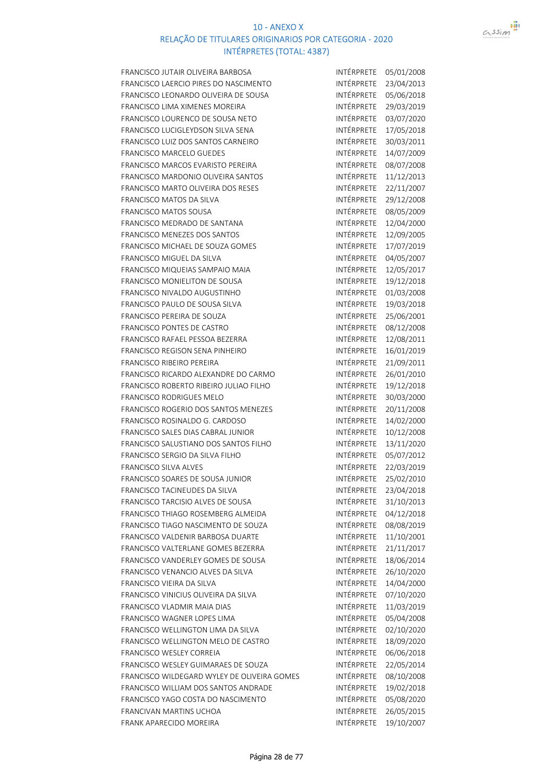

| FRANCISCO JUTAIR OLIVEIRA BARBOSA           | INTÉRPRETE               | 05/01/2008 |
|---------------------------------------------|--------------------------|------------|
| FRANCISCO LAERCIO PIRES DO NASCIMENTO       | INTÉRPRETE               | 23/04/2013 |
| FRANCISCO LEONARDO OLIVEIRA DE SOUSA        | INTÉRPRETE               | 05/06/2018 |
| FRANCISCO LIMA XIMENES MOREIRA              | INTÉRPRETE               | 29/03/2019 |
| FRANCISCO LOURENCO DE SOUSA NETO            | INTÉRPRETE               | 03/07/2020 |
| FRANCISCO LUCIGLEYDSON SILVA SENA           | INTÉRPRETE               | 17/05/2018 |
| FRANCISCO LUIZ DOS SANTOS CARNEIRO          | INTÉRPRETE               | 30/03/2011 |
| FRANCISCO MARCELO GUEDES                    | INTÉRPRETE               | 14/07/2009 |
| FRANCISCO MARCOS EVARISTO PEREIRA           | INTÉRPRETE               | 08/07/2008 |
| FRANCISCO MARDONIO OLIVEIRA SANTOS          | INTÉRPRETE               | 11/12/2013 |
| FRANCISCO MARTO OLIVEIRA DOS RESES          | INTÉRPRETE               | 22/11/2007 |
| FRANCISCO MATOS DA SILVA                    | INTÉRPRETE               | 29/12/2008 |
| FRANCISCO MATOS SOUSA                       | INTÉRPRETE               | 08/05/2009 |
| FRANCISCO MEDRADO DE SANTANA                | INTÉRPRETE               | 12/04/2000 |
| FRANCISCO MENEZES DOS SANTOS                | INTÉRPRETE               | 12/09/2005 |
| FRANCISCO MICHAEL DE SOUZA GOMES            | INTÉRPRETE               | 17/07/2019 |
| FRANCISCO MIGUEL DA SILVA                   | INTÉRPRETE               | 04/05/2007 |
| FRANCISCO MIQUEIAS SAMPAIO MAIA             | INTÉRPRETE               | 12/05/2017 |
| FRANCISCO MONIELITON DE SOUSA               | INTÉRPRETE               | 19/12/2018 |
| FRANCISCO NIVALDO AUGUSTINHO                | INTÉRPRETE               | 01/03/2008 |
| FRANCISCO PAULO DE SOUSA SILVA              | INTÉRPRETE               | 19/03/2018 |
| FRANCISCO PEREIRA DE SOUZA                  | INTÉRPRETE               | 25/06/2001 |
| FRANCISCO PONTES DE CASTRO                  | INTÉRPRETE               | 08/12/2008 |
| FRANCISCO RAFAEL PESSOA BEZERRA             | INTÉRPRETE               | 12/08/2011 |
| FRANCISCO REGISON SENA PINHEIRO             | INTÉRPRETE               | 16/01/2019 |
| <b>FRANCISCO RIBEIRO PEREIRA</b>            | INTÉRPRETE               | 21/09/2011 |
| FRANCISCO RICARDO ALEXANDRE DO CARMO        | INTÉRPRETE               | 26/01/2010 |
| FRANCISCO ROBERTO RIBEIRO JULIAO FILHO      | INTÉRPRETE               | 19/12/2018 |
| <b>FRANCISCO RODRIGUES MELO</b>             | INTÉRPRETE               | 30/03/2000 |
| FRANCISCO ROGERIO DOS SANTOS MENEZES        | INTÉRPRETE               | 20/11/2008 |
| FRANCISCO ROSINALDO G. CARDOSO              | INTÉRPRETE               | 14/02/2000 |
| FRANCISCO SALES DIAS CABRAL JUNIOR          | INTÉRPRETE               | 10/12/2008 |
| FRANCISCO SALUSTIANO DOS SANTOS FILHO       | INTÉRPRETE               | 13/11/2020 |
| FRANCISCO SERGIO DA SILVA FILHO             | INTÉRPRETE               | 05/07/2012 |
| FRANCISCO SILVA ALVES                       | INTÉRPRETE               | 22/03/2019 |
| FRANCISCO SOARES DE SOUSA JUNIOR            | INTÉRPRETE               | 25/02/2010 |
| FRANCISCO TACINEUDES DA SILVA               | INTÉRPRETE               | 23/04/2018 |
| FRANCISCO TARCISIO ALVES DE SOUSA           | INTÉRPRETE               | 31/10/2013 |
| FRANCISCO THIAGO ROSEMBERG ALMEIDA          | <b>INTÉRPRETE</b>        | 04/12/2018 |
| FRANCISCO TIAGO NASCIMENTO DE SOUZA         | INTÉRPRETE               | 08/08/2019 |
| FRANCISCO VALDENIR BARBOSA DUARTE           | INTÉRPRETE               | 11/10/2001 |
| FRANCISCO VALTERLANE GOMES BEZERRA          | INTÉRPRETE               | 21/11/2017 |
| FRANCISCO VANDERLEY GOMES DE SOUSA          | INTÉRPRETE               | 18/06/2014 |
| FRANCISCO VENANCIO ALVES DA SILVA           | <b>INTÉRPRETE</b>        | 26/10/2020 |
| FRANCISCO VIEIRA DA SILVA                   | INTÉRPRETE               | 14/04/2000 |
| FRANCISCO VINICIUS OLIVEIRA DA SILVA        | INTÉRPRETE               | 07/10/2020 |
| FRANCISCO VLADMIR MAIA DIAS                 | INTÉRPRETE               | 11/03/2019 |
| FRANCISCO WAGNER LOPES LIMA                 | INTÉRPRETE               | 05/04/2008 |
| FRANCISCO WELLINGTON LIMA DA SILVA          | INTÉRPRETE               |            |
|                                             | INTÉRPRETE               | 02/10/2020 |
| FRANCISCO WELLINGTON MELO DE CASTRO         | INTÉRPRETE               | 18/09/2020 |
| FRANCISCO WESLEY CORREIA                    |                          | 06/06/2018 |
| FRANCISCO WESLEY GUIMARAES DE SOUZA         | INTÉRPRETE<br>INTÉRPRETE | 22/05/2014 |
| FRANCISCO WILDEGARD WYLEY DE OLIVEIRA GOMES | INTÉRPRETE               | 08/10/2008 |
| FRANCISCO WILLIAM DOS SANTOS ANDRADE        |                          | 19/02/2018 |
| FRANCISCO YAGO COSTA DO NASCIMENTO          | INTÉRPRETE<br>INTÉRPRETE | 05/08/2020 |
| FRANCIVAN MARTINS UCHOA                     |                          | 26/05/2015 |
| FRANK APARECIDO MOREIRA                     | INTÉRPRETE               | 19/10/2007 |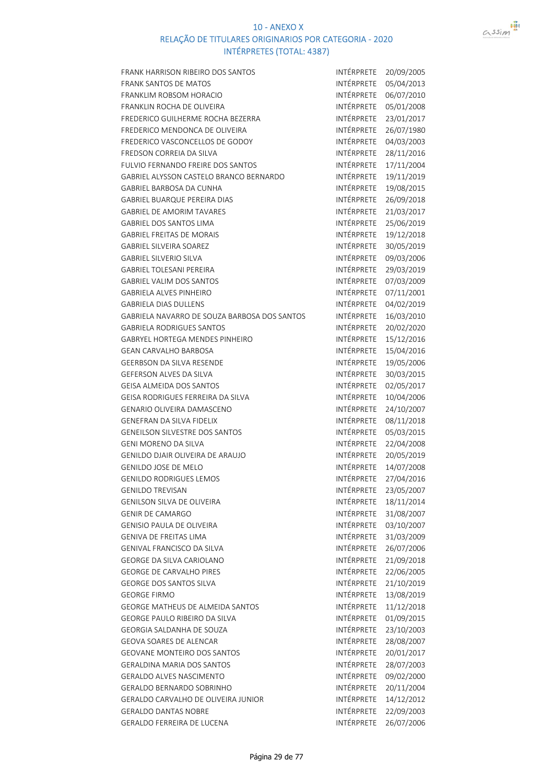

| FRANK HARRISON RIBEIRO DOS SANTOS            | INTÉRPRETE        | 20/09/2005 |
|----------------------------------------------|-------------------|------------|
| <b>FRANK SANTOS DE MATOS</b>                 | INTÉRPRETE        | 05/04/2013 |
| FRANKLIM ROBSOM HORACIO                      | INTÉRPRETE        | 06/07/2010 |
| FRANKLIN ROCHA DE OLIVEIRA                   | INTÉRPRETE        | 05/01/2008 |
| FREDERICO GUILHERME ROCHA BEZERRA            | INTÉRPRETE        | 23/01/2017 |
| FREDERICO MENDONCA DE OLIVEIRA               | INTÉRPRETE        | 26/07/1980 |
| FREDERICO VASCONCELLOS DE GODOY              | INTÉRPRETE        | 04/03/2003 |
| <b>FREDSON CORREIA DA SILVA</b>              | INTÉRPRETE        | 28/11/2016 |
| <b>FULVIO FERNANDO FREIRE DOS SANTOS</b>     | INTÉRPRETE        | 17/11/2004 |
| GABRIEL ALYSSON CASTELO BRANCO BERNARDO      | INTÉRPRETE        | 19/11/2019 |
| <b>GABRIEL BARBOSA DA CUNHA</b>              | INTÉRPRETE        | 19/08/2015 |
| <b>GABRIEL BUARQUE PEREIRA DIAS</b>          | <b>INTÉRPRETE</b> | 26/09/2018 |
| <b>GABRIEL DE AMORIM TAVARES</b>             | INTÉRPRETE        | 21/03/2017 |
| <b>GABRIEL DOS SANTOS LIMA</b>               | INTÉRPRETE        | 25/06/2019 |
| <b>GABRIEL FREITAS DE MORAIS</b>             | INTÉRPRETE        | 19/12/2018 |
| <b>GABRIEL SILVEIRA SOAREZ</b>               | INTÉRPRETE        | 30/05/2019 |
| <b>GABRIEL SILVERIO SILVA</b>                | INTÉRPRETE        | 09/03/2006 |
| <b>GABRIEL TOLESANI PEREIRA</b>              | INTÉRPRETE        | 29/03/2019 |
| <b>GABRIEL VALIM DOS SANTOS</b>              | INTÉRPRETE        | 07/03/2009 |
| <b>GABRIELA ALVES PINHEIRO</b>               | INTÉRPRETE        | 07/11/2001 |
| <b>GABRIELA DIAS DULLENS</b>                 | INTÉRPRETE        | 04/02/2019 |
| GABRIELA NAVARRO DE SOUZA BARBOSA DOS SANTOS | INTÉRPRETE        | 16/03/2010 |
| <b>GABRIELA RODRIGUES SANTOS</b>             | INTÉRPRETE        | 20/02/2020 |
| GABRYEL HORTEGA MENDES PINHEIRO              | INTÉRPRETE        | 15/12/2016 |
| <b>GEAN CARVALHO BARBOSA</b>                 | INTÉRPRETE        | 15/04/2016 |
| GEERBSON DA SILVA RESENDE                    | INTÉRPRETE        | 19/05/2006 |
| GEFERSON ALVES DA SILVA                      | INTÉRPRETE        | 30/03/2015 |
| <b>GEISA ALMEIDA DOS SANTOS</b>              | INTÉRPRETE        | 02/05/2017 |
| GEISA RODRIGUES FERREIRA DA SILVA            | INTÉRPRETE        | 10/04/2006 |
| <b>GENARIO OLIVEIRA DAMASCENO</b>            | INTÉRPRETE        | 24/10/2007 |
| <b>GENEFRAN DA SILVA FIDELIX</b>             | INTÉRPRETE        | 08/11/2018 |
| GENEILSON SILVESTRE DOS SANTOS               | INTÉRPRETE        | 05/03/2015 |
| <b>GENI MORENO DA SILVA</b>                  | INTÉRPRETE        | 22/04/2008 |
| GENILDO DJAIR OLIVEIRA DE ARAUJO             | INTÉRPRETE        | 20/05/2019 |
| GENILDO JOSE DE MELO                         | INTÉRPRETE        | 14/07/2008 |
| <b>GENILDO RODRIGUES LEMOS</b>               | INTÉRPRETE        | 27/04/2016 |
| <b>GENILDO TREVISAN</b>                      | INTÉRPRETE        | 23/05/2007 |
| <b>GENILSON SILVA DE OLIVEIRA</b>            | INTÉRPRETE        | 18/11/2014 |
| <b>GENIR DE CAMARGO</b>                      | INTÉRPRETE        | 31/08/2007 |
| <b>GENISIO PAULA DE OLIVEIRA</b>             | INTÉRPRETE        | 03/10/2007 |
| GENIVA DE FREITAS LIMA                       | INTÉRPRETE        | 31/03/2009 |
| <b>GENIVAL FRANCISCO DA SILVA</b>            | INTÉRPRETE        | 26/07/2006 |
| GEORGE DA SILVA CARIOLANO                    | INTÉRPRETE        | 21/09/2018 |
| <b>GEORGE DE CARVALHO PIRES</b>              | INTÉRPRETE        | 22/06/2005 |
| <b>GEORGE DOS SANTOS SILVA</b>               | INTÉRPRETE        | 21/10/2019 |
| <b>GEORGE FIRMO</b>                          | <b>INTÉRPRETE</b> | 13/08/2019 |
| GEORGE MATHEUS DE ALMEIDA SANTOS             | INTÉRPRETE        | 11/12/2018 |
| GEORGE PAULO RIBEIRO DA SILVA                | INTÉRPRETE        | 01/09/2015 |
| GEORGIA SALDANHA DE SOUZA                    | INTÉRPRETE        | 23/10/2003 |
| GEOVA SOARES DE ALENCAR                      | INTÉRPRETE        | 28/08/2007 |
| GEOVANE MONTEIRO DOS SANTOS                  | INTÉRPRETE        | 20/01/2017 |
| <b>GERALDINA MARIA DOS SANTOS</b>            | INTÉRPRETE        | 28/07/2003 |
| <b>GERALDO ALVES NASCIMENTO</b>              | INTÉRPRETE        | 09/02/2000 |
| GERALDO BERNARDO SOBRINHO                    | INTÉRPRETE        | 20/11/2004 |
| GERALDO CARVALHO DE OLIVEIRA JUNIOR          | INTÉRPRETE        | 14/12/2012 |
| <b>GERALDO DANTAS NOBRE</b>                  | INTÉRPRETE        | 22/09/2003 |
| GERALDO FERREIRA DE LUCENA                   | INTÉRPRETE        | 26/07/2006 |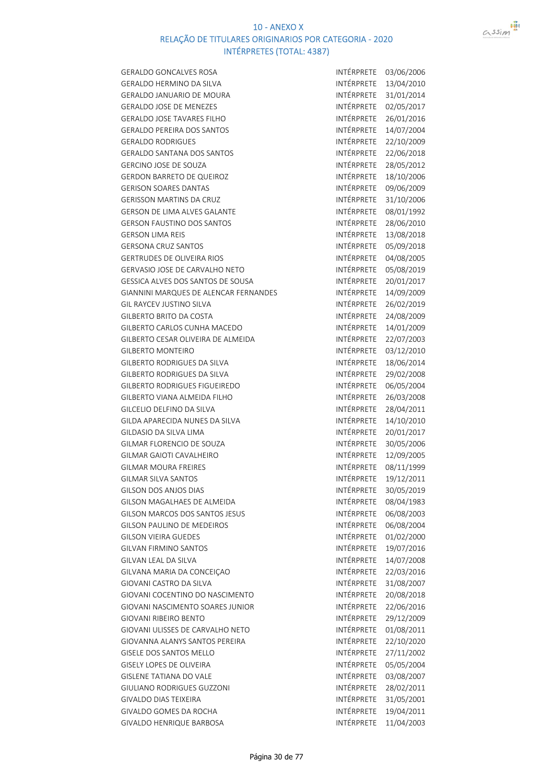

| <b>GERALDO GONCALVES ROSA</b>                | INTÉRPRETE        | 03/06/2006 |
|----------------------------------------------|-------------------|------------|
| GERALDO HERMINO DA SILVA                     | INTÉRPRETE        | 13/04/2010 |
| <b>GERALDO JANUARIO DE MOURA</b>             | <b>INTÉRPRETE</b> | 31/01/2014 |
| GERALDO JOSE DE MENEZES                      | INTÉRPRETE        | 02/05/2017 |
| <b>GERALDO JOSE TAVARES FILHO</b>            | INTÉRPRETE        | 26/01/2016 |
| <b>GERALDO PEREIRA DOS SANTOS</b>            | INTÉRPRETE        | 14/07/2004 |
| <b>GERALDO RODRIGUES</b>                     | INTÉRPRETE        | 22/10/2009 |
| <b>GERALDO SANTANA DOS SANTOS</b>            | INTÉRPRETE        | 22/06/2018 |
| <b>GERCINO JOSE DE SOUZA</b>                 | INTÉRPRETE        | 28/05/2012 |
| GERDON BARRETO DE QUEIROZ                    | INTÉRPRETE        | 18/10/2006 |
| <b>GERISON SOARES DANTAS</b>                 | INTÉRPRETE        | 09/06/2009 |
| <b>GERISSON MARTINS DA CRUZ</b>              | INTÉRPRETE        | 31/10/2006 |
| GERSON DE LIMA ALVES GALANTE                 | INTÉRPRETE        | 08/01/1992 |
| <b>GERSON FAUSTINO DOS SANTOS</b>            | INTÉRPRETE        | 28/06/2010 |
| <b>GERSON LIMA REIS</b>                      | INTÉRPRETE        | 13/08/2018 |
| <b>GERSONA CRUZ SANTOS</b>                   | INTÉRPRETE        | 05/09/2018 |
| <b>GERTRUDES DE OLIVEIRA RIOS</b>            | INTÉRPRETE        | 04/08/2005 |
| GERVASIO JOSE DE CARVALHO NETO               | INTÉRPRETE        | 05/08/2019 |
| GESSICA ALVES DOS SANTOS DE SOUSA            | INTÉRPRETE        | 20/01/2017 |
| <b>GIANNINI MARQUES DE ALENCAR FERNANDES</b> | INTÉRPRETE        | 14/09/2009 |
| <b>GIL RAYCEV JUSTINO SILVA</b>              | INTÉRPRETE        | 26/02/2019 |
| GILBERTO BRITO DA COSTA                      | INTÉRPRETE        | 24/08/2009 |
| GILBERTO CARLOS CUNHA MACEDO                 | INTÉRPRETE        | 14/01/2009 |
| GILBERTO CESAR OLIVEIRA DE ALMEIDA           | INTÉRPRETE        | 22/07/2003 |
| <b>GILBERTO MONTEIRO</b>                     | INTÉRPRETE        |            |
| GILBERTO RODRIGUES DA SILVA                  | INTÉRPRETE        | 03/12/2010 |
|                                              | INTÉRPRETE        | 18/06/2014 |
| GILBERTO RODRIGUES DA SILVA                  | INTÉRPRETE        | 29/02/2008 |
| GILBERTO RODRIGUES FIGUEIREDO                |                   | 06/05/2004 |
| GILBERTO VIANA ALMEIDA FILHO                 | INTÉRPRETE        | 26/03/2008 |
| GILCELIO DELFINO DA SILVA                    | INTÉRPRETE        | 28/04/2011 |
| GILDA APARECIDA NUNES DA SILVA               | INTÉRPRETE        | 14/10/2010 |
| GILDASIO DA SILVA LIMA                       | INTÉRPRETE        | 20/01/2017 |
| GILMAR FLORENCIO DE SOUZA                    | INTÉRPRETE        | 30/05/2006 |
| GILMAR GAIOTI CAVALHEIRO                     | INTÉRPRETE        | 12/09/2005 |
| <b>GILMAR MOURA FREIRES</b>                  | INTÉRPRETE        | 08/11/1999 |
| GILMAR SILVA SANTOS                          | INTÉRPRETE        | 19/12/2011 |
| GILSON DOS ANJOS DIAS                        | INTÉRPRETE        | 30/05/2019 |
| GILSON MAGALHAES DE ALMEIDA                  | INTÉRPRETE        | 08/04/1983 |
| GILSON MARCOS DOS SANTOS JESUS               | INTÉRPRETE        | 06/08/2003 |
| <b>GILSON PAULINO DE MEDEIROS</b>            | INTÉRPRETE        | 06/08/2004 |
| <b>GILSON VIEIRA GUEDES</b>                  | INTÉRPRETE        | 01/02/2000 |
| <b>GILVAN FIRMINO SANTOS</b>                 | <b>INTÉRPRETE</b> | 19/07/2016 |
| GILVAN LEAL DA SILVA                         | <b>INTÉRPRETE</b> | 14/07/2008 |
| GILVANA MARIA DA CONCEIÇAO                   | INTÉRPRETE        | 22/03/2016 |
| <b>GIOVANI CASTRO DA SILVA</b>               | INTÉRPRETE        | 31/08/2007 |
| GIOVANI COCENTINO DO NASCIMENTO              | INTÉRPRETE        | 20/08/2018 |
| GIOVANI NASCIMENTO SOARES JUNIOR             | INTÉRPRETE        | 22/06/2016 |
| <b>GIOVANI RIBEIRO BENTO</b>                 | INTÉRPRETE        | 29/12/2009 |
| GIOVANI ULISSES DE CARVALHO NETO             | INTÉRPRETE        | 01/08/2011 |
| GIOVANNA ALANYS SANTOS PEREIRA               | INTÉRPRETE        | 22/10/2020 |
| <b>GISELE DOS SANTOS MELLO</b>               | INTÉRPRETE        | 27/11/2002 |
| GISELY LOPES DE OLIVEIRA                     | INTÉRPRETE        | 05/05/2004 |
| <b>GISLENE TATIANA DO VALE</b>               | INTÉRPRETE        | 03/08/2007 |
| GIULIANO RODRIGUES GUZZONI                   | INTÉRPRETE        | 28/02/2011 |
| GIVALDO DIAS TEIXEIRA                        | <b>INTÉRPRETE</b> | 31/05/2001 |
| GIVALDO GOMES DA ROCHA                       | INTÉRPRETE        | 19/04/2011 |
| GIVALDO HENRIQUE BARBOSA                     | INTÉRPRETE        | 11/04/2003 |
|                                              |                   |            |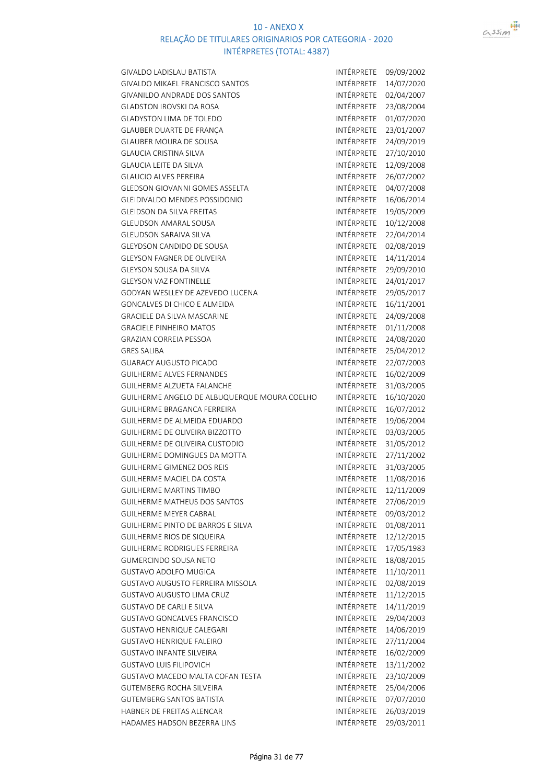

GIVALDO LADISLAU BATISTA **INTÉRPRETE** 09/09/2002

| GIVALDO MIKAEL FRANCISCO SANTOS              | INTÉRPRETE        | 14/07/2020 |
|----------------------------------------------|-------------------|------------|
| <b>GIVANILDO ANDRADE DOS SANTOS</b>          | <b>INTÉRPRETE</b> | 02/04/2007 |
| <b>GLADSTON IROVSKI DA ROSA</b>              | INTÉRPRETE        | 23/08/2004 |
| <b>GLADYSTON LIMA DE TOLEDO</b>              | INTÉRPRETE        | 01/07/2020 |
| GLAUBER DUARTE DE FRANÇA                     | INTÉRPRETE        | 23/01/2007 |
| <b>GLAUBER MOURA DE SOUSA</b>                | INTÉRPRETE        | 24/09/2019 |
| <b>GLAUCIA CRISTINA SILVA</b>                | INTÉRPRETE        | 27/10/2010 |
| <b>GLAUCIA LEITE DA SILVA</b>                | INTÉRPRETE        | 12/09/2008 |
| <b>GLAUCIO ALVES PEREIRA</b>                 | INTÉRPRETE        | 26/07/2002 |
| <b>GLEDSON GIOVANNI GOMES ASSELTA</b>        | INTÉRPRETE        | 04/07/2008 |
| <b>GLEIDIVALDO MENDES POSSIDONIO</b>         | INTÉRPRETE        | 16/06/2014 |
| <b>GLEIDSON DA SILVA FREITAS</b>             | INTÉRPRETE        | 19/05/2009 |
| <b>GLEUDSON AMARAL SOUSA</b>                 | INTÉRPRETE        | 10/12/2008 |
| GLEUDSON SARAIVA SILVA                       | INTÉRPRETE        | 22/04/2014 |
| GLEYDSON CANDIDO DE SOUSA                    | INTÉRPRETE        | 02/08/2019 |
| GLEYSON FAGNER DE OLIVEIRA                   | INTÉRPRETE        | 14/11/2014 |
| <b>GLEYSON SOUSA DA SILVA</b>                | INTÉRPRETE        | 29/09/2010 |
| <b>GLEYSON VAZ FONTINELLE</b>                | INTÉRPRETE        | 24/01/2017 |
| GODYAN WESLLEY DE AZEVEDO LUCENA             | INTÉRPRETE        | 29/05/2017 |
| GONCALVES DI CHICO E ALMEIDA                 | INTÉRPRETE        | 16/11/2001 |
| <b>GRACIELE DA SILVA MASCARINE</b>           | INTÉRPRETE        | 24/09/2008 |
| <b>GRACIELE PINHEIRO MATOS</b>               | INTÉRPRETE        | 01/11/2008 |
| <b>GRAZIAN CORREIA PESSOA</b>                | INTÉRPRETE        | 24/08/2020 |
| <b>GRES SALIBA</b>                           | INTÉRPRETE        | 25/04/2012 |
| <b>GUARACY AUGUSTO PICADO</b>                | INTÉRPRETE        | 22/07/2003 |
| <b>GUILHERME ALVES FERNANDES</b>             | INTÉRPRETE        | 16/02/2009 |
| <b>GUILHERME ALZUETA FALANCHE</b>            | INTÉRPRETE        | 31/03/2005 |
| GUILHERME ANGELO DE ALBUQUERQUE MOURA COELHO | INTÉRPRETE        | 16/10/2020 |
| GUILHERME BRAGANCA FERREIRA                  | INTÉRPRETE        | 16/07/2012 |
| GUILHERME DE ALMEIDA EDUARDO                 | INTÉRPRETE        | 19/06/2004 |
| <b>GUILHERME DE OLIVEIRA BIZZOTTO</b>        | INTÉRPRETE        | 03/03/2005 |
| GUILHERME DE OLIVEIRA CUSTODIO               | INTÉRPRETE        | 31/05/2012 |
| <b>GUILHERME DOMINGUES DA MOTTA</b>          | INTÉRPRETE        | 27/11/2002 |
| <b>GUILHERME GIMENEZ DOS REIS</b>            | INTÉRPRETE        | 31/03/2005 |
| <b>GUILHERME MACIEL DA COSTA</b>             | INTÉRPRETE        | 11/08/2016 |
| <b>GUILHERME MARTINS TIMBO</b>               | INTÉRPRETE        | 12/11/2009 |
| GUILHERME MATHEUS DOS SANTOS                 | INTÉRPRETE        | 27/06/2019 |
| <b>GUILHERME MEYER CABRAL</b>                | <b>INTÉRPRETE</b> | 09/03/2012 |
| GUILHERME PINTO DE BARROS E SILVA            | INTÉRPRETE        | 01/08/2011 |
| GUILHERME RIOS DE SIQUEIRA                   | INTÉRPRETE        | 12/12/2015 |
| GUILHERME RODRIGUES FERREIRA                 | INTÉRPRETE        | 17/05/1983 |
| <b>GUMERCINDO SOUSA NETO</b>                 | INTÉRPRETE        | 18/08/2015 |
| <b>GUSTAVO ADOLFO MUGICA</b>                 | INTÉRPRETE        | 11/10/2011 |
| <b>GUSTAVO AUGUSTO FERREIRA MISSOLA</b>      | INTÉRPRETE        | 02/08/2019 |
| GUSTAVO AUGUSTO LIMA CRUZ                    | INTÉRPRETE        | 11/12/2015 |
| <b>GUSTAVO DE CARLI E SILVA</b>              | <b>INTÉRPRETE</b> | 14/11/2019 |
| <b>GUSTAVO GONCALVES FRANCISCO</b>           | INTÉRPRETE        | 29/04/2003 |
| GUSTAVO HENRIQUE CALEGARI                    | <b>INTÉRPRETE</b> | 14/06/2019 |
| GUSTAVO HENRIQUE FALEIRO                     | <b>INTÉRPRETE</b> | 27/11/2004 |
| <b>GUSTAVO INFANTE SILVEIRA</b>              | <b>INTÉRPRETE</b> | 16/02/2009 |
| <b>GUSTAVO LUIS FILIPOVICH</b>               | INTÉRPRETE        | 13/11/2002 |
| GUSTAVO MACEDO MALTA COFAN TESTA             | INTÉRPRETE        | 23/10/2009 |
| <b>GUTEMBERG ROCHA SILVEIRA</b>              | INTÉRPRETE        | 25/04/2006 |
| <b>GUTEMBERG SANTOS BATISTA</b>              | INTÉRPRETE        | 07/07/2010 |
| HABNER DE FREITAS ALENCAR                    | INTÉRPRETE        | 26/03/2019 |
| HADAMES HADSON BEZERRA LINS                  | INTÉRPRETE        | 29/03/2011 |
|                                              |                   |            |

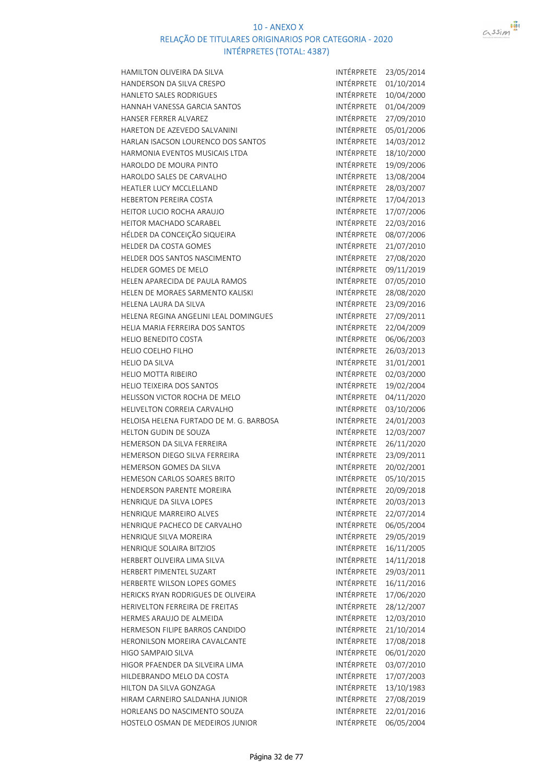



| HAMILTON OLIVEIRA DA SILVA              | INTÉRPRETE        | 23/05/2014 |
|-----------------------------------------|-------------------|------------|
| <b>HANDERSON DA SILVA CRESPO</b>        | INTÉRPRETE        | 01/10/2014 |
| HANLETO SALES RODRIGUES                 | INTÉRPRETE        | 10/04/2000 |
| HANNAH VANESSA GARCIA SANTOS            | INTÉRPRETE        | 01/04/2009 |
| HANSER FERRER ALVAREZ                   | INTÉRPRETE        | 27/09/2010 |
| HARETON DE AZEVEDO SALVANINI            | INTÉRPRETE        | 05/01/2006 |
| HARLAN ISACSON LOURENCO DOS SANTOS      | INTÉRPRETE        | 14/03/2012 |
| HARMONIA EVENTOS MUSICAIS LTDA          | INTÉRPRETE        | 18/10/2000 |
| HAROLDO DE MOURA PINTO                  | INTÉRPRETE        | 19/09/2006 |
| HAROLDO SALES DE CARVALHO               | INTÉRPRETE        | 13/08/2004 |
| HEATLER LUCY MCCLELLAND                 | INTÉRPRETE        | 28/03/2007 |
| HEBERTON PEREIRA COSTA                  | INTÉRPRETE        | 17/04/2013 |
| HEITOR LUCIO ROCHA ARAUJO               | INTÉRPRETE        | 17/07/2006 |
| HEITOR MACHADO SCARABEL                 | INTÉRPRETE        | 22/03/2016 |
| HÉLDER DA CONCEIÇÃO SIQUEIRA            | INTÉRPRETE        | 08/07/2006 |
| HELDER DA COSTA GOMES                   | INTÉRPRETE        | 21/07/2010 |
| HELDER DOS SANTOS NASCIMENTO            | INTÉRPRETE        | 27/08/2020 |
| HELDER GOMES DE MELO                    | INTÉRPRETE        | 09/11/2019 |
| HELEN APARECIDA DE PAULA RAMOS          | INTÉRPRETE        | 07/05/2010 |
| HELEN DE MORAES SARMENTO KALISKI        | INTÉRPRETE        | 28/08/2020 |
| HELENA LAURA DA SILVA                   | INTÉRPRETE        | 23/09/2016 |
| HELENA REGINA ANGELINI LEAL DOMINGUES   | INTÉRPRETE        | 27/09/2011 |
| HELIA MARIA FERREIRA DOS SANTOS         | INTÉRPRETE        | 22/04/2009 |
| <b>HELIO BENEDITO COSTA</b>             | INTÉRPRETE        | 06/06/2003 |
| <b>HELIO COELHO FILHO</b>               | INTÉRPRETE        | 26/03/2013 |
| <b>HELIO DA SILVA</b>                   | INTÉRPRETE        | 31/01/2001 |
| <b>HELIO MOTTA RIBEIRO</b>              | INTÉRPRETE        | 02/03/2000 |
| HELIO TEIXEIRA DOS SANTOS               | INTÉRPRETE        | 19/02/2004 |
| HELISSON VICTOR ROCHA DE MELO           | INTÉRPRETE        | 04/11/2020 |
| HELIVELTON CORREIA CARVALHO             | INTÉRPRETE        | 03/10/2006 |
| HELOISA HELENA FURTADO DE M. G. BARBOSA | INTÉRPRETE        | 24/01/2003 |
| HELTON GUDIN DE SOUZA                   | INTÉRPRETE        | 12/03/2007 |
| HEMERSON DA SILVA FERREIRA              | INTÉRPRETE        | 26/11/2020 |
| HEMERSON DIEGO SILVA FERREIRA           | INTÉRPRETE        | 23/09/2011 |
| HEMERSON GOMES DA SILVA                 | INTÉRPRETE        | 20/02/2001 |
| HEMESON CARLOS SOARES BRITO             | INTÉRPRETE        | 05/10/2015 |
| HENDERSON PARENTE MOREIRA               | INTÉRPRETE        | 20/09/2018 |
| HENRIQUE DA SILVA LOPES                 | INTÉRPRETE        | 20/03/2013 |
| HENRIQUE MARREIRO ALVES                 | INTÉRPRETE        | 22/07/2014 |
| HENRIQUE PACHECO DE CARVALHO            | INTÉRPRETE        | 06/05/2004 |
| HENRIQUE SILVA MOREIRA                  | INTÉRPRETE        | 29/05/2019 |
| HENRIQUE SOLAIRA BITZIOS                | INTÉRPRETE        | 16/11/2005 |
| HERBERT OLIVEIRA LIMA SILVA             | INTÉRPRETE        | 14/11/2018 |
| HERBERT PIMENTEL SUZART                 | <b>INTÉRPRETE</b> | 29/03/2011 |
| HERBERTE WILSON LOPES GOMES             | INTÉRPRETE        | 16/11/2016 |
| HERICKS RYAN RODRIGUES DE OLIVEIRA      | <b>INTÉRPRETE</b> | 17/06/2020 |
| HERIVELTON FERREIRA DE FREITAS          | <b>INTÉRPRETE</b> | 28/12/2007 |
| HERMES ARAUJO DE ALMEIDA                | INTÉRPRETE        | 12/03/2010 |
| HERMESON FILIPE BARROS CANDIDO          | INTÉRPRETE        | 21/10/2014 |
| HERONILSON MOREIRA CAVALCANTE           | INTÉRPRETE        | 17/08/2018 |
| HIGO SAMPAIO SILVA                      | INTÉRPRETE        | 06/01/2020 |
| HIGOR PFAENDER DA SILVEIRA LIMA         | INTÉRPRETE        | 03/07/2010 |
| HILDEBRANDO MELO DA COSTA               | INTÉRPRETE        | 17/07/2003 |
| HILTON DA SILVA GONZAGA                 | INTÉRPRETE        | 13/10/1983 |
| HIRAM CARNEIRO SALDANHA JUNIOR          | INTÉRPRETE        | 27/08/2019 |
| HORLEANS DO NASCIMENTO SOUZA            | INTÉRPRETE        | 22/01/2016 |
| HOSTELO OSMAN DE MEDEIROS JUNIOR        | INTÉRPRETE        | 06/05/2004 |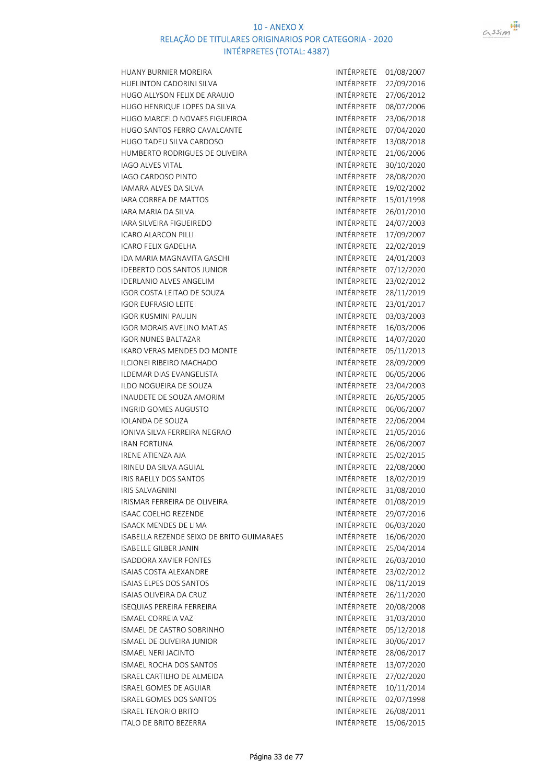

HUANY BURNIER MOREIRA INTÉRPRETE 01/08/2007 HUELINTON CADORINI SILVA **INTÉRPRETE** 22/09/2016 HUGO ALLYSON FELIX DE ARAUJO **INTÉRPRETE** 27/06/2012 HUGO HENRIQUE LOPES DA SILVA INTÉRPRETE 08/07/2006 HUGO MARCELO NOVAES FIGUEIROA INTÉRPRETE 23/06/2018 HUGO SANTOS FERRO CAVALCANTE HUGO TADEU SILVA CARDOSO INTÉRPRETE 13/08/2018 HUMBERTO RODRIGUES DE OLIVEIRA **INTÉRPRETE 21/06/2006** IAGO ALVES VITAL **INTÉRPRETE** 30/10/2020 IAGO CARDOSO PINTO INTÉRPRETE 28/08/2020 IAMARA ALVES DA SILVA INTÉRPRETE 19/02/2002 IARA CORREA DE MATTOS **INTÉRPRETE** 15/01/1998 IARA MARIA DA SILVA INTÉRPRETE 26/01/2010 IARA SILVEIRA FIGUEIREDO INTÉRPRETE 24/07/2003 ICARO ALARCON PILLI INTÉRPRETE 17/09/2007 ICARO FELIX GADELHA INTÉRPRETE 22/02/2019 IDA MARIA MAGNAVITA GASCHI INTÉRPRETE 24/01/2003 IDEBERTO DOS SANTOS JUNIOR INTÉRPRETE 07/12/2020 IDERLANIO ALVES ANGELIM INTÉRPRETE 23/02/2012 IGOR COSTA LEITAO DE SOUZA INTÉRPRETE 28/11/2019 IGOR EUFRASIO LEITE **INTÉRPRETE** 23/01/2017 IGOR KUSMINI PAULIN INTÉRPRETE 03/03/2003 IGOR MORAIS AVELINO MATIAS INTÉRPRETE 16/03/2006 IGOR NUNES BALTAZAR INTÉRPRETE 14/07/2020 IKARO VERAS MENDES DO MONTE INTÉRPRETE 05/11/2013 ILCIONEI RIBEIRO MACHADO **INTÉRPRETE** 28/09/2009 ILDEMAR DIAS EVANGELISTA INTÉRPRETE 06/05/2006 ILDO NOGUEIRA DE SOUZA INTÉRPRETE 23/04/2003 INAUDETE DE SOUZA AMORIM INGRID GOMES AUGUSTO **INTÉRPRETE** 06/06/2007 IOLANDA DE SOUZA **INTÉRPRETE** 22/06/2004 IONIVA SILVA FERREIRA NEGRAO INTÉRPRETE 21/05/2016 IRAN FORTUNA INTÉRPRETE 26/06/2007 IRENE ATIENZA AJA INTÉRPRETE 25/02/2015 IRINEU DA SILVA AGUIAL **INTÉRPRETE** 22/08/2000 IRIS RAELLY DOS SANTOS INTÉRPRETE 18/02/2019 IRIS SALVAGNINI INTÉRPRETE 31/08/2010 IRISMAR FERREIRA DE OLIVEIRA internacional anticipale de intérprete 01/08/2019 ISAAC COELHO REZENDE **INTÉRPRETE** 29/07/2016 ISAACK MENDES DE LIMA INTÉRPRETE 06/03/2020 ISABELLA REZENDE SEIXO DE BRITO GUIMARAES INTÉRPRETE 16/06/2020 ISABELLE GILBER JANIN INTÉRPRETE 25/04/2014 ISADDORA XAVIER FONTES INTÉRPRETE 26/03/2010 ISAIAS COSTA ALEXANDRE INTÉRPRETE 23/02/2012 ISAIAS ELPES DOS SANTOS INTÉRPRETE 08/11/2019 ISAIAS OLIVEIRA DA CRUZ **INTÉRPRETE** 26/11/2020 ISEQUIAS PEREIRA FERREIRA INTÉRPRETE 20/08/2008 ISMAEL CORREIA VAZ INTÉRPRETE 31/03/2010 ISMAEL DE CASTRO SOBRINHO **INTÉRPRETE** 05/12/2018 ISMAEL DE OLIVEIRA JUNIOR **INTÉRPRETE** 30/06/2017 ISMAEL NERI JACINTO **INTÉRPRETE** 28/06/2017 ISMAEL ROCHA DOS SANTOS **INTÉRPRETE** 13/07/2020 ISRAEL CARTILHO DE ALMEIDA<br>
INTÉRPRETE 27/02/2020 ISRAEL GOMES DE AGUIAR INTÉRPRETE 10/11/2014 ISRAEL GOMES DOS SANTOS INTÉRPRETE 02/07/1998 ISRAEL TENORIO BRITO INTÉRPRETE 26/08/2011 ITALO DE BRITO BEZERRA INTÉRPRETE 15/06/2015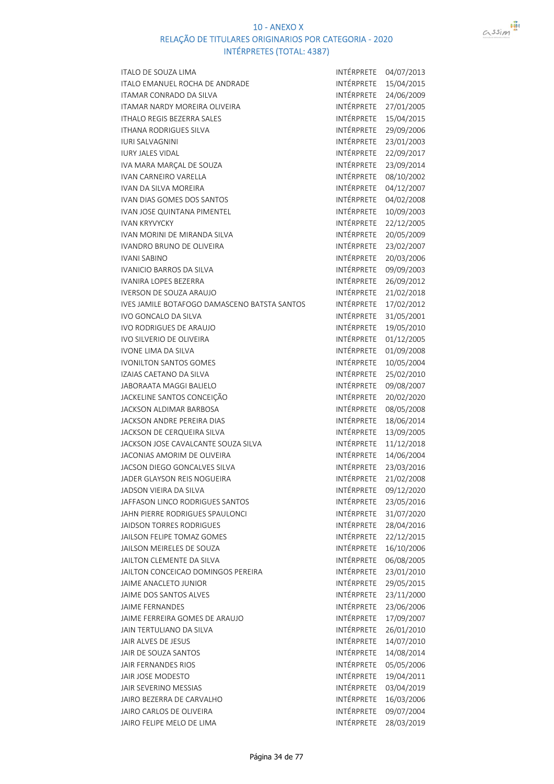

| ITALO DE SOUZA LIMA                          | INTÉRPRETE        | 04/07/2013 |
|----------------------------------------------|-------------------|------------|
| <b>ITALO EMANUEL ROCHA DE ANDRADE</b>        | INTÉRPRETE        | 15/04/2015 |
| ITAMAR CONRADO DA SILVA                      | INTÉRPRETE        | 24/06/2009 |
| ITAMAR NARDY MOREIRA OLIVEIRA                | INTÉRPRETE        | 27/01/2005 |
| <b>ITHALO REGIS BEZERRA SALES</b>            | INTÉRPRETE        | 15/04/2015 |
| <b>ITHANA RODRIGUES SILVA</b>                | INTÉRPRETE        | 29/09/2006 |
| <b>IURI SALVAGNINI</b>                       | INTÉRPRETE        | 23/01/2003 |
| <b>IURY JALES VIDAL</b>                      | INTÉRPRETE        | 22/09/2017 |
| IVA MARA MARÇAL DE SOUZA                     | INTÉRPRETE        | 23/09/2014 |
| <b>IVAN CARNEIRO VARELLA</b>                 | <b>INTÉRPRETE</b> | 08/10/2002 |
| <b>IVAN DA SILVA MOREIRA</b>                 | INTÉRPRETE        | 04/12/2007 |
| IVAN DIAS GOMES DOS SANTOS                   | INTÉRPRETE        | 04/02/2008 |
| IVAN JOSE QUINTANA PIMENTEL                  | INTÉRPRETE        | 10/09/2003 |
|                                              | INTÉRPRETE        |            |
| <b>IVAN KRYVYCKY</b>                         |                   | 22/12/2005 |
| IVAN MORINI DE MIRANDA SILVA                 | INTÉRPRETE        | 20/05/2009 |
| <b>IVANDRO BRUNO DE OLIVEIRA</b>             | INTÉRPRETE        | 23/02/2007 |
| <b>IVANI SABINO</b>                          | INTÉRPRETE        | 20/03/2006 |
| <b>IVANICIO BARROS DA SILVA</b>              | INTÉRPRETE        | 09/09/2003 |
| <b>IVANIRA LOPES BEZERRA</b>                 | INTÉRPRETE        | 26/09/2012 |
| <b>IVERSON DE SOUZA ARAUJO</b>               | <b>INTÉRPRETE</b> | 21/02/2018 |
| IVES JAMILE BOTAFOGO DAMASCENO BATSTA SANTOS | INTÉRPRETE        | 17/02/2012 |
| IVO GONCALO DA SILVA                         | INTÉRPRETE        | 31/05/2001 |
| <b>IVO RODRIGUES DE ARAUJO</b>               | INTÉRPRETE        | 19/05/2010 |
| <b>IVO SILVERIO DE OLIVEIRA</b>              | INTÉRPRETE        | 01/12/2005 |
| <b>IVONE LIMA DA SILVA</b>                   | INTÉRPRETE        | 01/09/2008 |
| <b>IVONILTON SANTOS GOMES</b>                | INTÉRPRETE        | 10/05/2004 |
| IZAIAS CAETANO DA SILVA                      | INTÉRPRETE        | 25/02/2010 |
| JABORAATA MAGGI BALIELO                      | INTÉRPRETE        | 09/08/2007 |
| JACKELINE SANTOS CONCEIÇÃO                   | INTÉRPRETE        | 20/02/2020 |
| JACKSON ALDIMAR BARBOSA                      | INTÉRPRETE        | 08/05/2008 |
| JACKSON ANDRE PEREIRA DIAS                   | INTÉRPRETE        | 18/06/2014 |
| JACKSON DE CERQUEIRA SILVA                   | INTÉRPRETE        | 13/09/2005 |
| JACKSON JOSE CAVALCANTE SOUZA SILVA          | INTÉRPRETE        | 11/12/2018 |
| JACONIAS AMORIM DE OLIVEIRA                  | INTÉRPRETE        | 14/06/2004 |
| JACSON DIEGO GONCALVES SILVA                 | INTÉRPRETE        | 23/03/2016 |
| JADER GLAYSON REIS NOGUEIRA                  | <b>INTÉRPRETE</b> | 21/02/2008 |
| JADSON VIEIRA DA SILVA                       | INTÉRPRETE        | 09/12/2020 |
| JAFFASON LINCO RODRIGUES SANTOS              | INTÉRPRETE        | 23/05/2016 |
| JAHN PIERRE RODRIGUES SPAULONCI              | INTÉRPRETE        | 31/07/2020 |
| <b>JAIDSON TORRES RODRIGUES</b>              | INTÉRPRETE        | 28/04/2016 |
| JAILSON FELIPE TOMAZ GOMES                   | INTÉRPRETE        | 22/12/2015 |
| JAILSON MEIRELES DE SOUZA                    | INTÉRPRETE        | 16/10/2006 |
|                                              | INTÉRPRETE        | 06/08/2005 |
| JAILTON CLEMENTE DA SILVA                    |                   |            |
| JAILTON CONCEICAO DOMINGOS PEREIRA           | INTÉRPRETE        | 23/01/2010 |
| JAIME ANACLETO JUNIOR                        | INTÉRPRETE        | 29/05/2015 |
| JAIME DOS SANTOS ALVES                       | INTÉRPRETE        | 23/11/2000 |
| <b>JAIME FERNANDES</b>                       | INTÉRPRETE        | 23/06/2006 |
| JAIME FERREIRA GOMES DE ARAUJO               | INTÉRPRETE        | 17/09/2007 |
| JAIN TERTULIANO DA SILVA                     | INTÉRPRETE        | 26/01/2010 |
| JAIR ALVES DE JESUS                          | INTÉRPRETE        | 14/07/2010 |
| JAIR DE SOUZA SANTOS                         | INTÉRPRETE        | 14/08/2014 |
| JAIR FERNANDES RIOS                          | INTÉRPRETE        | 05/05/2006 |
| JAIR JOSE MODESTO                            | INTÉRPRETE        | 19/04/2011 |
| JAIR SEVERINO MESSIAS                        | INTÉRPRETE        | 03/04/2019 |
| JAIRO BEZERRA DE CARVALHO                    | INTÉRPRETE        | 16/03/2006 |
| JAIRO CARLOS DE OLIVEIRA                     | INTÉRPRETE        | 09/07/2004 |
| JAIRO FELIPE MELO DE LIMA                    | INTÉRPRETE        | 28/03/2019 |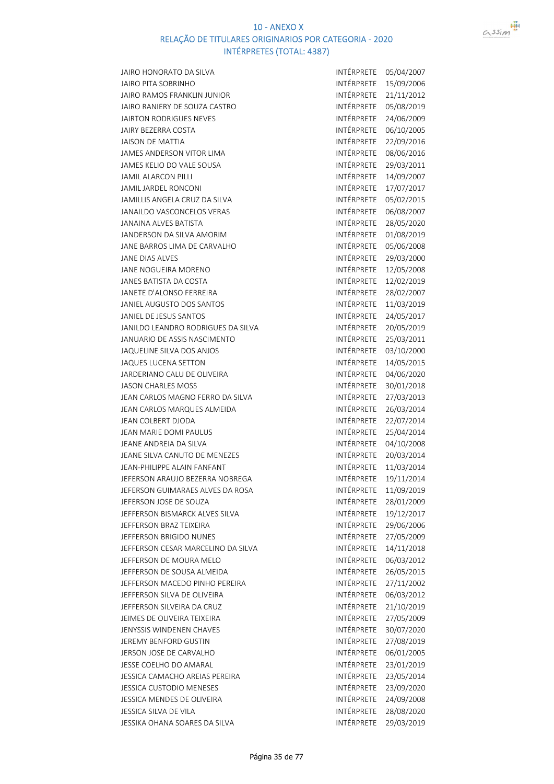



| JAIRO HONORATO DA SILVA            | INTÉRPRETE        | 05/04/2007 |
|------------------------------------|-------------------|------------|
| <b>JAIRO PITA SOBRINHO</b>         | <b>INTÉRPRETE</b> | 15/09/2006 |
| JAIRO RAMOS FRANKLIN JUNIOR        | INTÉRPRETE        | 21/11/2012 |
| JAIRO RANIERY DE SOUZA CASTRO      | <b>INTÉRPRETE</b> | 05/08/2019 |
| JAIRTON RODRIGUES NEVES            | <b>INTÉRPRETE</b> | 24/06/2009 |
| JAIRY BEZERRA COSTA                | <b>INTÉRPRETE</b> | 06/10/2005 |
| JAISON DE MATTIA                   | INTÉRPRETE        | 22/09/2016 |
| JAMES ANDERSON VITOR LIMA          | INTÉRPRETE        | 08/06/2016 |
| JAMES KELIO DO VALE SOUSA          | INTÉRPRETE        | 29/03/2011 |
| <b>JAMIL ALARCON PILLI</b>         | INTÉRPRETE        | 14/09/2007 |
| JAMIL JARDEL RONCONI               | INTÉRPRETE        | 17/07/2017 |
| JAMILLIS ANGELA CRUZ DA SILVA      | INTÉRPRETE        | 05/02/2015 |
| JANAILDO VASCONCELOS VERAS         | INTÉRPRETE        | 06/08/2007 |
| <b>JANAINA ALVES BATISTA</b>       | INTÉRPRETE        | 28/05/2020 |
| JANDERSON DA SILVA AMORIM          | INTÉRPRETE        | 01/08/2019 |
| JANE BARROS LIMA DE CARVALHO       | INTÉRPRETE        | 05/06/2008 |
| JANE DIAS ALVES                    | INTÉRPRETE        | 29/03/2000 |
| JANE NOGUEIRA MORENO               | INTÉRPRETE        | 12/05/2008 |
| JANES BATISTA DA COSTA             | <b>INTÉRPRETE</b> | 12/02/2019 |
| JANETE D'ALONSO FERREIRA           | INTÉRPRETE        | 28/02/2007 |
| JANIEL AUGUSTO DOS SANTOS          | INTÉRPRETE        | 11/03/2019 |
| JANIEL DE JESUS SANTOS             | <b>INTÉRPRETE</b> | 24/05/2017 |
| JANILDO LEANDRO RODRIGUES DA SILVA | INTÉRPRETE        | 20/05/2019 |
| JANUARIO DE ASSIS NASCIMENTO       | INTÉRPRETE        | 25/03/2011 |
| JAQUELINE SILVA DOS ANJOS          | INTÉRPRETE        | 03/10/2000 |
| <b>JAQUES LUCENA SETTON</b>        | INTÉRPRETE        | 14/05/2015 |
| JARDERIANO CALU DE OLIVEIRA        | INTÉRPRETE        | 04/06/2020 |
| <b>JASON CHARLES MOSS</b>          | INTÉRPRETE        | 30/01/2018 |
| JEAN CARLOS MAGNO FERRO DA SILVA   | INTÉRPRETE        | 27/03/2013 |
| JEAN CARLOS MARQUES ALMEIDA        | INTÉRPRETE        | 26/03/2014 |
| JEAN COLBERT DJODA                 | INTÉRPRETE        | 22/07/2014 |
| JEAN MARIE DOMI PAULUS             | INTÉRPRETE        | 25/04/2014 |
| JEANE ANDREIA DA SILVA             | <b>INTÉRPRETE</b> | 04/10/2008 |
| JEANE SILVA CANUTO DE MENEZES      | INTÉRPRETE        | 20/03/2014 |
| JEAN-PHILIPPE ALAIN FANFANT        | INTÉRPRETE        | 11/03/2014 |
| JEFERSON ARAUJO BEZERRA NOBREGA    | INTÉRPRETE        | 19/11/2014 |
| JEFERSON GUIMARAES ALVES DA ROSA   | INTÉRPRETE        | 11/09/2019 |
| JEFERSON JOSE DE SOUZA             | INTÉRPRETE        | 28/01/2009 |
| JEFFERSON BISMARCK ALVES SILVA     | INTÉRPRETE        | 19/12/2017 |
| JEFFERSON BRAZ TEIXEIRA            | <b>INTÉRPRETE</b> | 29/06/2006 |
| JEFFERSON BRIGIDO NUNES            | INTÉRPRETE        | 27/05/2009 |
| JEFFERSON CESAR MARCELINO DA SILVA | INTÉRPRETE        | 14/11/2018 |
| JEFFERSON DE MOURA MELO            | <b>INTÉRPRETE</b> | 06/03/2012 |
| JEFFERSON DE SOUSA ALMEIDA         | INTÉRPRETE        | 26/05/2015 |
| JEFFERSON MACEDO PINHO PEREIRA     | INTÉRPRETE        | 27/11/2002 |
| JEFFERSON SILVA DE OLIVEIRA        | INTÉRPRETE        | 06/03/2012 |
| JEFFERSON SILVEIRA DA CRUZ         | INTÉRPRETE        | 21/10/2019 |
| JEIMES DE OLIVEIRA TEIXEIRA        | INTÉRPRETE        | 27/05/2009 |
| JENYSSIS WINDENEN CHAVES           | INTÉRPRETE        | 30/07/2020 |
| JEREMY BENFORD GUSTIN              | INTÉRPRETE        | 27/08/2019 |
| JERSON JOSE DE CARVALHO            | INTÉRPRETE        | 06/01/2005 |
| JESSE COELHO DO AMARAL             | INTÉRPRETE        | 23/01/2019 |
| JESSICA CAMACHO AREIAS PEREIRA     | INTÉRPRETE        | 23/05/2014 |
| JESSICA CUSTODIO MENESES           | INTÉRPRETE        | 23/09/2020 |
| JESSICA MENDES DE OLIVEIRA         | INTÉRPRETE        | 24/09/2008 |
| JESSICA SILVA DE VILA              | INTÉRPRETE        | 28/08/2020 |
| JESSIKA OHANA SOARES DA SILVA      | INTÉRPRETE        | 29/03/2019 |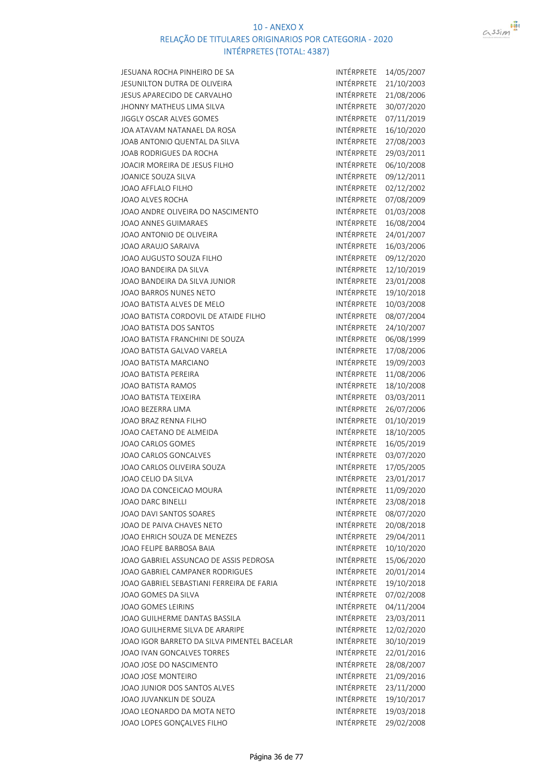

| JESUANA ROCHA PINHEIRO DE SA                | INTÉRPRETE        | 14/05/2007 |
|---------------------------------------------|-------------------|------------|
| JESUNILTON DUTRA DE OLIVEIRA                | INTÉRPRETE        | 21/10/2003 |
| JESUS APARECIDO DE CARVALHO                 | INTÉRPRETE        | 21/08/2006 |
| JHONNY MATHEUS LIMA SILVA                   | INTÉRPRETE        | 30/07/2020 |
| JIGGLY OSCAR ALVES GOMES                    | INTÉRPRETE        | 07/11/2019 |
| JOA ATAVAM NATANAEL DA ROSA                 | INTÉRPRETE        | 16/10/2020 |
| JOAB ANTONIO QUENTAL DA SILVA               | INTÉRPRETE        | 27/08/2003 |
| JOAB RODRIGUES DA ROCHA                     | <b>INTÉRPRETE</b> | 29/03/2011 |
| JOACIR MOREIRA DE JESUS FILHO               | INTÉRPRETE        | 06/10/2008 |
| JOANICE SOUZA SILVA                         | INTÉRPRETE        | 09/12/2011 |
| JOAO AFFLALO FILHO                          | INTÉRPRETE        | 02/12/2002 |
| JOAO ALVES ROCHA                            | INTÉRPRETE        | 07/08/2009 |
| JOAO ANDRE OLIVEIRA DO NASCIMENTO           | INTÉRPRETE        | 01/03/2008 |
| JOAO ANNES GUIMARAES                        | INTÉRPRETE        | 16/08/2004 |
| JOAO ANTONIO DE OLIVEIRA                    | INTÉRPRETE        | 24/01/2007 |
| JOAO ARAUJO SARAIVA                         | INTÉRPRETE        | 16/03/2006 |
| JOAO AUGUSTO SOUZA FILHO                    | INTÉRPRETE        | 09/12/2020 |
| JOAO BANDEIRA DA SILVA                      | INTÉRPRETE        | 12/10/2019 |
| JOAO BANDEIRA DA SILVA JUNIOR               | <b>INTÉRPRETE</b> | 23/01/2008 |
| JOAO BARROS NUNES NETO                      | INTÉRPRETE        | 19/10/2018 |
| JOAO BATISTA ALVES DE MELO                  | INTÉRPRETE        | 10/03/2008 |
| JOAO BATISTA CORDOVIL DE ATAIDE FILHO       | <b>INTÉRPRETE</b> | 08/07/2004 |
| JOAO BATISTA DOS SANTOS                     | INTÉRPRETE        | 24/10/2007 |
| JOAO BATISTA FRANCHINI DE SOUZA             | INTÉRPRETE        | 06/08/1999 |
| JOAO BATISTA GALVAO VARELA                  | INTÉRPRETE        | 17/08/2006 |
| JOAO BATISTA MARCIANO                       | INTÉRPRETE        |            |
|                                             | INTÉRPRETE        | 19/09/2003 |
| JOAO BATISTA PEREIRA                        | INTÉRPRETE        | 11/08/2006 |
| JOAO BATISTA RAMOS                          |                   | 18/10/2008 |
| JOAO BATISTA TEIXEIRA                       | INTÉRPRETE        | 03/03/2011 |
| JOAO BEZERRA LIMA                           | INTÉRPRETE        | 26/07/2006 |
| JOAO BRAZ RENNA FILHO                       | INTÉRPRETE        | 01/10/2019 |
| JOAO CAETANO DE ALMEIDA                     | INTÉRPRETE        | 18/10/2005 |
| JOAO CARLOS GOMES                           | INTÉRPRETE        | 16/05/2019 |
| JOAO CARLOS GONCALVES                       | INTÉRPRETE        | 03/07/2020 |
| JOAO CARLOS OLIVEIRA SOUZA                  | INTÉRPRETE        | 17/05/2005 |
| JOAO CELIO DA SILVA                         | <b>INTÉRPRETE</b> | 23/01/2017 |
| JOAO DA CONCEICAO MOURA                     | INTÉRPRETE        | 11/09/2020 |
| <b>JOAO DARC BINELLI</b>                    | INTÉRPRETE        | 23/08/2018 |
| JOAO DAVI SANTOS SOARES                     | INTÉRPRETE        | 08/07/2020 |
| JOAO DE PAIVA CHAVES NETO                   | INTÉRPRETE        | 20/08/2018 |
| JOAO EHRICH SOUZA DE MENEZES                | INTÉRPRETE        | 29/04/2011 |
| JOAO FELIPE BARBOSA BAIA                    | INTÉRPRETE        | 10/10/2020 |
| JOAO GABRIEL ASSUNCAO DE ASSIS PEDROSA      | <b>INTÉRPRETE</b> | 15/06/2020 |
| JOAO GABRIEL CAMPANER RODRIGUES             | <b>INTÉRPRETE</b> | 20/01/2014 |
| JOAO GABRIEL SEBASTIANI FERREIRA DE FARIA   | INTÉRPRETE        | 19/10/2018 |
| JOAO GOMES DA SILVA                         | INTÉRPRETE        | 07/02/2008 |
| JOAO GOMES LEIRINS                          | <b>INTÉRPRETE</b> | 04/11/2004 |
| JOAO GUILHERME DANTAS BASSILA               | INTÉRPRETE        | 23/03/2011 |
| JOAO GUILHERME SILVA DE ARARIPE             | INTÉRPRETE        | 12/02/2020 |
| JOAO IGOR BARRETO DA SILVA PIMENTEL BACELAR | INTÉRPRETE        | 30/10/2019 |
| JOAO IVAN GONCALVES TORRES                  | INTÉRPRETE        | 22/01/2016 |
| JOAO JOSE DO NASCIMENTO                     | INTÉRPRETE        | 28/08/2007 |
| JOAO JOSE MONTEIRO                          | INTÉRPRETE        | 21/09/2016 |
| JOAO JUNIOR DOS SANTOS ALVES                | INTÉRPRETE        | 23/11/2000 |
| JOAO JUVANKLIN DE SOUZA                     | INTÉRPRETE        | 19/10/2017 |
| JOAO LEONARDO DA MOTA NETO                  | INTÉRPRETE        | 19/03/2018 |
| JOAO LOPES GONÇALVES FILHO                  | INTÉRPRETE        | 29/02/2008 |
|                                             |                   |            |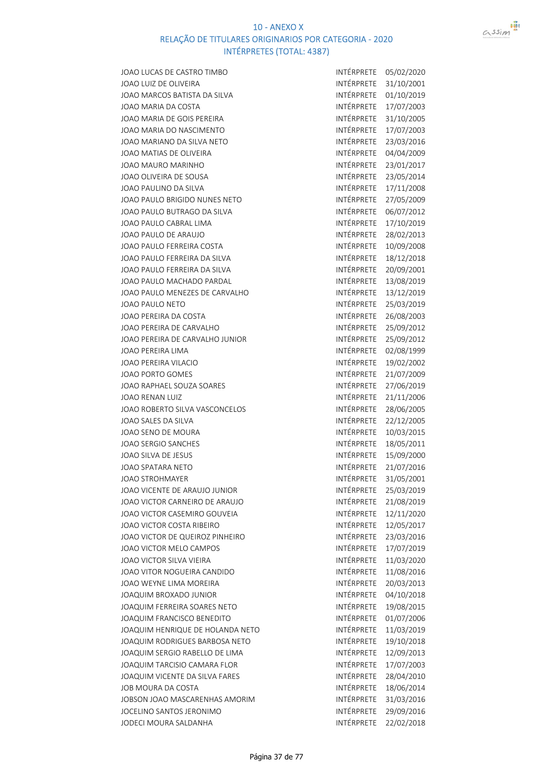

| JOAO LUCAS DE CASTRO TIMBO            | INTÉRPRETE            | 05/02/2020 |
|---------------------------------------|-----------------------|------------|
| JOAO LUIZ DE OLIVEIRA                 | INTÉRPRETE            | 31/10/2001 |
| IOAO MARCOS BATISTA DA SILVA          | INTÉRPRETE            | 01/10/2019 |
| IOAO MARIA DA COSTA                   | INTÉRPRETE            | 17/07/2003 |
| JOAO MARIA DE GOIS PEREIRA            | INTÉRPRETE            | 31/10/2005 |
| IOAO MARIA DO NASCIMENTO              | <b>INTÉRPRETE</b>     | 17/07/2003 |
| IOAO MARIANO DA SILVA NETO            | INTÉRPRETE            | 23/03/2016 |
| JOAO MATIAS DE OLIVEIRA               | INTÉRPRETE            | 04/04/2009 |
| IOAO MAURO MARINHO                    | INTÉRPRETE            | 23/01/2017 |
| JOAO OLIVEIRA DE SOUSA                | INTÉRPRETE            | 23/05/2014 |
| IOAO PAULINO DA SILVA                 | INTÉRPRETE            | 17/11/2008 |
| IOAO PAULO BRIGIDO NUNES NETO         | INTÉRPRETE            | 27/05/2009 |
| IOAO PAULO BUTRAGO DA SILVA           | INTÉRPRETE            | 06/07/2012 |
| <b>JOAO PAULO CABRAL LIMA</b>         | INTÉRPRETE            | 17/10/2019 |
| <b>JOAO PAULO DE ARAUJO</b>           | INTÉRPRETE            | 28/02/2013 |
| IOAO PAULO FERREIRA COSTA             | INTÉRPRETE            | 10/09/2008 |
| JOAO PAULO FERREIRA DA SILVA          | INTÉRPRETE            | 18/12/2018 |
| <b>JOAO PAULO FERREIRA DA SILVA</b>   | INTÉRPRETE            | 20/09/2001 |
| JOAO PAULO MACHADO PARDAL             | INTÉRPRETE            | 13/08/2019 |
| JOAO PAULO MENEZES DE CARVALHO        | INTÉRPRETE            | 13/12/2019 |
| <b>JOAO PAULO NETO</b>                | INTÉRPRETE            | 25/03/2019 |
| <b>JOAO PEREIRA DA COSTA</b>          | <b>INTÉRPRETE</b>     | 26/08/2003 |
| JOAO PEREIRA DE CARVALHO              | INTÉRPRETE            | 25/09/2012 |
| JOAO PEREIRA DE CARVALHO JUNIOR       | INTÉRPRETE            | 25/09/2012 |
| <b>JOAO PEREIRA LIMA</b>              | INTÉRPRETE            | 02/08/1999 |
| <b>JOAO PEREIRA VILACIO</b>           | INTÉRPRETE            | 19/02/2002 |
| <b>JOAO PORTO GOMES</b>               | INTÉRPRETE            | 21/07/2009 |
| <b>JOAO RAPHAEL SOUZA SOARES</b>      | INTÉRPRETE            | 27/06/2019 |
| JOAO RENAN LUIZ                       | INTÉRPRETE            | 21/11/2006 |
| <b>JOAO ROBERTO SILVA VASCONCELOS</b> | INTÉRPRETE            | 28/06/2005 |
| IOAO SALES DA SILVA                   | INTÉRPRETE            | 22/12/2005 |
| JOAO SENO DE MOURA                    | INTÉRPRETE            | 10/03/2015 |
| <b>JOAO SERGIO SANCHES</b>            | INTÉRPRETE            | 18/05/2011 |
| JOAO SILVA DE JESUS                   | INTÉRPRETE            | 15/09/2000 |
| <b>JOAO SPATARA NETO</b>              | INTÉRPRETE            | 21/07/2016 |
| <b>JOAO STROHMAYER</b>                | INTÉRPRETE            | 31/05/2001 |
| IOAO VICENTE DE ARAUJO JUNIOR         | INTÉRPRETE            | 25/03/2019 |
| IOAO VICTOR CARNEIRO DE ARAUJO        | INTÉRPRETE            | 21/08/2019 |
| IOAO VICTOR CASEMIRO GOUVEIA          | INTÉRPRETE            | 12/11/2020 |
| <b>JOAO VICTOR COSTA RIBEIRO</b>      | INTÉRPRETE            | 12/05/2017 |
| JOAO VICTOR DE QUEIROZ PINHEIRO       | INTÉRPRETE            | 23/03/2016 |
| IOAO VICTOR MELO CAMPOS               | INTÉRPRETE            | 17/07/2019 |
| JOAO VICTOR SILVA VIEIRA              | <b>INTÉRPRETE</b>     | 11/03/2020 |
| IOAO VITOR NOGUEIRA CANDIDO           | <b>INTÉRPRETE</b>     | 11/08/2016 |
| JOAO WEYNE LIMA MOREIRA               | INTÉRPRETE            | 20/03/2013 |
| JOAQUIM BROXADO JUNIOR                | INTÉRPRETE            | 04/10/2018 |
| <b>JOAQUIM FERREIRA SOARES NETO</b>   | INTÉRPRETE            | 19/08/2015 |
| <b>JOAQUIM FRANCISCO BENEDITO</b>     | INTÉRPRETE            | 01/07/2006 |
| JOAQUIM HENRIQUE DE HOLANDA NETO      | INTÉRPRETE            | 11/03/2019 |
| <b>JOAQUIM RODRIGUES BARBOSA NETO</b> | INTÉRPRETE            | 19/10/2018 |
| IOAQUIM SERGIO RABELLO DE LIMA        | INTÉRPRETE            | 12/09/2013 |
| <b>JOAQUIM TARCISIO CAMARA FLOR</b>   | INTÉRPRETE            | 17/07/2003 |
| <b>JOAQUIM VICENTE DA SILVA FARES</b> | INTÉRPRETE            | 28/04/2010 |
| <b>JOB MOURA DA COSTA</b>             | INTÉRPRETE            | 18/06/2014 |
| <b>JOBSON JOAO MASCARENHAS AMORIM</b> | INTÉRPRETE            | 31/03/2016 |
| <b>JOCELINO SANTOS JERONIMO</b>       | INTÉRPRETE            | 29/09/2016 |
| <b>JODECI MOURA SALDANHA</b>          | INTÉRPRETE 22/02/2018 |            |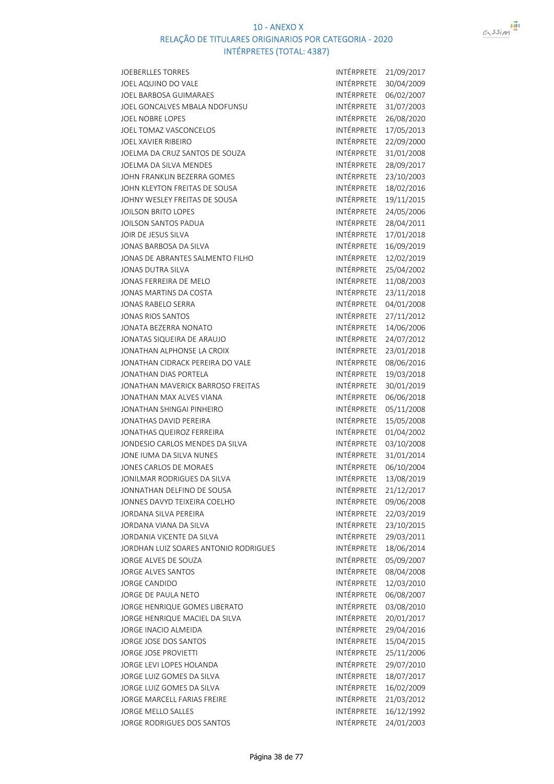

Página 38 de 77

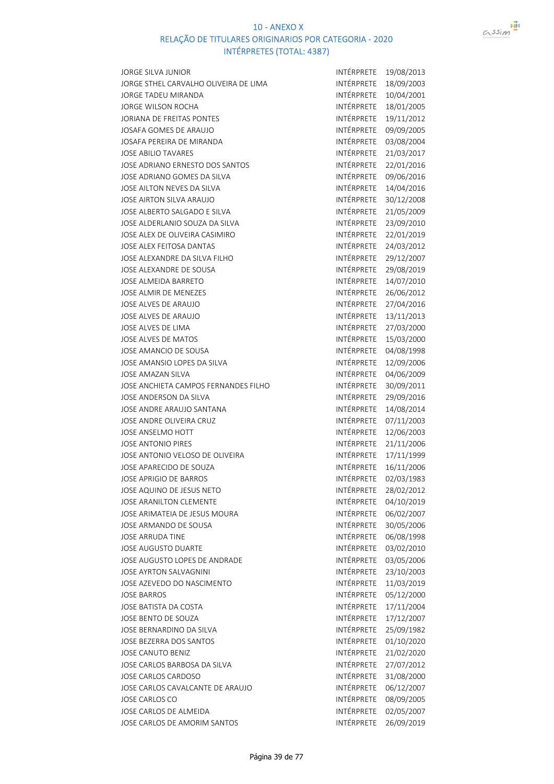

| JORGE SILVA JUNIOR                    | INTÉRPRETE        | 19/08/2013 |
|---------------------------------------|-------------------|------------|
| JORGE STHEL CARVALHO OLIVEIRA DE LIMA | INTÉRPRETE        | 18/09/2003 |
| JORGE TADEU MIRANDA                   | INTÉRPRETE        | 10/04/2001 |
| JORGE WILSON ROCHA                    | INTÉRPRETE        | 18/01/2005 |
| JORIANA DE FREITAS PONTES             | INTÉRPRETE        | 19/11/2012 |
| JOSAFA GOMES DE ARAUJO                | INTÉRPRETE        | 09/09/2005 |
| JOSAFA PEREIRA DE MIRANDA             | INTÉRPRETE        | 03/08/2004 |
| JOSE ABILIO TAVARES                   | INTÉRPRETE        | 21/03/2017 |
| JOSE ADRIANO ERNESTO DOS SANTOS       | INTÉRPRETE        | 22/01/2016 |
| JOSE ADRIANO GOMES DA SILVA           | INTÉRPRETE        | 09/06/2016 |
| JOSE AILTON NEVES DA SILVA            | <b>INTÉRPRETE</b> | 14/04/2016 |
| JOSE AIRTON SILVA ARAUJO              | INTÉRPRETE        | 30/12/2008 |
| JOSE ALBERTO SALGADO E SILVA          | INTÉRPRETE        | 21/05/2009 |
| JOSE ALDERLANIO SOUZA DA SILVA        | INTÉRPRETE        | 23/09/2010 |
| JOSE ALEX DE OLIVEIRA CASIMIRO        | INTÉRPRETE        | 22/01/2019 |
| JOSE ALEX FEITOSA DANTAS              | INTÉRPRETE        | 24/03/2012 |
| JOSE ALEXANDRE DA SILVA FILHO         | INTÉRPRETE        |            |
|                                       |                   | 29/12/2007 |
| JOSE ALEXANDRE DE SOUSA               | INTÉRPRETE        | 29/08/2019 |
| JOSE ALMEIDA BARRETO                  | INTÉRPRETE        | 14/07/2010 |
| JOSE ALMIR DE MENEZES                 | INTÉRPRETE        | 26/06/2012 |
| JOSE ALVES DE ARAUJO                  | INTÉRPRETE        | 27/04/2016 |
| JOSE ALVES DE ARAUJO                  | <b>INTÉRPRETE</b> | 13/11/2013 |
| JOSE ALVES DE LIMA                    | INTÉRPRETE        | 27/03/2000 |
| JOSE ALVES DE MATOS                   | INTÉRPRETE        | 15/03/2000 |
| JOSE AMANCIO DE SOUSA                 | INTÉRPRETE        | 04/08/1998 |
| JOSE AMANSIO LOPES DA SILVA           | INTÉRPRETE        | 12/09/2006 |
| JOSE AMAZAN SILVA                     | INTÉRPRETE        | 04/06/2009 |
| JOSE ANCHIETA CAMPOS FERNANDES FILHO  | INTÉRPRETE        | 30/09/2011 |
| JOSE ANDERSON DA SILVA                | INTÉRPRETE        | 29/09/2016 |
| JOSE ANDRE ARAUJO SANTANA             | INTÉRPRETE        | 14/08/2014 |
| JOSE ANDRE OLIVEIRA CRUZ              | INTÉRPRETE        | 07/11/2003 |
| JOSE ANSELMO HOTT                     | INTÉRPRETE        | 12/06/2003 |
| JOSE ANTONIO PIRES                    | INTÉRPRETE        | 21/11/2006 |
| JOSE ANTONIO VELOSO DE OLIVEIRA       | INTÉRPRETE        | 17/11/1999 |
| JOSE APARECIDO DE SOUZA               | INTÉRPRETE        | 16/11/2006 |
| JOSE APRIGIO DE BARROS                | INTÉRPRETE        | 02/03/1983 |
| JOSE AQUINO DE JESUS NETO             | INTÉRPRETE        | 28/02/2012 |
| JOSE ARANILTON CLEMENTE               | INTÉRPRETE        | 04/10/2019 |
| JOSE ARIMATEIA DE JESUS MOURA         | INTÉRPRETE        | 06/02/2007 |
| JOSE ARMANDO DE SOUSA                 | INTÉRPRETE        | 30/05/2006 |
| JOSE ARRUDA TINE                      | INTÉRPRETE        | 06/08/1998 |
| JOSE AUGUSTO DUARTE                   | INTÉRPRETE        | 03/02/2010 |
| JOSE AUGUSTO LOPES DE ANDRADE         | INTÉRPRETE        | 03/05/2006 |
| <b>JOSE AYRTON SALVAGNINI</b>         | INTÉRPRETE        | 23/10/2003 |
| JOSE AZEVEDO DO NASCIMENTO            | INTÉRPRETE        | 11/03/2019 |
| <b>JOSE BARROS</b>                    | INTÉRPRETE        | 05/12/2000 |
| JOSE BATISTA DA COSTA                 | INTÉRPRETE        | 17/11/2004 |
| JOSE BENTO DE SOUZA                   | INTÉRPRETE        | 17/12/2007 |
| JOSE BERNARDINO DA SILVA              | INTÉRPRETE        | 25/09/1982 |
| JOSE BEZERRA DOS SANTOS               | INTÉRPRETE        | 01/10/2020 |
|                                       | INTÉRPRETE        | 21/02/2020 |
| JOSE CANUTO BENIZ                     |                   |            |
| JOSE CARLOS BARBOSA DA SILVA          | INTÉRPRETE        | 27/07/2012 |
| JOSE CARLOS CARDOSO                   | INTÉRPRETE        | 31/08/2000 |
| JOSE CARLOS CAVALCANTE DE ARAUJO      | INTÉRPRETE        | 06/12/2007 |
| JOSE CARLOS CO                        | INTÉRPRETE        | 08/09/2005 |
| JOSE CARLOS DE ALMEIDA                | INTÉRPRETE        | 02/05/2007 |
| JOSE CARLOS DE AMORIM SANTOS          | INTÉRPRETE        | 26/09/2019 |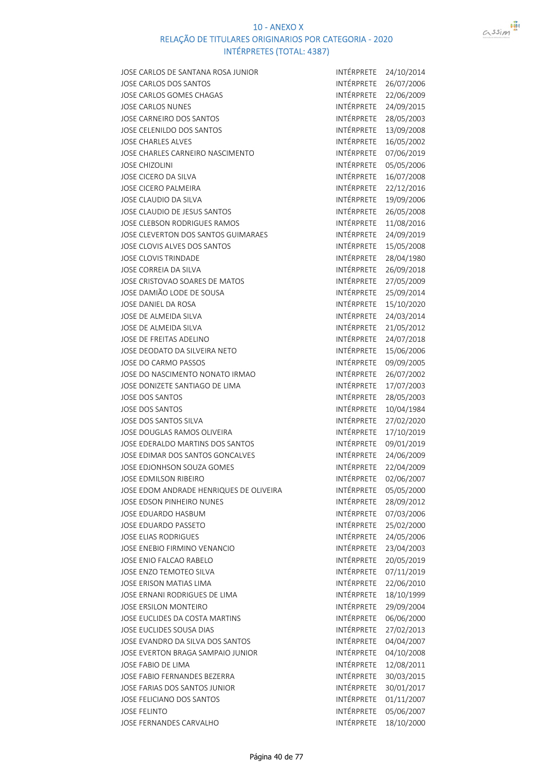

| JOSE CARLOS DE SANTANA ROSA JUNIOR      | INTÉRPRETE        | 24/10/2014 |
|-----------------------------------------|-------------------|------------|
| JOSE CARLOS DOS SANTOS                  | INTÉRPRETE        | 26/07/2006 |
| JOSE CARLOS GOMES CHAGAS                | INTÉRPRETE        | 22/06/2009 |
| <b>JOSE CARLOS NUNES</b>                | INTÉRPRETE        | 24/09/2015 |
| JOSE CARNEIRO DOS SANTOS                | INTÉRPRETE        | 28/05/2003 |
| JOSE CELENILDO DOS SANTOS               | INTÉRPRETE        | 13/09/2008 |
| <b>JOSE CHARLES ALVES</b>               | INTÉRPRETE        | 16/05/2002 |
| JOSE CHARLES CARNEIRO NASCIMENTO        | INTÉRPRETE        | 07/06/2019 |
| <b>JOSE CHIZOLINI</b>                   | <b>INTÉRPRETE</b> | 05/05/2006 |
| JOSE CICERO DA SILVA                    | INTÉRPRETE        | 16/07/2008 |
| JOSE CICERO PALMEIRA                    | INTÉRPRETE        | 22/12/2016 |
| JOSE CLAUDIO DA SILVA                   | INTÉRPRETE        | 19/09/2006 |
| JOSE CLAUDIO DE JESUS SANTOS            | INTÉRPRETE        | 26/05/2008 |
| JOSE CLEBSON RODRIGUES RAMOS            | INTÉRPRETE        | 11/08/2016 |
| JOSE CLEVERTON DOS SANTOS GUIMARAES     | INTÉRPRETE        | 24/09/2019 |
| JOSE CLOVIS ALVES DOS SANTOS            | INTÉRPRETE        | 15/05/2008 |
| <b>JOSE CLOVIS TRINDADE</b>             | INTÉRPRETE        | 28/04/1980 |
| JOSE CORREIA DA SILVA                   | INTÉRPRETE        | 26/09/2018 |
| JOSE CRISTOVAO SOARES DE MATOS          | INTÉRPRETE        | 27/05/2009 |
|                                         | INTÉRPRETE        |            |
| JOSE DAMIÃO LODE DE SOUSA               |                   | 25/09/2014 |
| JOSE DANIEL DA ROSA                     | INTÉRPRETE        | 15/10/2020 |
| JOSE DE ALMEIDA SILVA                   | INTÉRPRETE        | 24/03/2014 |
| JOSE DE ALMEIDA SILVA                   | INTÉRPRETE        | 21/05/2012 |
| JOSE DE FREITAS ADELINO                 | INTÉRPRETE        | 24/07/2018 |
| JOSE DEODATO DA SILVEIRA NETO           | INTÉRPRETE        | 15/06/2006 |
| JOSE DO CARMO PASSOS                    | INTÉRPRETE        | 09/09/2005 |
| JOSE DO NASCIMENTO NONATO IRMAO         | INTÉRPRETE        | 26/07/2002 |
| JOSE DONIZETE SANTIAGO DE LIMA          | INTÉRPRETE        | 17/07/2003 |
| <b>JOSE DOS SANTOS</b>                  | INTÉRPRETE        | 28/05/2003 |
| <b>JOSE DOS SANTOS</b>                  | INTÉRPRETE        | 10/04/1984 |
| JOSE DOS SANTOS SILVA                   | INTÉRPRETE        | 27/02/2020 |
| JOSE DOUGLAS RAMOS OLIVEIRA             | INTÉRPRETE        | 17/10/2019 |
| JOSE EDERALDO MARTINS DOS SANTOS        | INTÉRPRETE        | 09/01/2019 |
| JOSE EDIMAR DOS SANTOS GONCALVES        | INTÉRPRETE        | 24/06/2009 |
| JOSE EDJONHSON SOUZA GOMES              | INTÉRPRETE        | 22/04/2009 |
| <b>JOSE EDMILSON RIBEIRO</b>            | INTÉRPRETE        | 02/06/2007 |
| JOSE EDOM ANDRADE HENRIQUES DE OLIVEIRA | INTÉRPRETE        | 05/05/2000 |
| JOSE EDSON PINHEIRO NUNES               | INTÉRPRETE        | 28/09/2012 |
| <b>JOSE EDUARDO HASBUM</b>              | INTÉRPRETE        | 07/03/2006 |
| JOSE EDUARDO PASSETO                    | INTÉRPRETE        | 25/02/2000 |
| <b>JOSE ELIAS RODRIGUES</b>             | INTÉRPRETE        | 24/05/2006 |
| JOSE ENEBIO FIRMINO VENANCIO            | INTÉRPRETE        | 23/04/2003 |
| JOSE ENIO FALCAO RABELO                 | INTÉRPRETE        | 20/05/2019 |
| JOSE ENZO TEMOTEO SILVA                 | INTÉRPRETE        | 07/11/2019 |
| JOSE ERISON MATIAS LIMA                 | INTÉRPRETE        | 22/06/2010 |
| JOSE ERNANI RODRIGUES DE LIMA           | INTÉRPRETE        | 18/10/1999 |
| JOSE ERSILON MONTEIRO                   | INTÉRPRETE        | 29/09/2004 |
| JOSE EUCLIDES DA COSTA MARTINS          | INTÉRPRETE        | 06/06/2000 |
| JOSE EUCLIDES SOUSA DIAS                | INTÉRPRETE        | 27/02/2013 |
| JOSE EVANDRO DA SILVA DOS SANTOS        | INTÉRPRETE        | 04/04/2007 |
| JOSE EVERTON BRAGA SAMPAIO JUNIOR       | INTÉRPRETE        | 04/10/2008 |
| JOSE FABIO DE LIMA                      | INTÉRPRETE        | 12/08/2011 |
| JOSE FABIO FERNANDES BEZERRA            | INTÉRPRETE        | 30/03/2015 |
| JOSE FARIAS DOS SANTOS JUNIOR           | INTÉRPRETE        | 30/01/2017 |
| JOSE FELICIANO DOS SANTOS               | INTÉRPRETE        | 01/11/2007 |
| <b>JOSE FELINTO</b>                     | INTÉRPRETE        | 05/06/2007 |
| JOSE FERNANDES CARVALHO                 | INTÉRPRETE        | 18/10/2000 |
|                                         |                   |            |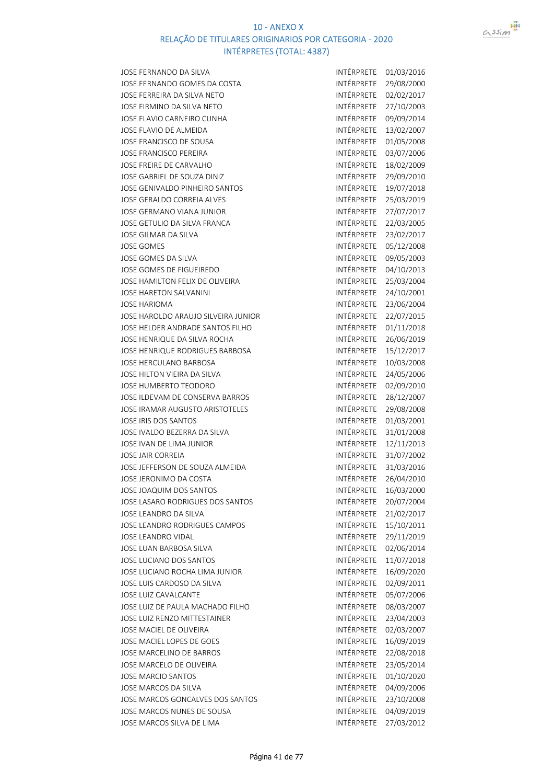

JOSE FERNANDO DA SILVA INTÉRPRETE 01/03/2016 JOSE FERNANDO GOMES DA COSTA INTÉRPRETE 29/08/2000 JOSE FERREIRA DA SILVA NETO **INTÉRPRETE** 02/02/2017 JOSE FIRMINO DA SILVA NETO **INTÉRPRETE 27/10/2003** JOSE FLAVIO CARNEIRO CUNHA INTÉRPRETE 09/09/2014 JOSE FLAVIO DE ALMEIDA **INTÉRPRETE** 13/02/2007 JOSE FRANCISCO DE SOUSA INTÉRPRETE 01/05/2008 JOSE FRANCISCO PEREIRA **INTÉRPRETE** 03/07/2006 JOSE FREIRE DE CARVALHO **INTÉRPRETE** 18/02/2009 JOSE GABRIEL DE SOUZA DINIZ **INTÉRPRETE** 29/09/2010 JOSE GENIVALDO PINHEIRO SANTOS INTÉRPRETE 19/07/2018 JOSE GERALDO CORREIA ALVES **INTÉRPRETE** 25/03/2019 JOSE GERMANO VIANA JUNIOR INTÉRPRETE 27/07/2017 JOSE GETULIO DA SILVA FRANCA INTÉRPRETE 22/03/2005 JOSE GILMAR DA SILVA INTÉRPRETE 23/02/2017 JOSE GOMES **INTÉRPRETE** 05/12/2008 JOSE GOMES DA SILVA INTÉRPRETE 09/05/2003 JOSE GOMES DE FIGUEIREDO **INTÉRPRETE** 04/10/2013 JOSE HAMILTON FELIX DE OLIVEIRA INTÉRPRETE 25/03/2004 JOSE HARETON SALVANINI **INTÉRPRETE** 24/10/2001 JOSE HARIOMA INTÉRPRETE 23/06/2004 JOSE HAROLDO ARAUJO SILVEIRA JUNIOR INTÉRPRETE 22/07/2015 JOSE HELDER ANDRADE SANTOS FILHO INTÉRPRETE 01/11/2018 JOSE HENRIQUE DA SILVA ROCHA INTÉRPRETE 26/06/2019 JOSE HENRIQUE RODRIGUES BARBOSA INTÉRPRETE 15/12/2017 JOSE HERCULANO BARBOSA **INTÉRPRETE** 10/03/2008 JOSE HILTON VIEIRA DA SILVA INTÉRPRETE 24/05/2006 JOSE HUMBERTO TEODORO **INTÉRPRETE** 02/09/2010 JOSE ILDEVAM DE CONSERVA BARROS INTÉRPRETE 28/12/2007 JOSE IRAMAR AUGUSTO ARISTOTELES INTÉRPRETE 29/08/2008 JOSE IRIS DOS SANTOS **INTÉRPRETE** 01/03/2001 JOSE IVALDO BEZERRA DA SILVA INTÉRPRETE 31/01/2008 JOSE IVAN DE LIMA JUNIOR **INTÉRPRETE** 12/11/2013 JOSE JAIR CORREIA **INTÉRPRETE** 31/07/2002 JOSE JEFFERSON DE SOUZA ALMEIDA INTÉRPRETE 31/03/2016 JOSE JERONIMO DA COSTA INTÉRPRETE 26/04/2010 JOSE JOAQUIM DOS SANTOS **INTÉRPRETE** 16/03/2000 JOSE LASARO RODRIGUES DOS SANTOS **INTÉRPRETE** 20/07/2004 JOSE LEANDRO DA SILVA internacional de la contrata internacional intérprete 21/02/2017 JOSE LEANDRO RODRIGUES CAMPOS **INTÉRPRETE** 15/10/2011 JOSE LEANDRO VIDAL INTÉRPRETE 29/11/2019 JOSE LUAN BARBOSA SILVA INTÉRPRETE 02/06/2014 JOSE LUCIANO DOS SANTOS **INTÉRPRETE** 11/07/2018 JOSE LUCIANO ROCHA LIMA JUNIOR INTÉRPRETE 16/09/2020 JOSE LUIS CARDOSO DA SILVA INTÉRPRETE 02/09/2011 JOSE LUIZ CAVALCANTE **INTÉRPRETE** 05/07/2006 JOSE LUIZ DE PAULA MACHADO FILHO INTÉRPRETE 08/03/2007 JOSE LUIZ RENZO MITTESTAINER **INTÉRPRETE** 23/04/2003 JOSE MACIEL DE OLIVEIRA INTÉRPRETE 02/03/2007 JOSE MACIEL LOPES DE GOES **INTÉRPRETE** 16/09/2019 JOSE MARCELINO DE BARROS **INTÉRPRETE** 22/08/2018 JOSE MARCELO DE OLIVEIRA **INTÉRPRETE** 23/05/2014 JOSE MARCIO SANTOS **INTÉRPRETE** 01/10/2020 JOSE MARCOS DA SILVA INTÉRPRETE 04/09/2006 JOSE MARCOS GONCALVES DOS SANTOS JOSE MARCOS NUNES DE SOUSA INTÉRPRETE 04/09/2019 JOSE MARCOS SILVA DE LIMA INTÉRPRETE 27/03/2012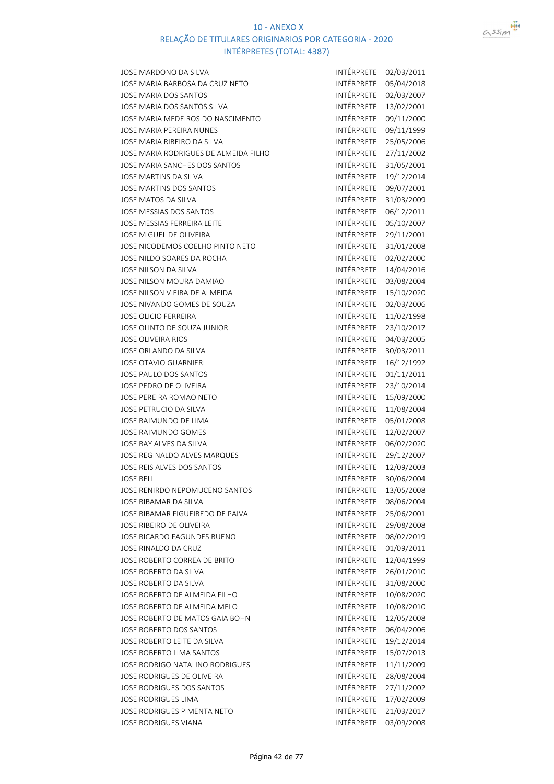

| JOSE MARDONO DA SILVA                 | INTÉRPRETE | 02/03/2011 |
|---------------------------------------|------------|------------|
| JOSE MARIA BARBOSA DA CRUZ NETO       | INTÉRPRETE | 05/04/2018 |
| JOSE MARIA DOS SANTOS                 | INTÉRPRETE | 02/03/2007 |
| JOSE MARIA DOS SANTOS SILVA           | INTÉRPRETE | 13/02/2001 |
| JOSE MARIA MEDEIROS DO NASCIMENTO     | INTÉRPRETE | 09/11/2000 |
| JOSE MARIA PEREIRA NUNES              | INTÉRPRETE | 09/11/1999 |
| JOSE MARIA RIBEIRO DA SILVA           | INTÉRPRETE | 25/05/2006 |
| JOSE MARIA RODRIGUES DE ALMEIDA FILHO | INTÉRPRETE | 27/11/2002 |
| JOSE MARIA SANCHES DOS SANTOS         | INTÉRPRETE | 31/05/2001 |
| JOSE MARTINS DA SILVA                 | INTÉRPRETE | 19/12/2014 |
| JOSE MARTINS DOS SANTOS               | INTÉRPRETE | 09/07/2001 |
| JOSE MATOS DA SILVA                   | INTÉRPRETE | 31/03/2009 |
| JOSE MESSIAS DOS SANTOS               | INTÉRPRETE | 06/12/2011 |
| JOSE MESSIAS FERREIRA LEITE           | INTÉRPRETE | 05/10/2007 |
| JOSE MIGUEL DE OLIVEIRA               | INTÉRPRETE | 29/11/2001 |
| JOSE NICODEMOS COELHO PINTO NETO      | INTÉRPRETE | 31/01/2008 |
| JOSE NILDO SOARES DA ROCHA            | INTÉRPRETE | 02/02/2000 |
| JOSE NILSON DA SILVA                  | INTÉRPRETE | 14/04/2016 |
| JOSE NILSON MOURA DAMIAO              | INTÉRPRETE | 03/08/2004 |
|                                       | INTÉRPRETE |            |
| JOSE NILSON VIEIRA DE ALMEIDA         |            | 15/10/2020 |
| JOSE NIVANDO GOMES DE SOUZA           | INTÉRPRETE | 02/03/2006 |
| <b>JOSE OLICIO FERREIRA</b>           | INTÉRPRETE | 11/02/1998 |
| JOSE OLINTO DE SOUZA JUNIOR           | INTÉRPRETE | 23/10/2017 |
| <b>JOSE OLIVEIRA RIOS</b>             | INTÉRPRETE | 04/03/2005 |
| JOSE ORLANDO DA SILVA                 | INTÉRPRETE | 30/03/2011 |
| JOSE OTAVIO GUARNIERI                 | INTÉRPRETE | 16/12/1992 |
| JOSE PAULO DOS SANTOS                 | INTÉRPRETE | 01/11/2011 |
| JOSE PEDRO DE OLIVEIRA                | INTÉRPRETE | 23/10/2014 |
| JOSE PEREIRA ROMAO NETO               | INTÉRPRETE | 15/09/2000 |
| JOSE PETRUCIO DA SILVA                | INTÉRPRETE | 11/08/2004 |
| JOSE RAIMUNDO DE LIMA                 | INTÉRPRETE | 05/01/2008 |
| JOSE RAIMUNDO GOMES                   | INTÉRPRETE | 12/02/2007 |
| JOSE RAY ALVES DA SILVA               | INTÉRPRETE | 06/02/2020 |
| JOSE REGINALDO ALVES MARQUES          | INTÉRPRETE | 29/12/2007 |
| JOSE REIS ALVES DOS SANTOS            | INTÉRPRETE | 12/09/2003 |
| <b>JOSE RELI</b>                      | INTÉRPRETE | 30/06/2004 |
| JOSE RENIRDO NEPOMUCENO SANTOS        | INTÉRPRETE | 13/05/2008 |
| JOSE RIBAMAR DA SILVA                 | INTÉRPRETE | 08/06/2004 |
| JOSE RIBAMAR FIGUEIREDO DE PAIVA      | INTÉRPRETE | 25/06/2001 |
| JOSE RIBEIRO DE OLIVEIRA              | INTÉRPRETE | 29/08/2008 |
| JOSE RICARDO FAGUNDES BUENO           | INTÉRPRETE | 08/02/2019 |
| JOSE RINALDO DA CRUZ                  | INTÉRPRETE | 01/09/2011 |
| JOSE ROBERTO CORREA DE BRITO          | INTÉRPRETE | 12/04/1999 |
| JOSE ROBERTO DA SILVA                 | INTÉRPRETE | 26/01/2010 |
| JOSE ROBERTO DA SILVA                 | INTÉRPRETE | 31/08/2000 |
| JOSE ROBERTO DE ALMEIDA FILHO         | INTÉRPRETE | 10/08/2020 |
| JOSE ROBERTO DE ALMEIDA MELO          | INTÉRPRETE | 10/08/2010 |
| JOSE ROBERTO DE MATOS GAIA BOHN       | INTÉRPRETE | 12/05/2008 |
| JOSE ROBERTO DOS SANTOS               | INTÉRPRETE | 06/04/2006 |
| JOSE ROBERTO LEITE DA SILVA           | INTÉRPRETE | 19/12/2014 |
| JOSE ROBERTO LIMA SANTOS              | INTÉRPRETE | 15/07/2013 |
| JOSE RODRIGO NATALINO RODRIGUES       | INTÉRPRETE | 11/11/2009 |
| JOSE RODRIGUES DE OLIVEIRA            | INTÉRPRETE | 28/08/2004 |
| JOSE RODRIGUES DOS SANTOS             | INTÉRPRETE | 27/11/2002 |
| <b>JOSE RODRIGUES LIMA</b>            | INTÉRPRETE | 17/02/2009 |
| JOSE RODRIGUES PIMENTA NETO           | INTÉRPRETE | 21/03/2017 |
| JOSE RODRIGUES VIANA                  | INTÉRPRETE | 03/09/2008 |
|                                       |            |            |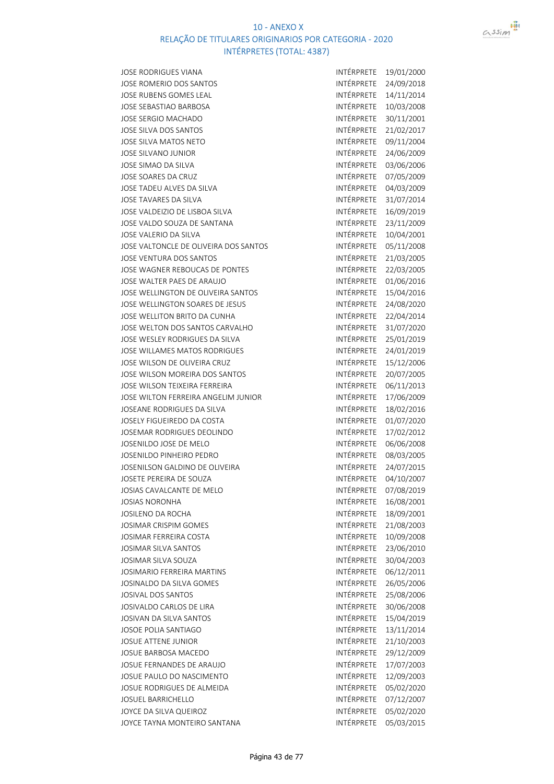

| <b>JOSE RODRIGUES VIANA</b>           | INTÉRPRETE        | 19/01/2000 |
|---------------------------------------|-------------------|------------|
| JOSE ROMERIO DOS SANTOS               | INTÉRPRETE        | 24/09/2018 |
| <b>JOSE RUBENS GOMES LEAL</b>         | INTÉRPRETE        | 14/11/2014 |
| <b>JOSE SEBASTIAO BARBOSA</b>         | INTÉRPRETE        | 10/03/2008 |
| JOSE SERGIO MACHADO                   | INTÉRPRETE        | 30/11/2001 |
| JOSE SILVA DOS SANTOS                 | INTÉRPRETE        | 21/02/2017 |
| JOSE SILVA MATOS NETO                 | INTÉRPRETE        | 09/11/2004 |
| JOSE SILVANO JUNIOR                   | INTÉRPRETE        | 24/06/2009 |
| JOSE SIMAO DA SILVA                   | INTÉRPRETE        | 03/06/2006 |
| JOSE SOARES DA CRUZ                   | INTÉRPRETE        | 07/05/2009 |
| JOSE TADEU ALVES DA SILVA             | INTÉRPRETE        | 04/03/2009 |
| JOSE TAVARES DA SILVA                 | INTÉRPRETE        | 31/07/2014 |
| JOSE VALDEIZIO DE LISBOA SILVA        | INTÉRPRETE        | 16/09/2019 |
| JOSE VALDO SOUZA DE SANTANA           | INTÉRPRETE        | 23/11/2009 |
| JOSE VALERIO DA SILVA                 | INTÉRPRETE        | 10/04/2001 |
| JOSE VALTONCLE DE OLIVEIRA DOS SANTOS | INTÉRPRETE        | 05/11/2008 |
| <b>JOSE VENTURA DOS SANTOS</b>        | INTÉRPRETE        | 21/03/2005 |
| JOSE WAGNER REBOUCAS DE PONTES        | INTÉRPRETE        | 22/03/2005 |
| JOSE WALTER PAES DE ARAUJO            | INTÉRPRETE        | 01/06/2016 |
| JOSE WELLINGTON DE OLIVEIRA SANTOS    | INTÉRPRETE        | 15/04/2016 |
| JOSE WELLINGTON SOARES DE JESUS       | INTÉRPRETE        | 24/08/2020 |
| JOSE WELLITON BRITO DA CUNHA          | INTÉRPRETE        | 22/04/2014 |
| JOSE WELTON DOS SANTOS CARVALHO       | INTÉRPRETE        | 31/07/2020 |
| JOSE WESLEY RODRIGUES DA SILVA        | INTÉRPRETE        | 25/01/2019 |
| <b>JOSE WILLAMES MATOS RODRIGUES</b>  | INTÉRPRETE        | 24/01/2019 |
| JOSE WILSON DE OLIVEIRA CRUZ          | INTÉRPRETE        | 15/12/2006 |
| JOSE WILSON MOREIRA DOS SANTOS        | INTÉRPRETE        | 20/07/2005 |
| JOSE WILSON TEIXEIRA FERREIRA         | INTÉRPRETE        | 06/11/2013 |
| JOSE WILTON FERREIRA ANGELIM JUNIOR   | INTÉRPRETE        | 17/06/2009 |
| JOSEANE RODRIGUES DA SILVA            | INTÉRPRETE        | 18/02/2016 |
| JOSELY FIGUEIREDO DA COSTA            | INTÉRPRETE        | 01/07/2020 |
| JOSEMAR RODRIGUES DEOLINDO            | INTÉRPRETE        | 17/02/2012 |
| JOSENILDO JOSE DE MELO                | INTÉRPRETE        | 06/06/2008 |
| JOSENILDO PINHEIRO PEDRO              | INTÉRPRETE        | 08/03/2005 |
| JOSENILSON GALDINO DE OLIVEIRA        | INTÉRPRETE        | 24/07/2015 |
| JOSETE PEREIRA DE SOUZA               | INTÉRPRETE        | 04/10/2007 |
| JOSIAS CAVALCANTE DE MELO             | INTÉRPRETE        | 07/08/2019 |
| <b>JOSIAS NORONHA</b>                 | INTÉRPRETE        | 16/08/2001 |
| JOSILENO DA ROCHA                     | <b>INTÉRPRETE</b> | 18/09/2001 |
| JOSIMAR CRISPIM GOMES                 | INTÉRPRETE        | 21/08/2003 |
| JOSIMAR FERREIRA COSTA                | INTÉRPRETE        | 10/09/2008 |
| JOSIMAR SILVA SANTOS                  | INTÉRPRETE        | 23/06/2010 |
| JOSIMAR SILVA SOUZA                   | INTÉRPRETE        | 30/04/2003 |
| JOSIMARIO FERREIRA MARTINS            | INTÉRPRETE        | 06/12/2011 |
| JOSINALDO DA SILVA GOMES              | INTÉRPRETE        | 26/05/2006 |
| JOSIVAL DOS SANTOS                    | INTÉRPRETE        | 25/08/2006 |
| JOSIVALDO CARLOS DE LIRA              | INTÉRPRETE        | 30/06/2008 |
| JOSIVAN DA SILVA SANTOS               | INTÉRPRETE        | 15/04/2019 |
| JOSOE POLIA SANTIAGO                  | INTÉRPRETE        | 13/11/2014 |
| JOSUE ATTENE JUNIOR                   | INTÉRPRETE        | 21/10/2003 |
| JOSUE BARBOSA MACEDO                  | INTÉRPRETE        | 29/12/2009 |
| JOSUE FERNANDES DE ARAUJO             | INTÉRPRETE        | 17/07/2003 |
| JOSUE PAULO DO NASCIMENTO             | INTÉRPRETE        | 12/09/2003 |
| JOSUE RODRIGUES DE ALMEIDA            | INTÉRPRETE        | 05/02/2020 |
| <b>JOSUEL BARRICHELLO</b>             | INTÉRPRETE        | 07/12/2007 |
| JOYCE DA SILVA QUEIROZ                | INTÉRPRETE        | 05/02/2020 |
| JOYCE TAYNA MONTEIRO SANTANA          | INTÉRPRETE        | 05/03/2015 |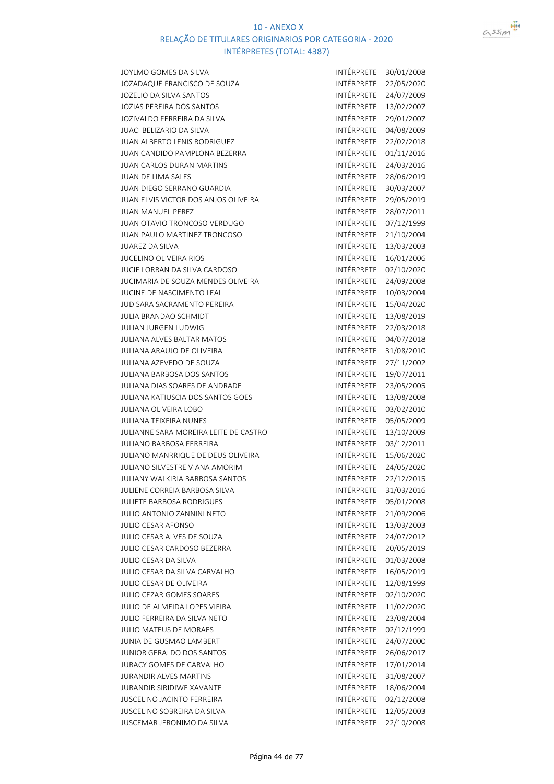



| JOYLMO GOMES DA SILVA                       | INTÉRPRETE        | 30/01/2008 |
|---------------------------------------------|-------------------|------------|
| <b>JOZADAQUE FRANCISCO DE SOUZA</b>         | INTÉRPRETE        | 22/05/2020 |
| <b>JOZELIO DA SILVA SANTOS</b>              | INTÉRPRETE        | 24/07/2009 |
| <b>JOZIAS PEREIRA DOS SANTOS</b>            | INTÉRPRETE        | 13/02/2007 |
| <b>JOZIVALDO FERREIRA DA SILVA</b>          | INTÉRPRETE        | 29/01/2007 |
|                                             | INTÉRPRETE        |            |
| <b>JUACI BELIZARIO DA SILVA</b>             | INTÉRPRETE        | 04/08/2009 |
| <b>JUAN ALBERTO LENIS RODRIGUEZ</b>         |                   | 22/02/2018 |
| <b>JUAN CANDIDO PAMPLONA BEZERRA</b>        | <b>INTÉRPRETE</b> | 01/11/2016 |
| <b>JUAN CARLOS DURAN MARTINS</b>            | INTÉRPRETE        | 24/03/2016 |
| <b>JUAN DE LIMA SALES</b>                   | <b>INTÉRPRETE</b> | 28/06/2019 |
| <b>JUAN DIEGO SERRANO GUARDIA</b>           | INTÉRPRETE        | 30/03/2007 |
| <b>JUAN ELVIS VICTOR DOS ANJOS OLIVEIRA</b> | INTÉRPRETE        | 29/05/2019 |
| <b>JUAN MANUEL PEREZ</b>                    | INTÉRPRETE        | 28/07/2011 |
| IUAN OTAVIO TRONCOSO VERDUGO                | INTÉRPRETE        | 07/12/1999 |
| <b>JUAN PAULO MARTINEZ TRONCOSO</b>         | INTÉRPRETE        | 21/10/2004 |
| <b>JUAREZ DA SILVA</b>                      | INTÉRPRETE        | 13/03/2003 |
| <b>IUCELINO OLIVEIRA RIOS</b>               | INTÉRPRETE        | 16/01/2006 |
| <b>JUCIE LORRAN DA SILVA CARDOSO</b>        | INTÉRPRETE        | 02/10/2020 |
| <b>JUCIMARIA DE SOUZA MENDES OLIVEIRA</b>   | INTÉRPRETE        | 24/09/2008 |
| <b>JUCINEIDE NASCIMENTO LEAL</b>            | INTÉRPRETE        | 10/03/2004 |
| <b>JUD SARA SACRAMENTO PEREIRA</b>          | INTÉRPRETE        | 15/04/2020 |
| <b>JULIA BRANDAO SCHMIDT</b>                | INTÉRPRETE        | 13/08/2019 |
| <b>JULIAN JURGEN LUDWIG</b>                 | INTÉRPRETE        | 22/03/2018 |
| <b>JULIANA ALVES BALTAR MATOS</b>           | INTÉRPRETE        | 04/07/2018 |
| <b>JULIANA ARAUJO DE OLIVEIRA</b>           | INTÉRPRETE        | 31/08/2010 |
| <b>JULIANA AZEVEDO DE SOUZA</b>             | INTÉRPRETE        | 27/11/2002 |
| <b>JULIANA BARBOSA DOS SANTOS</b>           | INTÉRPRETE        | 19/07/2011 |
| <b>JULIANA DIAS SOARES DE ANDRADE</b>       | INTÉRPRETE        | 23/05/2005 |
| <b>JULIANA KATIUSCIA DOS SANTOS GOES</b>    | INTÉRPRETE        | 13/08/2008 |
| <b>JULIANA OLIVEIRA LOBO</b>                | INTÉRPRETE        | 03/02/2010 |
| <b>JULIANA TEIXEIRA NUNES</b>               | INTÉRPRETE        | 05/05/2009 |
| JULIANNE SARA MOREIRA LEITE DE CASTRO       | INTÉRPRETE        | 13/10/2009 |
| <b>JULIANO BARBOSA FERREIRA</b>             | <b>INTÉRPRETE</b> | 03/12/2011 |
| <b>JULIANO MANRRIQUE DE DEUS OLIVEIRA</b>   | INTÉRPRETE        | 15/06/2020 |
| <b>JULIANO SILVESTRE VIANA AMORIM</b>       | <b>INTÉRPRETE</b> | 24/05/2020 |
| <b>JULIANY WALKIRIA BARBOSA SANTOS</b>      | INTÉRPRETE        | 22/12/2015 |
| <b>JULIENE CORREIA BARBOSA SILVA</b>        | INTÉRPRETE        | 31/03/2016 |
| <b>JULIETE BARBOSA RODRIGUES</b>            | INTÉRPRETE        | 05/01/2008 |
| <b>JULIO ANTONIO ZANNINI NETO</b>           | <b>INTÉRPRETE</b> | 21/09/2006 |
| <b>JULIO CESAR AFONSO</b>                   | INTÉRPRETE        | 13/03/2003 |
| <b>JULIO CESAR ALVES DE SOUZA</b>           | INTÉRPRETE        | 24/07/2012 |
| <b>JULIO CESAR CARDOSO BEZERRA</b>          | INTÉRPRETE        | 20/05/2019 |
| <b>JULIO CESAR DA SILVA</b>                 | <b>INTÉRPRETE</b> | 01/03/2008 |
| <b>JULIO CESAR DA SILVA CARVALHO</b>        | INTÉRPRETE        | 16/05/2019 |
| <b>JULIO CESAR DE OLIVEIRA</b>              | INTÉRPRETE        | 12/08/1999 |
| <b>JULIO CEZAR GOMES SOARES</b>             | <b>INTÉRPRETE</b> | 02/10/2020 |
|                                             | INTÉRPRETE        |            |
| JULIO DE ALMEIDA LOPES VIEIRA               | INTÉRPRETE        | 11/02/2020 |
| <b>JULIO FERREIRA DA SILVA NETO</b>         |                   | 23/08/2004 |
| <b>JULIO MATEUS DE MORAES</b>               | INTÉRPRETE        | 02/12/1999 |
| <b>JUNIA DE GUSMAO LAMBERT</b>              | INTÉRPRETE        | 24/07/2000 |
| <b>JUNIOR GERALDO DOS SANTOS</b>            | INTÉRPRETE        | 26/06/2017 |
| <b>JURACY GOMES DE CARVALHO</b>             | INTÉRPRETE        | 17/01/2014 |
| <b>JURANDIR ALVES MARTINS</b>               | INTÉRPRETE        | 31/08/2007 |
| <b>JURANDIR SIRIDIWE XAVANTE</b>            | INTÉRPRETE        | 18/06/2004 |
| <b>IUSCELINO JACINTO FERREIRA</b>           | INTÉRPRETE        | 02/12/2008 |
| <b>JUSCELINO SOBREIRA DA SILVA</b>          | INTÉRPRETE        | 12/05/2003 |
| <b>JUSCEMAR JERONIMO DA SILVA</b>           | INTÉRPRETE        | 22/10/2008 |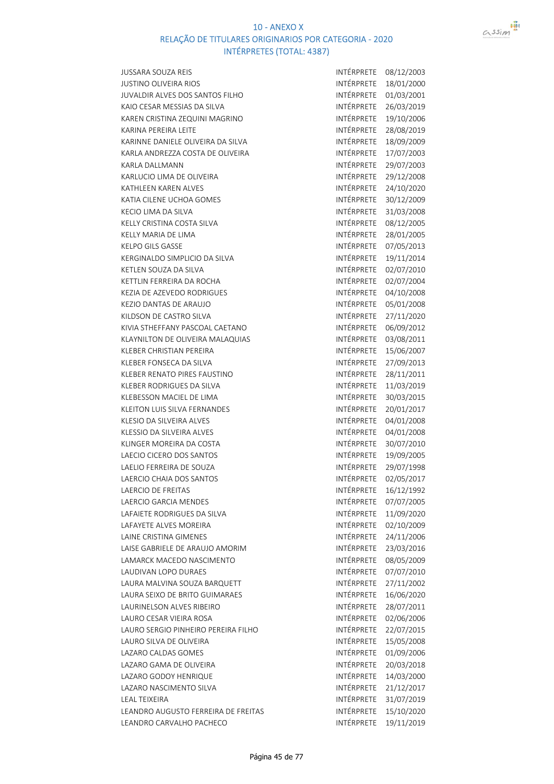

| <b>JUSSARA SOUZA REIS</b>           | INTÉRPRETE        | 08/12/2003 |
|-------------------------------------|-------------------|------------|
| <b>JUSTINO OLIVEIRA RIOS</b>        | INTÉRPRETE        | 18/01/2000 |
| JUVALDIR ALVES DOS SANTOS FILHO     | INTÉRPRETE        | 01/03/2001 |
| KAIO CESAR MESSIAS DA SILVA         | INTÉRPRETE        | 26/03/2019 |
| KAREN CRISTINA ZEQUINI MAGRINO      | INTÉRPRETE        | 19/10/2006 |
| KARINA PEREIRA LEITE                | INTÉRPRETE        | 28/08/2019 |
| KARINNE DANIELE OLIVEIRA DA SILVA   | INTÉRPRETE        | 18/09/2009 |
| KARLA ANDREZZA COSTA DE OLIVEIRA    | INTÉRPRETE        | 17/07/2003 |
| KARLA DALLMANN                      | INTÉRPRETE        | 29/07/2003 |
| KARLUCIO LIMA DE OLIVEIRA           | INTÉRPRETE        | 29/12/2008 |
| <b>KATHLEEN KAREN ALVES</b>         | INTÉRPRETE        | 24/10/2020 |
| KATIA CILENE UCHOA GOMES            | INTÉRPRETE        | 30/12/2009 |
| KECIO LIMA DA SILVA                 | INTÉRPRETE        | 31/03/2008 |
| KELLY CRISTINA COSTA SILVA          | INTÉRPRETE        | 08/12/2005 |
| KELLY MARIA DE LIMA                 | INTÉRPRETE        | 28/01/2005 |
| <b>KELPO GILS GASSE</b>             | INTÉRPRETE        | 07/05/2013 |
| KERGINALDO SIMPLICIO DA SILVA       | <b>INTÉRPRETE</b> | 19/11/2014 |
| KETLEN SOUZA DA SILVA               | INTÉRPRETE        | 02/07/2010 |
| KETTLIN FERREIRA DA ROCHA           | INTÉRPRETE        |            |
|                                     | INTÉRPRETE        | 02/07/2004 |
| KEZIA DE AZEVEDO RODRIGUES          |                   | 04/10/2008 |
| KEZIO DANTAS DE ARAUJO              | INTÉRPRETE        | 05/01/2008 |
| KILDSON DE CASTRO SILVA             | INTÉRPRETE        | 27/11/2020 |
| KIVIA STHEFFANY PASCOAL CAETANO     | INTÉRPRETE        | 06/09/2012 |
| KLAYNILTON DE OLIVEIRA MALAQUIAS    | INTÉRPRETE        | 03/08/2011 |
| KLEBER CHRISTIAN PEREIRA            | INTÉRPRETE        | 15/06/2007 |
| KLEBER FONSECA DA SILVA             | INTÉRPRETE        | 27/09/2013 |
| KLEBER RENATO PIRES FAUSTINO        | INTÉRPRETE        | 28/11/2011 |
| KLEBER RODRIGUES DA SILVA           | INTÉRPRETE        | 11/03/2019 |
| KLEBESSON MACIEL DE LIMA            | INTÉRPRETE        | 30/03/2015 |
| KLEITON LUIS SILVA FERNANDES        | INTÉRPRETE        | 20/01/2017 |
| KLESIO DA SILVEIRA ALVES            | INTÉRPRETE        | 04/01/2008 |
| KLESSIO DA SILVEIRA ALVES           | INTÉRPRETE        | 04/01/2008 |
| KLINGER MOREIRA DA COSTA            | INTÉRPRETE        | 30/07/2010 |
| LAECIO CICERO DOS SANTOS            | INTÉRPRETE        | 19/09/2005 |
| LAELIO FERREIRA DE SOUZA            | INTÉRPRETE        | 29/07/1998 |
| LAERCIO CHAIA DOS SANTOS            | INTÉRPRETE        | 02/05/2017 |
| <b>LAERCIO DE FREITAS</b>           | INTÉRPRETE        | 16/12/1992 |
| LAERCIO GARCIA MENDES               | INTÉRPRETE        | 07/07/2005 |
| LAFAIETE RODRIGUES DA SILVA         | INTÉRPRETE        | 11/09/2020 |
| LAFAYETE ALVES MOREIRA              | <b>INTÉRPRETE</b> | 02/10/2009 |
| LAINE CRISTINA GIMENES              | INTÉRPRETE        | 24/11/2006 |
| LAISE GABRIELE DE ARAUJO AMORIM     | INTÉRPRETE        | 23/03/2016 |
| LAMARCK MACEDO NASCIMENTO           | INTÉRPRETE        | 08/05/2009 |
| LAUDIVAN LOPO DURAES                | INTÉRPRETE        | 07/07/2010 |
| LAURA MALVINA SOUZA BARQUETT        | INTÉRPRETE        | 27/11/2002 |
| LAURA SEIXO DE BRITO GUIMARAES      | INTÉRPRETE        | 16/06/2020 |
| LAURINELSON ALVES RIBEIRO           | INTÉRPRETE        | 28/07/2011 |
| LAURO CESAR VIEIRA ROSA             | INTÉRPRETE        | 02/06/2006 |
| LAURO SERGIO PINHEIRO PEREIRA FILHO | INTÉRPRETE        | 22/07/2015 |
| LAURO SILVA DE OLIVEIRA             | INTÉRPRETE        | 15/05/2008 |
| LAZARO CALDAS GOMES                 | INTÉRPRETE        | 01/09/2006 |
| LAZARO GAMA DE OLIVEIRA             | INTÉRPRETE        | 20/03/2018 |
| LAZARO GODOY HENRIQUE               | INTÉRPRETE        | 14/03/2000 |
| LAZARO NASCIMENTO SILVA             | INTÉRPRETE        | 21/12/2017 |
| LEAL TEIXEIRA                       | INTÉRPRETE        | 31/07/2019 |
| LEANDRO AUGUSTO FERREIRA DE FREITAS | INTÉRPRETE        | 15/10/2020 |
| LEANDRO CARVALHO PACHECO            | INTÉRPRETE        | 19/11/2019 |
|                                     |                   |            |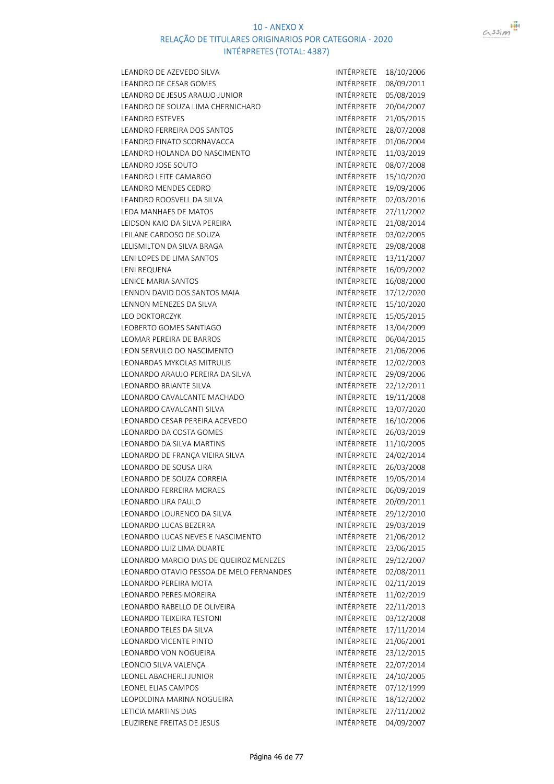



| LEANDRO DE AZEVEDO SILVA                 | INTÉRPRETE        | 18/10/2006 |
|------------------------------------------|-------------------|------------|
| LEANDRO DE CESAR GOMES                   | INTÉRPRETE        | 08/09/2011 |
| LEANDRO DE JESUS ARAUJO JUNIOR           | INTÉRPRETE        | 05/08/2019 |
| LEANDRO DE SOUZA LIMA CHERNICHARO        | INTÉRPRETE        | 20/04/2007 |
| <b>LEANDRO ESTEVES</b>                   | INTÉRPRETE        | 21/05/2015 |
| <b>LEANDRO FERREIRA DOS SANTOS</b>       | INTÉRPRETE        | 28/07/2008 |
| LEANDRO FINATO SCORNAVACCA               | INTÉRPRETE        | 01/06/2004 |
| LEANDRO HOLANDA DO NASCIMENTO            | INTÉRPRETE        | 11/03/2019 |
| <b>LEANDRO JOSE SOUTO</b>                | INTÉRPRETE        | 08/07/2008 |
| LEANDRO LEITE CAMARGO                    | INTÉRPRETE        | 15/10/2020 |
| LEANDRO MENDES CEDRO                     | INTÉRPRETE        | 19/09/2006 |
| LEANDRO ROOSVELL DA SILVA                | INTÉRPRETE        | 02/03/2016 |
| LEDA MANHAES DE MATOS                    | INTÉRPRETE        | 27/11/2002 |
| LEIDSON KAIO DA SILVA PEREIRA            | INTÉRPRETE        | 21/08/2014 |
| LEILANE CARDOSO DE SOUZA                 | INTÉRPRETE        | 03/02/2005 |
| LELISMILTON DA SILVA BRAGA               | INTÉRPRETE        | 29/08/2008 |
| LENI LOPES DE LIMA SANTOS                | INTÉRPRETE        | 13/11/2007 |
| LENI REQUENA                             | INTÉRPRETE        | 16/09/2002 |
| <b>LENICE MARIA SANTOS</b>               | INTÉRPRETE        | 16/08/2000 |
| LENNON DAVID DOS SANTOS MAIA             | INTÉRPRETE        | 17/12/2020 |
| LENNON MENEZES DA SILVA                  | INTÉRPRETE        | 15/10/2020 |
| <b>LEO DOKTORCZYK</b>                    | INTÉRPRETE        | 15/05/2015 |
| LEOBERTO GOMES SANTIAGO                  | INTÉRPRETE        | 13/04/2009 |
| LEOMAR PEREIRA DE BARROS                 | INTÉRPRETE        | 06/04/2015 |
| LEON SERVULO DO NASCIMENTO               | INTÉRPRETE        | 21/06/2006 |
| LEONARDAS MYKOLAS MITRULIS               | INTÉRPRETE        | 12/02/2003 |
| LEONARDO ARAUJO PEREIRA DA SILVA         | INTÉRPRETE        | 29/09/2006 |
| <b>LEONARDO BRIANTE SILVA</b>            | INTÉRPRETE        | 22/12/2011 |
| LEONARDO CAVALCANTE MACHADO              | INTÉRPRETE        | 19/11/2008 |
| LEONARDO CAVALCANTI SILVA                | INTÉRPRETE        | 13/07/2020 |
| LEONARDO CESAR PEREIRA ACEVEDO           | INTÉRPRETE        | 16/10/2006 |
| LEONARDO DA COSTA GOMES                  | INTÉRPRETE        | 26/03/2019 |
| LEONARDO DA SILVA MARTINS                | INTÉRPRETE        | 11/10/2005 |
| LEONARDO DE FRANÇA VIEIRA SILVA          | INTÉRPRETE        | 24/02/2014 |
| LEONARDO DE SOUSA LIRA                   | INTÉRPRETE        | 26/03/2008 |
| LEONARDO DE SOUZA CORREIA                | INTÉRPRETE        | 19/05/2014 |
| LEONARDO FERREIRA MORAES                 | INTÉRPRETE        | 06/09/2019 |
| LEONARDO LIRA PAULO                      | INTÉRPRETE        | 20/09/2011 |
| LEONARDO LOURENCO DA SILVA               | INTÉRPRETE        | 29/12/2010 |
| LEONARDO LUCAS BEZERRA                   | INTÉRPRETE        | 29/03/2019 |
| LEONARDO LUCAS NEVES E NASCIMENTO        | INTÉRPRETE        | 21/06/2012 |
| LEONARDO LUIZ LIMA DUARTE                | INTÉRPRETE        | 23/06/2015 |
| LEONARDO MARCIO DIAS DE QUEIROZ MENEZES  | INTÉRPRETE        | 29/12/2007 |
| LEONARDO OTAVIO PESSOA DE MELO FERNANDES | INTÉRPRETE        | 02/08/2011 |
| LEONARDO PEREIRA MOTA                    | INTÉRPRETE        | 02/11/2019 |
| LEONARDO PERES MOREIRA                   | INTÉRPRETE        | 11/02/2019 |
| LEONARDO RABELLO DE OLIVEIRA             | <b>INTÉRPRETE</b> | 22/11/2013 |
| LEONARDO TEIXEIRA TESTONI                | INTÉRPRETE        | 03/12/2008 |
| LEONARDO TELES DA SILVA                  | INTÉRPRETE        | 17/11/2014 |
| LEONARDO VICENTE PINTO                   | INTÉRPRETE        | 21/06/2001 |
| LEONARDO VON NOGUEIRA                    | INTÉRPRETE        | 23/12/2015 |
| LEONCIO SILVA VALENÇA                    | INTÉRPRETE        | 22/07/2014 |
| LEONEL ABACHERLI JUNIOR                  | INTÉRPRETE        | 24/10/2005 |
| LEONEL ELIAS CAMPOS                      | INTÉRPRETE        | 07/12/1999 |
| LEOPOLDINA MARINA NOGUEIRA               | INTÉRPRETE        | 18/12/2002 |
| LETICIA MARTINS DIAS                     | INTÉRPRETE        | 27/11/2002 |
| LEUZIRENE FREITAS DE JESUS               | INTÉRPRETE        | 04/09/2007 |
|                                          |                   |            |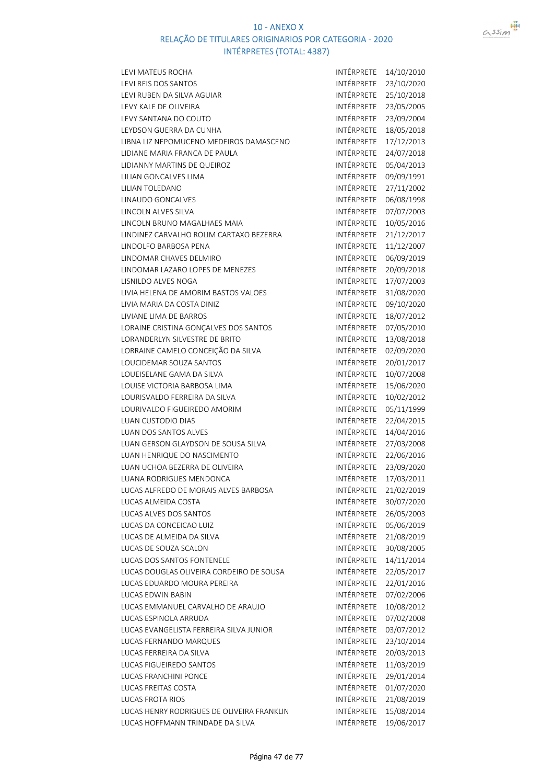

| LEVI MATEUS ROCHA                          | INTÉRPRETE        | 14/10/2010 |
|--------------------------------------------|-------------------|------------|
| LEVI REIS DOS SANTOS                       | INTÉRPRETE        | 23/10/2020 |
| LEVI RUBEN DA SILVA AGUIAR                 | INTÉRPRETE        | 25/10/2018 |
| LEVY KALE DE OLIVEIRA                      | INTÉRPRETE        | 23/05/2005 |
| LEVY SANTANA DO COUTO                      | INTÉRPRETE        | 23/09/2004 |
| LEYDSON GUERRA DA CUNHA                    | INTÉRPRETE        | 18/05/2018 |
| LIBNA LIZ NEPOMUCENO MEDEIROS DAMASCENO    | INTÉRPRETE        | 17/12/2013 |
| LIDIANE MARIA FRANCA DE PAULA              | INTÉRPRETE        | 24/07/2018 |
| LIDIANNY MARTINS DE QUEIROZ                | INTÉRPRETE        | 05/04/2013 |
| LILIAN GONCALVES LIMA                      | INTÉRPRETE        | 09/09/1991 |
| LILIAN TOLEDANO                            | <b>INTÉRPRETE</b> | 27/11/2002 |
| LINAUDO GONCALVES                          | INTÉRPRETE        | 06/08/1998 |
| LINCOLN ALVES SILVA                        | INTÉRPRETE        | 07/07/2003 |
| LINCOLN BRUNO MAGALHAES MAIA               | INTÉRPRETE        | 10/05/2016 |
| LINDINEZ CARVALHO ROLIM CARTAXO BEZERRA    | INTÉRPRETE        | 21/12/2017 |
| LINDOLFO BARBOSA PENA                      | INTÉRPRETE        | 11/12/2007 |
| LINDOMAR CHAVES DELMIRO                    | INTÉRPRETE        | 06/09/2019 |
| LINDOMAR LAZARO LOPES DE MENEZES           | INTÉRPRETE        | 20/09/2018 |
| LISNILDO ALVES NOGA                        | INTÉRPRETE        | 17/07/2003 |
| LIVIA HELENA DE AMORIM BASTOS VALOES       | INTÉRPRETE        | 31/08/2020 |
| LIVIA MARIA DA COSTA DINIZ                 | INTÉRPRETE        | 09/10/2020 |
| LIVIANE LIMA DE BARROS                     | <b>INTÉRPRETE</b> | 18/07/2012 |
| LORAINE CRISTINA GONÇALVES DOS SANTOS      | INTÉRPRETE        | 07/05/2010 |
| LORANDERLYN SILVESTRE DE BRITO             | INTÉRPRETE        | 13/08/2018 |
| LORRAINE CAMELO CONCEIÇÃO DA SILVA         | INTÉRPRETE        | 02/09/2020 |
| LOUCIDEMAR SOUZA SANTOS                    | INTÉRPRETE        | 20/01/2017 |
| LOUEISELANE GAMA DA SILVA                  | INTÉRPRETE        | 10/07/2008 |
| LOUISE VICTORIA BARBOSA LIMA               | INTÉRPRETE        | 15/06/2020 |
| LOURISVALDO FERREIRA DA SILVA              | INTÉRPRETE        | 10/02/2012 |
| LOURIVALDO FIGUEIREDO AMORIM               | INTÉRPRETE        | 05/11/1999 |
| <b>LUAN CUSTODIO DIAS</b>                  | INTÉRPRETE        | 22/04/2015 |
| <b>LUAN DOS SANTOS ALVES</b>               | INTÉRPRETE        | 14/04/2016 |
| LUAN GERSON GLAYDSON DE SOUSA SILVA        | INTÉRPRETE        | 27/03/2008 |
| LUAN HENRIQUE DO NASCIMENTO                | INTÉRPRETE        | 22/06/2016 |
| LUAN UCHOA BEZERRA DE OLIVEIRA             | INTÉRPRETE        | 23/09/2020 |
| <b>LUANA RODRIGUES MENDONCA</b>            | INTÉRPRETE        | 17/03/2011 |
| LUCAS ALFREDO DE MORAIS ALVES BARBOSA      | INTÉRPRETE        | 21/02/2019 |
| LUCAS ALMEIDA COSTA                        | INTÉRPRETE        | 30/07/2020 |
| LUCAS ALVES DOS SANTOS                     | INTÉRPRETE        | 26/05/2003 |
| LUCAS DA CONCEICAO LUIZ                    | INTÉRPRETE        | 05/06/2019 |
| LUCAS DE ALMEIDA DA SILVA                  | INTÉRPRETE        | 21/08/2019 |
| LUCAS DE SOUZA SCALON                      | INTÉRPRETE        | 30/08/2005 |
| LUCAS DOS SANTOS FONTENELE                 | INTÉRPRETE        | 14/11/2014 |
| LUCAS DOUGLAS OLIVEIRA CORDEIRO DE SOUSA   | INTÉRPRETE        | 22/05/2017 |
| LUCAS EDUARDO MOURA PEREIRA                | INTÉRPRETE        | 22/01/2016 |
| <b>LUCAS EDWIN BABIN</b>                   | <b>INTÉRPRETE</b> | 07/02/2006 |
| LUCAS EMMANUEL CARVALHO DE ARAUJO          | INTÉRPRETE        | 10/08/2012 |
| LUCAS ESPINOLA ARRUDA                      | INTÉRPRETE        | 07/02/2008 |
| LUCAS EVANGELISTA FERREIRA SILVA JUNIOR    | INTÉRPRETE        | 03/07/2012 |
| LUCAS FERNANDO MARQUES                     | INTÉRPRETE        | 23/10/2014 |
| LUCAS FERREIRA DA SILVA                    | INTÉRPRETE        | 20/03/2013 |
| LUCAS FIGUEIREDO SANTOS                    | INTÉRPRETE        | 11/03/2019 |
| LUCAS FRANCHINI PONCE                      | INTÉRPRETE        | 29/01/2014 |
| LUCAS FREITAS COSTA                        | INTÉRPRETE        | 01/07/2020 |
| <b>LUCAS FROTA RIOS</b>                    | INTÉRPRETE        | 21/08/2019 |
| LUCAS HENRY RODRIGUES DE OLIVEIRA FRANKLIN | INTÉRPRETE        | 15/08/2014 |
| LUCAS HOFFMANN TRINDADE DA SILVA           | INTÉRPRETE        | 19/06/2017 |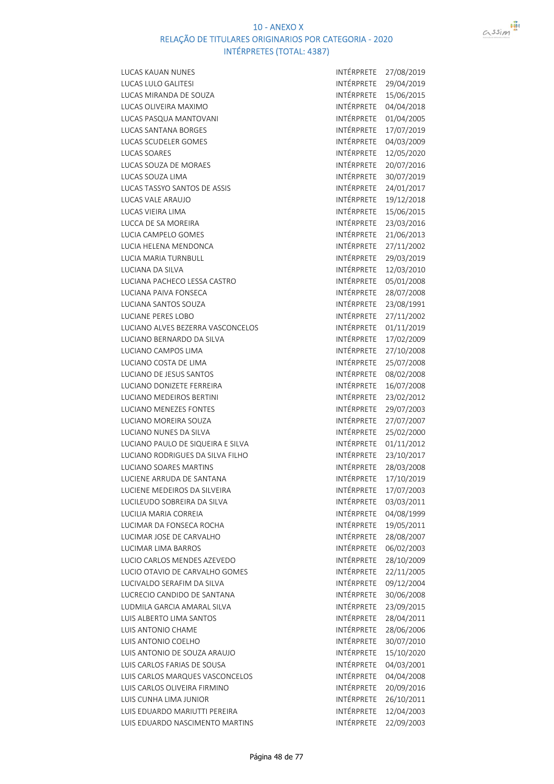

LUCAS KAUAN NUNES INTÉRPRETE 27/08/2019 LUCAS LULO GALITESI INTÉRPRETE 29/04/2019 LUCAS MIRANDA DE SOUZA INTÉRPRETE 15/06/2015 LUCAS OLIVEIRA MAXIMO **INTÉRPRETE** 04/04/2018 LUCAS PASQUA MANTOVANI **INTÉRPRETE** 01/04/2005 LUCAS SANTANA BORGES INTÉRPRETE 17/07/2019 LUCAS SCUDELER GOMES **INTÉRPRETE** 04/03/2009 LUCAS SOARES INTÉRPRETE 12/05/2020 LUCAS SOUZA DE MORAES **INTÉRPRETE** 20/07/2016 LUCAS SOUZA LIMA intervention and the contract of the intervention of the intervention of the intervention of the intervention of the intervention of the intervention of the intervention of the intervention of the interven LUCAS TASSYO SANTOS DE ASSIS INTÉRPRETE 24/01/2017 LUCAS VALE ARAUJO **INTÉRPRETE** 19/12/2018 LUCAS VIEIRA LIMA INTÉRPRETE 15/06/2015 LUCCA DE SA MOREIRA INTÉRPRETE 23/03/2016 LUCIA CAMPELO GOMES **INTÉRPRETE** 21/06/2013 LUCIA HELENA MENDONCA **INTÉRPRETE** 27/11/2002 LUCIA MARIA TURNBULL INTÉRPRETE 29/03/2019 LUCIANA DA SILVA internacional de la contrata de la provincia de la provincia de la provincia de la provincia d LUCIANA PACHECO LESSA CASTRO INTÉRPRETE 05/01/2008 LUCIANA PAIVA FONSECA **INTÉRPRETE** 28/07/2008 LUCIANA SANTOS SOUZA<br>INTÉRPRETE 23/08/1991 LUCIANE PERES LOBO **INTÉRPRETE** 27/11/2002 LUCIANO ALVES BEZERRA VASCONCELOS INTÉRPRETE 01/11/2019 LUCIANO BERNARDO DA SILVA INTÉRPRETE 17/02/2009 LUCIANO CAMPOS LIMA international and the international international international international international LUCIANO COSTA DE LIMA INTÉRPRETE 25/07/2008 LUCIANO DE JESUS SANTOS INTÉRPRETE 08/02/2008 LUCIANO DONIZETE FERREIRA **INTÉRPRETE** 16/07/2008 LUCIANO MEDEIROS BERTINI **INTÉRPRETE** 23/02/2012 LUCIANO MENEZES FONTES **INTÉRPRETE** 29/07/2003 LUCIANO MOREIRA SOUZA **INTÉRPRETE 27/07/2007** LUCIANO NUNES DA SILVA INTÉRPRETE 25/02/2000 LUCIANO PAULO DE SIQUEIRA E SILVA INTÉRPRETE 01/11/2012 LUCIANO RODRIGUES DA SILVA FILHO INTÉRPRETE 23/10/2017 LUCIANO SOARES MARTINS INTÉRPRETE 28/03/2008 LUCIENE ARRUDA DE SANTANA INTÉRPRETE 17/10/2019 LUCIENE MEDEIROS DA SILVEIRA **INTÉRPRETE** 17/07/2003 LUCILEUDO SOBREIRA DA SILVA INTÉRPRETE 03/03/2011 LUCILIA MARIA CORREIA **INTÉRPRETE** 04/08/1999 LUCIMAR DA FONSECA ROCHA INTÉRPRETE 19/05/2011 LUCIMAR JOSE DE CARVALHO **INTÉRPRETE** 28/08/2007 LUCIMAR LIMA BARROS **INTÉRPRETE** 06/02/2003 LUCIO CARLOS MENDES AZEVEDO INTÉRPRETE 28/10/2009 LUCIO OTAVIO DE CARVALHO GOMES INTÉRPRETE 22/11/2005 LUCIVALDO SERAFIM DA SILVA<br>ILUCRECIO CANDIDO DE SANTANA INTÉRPRETE 30/06/2008 LUCRECIO CANDIDO DE SANTANA LUDMILA GARCIA AMARAL SILVA INTÉRPRETE 23/09/2015 LUIS ALBERTO LIMA SANTOS **INTÉRPRETE** 28/04/2011 LUIS ANTONIO CHAME **INTÉRPRETE** 28/06/2006 LUIS ANTONIO COELHO **INTÉRPRETE** 30/07/2010 LUIS ANTONIO DE SOUZA ARAUJO INTÉRPRETE 15/10/2020 LUIS CARLOS FARIAS DE SOUSA INTÉRPRETE 04/03/2001 LUIS CARLOS MARQUES VASCONCELOS **INTÉRPRETE** 04/04/2008 LUIS CARLOS OLIVEIRA FIRMINO INTÉRPRETE 20/09/2016 LUIS CUNHA LIMA JUNIOR **INTÉRPRETE** 26/10/2011 LUIS EDUARDO MARIUTTI PEREIRA INTÉRPRETE 12/04/2003 LUIS EDUARDO NASCIMENTO MARTINS INTÉRPRETE 22/09/2003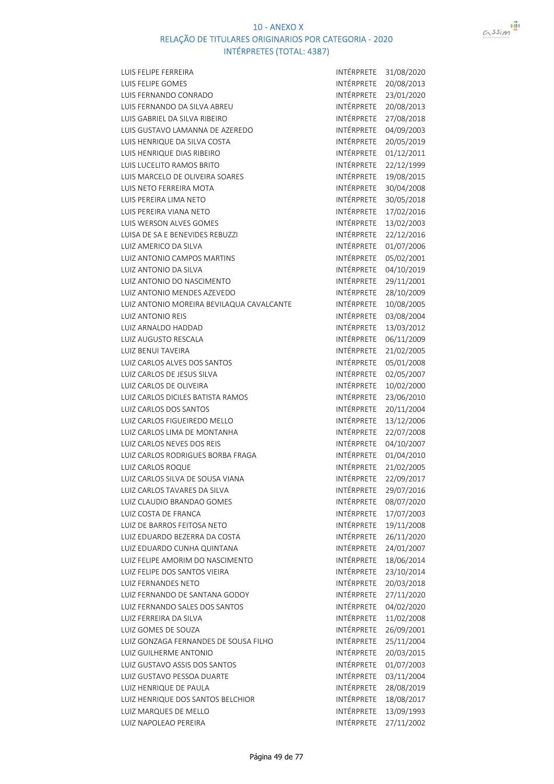

| <b>LUIS FELIPE FERREIRA</b>               | INTÉRPRETE               | 31/08/2020 |
|-------------------------------------------|--------------------------|------------|
| LUIS FELIPE GOMES                         | INTÉRPRETE               | 20/08/2013 |
| LUIS FERNANDO CONRADO                     | <b>INTÉRPRETE</b>        | 23/01/2020 |
| LUIS FERNANDO DA SILVA ABREU              | <b>INTÉRPRETE</b>        | 20/08/2013 |
| LUIS GABRIEL DA SILVA RIBEIRO             | INTÉRPRETE               | 27/08/2018 |
| LUIS GUSTAVO LAMANNA DE AZEREDO           | INTÉRPRETE               | 04/09/2003 |
| LUIS HENRIQUE DA SILVA COSTA              | INTÉRPRETE               | 20/05/2019 |
| LUIS HENRIQUE DIAS RIBEIRO                | INTÉRPRETE               | 01/12/2011 |
| LUIS LUCELITO RAMOS BRITO                 | INTÉRPRETE               | 22/12/1999 |
| LUIS MARCELO DE OLIVEIRA SOARES           | INTÉRPRETE               | 19/08/2015 |
| LUIS NETO FERREIRA MOTA                   | INTÉRPRETE               | 30/04/2008 |
| LUIS PEREIRA LIMA NETO                    | INTÉRPRETE               | 30/05/2018 |
| LUIS PEREIRA VIANA NETO                   | INTÉRPRETE               | 17/02/2016 |
| LUIS WERSON ALVES GOMES                   | INTÉRPRETE               | 13/02/2003 |
| LUISA DE SA E BENEVIDES REBUZZI           | INTÉRPRETE               | 22/12/2016 |
| <b>LUIZ AMERICO DA SILVA</b>              | INTÉRPRETE               | 01/07/2006 |
| LUIZ ANTONIO CAMPOS MARTINS               | INTÉRPRETE               | 05/02/2001 |
| LUIZ ANTONIO DA SILVA                     | INTÉRPRETE               | 04/10/2019 |
| LUIZ ANTONIO DO NASCIMENTO                | INTÉRPRETE               | 29/11/2001 |
| LUIZ ANTONIO MENDES AZEVEDO               | <b>INTÉRPRETE</b>        | 28/10/2009 |
| LUIZ ANTONIO MOREIRA BEVILAQUA CAVALCANTE | INTÉRPRETE               | 10/08/2005 |
| <b>LUIZ ANTONIO REIS</b>                  | INTÉRPRETE               | 03/08/2004 |
| LUIZ ARNALDO HADDAD                       | INTÉRPRETE               | 13/03/2012 |
| LUIZ AUGUSTO RESCALA                      | INTÉRPRETE               | 06/11/2009 |
| <b>LUIZ BENUI TAVEIRA</b>                 | INTÉRPRETE               | 21/02/2005 |
| LUIZ CARLOS ALVES DOS SANTOS              | INTÉRPRETE               | 05/01/2008 |
| LUIZ CARLOS DE JESUS SILVA                | INTÉRPRETE               |            |
| LUIZ CARLOS DE OLIVEIRA                   | INTÉRPRETE               | 02/05/2007 |
|                                           |                          | 10/02/2000 |
| LUIZ CARLOS DICILES BATISTA RAMOS         | INTÉRPRETE<br>INTÉRPRETE | 23/06/2010 |
| LUIZ CARLOS DOS SANTOS                    | INTÉRPRETE               | 20/11/2004 |
| LUIZ CARLOS FIGUEIREDO MELLO              |                          | 13/12/2006 |
| LUIZ CARLOS LIMA DE MONTANHA              | INTÉRPRETE               | 22/07/2008 |
| LUIZ CARLOS NEVES DOS REIS                | INTÉRPRETE               | 04/10/2007 |
| LUIZ CARLOS RODRIGUES BORBA FRAGA         | INTÉRPRETE               | 01/04/2010 |
| <b>LUIZ CARLOS ROQUE</b>                  | INTÉRPRETE               | 21/02/2005 |
| LUIZ CARLOS SILVA DE SOUSA VIANA          | <b>INTÉRPRETE</b>        | 22/09/2017 |
| LUIZ CARLOS TAVARES DA SILVA              | INTÉRPRETE               | 29/07/2016 |
| LUIZ CLAUDIO BRANDAO GOMES                | <b>INTÉRPRETE</b>        | 08/07/2020 |
| LUIZ COSTA DE FRANCA                      | INTÉRPRETE               | 17/07/2003 |
| LUIZ DE BARROS FEITOSA NETO               | <b>INTÉRPRETE</b>        | 19/11/2008 |
| LUIZ EDUARDO BEZERRA DA COSTA             | INTÉRPRETE               | 26/11/2020 |
| LUIZ EDUARDO CUNHA QUINTANA               | INTÉRPRETE               | 24/01/2007 |
| LUIZ FELIPE AMORIM DO NASCIMENTO          | INTÉRPRETE               | 18/06/2014 |
| LUIZ FELIPE DOS SANTOS VIEIRA             | INTÉRPRETE               | 23/10/2014 |
| LUIZ FERNANDES NETO                       | INTÉRPRETE               | 20/03/2018 |
| LUIZ FERNANDO DE SANTANA GODOY            | INTÉRPRETE               | 27/11/2020 |
| LUIZ FERNANDO SALES DOS SANTOS            | INTÉRPRETE               | 04/02/2020 |
| LUIZ FERREIRA DA SILVA                    | INTÉRPRETE               | 11/02/2008 |
| LUIZ GOMES DE SOUZA                       | INTÉRPRETE               | 26/09/2001 |
| LUIZ GONZAGA FERNANDES DE SOUSA FILHO     | INTÉRPRETE               | 25/11/2004 |
| <b>LUIZ GUILHERME ANTONIO</b>             | INTÉRPRETE               | 20/03/2015 |
| LUIZ GUSTAVO ASSIS DOS SANTOS             | INTÉRPRETE               | 01/07/2003 |
| LUIZ GUSTAVO PESSOA DUARTE                | INTÉRPRETE               | 03/11/2004 |
| LUIZ HENRIQUE DE PAULA                    | INTÉRPRETE               | 28/08/2019 |
| LUIZ HENRIQUE DOS SANTOS BELCHIOR         | INTÉRPRETE               | 18/08/2017 |
| LUIZ MARQUES DE MELLO                     | INTÉRPRETE               | 13/09/1993 |
| LUIZ NAPOLEAO PEREIRA                     | INTÉRPRETE               | 27/11/2002 |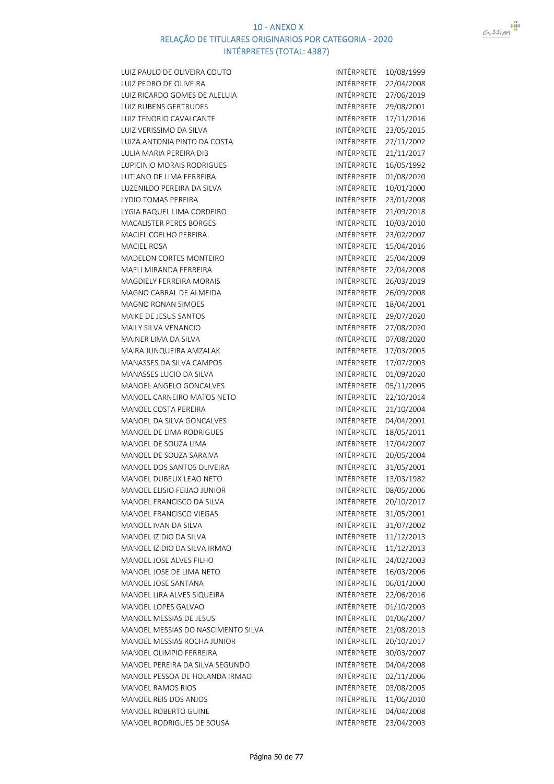

LUIZ PAULO DE OLIVEIRA COUTO **INTÉRPRETE** 10/08/1999 LUIZ PEDRO DE OLIVEIRA INTÉRPRETE 22/04/2008 LUIZ RICARDO GOMES DE ALELUIA INTÉRPRETE 27/06/2019 LUIZ RUBENS GERTRUDES **INTÉRPRETE** 29/08/2001 LUIZ TENORIO CAVALCANTE **INTÉRPRETE** 17/11/2016 LUIZ VERISSIMO DA SILVA INTÉRPRETE 23/05/2015 LUIZA ANTONIA PINTO DA COSTA INTÉRPRETE 27/11/2002 LULIA MARIA PEREIRA DIB INTÉRPRETE 21/11/2017 LUPICINIO MORAIS RODRIGUES **INTÉRPRETE** 16/05/1992 LUTIANO DE LIMA FERREIRA INTÉRPRETE 01/08/2020 LUZENILDO PEREIRA DA SILVA internacional de intérprete 10/01/2000 LYDIO TOMAS PEREIRA **INTÉRPRETE** 23/01/2008 LYGIA RAQUEL LIMA CORDEIRO INTÉRPRETE 21/09/2018 MACALISTER PERES BORGES INTÉRPRETE 10/03/2010 MACIEL COELHO PEREIRA **INTÉRPRETE** 23/02/2007 MACIEL ROSA INTÉRPRETE 15/04/2016 MADELON CORTES MONTEIRO **INTÉRPRETE** 25/04/2009 MAELI MIRANDA FERREIRA INTÉRPRETE 22/04/2008 MAGDIELY FERREIRA MORAIS **INTÉRPRETE** 26/03/2019 MAGNO CABRAL DE ALMEIDA INTÉRPRETE 26/09/2008 MAGNO RONAN SIMOES **INTÉRPRETE** 18/04/2001 MAIKE DE JESUS SANTOS INTÉRPRETE 29/07/2020 MAILY SILVA VENANCIO **INTÉRPRETE 27/08/2020** MAINER LIMA DA SILVA INTÉRPRETE 07/08/2020 MAIRA JUNQUEIRA AMZALAK INTÉRPRETE 17/03/2005 MANASSES DA SILVA CAMPOS **INTÉRPRETE** 17/07/2003 MANASSES LUCIO DA SILVA INTÉRPRETE 01/09/2020 MANOEL ANGELO GONCALVES **INTÉRPRETE** 05/11/2005 MANOEL CARNEIRO MATOS NETO INTÉRPRETE 22/10/2014 MANOEL COSTA PEREIRA INTÉRPRETE 21/10/2004 MANOEL DA SILVA GONCALVES **INTÉRPRETE** 04/04/2001 MANOEL DE LIMA RODRIGUES **INTÉRPRETE** 18/05/2011 MANOEL DE SOUZA LIMA INTÉRPRETE 17/04/2007 MANOEL DE SOUZA SARAIVA INTÉRPRETE 20/05/2004 MANOEL DOS SANTOS OLIVEIRA INTÉRPRETE 31/05/2001 MANOEL DUBEUX LEAO NETO **INTÉRPRETE** 13/03/1982 MANOEL ELISIO FEIJAO JUNIOR INTÉRPRETE 08/05/2006 MANOEL FRANCISCO DA SILVA INTÉRPRETE 20/10/2017 MANOEL FRANCISCO VIEGAS **INTÉRPRETE** 31/05/2001 MANOEL IVAN DA SILVA INTÉRPRETE 31/07/2002 MANOEL IZIDIO DA SILVA INTÉRPRETE 11/12/2013 MANOEL IZIDIO DA SILVA IRMAO INTÉRPRETE 11/12/2013 MANOEL JOSE ALVES FILHO **INTÉRPRETE** 24/02/2003 MANOEL JOSE DE LIMA NETO **INTÉRPRETE** 16/03/2006 MANOEL JOSE SANTANA INTÉRPRETE 06/01/2000 MANOEL LIRA ALVES SIQUEIRA INTÉRPRETE 22/06/2016 MANOEL LOPES GALVAO **INTÉRPRETE** 01/10/2003 MANOEL MESSIAS DE JESUS **INTÉRPRETE** 01/06/2007 MANOEL MESSIAS DO NASCIMENTO SILVA INTÉRPRETE 21/08/2013 MANOEL MESSIAS ROCHA JUNIOR INTÉRPRETE 20/10/2017 MANOEL OLIMPIO FERREIRA INTÉRPRETE 30/03/2007 MANOEL PEREIRA DA SILVA SEGUNDO INTÉRPRETE 04/04/2008 MANOEL PESSOA DE HOLANDA IRMAO INTÉRPRETE 02/11/2006 MANOEL RAMOS RIOS **INTÉRPRETE** 03/08/2005 MANOEL REIS DOS ANJOS **INTÉRPRETE** 11/06/2010 MANOEL ROBERTO GUINE INTÉRPRETE 04/04/2008 MANOEL RODRIGUES DE SOUSA INTÉRPRETE 23/04/2003

 $assim$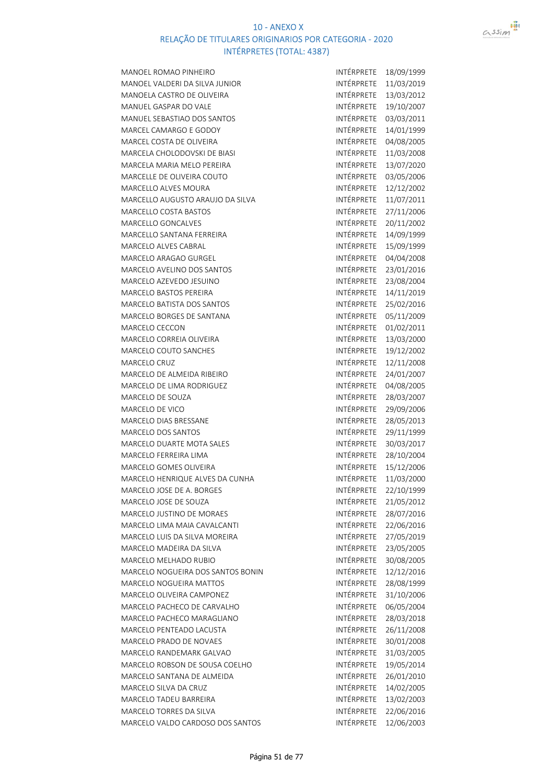



| MANOEL ROMAO PINHEIRO                                     | INTÉRPRETE               | 18/09/1999 |
|-----------------------------------------------------------|--------------------------|------------|
| MANOEL VALDERI DA SILVA JUNIOR                            | INTÉRPRETE               | 11/03/2019 |
| MANOELA CASTRO DE OLIVEIRA                                | INTÉRPRETE               | 13/03/2012 |
| <b>MANUEL GASPAR DO VALE</b>                              | INTÉRPRETE               | 19/10/2007 |
| MANUEL SEBASTIAO DOS SANTOS                               | INTÉRPRETE               | 03/03/2011 |
| MARCEL CAMARGO E GODOY                                    | INTÉRPRETE               | 14/01/1999 |
| MARCEL COSTA DE OLIVEIRA                                  | INTÉRPRETE               | 04/08/2005 |
| MARCELA CHOLODOVSKI DE BIASI                              | INTÉRPRETE               | 11/03/2008 |
| MARCELA MARIA MELO PEREIRA                                | INTÉRPRETE               | 13/07/2020 |
| MARCELLE DE OLIVEIRA COUTO                                | INTÉRPRETE               | 03/05/2006 |
| MARCELLO ALVES MOURA                                      | INTÉRPRETE               | 12/12/2002 |
| MARCELLO AUGUSTO ARAUJO DA SILVA                          | INTÉRPRETE               | 11/07/2011 |
| MARCELLO COSTA BASTOS                                     | INTÉRPRETE               | 27/11/2006 |
| MARCELLO GONCALVES                                        | INTÉRPRETE               | 20/11/2002 |
| MARCELLO SANTANA FERREIRA                                 | INTÉRPRETE               | 14/09/1999 |
| <b>MARCELO ALVES CABRAL</b>                               | INTÉRPRETE               | 15/09/1999 |
| MARCELO ARAGAO GURGEL                                     | INTÉRPRETE               | 04/04/2008 |
| MARCELO AVELINO DOS SANTOS                                | INTÉRPRETE               | 23/01/2016 |
| MARCELO AZEVEDO JESUINO                                   | INTÉRPRETE               | 23/08/2004 |
| MARCELO BASTOS PEREIRA                                    | INTÉRPRETE               | 14/11/2019 |
| MARCELO BATISTA DOS SANTOS                                | INTÉRPRETE               | 25/02/2016 |
| <b>MARCELO BORGES DE SANTANA</b>                          | INTÉRPRETE               | 05/11/2009 |
| <b>MARCELO CECCON</b>                                     | INTÉRPRETE               | 01/02/2011 |
| MARCELO CORREIA OLIVEIRA                                  | INTÉRPRETE               | 13/03/2000 |
| <b>MARCELO COUTO SANCHES</b>                              | INTÉRPRETE               | 19/12/2002 |
| <b>MARCELO CRUZ</b>                                       | INTÉRPRETE               | 12/11/2008 |
| MARCELO DE ALMEIDA RIBEIRO                                | INTÉRPRETE               | 24/01/2007 |
| MARCELO DE LIMA RODRIGUEZ                                 | INTÉRPRETE               | 04/08/2005 |
| <b>MARCELO DE SOUZA</b>                                   | INTÉRPRETE               | 28/03/2007 |
| MARCELO DE VICO                                           | INTÉRPRETE               | 29/09/2006 |
| MARCELO DIAS BRESSANE                                     | INTÉRPRETE               | 28/05/2013 |
| MARCELO DOS SANTOS                                        | INTÉRPRETE               | 29/11/1999 |
| <b>MARCELO DUARTE MOTA SALES</b>                          | INTÉRPRETE               | 30/03/2017 |
| MARCELO FERREIRA LIMA                                     | INTÉRPRETE               | 28/10/2004 |
| MARCELO GOMES OLIVEIRA                                    | INTÉRPRETE               | 15/12/2006 |
|                                                           | INTÉRPRETE               |            |
| MARCELO HENRIQUE ALVES DA CUNHA                           | INTÉRPRETE               | 11/03/2000 |
| MARCELO JOSE DE A. BORGES<br>MARCELO JOSE DE SOUZA        | INTÉRPRETE               | 22/10/1999 |
|                                                           |                          | 21/05/2012 |
| MARCELO JUSTINO DE MORAES                                 | INTÉRPRETE               | 28/07/2016 |
| MARCELO LIMA MAIA CAVALCANTI                              | INTÉRPRETE               | 22/06/2016 |
| MARCELO LUIS DA SILVA MOREIRA<br>MARCELO MADEIRA DA SILVA | INTÉRPRETE<br>INTÉRPRETE | 27/05/2019 |
|                                                           |                          | 23/05/2005 |
| MARCELO MELHADO RUBIO                                     | <b>INTÉRPRETE</b>        | 30/08/2005 |
| MARCELO NOGUEIRA DOS SANTOS BONIN                         | INTÉRPRETE               | 12/12/2016 |
| <b>MARCELO NOGUEIRA MATTOS</b>                            | INTÉRPRETE               | 28/08/1999 |
| MARCELO OLIVEIRA CAMPONEZ                                 | INTÉRPRETE               | 31/10/2006 |
| MARCELO PACHECO DE CARVALHO                               | INTÉRPRETE               | 06/05/2004 |
| MARCELO PACHECO MARAGLIANO                                | INTÉRPRETE               | 28/03/2018 |
| MARCELO PENTEADO LACUSTA                                  | INTÉRPRETE               | 26/11/2008 |
| MARCELO PRADO DE NOVAES                                   | INTÉRPRETE               | 30/01/2008 |
| MARCELO RANDEMARK GALVAO                                  | INTÉRPRETE               | 31/03/2005 |
| MARCELO ROBSON DE SOUSA COELHO                            | INTÉRPRETE               | 19/05/2014 |
| MARCELO SANTANA DE ALMEIDA                                | INTÉRPRETE               | 26/01/2010 |
| MARCELO SILVA DA CRUZ                                     | INTÉRPRETE               | 14/02/2005 |
| MARCELO TADEU BARREIRA                                    | INTÉRPRETE               | 13/02/2003 |
| MARCELO TORRES DA SILVA                                   | INTÉRPRETE               | 22/06/2016 |
| MARCELO VALDO CARDOSO DOS SANTOS                          | INTÉRPRETE               | 12/06/2003 |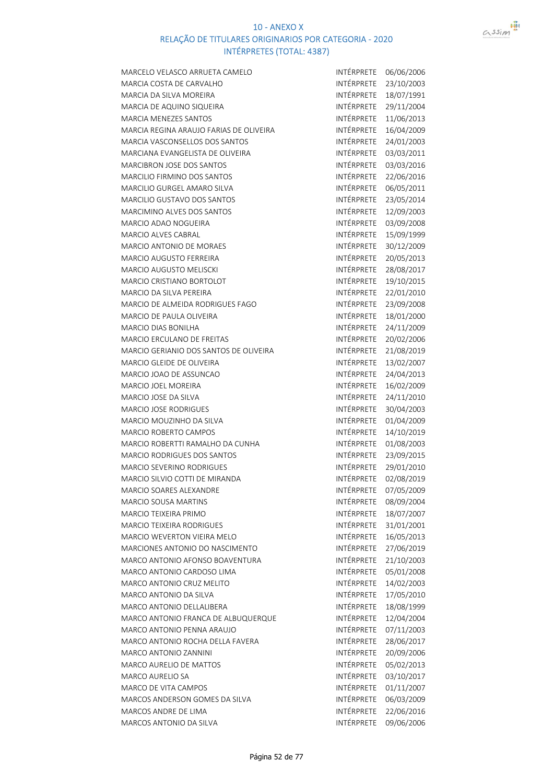

| MARCELO VELASCO ARRUETA CAMELO                                        | INTÉRPRETE               | 06/06/2006               |
|-----------------------------------------------------------------------|--------------------------|--------------------------|
| MARCIA COSTA DE CARVALHO                                              | <b>INTÉRPRETE</b>        | 23/10/2003               |
| MARCIA DA SILVA MOREIRA                                               | INTÉRPRETE               | 18/07/1991               |
| MARCIA DE AQUINO SIQUEIRA                                             | INTÉRPRETE               | 29/11/2004               |
| <b>MARCIA MENEZES SANTOS</b>                                          | INTÉRPRETE               | 11/06/2013               |
| MARCIA REGINA ARAUJO FARIAS DE OLIVEIRA                               | INTÉRPRETE               | 16/04/2009               |
| <b>MARCIA VASCONSELLOS DOS SANTOS</b>                                 | INTÉRPRETE               | 24/01/2003               |
| MARCIANA EVANGELISTA DE OLIVEIRA                                      | INTÉRPRETE               | 03/03/2011               |
| <b>MARCIBRON JOSE DOS SANTOS</b>                                      | INTÉRPRETE               | 03/03/2016               |
| <b>MARCILIO FIRMINO DOS SANTOS</b>                                    | INTÉRPRETE               | 22/06/2016               |
| MARCILIO GURGEL AMARO SILVA                                           | INTÉRPRETE               | 06/05/2011               |
| <b>MARCILIO GUSTAVO DOS SANTOS</b>                                    | INTÉRPRETE               | 23/05/2014               |
| <b>MARCIMINO ALVES DOS SANTOS</b>                                     | INTÉRPRETE               | 12/09/2003               |
| <b>MARCIO ADAO NOGUEIRA</b>                                           | INTÉRPRETE               | 03/09/2008               |
| <b>MARCIO ALVES CABRAL</b>                                            | INTÉRPRETE               | 15/09/1999               |
| <b>MARCIO ANTONIO DE MORAES</b>                                       | INTÉRPRETE               | 30/12/2009               |
| <b>MARCIO AUGUSTO FERREIRA</b>                                        | INTÉRPRETE               | 20/05/2013               |
| <b>MARCIO AUGUSTO MELISCKI</b>                                        | <b>INTÉRPRETE</b>        | 28/08/2017               |
| <b>MARCIO CRISTIANO BORTOLOT</b>                                      | INTÉRPRETE               | 19/10/2015               |
| <b>MARCIO DA SILVA PEREIRA</b>                                        | INTÉRPRETE               | 22/01/2010               |
| MARCIO DE ALMEIDA RODRIGUES FAGO                                      | INTÉRPRETE               | 23/09/2008               |
| <b>MARCIO DE PAULA OLIVEIRA</b>                                       | <b>INTÉRPRETE</b>        | 18/01/2000               |
| <b>MARCIO DIAS BONILHA</b>                                            | <b>INTÉRPRETE</b>        | 24/11/2009               |
| <b>MARCIO ERCULANO DE FREITAS</b>                                     | INTÉRPRETE               | 20/02/2006               |
| MARCIO GERIANIO DOS SANTOS DE OLIVEIRA                                | INTÉRPRETE               | 21/08/2019               |
| MARCIO GLEIDE DE OLIVEIRA                                             | INTÉRPRETE               | 13/02/2007               |
| MARCIO JOAO DE ASSUNCAO                                               | INTÉRPRETE               | 24/04/2013               |
| <b>MARCIO JOEL MOREIRA</b>                                            | INTÉRPRETE               | 16/02/2009               |
| <b>MARCIO JOSE DA SILVA</b>                                           | INTÉRPRETE               | 24/11/2010               |
| <b>MARCIO JOSE RODRIGUES</b>                                          | INTÉRPRETE               | 30/04/2003               |
| MARCIO MOUZINHO DA SILVA                                              | INTÉRPRETE               | 01/04/2009               |
| MARCIO ROBERTO CAMPOS                                                 | INTÉRPRETE               | 14/10/2019               |
| MARCIO ROBERTTI RAMALHO DA CUNHA                                      | INTÉRPRETE               | 01/08/2003               |
| <b>MARCIO RODRIGUES DOS SANTOS</b>                                    | INTÉRPRETE               | 23/09/2015               |
| MARCIO SEVERINO RODRIGUES                                             | INTÉRPRETE               | 29/01/2010               |
| MARCIO SILVIO COTTI DE MIRANDA                                        | INTÉRPRETE 02/08/2019    |                          |
| MARCIO SOARES ALEXANDRE                                               | INTÉRPRETE               | 07/05/2009               |
| <b>MARCIO SOUSA MARTINS</b>                                           | INTÉRPRETE               | 08/09/2004               |
| MARCIO TEIXEIRA PRIMO                                                 | INTÉRPRETE               | 18/07/2007               |
| MARCIO TEIXEIRA RODRIGUES                                             | INTÉRPRETE               | 31/01/2001               |
| MARCIO WEVERTON VIEIRA MELO                                           | INTÉRPRETE               | 16/05/2013               |
| MARCIONES ANTONIO DO NASCIMENTO                                       | INTÉRPRETE               | 27/06/2019               |
| MARCO ANTONIO AFONSO BOAVENTURA                                       | INTÉRPRETE               | 21/10/2003               |
| MARCO ANTONIO CARDOSO LIMA                                            | INTÉRPRETE               | 05/01/2008               |
| MARCO ANTONIO CRUZ MELITO                                             | INTÉRPRETE               | 14/02/2003               |
| <b>MARCO ANTONIO DA SILVA</b>                                         |                          | 17/05/2010               |
| MARCO ANTONIO DELLALIBERA                                             |                          |                          |
|                                                                       | INTÉRPRETE               |                          |
|                                                                       | INTÉRPRETE               | 18/08/1999               |
| MARCO ANTONIO FRANCA DE ALBUQUERQUE                                   | INTÉRPRETE               | 12/04/2004               |
| <b>MARCO ANTONIO PENNA ARAUJO</b><br>MARCO ANTONIO ROCHA DELLA FAVERA | INTÉRPRETE<br>INTÉRPRETE | 07/11/2003               |
| <b>MARCO ANTONIO ZANNINI</b>                                          |                          | 28/06/2017               |
| MARCO AURELIO DE MATTOS                                               | INTÉRPRETE               | 20/09/2006               |
| MARCO AURELIO SA                                                      | INTÉRPRETE<br>INTÉRPRETE | 05/02/2013               |
|                                                                       |                          | 03/10/2017               |
| MARCO DE VITA CAMPOS<br>MARCOS ANDERSON GOMES DA SILVA                | INTÉRPRETE               | 01/11/2007               |
| MARCOS ANDRE DE LIMA                                                  | INTÉRPRETE<br>INTÉRPRETE | 06/03/2009<br>22/06/2016 |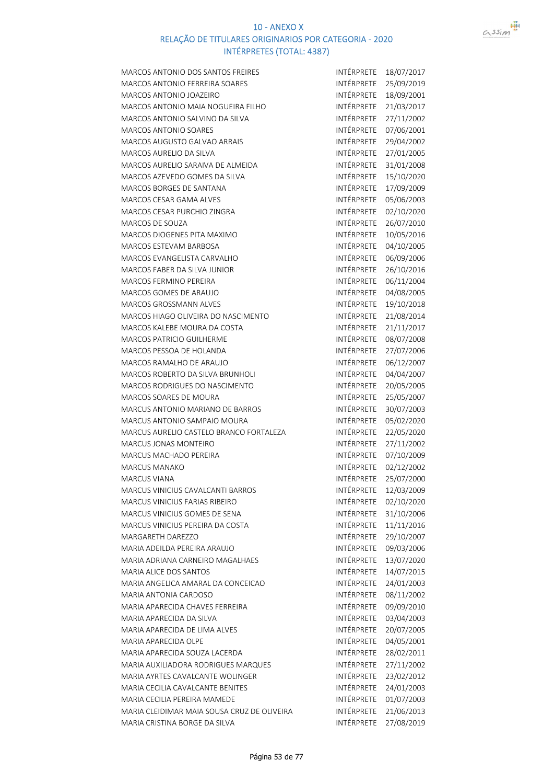

| <b>MARCOS ANTONIO DOS SANTOS FREIRES</b>    | INTÉRPRETE        | 18/07/2017 |
|---------------------------------------------|-------------------|------------|
| MARCOS ANTONIO FERREIRA SOARES              | INTÉRPRETE        | 25/09/2019 |
| MARCOS ANTONIO JOAZEIRO                     | INTÉRPRETE        | 18/09/2001 |
| MARCOS ANTONIO MAIA NOGUEIRA FILHO          | INTÉRPRETE        | 21/03/2017 |
| MARCOS ANTONIO SALVINO DA SILVA             | INTÉRPRETE        | 27/11/2002 |
| <b>MARCOS ANTONIO SOARES</b>                | INTÉRPRETE        | 07/06/2001 |
| <b>MARCOS AUGUSTO GALVAO ARRAIS</b>         | INTÉRPRETE        | 29/04/2002 |
| <b>MARCOS AURELIO DA SILVA</b>              | INTÉRPRETE        | 27/01/2005 |
| MARCOS AURELIO SARAIVA DE ALMEIDA           | <b>INTÉRPRETE</b> | 31/01/2008 |
| MARCOS AZEVEDO GOMES DA SILVA               | <b>INTÉRPRETE</b> | 15/10/2020 |
| <b>MARCOS BORGES DE SANTANA</b>             | INTÉRPRETE        | 17/09/2009 |
| <b>MARCOS CESAR GAMA ALVES</b>              | INTÉRPRETE        | 05/06/2003 |
| MARCOS CESAR PURCHIO ZINGRA                 | INTÉRPRETE        | 02/10/2020 |
| <b>MARCOS DE SOUZA</b>                      | INTÉRPRETE        | 26/07/2010 |
| <b>MARCOS DIOGENES PITA MAXIMO</b>          | INTÉRPRETE        | 10/05/2016 |
| <b>MARCOS ESTEVAM BARBOSA</b>               | INTÉRPRETE        | 04/10/2005 |
| MARCOS EVANGELISTA CARVALHO                 | <b>INTÉRPRETE</b> | 06/09/2006 |
| <b>MARCOS FABER DA SILVA JUNIOR</b>         | <b>INTÉRPRETE</b> | 26/10/2016 |
| <b>MARCOS FERMINO PEREIRA</b>               | <b>INTÉRPRETE</b> | 06/11/2004 |
| <b>MARCOS GOMES DE ARAUJO</b>               | <b>INTÉRPRETE</b> | 04/08/2005 |
| <b>MARCOS GROSSMANN ALVES</b>               | INTÉRPRETE        | 19/10/2018 |
| MARCOS HIAGO OLIVEIRA DO NASCIMENTO         | <b>INTÉRPRETE</b> | 21/08/2014 |
| MARCOS KALEBE MOURA DA COSTA                | INTÉRPRETE        | 21/11/2017 |
| <b>MARCOS PATRICIO GUILHERME</b>            | INTÉRPRETE        |            |
|                                             | INTÉRPRETE        | 08/07/2008 |
| MARCOS PESSOA DE HOLANDA                    | INTÉRPRETE        | 27/07/2006 |
| MARCOS RAMALHO DE ARAUJO                    |                   | 06/12/2007 |
| <b>MARCOS ROBERTO DA SILVA BRUNHOLI</b>     | INTÉRPRETE        | 04/04/2007 |
| <b>MARCOS RODRIGUES DO NASCIMENTO</b>       | INTÉRPRETE        | 20/05/2005 |
| <b>MARCOS SOARES DE MOURA</b>               | INTÉRPRETE        | 25/05/2007 |
| <b>MARCUS ANTONIO MARIANO DE BARROS</b>     | <b>INTÉRPRETE</b> | 30/07/2003 |
| MARCUS ANTONIO SAMPAIO MOURA                | INTÉRPRETE        | 05/02/2020 |
| MARCUS AURELIO CASTELO BRANCO FORTALEZA     | INTÉRPRETE        | 22/05/2020 |
| MARCUS JONAS MONTEIRO                       | INTÉRPRETE        | 27/11/2002 |
| <b>MARCUS MACHADO PEREIRA</b>               | INTÉRPRETE        | 07/10/2009 |
| MARCUS MANAKO                               | INTÉRPRETE        | 02/12/2002 |
| <b>MARCUS VIANA</b>                         | INTÉRPRETE        | 25/07/2000 |
| MARCUS VINICIUS CAVALCANTI BARROS           | INTÉRPRETE        | 12/03/2009 |
| MARCUS VINICIUS FARIAS RIBEIRO              | INTÉRPRETE        | 02/10/2020 |
| MARCUS VINICIUS GOMES DE SENA               | INTÉRPRETE        | 31/10/2006 |
| MARCUS VINICIUS PEREIRA DA COSTA            | INTÉRPRETE        | 11/11/2016 |
| MARGARETH DAREZZO                           | INTÉRPRETE        | 29/10/2007 |
| MARIA ADEILDA PEREIRA ARAUJO                | INTÉRPRETE        | 09/03/2006 |
| MARIA ADRIANA CARNEIRO MAGALHAES            | INTÉRPRETE        | 13/07/2020 |
| MARIA ALICE DOS SANTOS                      | INTÉRPRETE        | 14/07/2015 |
| MARIA ANGELICA AMARAL DA CONCEICAO          | INTÉRPRETE        | 24/01/2003 |
| MARIA ANTONIA CARDOSO                       | INTÉRPRETE        | 08/11/2002 |
| MARIA APARECIDA CHAVES FERREIRA             | INTÉRPRETE        | 09/09/2010 |
| MARIA APARECIDA DA SILVA                    | INTÉRPRETE        | 03/04/2003 |
| MARIA APARECIDA DE LIMA ALVES               | INTÉRPRETE        | 20/07/2005 |
| MARIA APARECIDA OLPE                        | INTÉRPRETE        | 04/05/2001 |
| MARIA APARECIDA SOUZA LACERDA               | INTÉRPRETE        | 28/02/2011 |
| MARIA AUXILIADORA RODRIGUES MARQUES         | INTÉRPRETE        | 27/11/2002 |
| MARIA AYRTES CAVALCANTE WOLINGER            | INTÉRPRETE        | 23/02/2012 |
| <b>MARIA CECILIA CAVALCANTE BENITES</b>     | INTÉRPRETE        | 24/01/2003 |
| MARIA CECILIA PEREIRA MAMEDE                | INTÉRPRETE        | 01/07/2003 |
| MARIA CLEIDIMAR MAIA SOUSA CRUZ DE OLIVEIRA | INTÉRPRETE        | 21/06/2013 |
| MARIA CRISTINA BORGE DA SILVA               | INTÉRPRETE        | 27/08/2019 |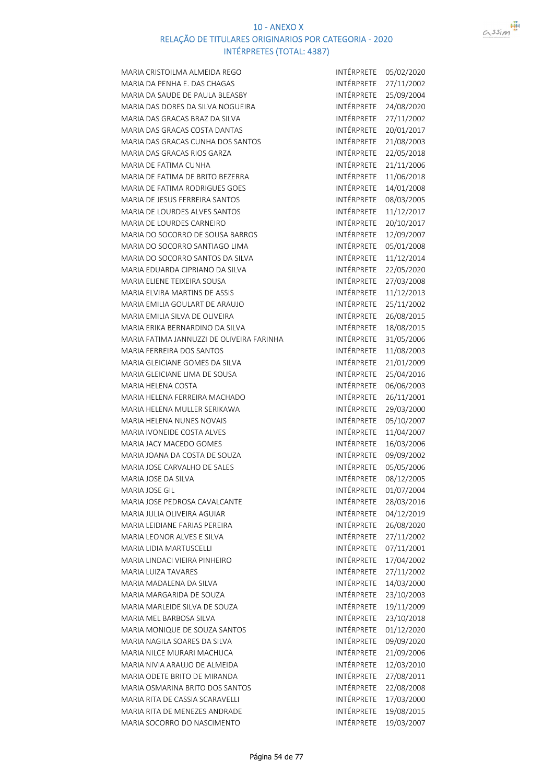

| MARIA CRISTOILMA ALMEIDA REGO             | INTÉRPRETE        | 05/02/2020 |
|-------------------------------------------|-------------------|------------|
| MARIA DA PENHA E. DAS CHAGAS              | INTÉRPRETE        | 27/11/2002 |
| MARIA DA SAUDE DE PAULA BLEASBY           | INTÉRPRETE        | 25/09/2004 |
| MARIA DAS DORES DA SILVA NOGUEIRA         | INTÉRPRETE        | 24/08/2020 |
| MARIA DAS GRACAS BRAZ DA SILVA            | INTÉRPRETE        | 27/11/2002 |
| MARIA DAS GRACAS COSTA DANTAS             | INTÉRPRETE        | 20/01/2017 |
| MARIA DAS GRACAS CUNHA DOS SANTOS         | INTÉRPRETE        | 21/08/2003 |
| MARIA DAS GRACAS RIOS GARZA               | <b>INTÉRPRETE</b> | 22/05/2018 |
| MARIA DE FATIMA CUNHA                     | INTÉRPRETE        | 21/11/2006 |
| MARIA DE FATIMA DE BRITO BEZERRA          | <b>INTÉRPRETE</b> | 11/06/2018 |
| MARIA DE FATIMA RODRIGUES GOES            | INTÉRPRETE        | 14/01/2008 |
| MARIA DE JESUS FERREIRA SANTOS            | INTÉRPRETE        | 08/03/2005 |
| MARIA DE LOURDES ALVES SANTOS             | INTÉRPRETE        | 11/12/2017 |
| MARIA DE LOURDES CARNEIRO                 | INTÉRPRETE        | 20/10/2017 |
| MARIA DO SOCORRO DE SOUSA BARROS          | INTÉRPRETE        | 12/09/2007 |
| MARIA DO SOCORRO SANTIAGO LIMA            | INTÉRPRETE        | 05/01/2008 |
| MARIA DO SOCORRO SANTOS DA SILVA          | INTÉRPRETE        | 11/12/2014 |
| MARIA EDUARDA CIPRIANO DA SILVA           | INTÉRPRETE        | 22/05/2020 |
| MARIA ELIENE TEIXEIRA SOUSA               | INTÉRPRETE        | 27/03/2008 |
| MARIA ELVIRA MARTINS DE ASSIS             | INTÉRPRETE        | 11/12/2013 |
| MARIA EMILIA GOULART DE ARAUJO            | INTÉRPRETE        | 25/11/2002 |
| MARIA EMILIA SILVA DE OLIVEIRA            | INTÉRPRETE        | 26/08/2015 |
| MARIA ERIKA BERNARDINO DA SILVA           | INTÉRPRETE        | 18/08/2015 |
| MARIA FATIMA JANNUZZI DE OLIVEIRA FARINHA | INTÉRPRETE        | 31/05/2006 |
| <b>MARIA FERREIRA DOS SANTOS</b>          | INTÉRPRETE        | 11/08/2003 |
| MARIA GLEICIANE GOMES DA SILVA            | INTÉRPRETE        | 21/01/2009 |
| MARIA GLEICIANE LIMA DE SOUSA             | INTÉRPRETE        | 25/04/2016 |
| MARIA HELENA COSTA                        | INTÉRPRETE        | 06/06/2003 |
| MARIA HELENA FERREIRA MACHADO             | INTÉRPRETE        |            |
| MARIA HELENA MULLER SERIKAWA              | INTÉRPRETE        | 26/11/2001 |
| <b>MARIA HELENA NUNES NOVAIS</b>          | INTÉRPRETE        | 29/03/2000 |
|                                           | INTÉRPRETE        | 05/10/2007 |
| MARIA IVONEIDE COSTA ALVES                |                   | 11/04/2007 |
| MARIA JACY MACEDO GOMES                   | <b>INTÉRPRETE</b> | 16/03/2006 |
| MARIA JOANA DA COSTA DE SOUZA             | INTÉRPRETE        | 09/09/2002 |
| MARIA JOSE CARVALHO DE SALES              | INTÉRPRETE        | 05/05/2006 |
| MARIA JOSE DA SILVA                       | INTÉRPRETE        | 08/12/2005 |
| <b>MARIA JOSE GIL</b>                     | INTÉRPRETE        | 01/07/2004 |
| MARIA JOSE PEDROSA CAVALCANTE             | INTÉRPRETE        | 28/03/2016 |
| MARIA JULIA OLIVEIRA AGUIAR               | <b>INTÉRPRETE</b> | 04/12/2019 |
| MARIA LEIDIANE FARIAS PEREIRA             | INTÉRPRETE        | 26/08/2020 |
| MARIA LEONOR ALVES E SILVA                | INTÉRPRETE        | 27/11/2002 |
| MARIA LIDIA MARTUSCELLI                   | INTÉRPRETE        | 07/11/2001 |
| MARIA LINDACI VIEIRA PINHEIRO             | INTÉRPRETE        | 17/04/2002 |
| MARIA LUIZA TAVARES                       | INTÉRPRETE        | 27/11/2002 |
| MARIA MADALENA DA SILVA                   | INTÉRPRETE        | 14/03/2000 |
| MARIA MARGARIDA DE SOUZA                  | <b>INTÉRPRETE</b> | 23/10/2003 |
| MARIA MARLEIDE SILVA DE SOUZA             | INTÉRPRETE        | 19/11/2009 |
| MARIA MEL BARBOSA SILVA                   | INTÉRPRETE        | 23/10/2018 |
| MARIA MONIQUE DE SOUZA SANTOS             | INTÉRPRETE        | 01/12/2020 |
| MARIA NAGILA SOARES DA SILVA              | INTÉRPRETE        | 09/09/2020 |
| MARIA NILCE MURARI MACHUCA                | INTÉRPRETE        | 21/09/2006 |
| MARIA NIVIA ARAUJO DE ALMEIDA             | INTÉRPRETE        | 12/03/2010 |
| MARIA ODETE BRITO DE MIRANDA              | INTÉRPRETE        | 27/08/2011 |
| MARIA OSMARINA BRITO DOS SANTOS           | INTÉRPRETE        | 22/08/2008 |
| MARIA RITA DE CASSIA SCARAVELLI           | INTÉRPRETE        | 17/03/2000 |
| MARIA RITA DE MENEZES ANDRADE             | INTÉRPRETE        | 19/08/2015 |
| MARIA SOCORRO DO NASCIMENTO               | INTÉRPRETE        | 19/03/2007 |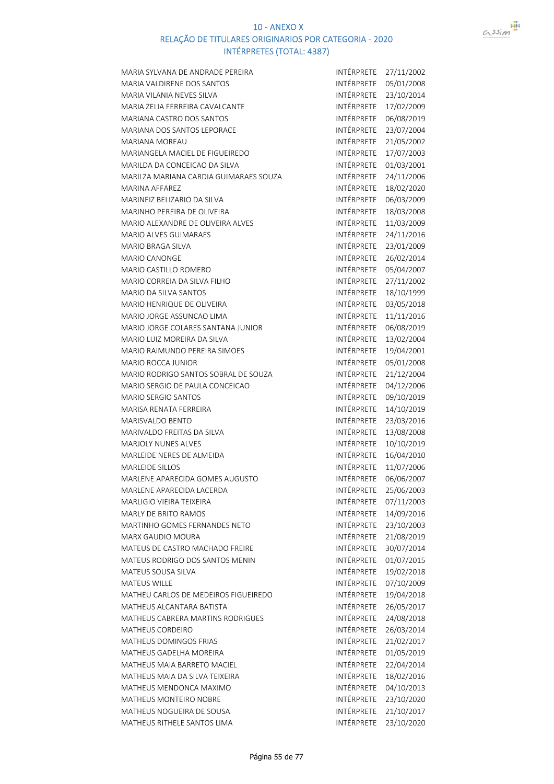

| MARIA SYLVANA DE ANDRADE PEREIRA       | INTÉRPRETE        | 27/11/2002 |
|----------------------------------------|-------------------|------------|
| MARIA VALDIRENE DOS SANTOS             | INTÉRPRETE        | 05/01/2008 |
| MARIA VILANIA NEVES SILVA              | INTÉRPRETE        | 23/10/2014 |
| MARIA ZELIA FERREIRA CAVALCANTE        | INTÉRPRETE        | 17/02/2009 |
| MARIANA CASTRO DOS SANTOS              | INTÉRPRETE        | 06/08/2019 |
| <b>MARIANA DOS SANTOS LEPORACE</b>     | INTÉRPRETE        | 23/07/2004 |
| <b>MARIANA MOREAU</b>                  | INTÉRPRETE        | 21/05/2002 |
| MARIANGELA MACIEL DE FIGUEIREDO        | INTÉRPRETE        | 17/07/2003 |
| MARILDA DA CONCEICAO DA SILVA          | INTÉRPRETE        | 01/03/2001 |
| MARILZA MARIANA CARDIA GUIMARAES SOUZA | INTÉRPRETE        | 24/11/2006 |
| <b>MARINA AFFAREZ</b>                  | INTÉRPRETE        | 18/02/2020 |
| MARINEIZ BELIZARIO DA SILVA            | INTÉRPRETE        | 06/03/2009 |
| MARINHO PEREIRA DE OLIVEIRA            | INTÉRPRETE        | 18/03/2008 |
| MARIO ALEXANDRE DE OLIVEIRA ALVES      | INTÉRPRETE        | 11/03/2009 |
| <b>MARIO ALVES GUIMARAES</b>           | INTÉRPRETE        | 24/11/2016 |
| <b>MARIO BRAGA SILVA</b>               | INTÉRPRETE        | 23/01/2009 |
| <b>MARIO CANONGE</b>                   | INTÉRPRETE        | 26/02/2014 |
| MARIO CASTILLO ROMERO                  | INTÉRPRETE        | 05/04/2007 |
| MARIO CORREIA DA SILVA FILHO           | INTÉRPRETE        | 27/11/2002 |
| MARIO DA SILVA SANTOS                  | INTÉRPRETE        | 18/10/1999 |
| MARIO HENRIQUE DE OLIVEIRA             | INTÉRPRETE        | 03/05/2018 |
| MARIO JORGE ASSUNCAO LIMA              | INTÉRPRETE        | 11/11/2016 |
| MARIO JORGE COLARES SANTANA JUNIOR     | INTÉRPRETE        | 06/08/2019 |
| MARIO LUIZ MOREIRA DA SILVA            | INTÉRPRETE        | 13/02/2004 |
| MARIO RAIMUNDO PEREIRA SIMOES          | INTÉRPRETE        | 19/04/2001 |
| <b>MARIO ROCCA JUNIOR</b>              | INTÉRPRETE        | 05/01/2008 |
| MARIO RODRIGO SANTOS SOBRAL DE SOUZA   | INTÉRPRETE        | 21/12/2004 |
| MARIO SERGIO DE PAULA CONCEICAO        | INTÉRPRETE        | 04/12/2006 |
| <b>MARIO SERGIO SANTOS</b>             | INTÉRPRETE        | 09/10/2019 |
| MARISA RENATA FERREIRA                 | INTÉRPRETE        | 14/10/2019 |
| <b>MARISVALDO BENTO</b>                | INTÉRPRETE        | 23/03/2016 |
| MARIVALDO FREITAS DA SILVA             | INTÉRPRETE        | 13/08/2008 |
| <b>MARJOLY NUNES ALVES</b>             | INTÉRPRETE        | 10/10/2019 |
| MARLEIDE NERES DE ALMEIDA              | INTÉRPRETE        | 16/04/2010 |
| <b>MARLEIDE SILLOS</b>                 | INTÉRPRETE        | 11/07/2006 |
| MARLENE APARECIDA GOMES AUGUSTO        | INTÉRPRETE        | 06/06/2007 |
| MARLENE APARECIDA LACERDA              | INTÉRPRETE        | 25/06/2003 |
| MARLIGIO VIEIRA TEIXEIRA               | <b>INTÉRPRETE</b> | 07/11/2003 |
| <b>MARLY DE BRITO RAMOS</b>            | INTÉRPRETE        | 14/09/2016 |
| MARTINHO GOMES FERNANDES NETO          | INTÉRPRETE        | 23/10/2003 |
| <b>MARX GAUDIO MOURA</b>               | INTÉRPRETE        | 21/08/2019 |
| MATEUS DE CASTRO MACHADO FREIRE        | INTÉRPRETE        | 30/07/2014 |
| MATEUS RODRIGO DOS SANTOS MENIN        | INTÉRPRETE        | 01/07/2015 |
| MATEUS SOUSA SILVA                     | INTÉRPRETE        | 19/02/2018 |
| <b>MATEUS WILLE</b>                    | INTÉRPRETE        | 07/10/2009 |
| MATHEU CARLOS DE MEDEIROS FIGUEIREDO   | INTÉRPRETE        | 19/04/2018 |
| MATHEUS ALCANTARA BATISTA              | INTÉRPRETE        | 26/05/2017 |
| MATHEUS CABRERA MARTINS RODRIGUES      | INTÉRPRETE        | 24/08/2018 |
| MATHEUS CORDEIRO                       | INTÉRPRETE        | 26/03/2014 |
| <b>MATHEUS DOMINGOS FRIAS</b>          | INTÉRPRETE        | 21/02/2017 |
| MATHEUS GADELHA MOREIRA                | INTÉRPRETE        | 01/05/2019 |
| <b>MATHEUS MAIA BARRETO MACIEL</b>     | INTÉRPRETE        | 22/04/2014 |
| MATHEUS MAIA DA SILVA TEIXEIRA         | INTÉRPRETE        | 18/02/2016 |
| MATHEUS MENDONCA MAXIMO                | INTÉRPRETE        | 04/10/2013 |
| MATHEUS MONTEIRO NOBRE                 | INTÉRPRETE        | 23/10/2020 |
| MATHEUS NOGUEIRA DE SOUSA              | INTÉRPRETE        | 21/10/2017 |
| MATHEUS RITHELE SANTOS LIMA            | INTÉRPRETE        | 23/10/2020 |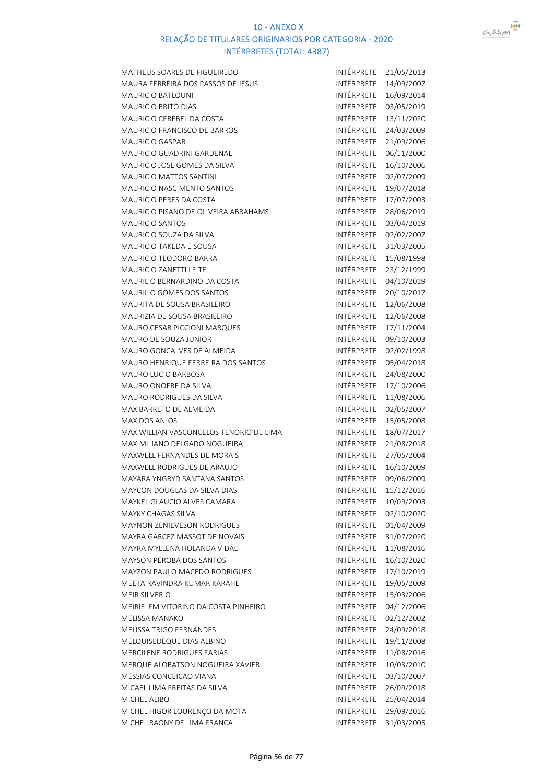

| MATHEUS SOARES DE FIGUEIREDO            | INTÉRPRETE        | 21/05/2013 |
|-----------------------------------------|-------------------|------------|
| MAURA FERREIRA DOS PASSOS DE JESUS      | INTÉRPRETE        | 14/09/2007 |
| <b>MAURICIO BATLOUNI</b>                | INTÉRPRETE        | 16/09/2014 |
| <b>MAURICIO BRITO DIAS</b>              | INTÉRPRETE        | 03/05/2019 |
| MAURICIO CEREBEL DA COSTA               | INTÉRPRETE        | 13/11/2020 |
| MAURICIO FRANCISCO DE BARROS            | INTÉRPRETE        | 24/03/2009 |
| <b>MAURICIO GASPAR</b>                  | INTÉRPRETE        | 21/09/2006 |
| <b>MAURICIO GUADRINI GARDENAL</b>       | INTÉRPRETE        | 06/11/2000 |
| <b>MAURICIO JOSE GOMES DA SILVA</b>     | INTÉRPRETE        | 16/10/2006 |
| <b>MAURICIO MATTOS SANTINI</b>          | INTÉRPRETE        | 02/07/2009 |
| MAURICIO NASCIMENTO SANTOS              | INTÉRPRETE        | 19/07/2018 |
| <b>MAURICIO PERES DA COSTA</b>          | INTÉRPRETE        | 17/07/2003 |
| MAURICIO PISANO DE OLIVEIRA ABRAHAMS    | INTÉRPRETE        | 28/06/2019 |
| <b>MAURICIO SANTOS</b>                  | INTÉRPRETE        | 03/04/2019 |
| <b>MAURICIO SOUZA DA SILVA</b>          | INTÉRPRETE        | 02/02/2007 |
| <b>MAURICIO TAKEDA E SOUSA</b>          | INTÉRPRETE        | 31/03/2005 |
| <b>MAURICIO TEODORO BARRA</b>           | INTÉRPRETE        | 15/08/1998 |
| <b>MAURICIO ZANETTI LEITE</b>           | INTÉRPRETE        | 23/12/1999 |
| <b>MAURILIO BERNARDINO DA COSTA</b>     | INTÉRPRETE        | 04/10/2019 |
| <b>MAURILIO GOMES DOS SANTOS</b>        | <b>INTÉRPRETE</b> | 20/10/2017 |
| MAURITA DE SOUSA BRASILEIRO             | INTÉRPRETE        | 12/06/2008 |
| MAURIZIA DE SOUSA BRASILEIRO            | INTÉRPRETE        | 12/06/2008 |
| MAURO CESAR PICCIONI MARQUES            | INTÉRPRETE        | 17/11/2004 |
| <b>MAURO DE SOUZA JUNIOR</b>            | INTÉRPRETE        | 09/10/2003 |
| MAURO GONCALVES DE ALMEIDA              | INTÉRPRETE        | 02/02/1998 |
| MAURO HENRIQUE FERREIRA DOS SANTOS      | INTÉRPRETE        | 05/04/2018 |
| <b>MAURO LUCIO BARBOSA</b>              | INTÉRPRETE        | 24/08/2000 |
| MAURO ONOFRE DA SILVA                   | INTÉRPRETE        | 17/10/2006 |
| <b>MAURO RODRIGUES DA SILVA</b>         | INTÉRPRETE        | 11/08/2006 |
| MAX BARRETO DE ALMEIDA                  | INTÉRPRETE        | 02/05/2007 |
| <b>MAX DOS ANJOS</b>                    | INTÉRPRETE        | 15/05/2008 |
| MAX WILLIAN VASCONCELOS TENORIO DE LIMA | <b>INTÉRPRETE</b> | 18/07/2017 |
| MAXIMILIANO DELGADO NOGUEIRA            | <b>INTÉRPRETE</b> | 21/08/2018 |
| MAXWELL FERNANDES DE MORAIS             | INTÉRPRETE        | 27/05/2004 |
| MAXWELL RODRIGUES DE ARAUJO             | INTÉRPRETE        | 16/10/2009 |
| MAYARA YNGRYD SANTANA SANTOS            | INTÉRPRETE        | 09/06/2009 |
| MAYCON DOUGLAS DA SILVA DIAS            | INTÉRPRETE        | 15/12/2016 |
| MAYKEL GLAUCIO ALVES CAMARA             | INTÉRPRETE        | 10/09/2003 |
| MAYKY CHAGAS SILVA                      | INTÉRPRETE        | 02/10/2020 |
| MAYNON ZENIEVESON RODRIGUES             | INTÉRPRETE        | 01/04/2009 |
| MAYRA GARCEZ MASSOT DE NOVAIS           | INTÉRPRETE        | 31/07/2020 |
| MAYRA MYLLENA HOLANDA VIDAL             | INTÉRPRETE        | 11/08/2016 |
| MAYSON PEROBA DOS SANTOS                | INTÉRPRETE        | 16/10/2020 |
| <b>MAYZON PAULO MACEDO RODRIGUES</b>    | <b>INTÉRPRETE</b> | 17/10/2019 |
| MEETA RAVINDRA KUMAR KARAHE             | INTÉRPRETE        | 19/05/2009 |
| <b>MEIR SILVERIO</b>                    | INTÉRPRETE        | 15/03/2006 |
| MEIRIELEM VITORINO DA COSTA PINHEIRO    | INTÉRPRETE        | 04/12/2006 |
| MELISSA MANAKO                          | INTÉRPRETE        | 02/12/2002 |
| MELISSA TRIGO FERNANDES                 | INTÉRPRETE        | 24/09/2018 |
| MELQUISEDEQUE DIAS ALBINO               | INTÉRPRETE        | 19/11/2008 |
| MERCILENE RODRIGUES FARIAS              | INTÉRPRETE        | 11/08/2016 |
| MERQUE ALOBATSON NOGUEIRA XAVIER        | INTÉRPRETE        | 10/03/2010 |
| MESSIAS CONCEICAO VIANA                 | INTÉRPRETE        | 03/10/2007 |
| MICAEL LIMA FREITAS DA SILVA            | INTÉRPRETE        | 26/09/2018 |
| MICHEL ALIBO                            | INTÉRPRETE        | 25/04/2014 |
| MICHEL HIGOR LOURENÇO DA MOTA           | INTÉRPRETE        | 29/09/2016 |
| MICHEL RAONY DE LIMA FRANCA             | INTÉRPRETE        | 31/03/2005 |
|                                         |                   |            |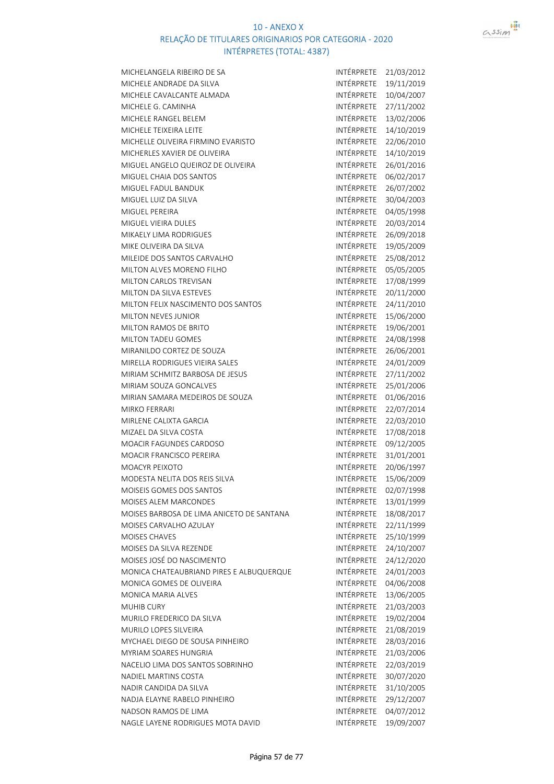

| MICHELANGELA RIBEIRO DE SA                | INTÉRPRETE        | 21/03/2012 |
|-------------------------------------------|-------------------|------------|
| MICHELE ANDRADE DA SILVA                  | <b>INTÉRPRETE</b> | 19/11/2019 |
| MICHELE CAVALCANTE ALMADA                 | INTÉRPRETE        | 10/04/2007 |
| MICHELE G. CAMINHA                        | INTÉRPRETE        | 27/11/2002 |
| MICHELE RANGEL BELEM                      | INTÉRPRETE        | 13/02/2006 |
| MICHELE TEIXEIRA LEITE                    | INTÉRPRETE        | 14/10/2019 |
| MICHELLE OLIVEIRA FIRMINO EVARISTO        | INTÉRPRETE        | 22/06/2010 |
| MICHERLES XAVIER DE OLIVEIRA              | INTÉRPRETE        | 14/10/2019 |
| MIGUEL ANGELO QUEIROZ DE OLIVEIRA         | INTÉRPRETE        | 26/01/2016 |
| MIGUEL CHAIA DOS SANTOS                   | INTÉRPRETE        | 06/02/2017 |
| MIGUEL FADUL BANDUK                       | INTÉRPRETE        | 26/07/2002 |
| MIGUEL LUIZ DA SILVA                      | INTÉRPRETE        | 30/04/2003 |
| MIGUEL PEREIRA                            | INTÉRPRETE        | 04/05/1998 |
| MIGUEL VIEIRA DULES                       | INTÉRPRETE        | 20/03/2014 |
| MIKAELY LIMA RODRIGUES                    | INTÉRPRETE        | 26/09/2018 |
| MIKE OLIVEIRA DA SILVA                    | INTÉRPRETE        | 19/05/2009 |
| MILEIDE DOS SANTOS CARVALHO               | INTÉRPRETE        | 25/08/2012 |
| MILTON ALVES MORENO FILHO                 | INTÉRPRETE        | 05/05/2005 |
| MILTON CARLOS TREVISAN                    | INTÉRPRETE        | 17/08/1999 |
| MILTON DA SILVA ESTEVES                   | INTÉRPRETE        | 20/11/2000 |
| MILTON FELIX NASCIMENTO DOS SANTOS        | INTÉRPRETE        | 24/11/2010 |
| MILTON NEVES JUNIOR                       | INTÉRPRETE        | 15/06/2000 |
| MILTON RAMOS DE BRITO                     | INTÉRPRETE        | 19/06/2001 |
| MILTON TADEU GOMES                        | INTÉRPRETE        | 24/08/1998 |
| MIRANILDO CORTEZ DE SOUZA                 | INTÉRPRETE        | 26/06/2001 |
| MIRELLA RODRIGUES VIEIRA SALES            | INTÉRPRETE        | 24/01/2009 |
| MIRIAM SCHMITZ BARBOSA DE JESUS           | INTÉRPRETE        | 27/11/2002 |
| MIRIAM SOUZA GONCALVES                    | INTÉRPRETE        | 25/01/2006 |
| MIRIAN SAMARA MEDEIROS DE SOUZA           | INTÉRPRETE        | 01/06/2016 |
| <b>MIRKO FERRARI</b>                      | INTÉRPRETE        | 22/07/2014 |
| MIRLENE CALIXTA GARCIA                    | INTÉRPRETE        | 22/03/2010 |
| MIZAEL DA SILVA COSTA                     | INTÉRPRETE        | 17/08/2018 |
| MOACIR FAGUNDES CARDOSO                   | INTÉRPRETE        | 09/12/2005 |
| <b>MOACIR FRANCISCO PEREIRA</b>           | INTÉRPRETE        | 31/01/2001 |
| <b>MOACYR PEIXOTO</b>                     | INTÉRPRETE        | 20/06/1997 |
| MODESTA NELITA DOS REIS SILVA             | <b>INTÉRPRETE</b> | 15/06/2009 |
| MOISEIS GOMES DOS SANTOS                  | INTÉRPRETE        | 02/07/1998 |
| <b>MOISES ALEM MARCONDES</b>              | INTÉRPRETE        | 13/01/1999 |
| MOISES BARBOSA DE LIMA ANICETO DE SANTANA | INTÉRPRETE        | 18/08/2017 |
| MOISES CARVALHO AZULAY                    | INTÉRPRETE        | 22/11/1999 |
| <b>MOISES CHAVES</b>                      | INTÉRPRETE        | 25/10/1999 |
| MOISES DA SILVA REZENDE                   | <b>INTÉRPRETE</b> | 24/10/2007 |
| MOISES JOSÉ DO NASCIMENTO                 | <b>INTÉRPRETE</b> | 24/12/2020 |
| MONICA CHATEAUBRIAND PIRES E ALBUQUERQUE  | INTÉRPRETE        | 24/01/2003 |
| MONICA GOMES DE OLIVEIRA                  | INTÉRPRETE        | 04/06/2008 |
| MONICA MARIA ALVES                        | INTÉRPRETE        | 13/06/2005 |
| <b>MUHIB CURY</b>                         | INTÉRPRETE        | 21/03/2003 |
| MURILO FREDERICO DA SILVA                 | INTÉRPRETE        | 19/02/2004 |
| MURILO LOPES SILVEIRA                     | INTÉRPRETE        | 21/08/2019 |
| MYCHAEL DIEGO DE SOUSA PINHEIRO           | INTÉRPRETE        | 28/03/2016 |
| MYRIAM SOARES HUNGRIA                     | INTÉRPRETE        | 21/03/2006 |
| NACELIO LIMA DOS SANTOS SOBRINHO          | INTÉRPRETE        | 22/03/2019 |
| NADIEL MARTINS COSTA                      | INTÉRPRETE        | 30/07/2020 |
| NADIR CANDIDA DA SILVA                    | INTÉRPRETE        | 31/10/2005 |
| NADJA ELAYNE RABELO PINHEIRO              | INTÉRPRETE        | 29/12/2007 |
| NADSON RAMOS DE LIMA                      | INTÉRPRETE        | 04/07/2012 |
| NAGLE LAYENE RODRIGUES MOTA DAVID         | INTÉRPRETE        | 19/09/2007 |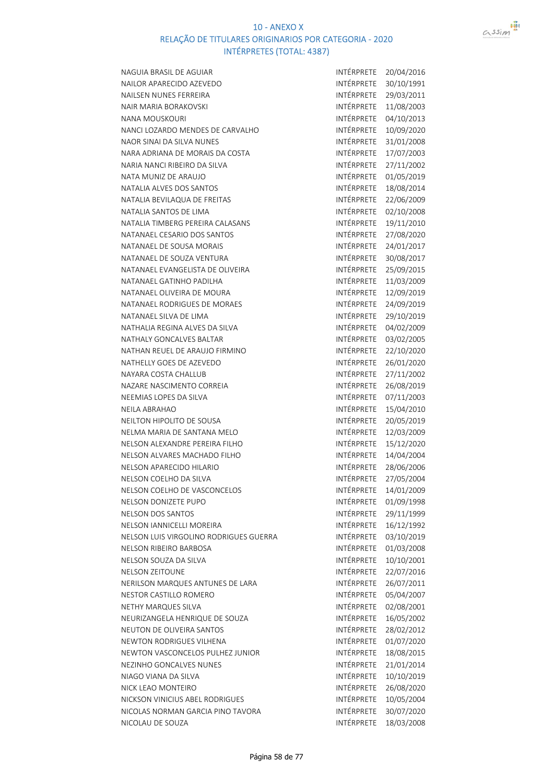

| NAGUIA BRASIL DE AGUIAR                | INTÉRPRETE        | 20/04/2016 |
|----------------------------------------|-------------------|------------|
| NAILOR APARECIDO AZEVEDO               | <b>INTÉRPRETE</b> | 30/10/1991 |
| NAILSEN NUNES FERREIRA                 | INTÉRPRETE        | 29/03/2011 |
| <b>NAIR MARIA BORAKOVSKI</b>           | INTÉRPRETE        | 11/08/2003 |
| <b>NANA MOUSKOURI</b>                  | INTÉRPRETE        | 04/10/2013 |
| NANCI LOZARDO MENDES DE CARVALHO       | <b>INTÉRPRETE</b> | 10/09/2020 |
| NAOR SINAI DA SILVA NUNES              | INTÉRPRETE        | 31/01/2008 |
| NARA ADRIANA DE MORAIS DA COSTA        | INTÉRPRETE        | 17/07/2003 |
| NARIA NANCI RIBEIRO DA SILVA           | INTÉRPRETE        | 27/11/2002 |
| NATA MUNIZ DE ARAUJO                   | INTÉRPRETE        | 01/05/2019 |
| NATALIA ALVES DOS SANTOS               | INTÉRPRETE        | 18/08/2014 |
| NATALIA BEVILAQUA DE FREITAS           | <b>INTÉRPRETE</b> | 22/06/2009 |
| NATALIA SANTOS DE LIMA                 | INTÉRPRETE        | 02/10/2008 |
| NATALIA TIMBERG PEREIRA CALASANS       | INTÉRPRETE        | 19/11/2010 |
| NATANAEL CESARIO DOS SANTOS            | INTÉRPRETE        | 27/08/2020 |
| NATANAEL DE SOUSA MORAIS               | INTÉRPRETE        | 24/01/2017 |
| NATANAEL DE SOUZA VENTURA              | INTÉRPRETE        | 30/08/2017 |
| NATANAEL EVANGELISTA DE OLIVEIRA       | INTÉRPRETE        | 25/09/2015 |
| NATANAEL GATINHO PADILHA               | INTÉRPRETE        | 11/03/2009 |
| NATANAEL OLIVEIRA DE MOURA             | INTÉRPRETE        | 12/09/2019 |
| NATANAEL RODRIGUES DE MORAES           | INTÉRPRETE        | 24/09/2019 |
| NATANAEL SILVA DE LIMA                 | INTÉRPRETE        | 29/10/2019 |
| NATHALIA REGINA ALVES DA SILVA         | INTÉRPRETE        | 04/02/2009 |
| NATHALY GONCALVES BALTAR               | INTÉRPRETE        | 03/02/2005 |
| NATHAN REUEL DE ARAUJO FIRMINO         | INTÉRPRETE        | 22/10/2020 |
| NATHELLY GOES DE AZEVEDO               | INTÉRPRETE        | 26/01/2020 |
| NAYARA COSTA CHALLUB                   | INTÉRPRETE        | 27/11/2002 |
| NAZARE NASCIMENTO CORREIA              | INTÉRPRETE        | 26/08/2019 |
| NEEMIAS LOPES DA SILVA                 | INTÉRPRETE        | 07/11/2003 |
| <b>NEILA ABRAHAO</b>                   | INTÉRPRETE        | 15/04/2010 |
| NEILTON HIPOLITO DE SOUSA              | INTÉRPRETE        | 20/05/2019 |
| NELMA MARIA DE SANTANA MELO            | INTÉRPRETE        | 12/03/2009 |
| NELSON ALEXANDRE PEREIRA FILHO         | INTÉRPRETE        | 15/12/2020 |
| NELSON ALVARES MACHADO FILHO           | INTÉRPRETE        | 14/04/2004 |
| NELSON APARECIDO HILARIO               | INTÉRPRETE        | 28/06/2006 |
| NELSON COELHO DA SILVA                 | INTÉRPRETE        | 27/05/2004 |
| NELSON COELHO DE VASCONCELOS           | INTÉRPRETE        | 14/01/2009 |
| NELSON DONIZETE PUPO                   | INTÉRPRETE        | 01/09/1998 |
| <b>NELSON DOS SANTOS</b>               | <b>INTÉRPRETE</b> | 29/11/1999 |
| NELSON IANNICELLI MOREIRA              | <b>INTÉRPRETE</b> | 16/12/1992 |
| NELSON LUIS VIRGOLINO RODRIGUES GUERRA | INTÉRPRETE        | 03/10/2019 |
| NELSON RIBEIRO BARBOSA                 | INTÉRPRETE        | 01/03/2008 |
| NELSON SOUZA DA SILVA                  | INTÉRPRETE        | 10/10/2001 |
| <b>NELSON ZEITOUNE</b>                 | INTÉRPRETE        | 22/07/2016 |
| NERILSON MARQUES ANTUNES DE LARA       | INTÉRPRETE        | 26/07/2011 |
| NESTOR CASTILLO ROMERO                 | <b>INTÉRPRETE</b> | 05/04/2007 |
| NETHY MARQUES SILVA                    | INTÉRPRETE        | 02/08/2001 |
| NEURIZANGELA HENRIQUE DE SOUZA         | INTÉRPRETE        | 16/05/2002 |
| NEUTON DE OLIVEIRA SANTOS              | INTÉRPRETE        | 28/02/2012 |
| NEWTON RODRIGUES VILHENA               | INTÉRPRETE        | 01/07/2020 |
| NEWTON VASCONCELOS PULHEZ JUNIOR       | INTÉRPRETE        | 18/08/2015 |
| NEZINHO GONCALVES NUNES                | INTÉRPRETE        | 21/01/2014 |
| NIAGO VIANA DA SILVA                   | INTÉRPRETE        | 10/10/2019 |
| NICK LEAO MONTEIRO                     | INTÉRPRETE        | 26/08/2020 |
| NICKSON VINICIUS ABEL RODRIGUES        | INTÉRPRETE        | 10/05/2004 |
| NICOLAS NORMAN GARCIA PINO TAVORA      | INTÉRPRETE        | 30/07/2020 |
| NICOLAU DE SOUZA                       | INTÉRPRETE        | 18/03/2008 |

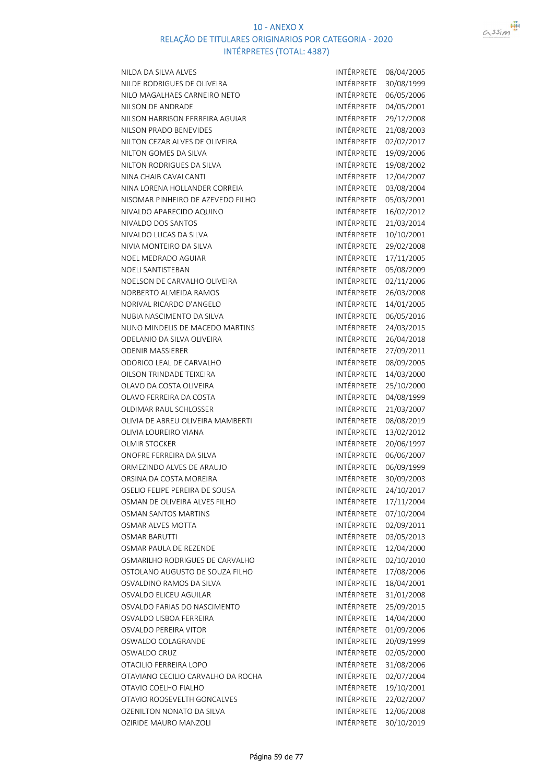



| NILDA DA SILVA ALVES               | INTÉRPRETE        | 08/04/2005 |
|------------------------------------|-------------------|------------|
| NILDE RODRIGUES DE OLIVEIRA        | INTÉRPRETE        | 30/08/1999 |
| NILO MAGALHAES CARNEIRO NETO       | INTÉRPRETE        | 06/05/2006 |
| NILSON DE ANDRADE                  | INTÉRPRETE        | 04/05/2001 |
| NILSON HARRISON FERREIRA AGUIAR    | INTÉRPRETE        | 29/12/2008 |
| NILSON PRADO BENEVIDES             | INTÉRPRETE        |            |
|                                    | INTÉRPRETE        | 21/08/2003 |
| NILTON CEZAR ALVES DE OLIVEIRA     |                   | 02/02/2017 |
| NILTON GOMES DA SILVA              | INTÉRPRETE        | 19/09/2006 |
| NILTON RODRIGUES DA SILVA          | INTÉRPRETE        | 19/08/2002 |
| NINA CHAIB CAVALCANTI              | INTÉRPRETE        | 12/04/2007 |
| NINA LORENA HOLLANDER CORREIA      | INTÉRPRETE        | 03/08/2004 |
| NISOMAR PINHEIRO DE AZEVEDO FILHO  | INTÉRPRETE        | 05/03/2001 |
| NIVALDO APARECIDO AQUINO           | INTÉRPRETE        | 16/02/2012 |
| NIVALDO DOS SANTOS                 | INTÉRPRETE        | 21/03/2014 |
| NIVALDO LUCAS DA SILVA             | INTÉRPRETE        | 10/10/2001 |
| NIVIA MONTEIRO DA SILVA            | INTÉRPRETE        | 29/02/2008 |
| NOEL MEDRADO AGUIAR                | INTÉRPRETE        | 17/11/2005 |
| <b>NOELI SANTISTEBAN</b>           | INTÉRPRETE        | 05/08/2009 |
| NOELSON DE CARVALHO OLIVEIRA       | INTÉRPRETE        | 02/11/2006 |
| NORBERTO ALMEIDA RAMOS             | INTÉRPRETE        | 26/03/2008 |
| NORIVAL RICARDO D'ANGELO           | INTÉRPRETE        | 14/01/2005 |
| NUBIA NASCIMENTO DA SILVA          | INTÉRPRETE        | 06/05/2016 |
| NUNO MINDELIS DE MACEDO MARTINS    | INTÉRPRETE        | 24/03/2015 |
| ODELANIO DA SILVA OLIVEIRA         | INTÉRPRETE        | 26/04/2018 |
| <b>ODENIR MASSIERER</b>            | INTÉRPRETE        | 27/09/2011 |
| ODORICO LEAL DE CARVALHO           | INTÉRPRETE        | 08/09/2005 |
| OILSON TRINDADE TEIXEIRA           | INTÉRPRETE        | 14/03/2000 |
| OLAVO DA COSTA OLIVEIRA            | INTÉRPRETE        | 25/10/2000 |
| OLAVO FERREIRA DA COSTA            | INTÉRPRETE        | 04/08/1999 |
| OLDIMAR RAUL SCHLOSSER             | INTÉRPRETE        | 21/03/2007 |
| OLIVIA DE ABREU OLIVEIRA MAMBERTI  | INTÉRPRETE        | 08/08/2019 |
| OLIVIA LOUREIRO VIANA              | INTÉRPRETE        | 13/02/2012 |
| <b>OLMIR STOCKER</b>               | INTÉRPRETE        | 20/06/1997 |
| ONOFRE FERREIRA DA SILVA           | INTÉRPRETE        | 06/06/2007 |
| ORMEZINDO ALVES DE ARAUJO          | INTÉRPRETE        | 06/09/1999 |
| ORSINA DA COSTA MOREIRA            | INTÉRPRETE        | 30/09/2003 |
| OSELIO FELIPE PEREIRA DE SOUSA     | INTÉRPRETE        | 24/10/2017 |
| OSMAN DE OLIVEIRA ALVES FILHO      | INTÉRPRETE        | 17/11/2004 |
| <b>OSMAN SANTOS MARTINS</b>        | <b>INTÉRPRETE</b> | 07/10/2004 |
| OSMAR ALVES MOTTA                  | INTÉRPRETE        | 02/09/2011 |
| OSMAR BARUTTI                      | INTÉRPRETE        | 03/05/2013 |
| OSMAR PAULA DE REZENDE             | INTÉRPRETE        | 12/04/2000 |
| OSMARILHO RODRIGUES DE CARVALHO    | INTÉRPRETE        | 02/10/2010 |
| OSTOLANO AUGUSTO DE SOUZA FILHO    | INTÉRPRETE        | 17/08/2006 |
| OSVALDINO RAMOS DA SILVA           | INTÉRPRETE        | 18/04/2001 |
| OSVALDO ELICEU AGUILAR             | <b>INTÉRPRETE</b> | 31/01/2008 |
| OSVALDO FARIAS DO NASCIMENTO       | <b>INTÉRPRETE</b> | 25/09/2015 |
| OSVALDO LISBOA FERREIRA            | <b>INTÉRPRETE</b> | 14/04/2000 |
| OSVALDO PEREIRA VITOR              | INTÉRPRETE        | 01/09/2006 |
| OSWALDO COLAGRANDE                 | INTÉRPRETE        | 20/09/1999 |
| OSWALDO CRUZ                       | INTÉRPRETE        | 02/05/2000 |
| OTACILIO FERREIRA LOPO             | INTÉRPRETE        | 31/08/2006 |
| OTAVIANO CECILIO CARVALHO DA ROCHA | INTÉRPRETE        | 02/07/2004 |
| OTAVIO COELHO FIALHO               | INTÉRPRETE        | 19/10/2001 |
| OTAVIO ROOSEVELTH GONCALVES        | INTÉRPRETE        | 22/02/2007 |
| OZENILTON NONATO DA SILVA          | INTÉRPRETE        | 12/06/2008 |
| OZIRIDE MAURO MANZOLI              | <b>INTÉRPRETE</b> | 30/10/2019 |
|                                    |                   |            |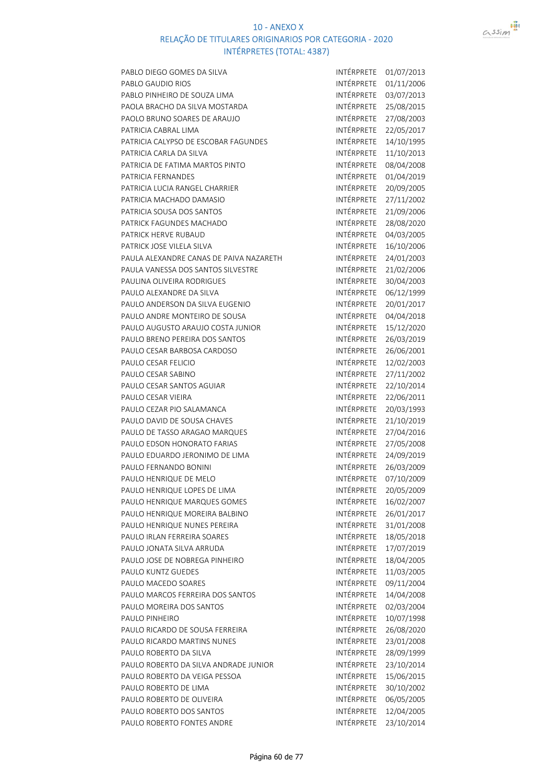

| PABLO DIEGO GOMES DA SILVA              | INTÉRPRETE        | 01/07/2013 |
|-----------------------------------------|-------------------|------------|
| PABLO GAUDIO RIOS                       | INTÉRPRETE        | 01/11/2006 |
| PABLO PINHEIRO DE SOUZA LIMA            | INTÉRPRETE        | 03/07/2013 |
| PAOLA BRACHO DA SILVA MOSTARDA          | INTÉRPRETE        | 25/08/2015 |
| PAOLO BRUNO SOARES DE ARAUJO            | INTÉRPRETE        | 27/08/2003 |
| PATRICIA CABRAL LIMA                    | INTÉRPRETE        | 22/05/2017 |
| PATRICIA CALYPSO DE ESCOBAR FAGUNDES    | INTÉRPRETE        | 14/10/1995 |
| PATRICIA CARLA DA SILVA                 | INTÉRPRETE        | 11/10/2013 |
| PATRICIA DE FATIMA MARTOS PINTO         | INTÉRPRETE        | 08/04/2008 |
| PATRICIA FERNANDES                      | INTÉRPRETE        | 01/04/2019 |
| PATRICIA LUCIA RANGEL CHARRIER          | INTÉRPRETE        | 20/09/2005 |
| PATRICIA MACHADO DAMASIO                | INTÉRPRETE        | 27/11/2002 |
| PATRICIA SOUSA DOS SANTOS               | INTÉRPRETE        | 21/09/2006 |
| PATRICK FAGUNDES MACHADO                | INTÉRPRETE        | 28/08/2020 |
| PATRICK HERVE RUBAUD                    | INTÉRPRETE        | 04/03/2005 |
| PATRICK JOSE VILELA SILVA               | INTÉRPRETE        | 16/10/2006 |
| PAULA ALEXANDRE CANAS DE PAIVA NAZARETH | INTÉRPRETE        | 24/01/2003 |
| PAULA VANESSA DOS SANTOS SILVESTRE      | INTÉRPRETE        | 21/02/2006 |
| PAULINA OLIVEIRA RODRIGUES              | INTÉRPRETE        | 30/04/2003 |
| PAULO ALEXANDRE DA SILVA                | INTÉRPRETE        | 06/12/1999 |
| PAULO ANDERSON DA SILVA EUGENIO         | INTÉRPRETE        |            |
|                                         |                   | 20/01/2017 |
| PAULO ANDRE MONTEIRO DE SOUSA           | INTÉRPRETE        | 04/04/2018 |
| PAULO AUGUSTO ARAUJO COSTA JUNIOR       | INTÉRPRETE        | 15/12/2020 |
| PAULO BRENO PEREIRA DOS SANTOS          | INTÉRPRETE        | 26/03/2019 |
| PAULO CESAR BARBOSA CARDOSO             | INTÉRPRETE        | 26/06/2001 |
| PAULO CESAR FELICIO                     | INTÉRPRETE        | 12/02/2003 |
| PAULO CESAR SABINO                      | INTÉRPRETE        | 27/11/2002 |
| PAULO CESAR SANTOS AGUIAR               | INTÉRPRETE        | 22/10/2014 |
| PAULO CESAR VIEIRA                      | INTÉRPRETE        | 22/06/2011 |
| PAULO CEZAR PIO SALAMANCA               | INTÉRPRETE        | 20/03/1993 |
| PAULO DAVID DE SOUSA CHAVES             | INTÉRPRETE        | 21/10/2019 |
| PAULO DE TASSO ARAGAO MARQUES           | INTÉRPRETE        | 27/04/2016 |
| PAULO EDSON HONORATO FARIAS             | INTÉRPRETE        | 27/05/2008 |
| PAULO EDUARDO JERONIMO DE LIMA          | INTÉRPRETE        | 24/09/2019 |
| PAULO FERNANDO BONINI                   | INTÉRPRETE        | 26/03/2009 |
| PAULO HENRIQUE DE MELO                  | INTÉRPRETE        | 07/10/2009 |
| PAULO HENRIQUE LOPES DE LIMA            | INTÉRPRETE        | 20/05/2009 |
| PAULO HENRIQUE MARQUES GOMES            | INTÉRPRETE        | 16/02/2007 |
| PAULO HENRIQUE MOREIRA BALBINO          | INTÉRPRETE        | 26/01/2017 |
| PAULO HENRIQUE NUNES PEREIRA            | <b>INTÉRPRETE</b> | 31/01/2008 |
| PAULO IRLAN FERREIRA SOARES             | INTÉRPRETE        | 18/05/2018 |
| PAULO JONATA SILVA ARRUDA               | INTÉRPRETE        | 17/07/2019 |
| PAULO JOSE DE NOBREGA PINHEIRO          | INTÉRPRETE        | 18/04/2005 |
| PAULO KUNTZ GUEDES                      | INTÉRPRETE        | 11/03/2005 |
| PAULO MACEDO SOARES                     | INTÉRPRETE        | 09/11/2004 |
| PAULO MARCOS FERREIRA DOS SANTOS        | INTÉRPRETE        | 14/04/2008 |
| PAULO MOREIRA DOS SANTOS                | INTÉRPRETE        | 02/03/2004 |
| PAULO PINHEIRO                          | INTÉRPRETE        | 10/07/1998 |
| PAULO RICARDO DE SOUSA FERREIRA         | INTÉRPRETE        | 26/08/2020 |
| PAULO RICARDO MARTINS NUNES             | INTÉRPRETE        | 23/01/2008 |
| PAULO ROBERTO DA SILVA                  | INTÉRPRETE        | 28/09/1999 |
| PAULO ROBERTO DA SILVA ANDRADE JUNIOR   | INTÉRPRETE        | 23/10/2014 |
| PAULO ROBERTO DA VEIGA PESSOA           | INTÉRPRETE        | 15/06/2015 |
| PAULO ROBERTO DE LIMA                   | INTÉRPRETE        | 30/10/2002 |
| PAULO ROBERTO DE OLIVEIRA               | INTÉRPRETE        | 06/05/2005 |
| PAULO ROBERTO DOS SANTOS                | INTÉRPRETE        | 12/04/2005 |
| PAULO ROBERTO FONTES ANDRE              | INTÉRPRETE        | 23/10/2014 |
|                                         |                   |            |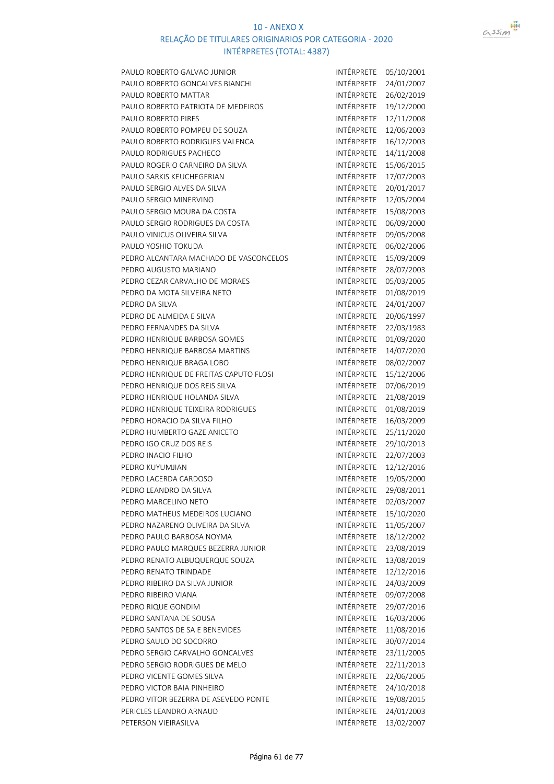

| PAULO ROBERTO GALVAO JUNIOR            | INTÉRPRETE | 05/10/2001 |
|----------------------------------------|------------|------------|
| PAULO ROBERTO GONCALVES BIANCHI        | INTÉRPRETE | 24/01/2007 |
| PAULO ROBERTO MATTAR                   | INTÉRPRETE | 26/02/2019 |
| PAULO ROBERTO PATRIOTA DE MEDEIROS     | INTÉRPRETE | 19/12/2000 |
| <b>PAULO ROBERTO PIRES</b>             | INTÉRPRETE | 12/11/2008 |
| PAULO ROBERTO POMPEU DE SOUZA          | INTÉRPRETE | 12/06/2003 |
| PAULO ROBERTO RODRIGUES VALENCA        | INTÉRPRETE | 16/12/2003 |
| PAULO RODRIGUES PACHECO                | INTÉRPRETE | 14/11/2008 |
| PAULO ROGERIO CARNEIRO DA SILVA        | INTÉRPRETE | 15/06/2015 |
| PAULO SARKIS KEUCHEGERIAN              | INTÉRPRETE | 17/07/2003 |
| PAULO SERGIO ALVES DA SILVA            | INTÉRPRETE | 20/01/2017 |
| PAULO SERGIO MINERVINO                 | INTÉRPRETE | 12/05/2004 |
| PAULO SERGIO MOURA DA COSTA            | INTÉRPRETE | 15/08/2003 |
| PAULO SERGIO RODRIGUES DA COSTA        | INTÉRPRETE | 06/09/2000 |
| PAULO VINICUS OLIVEIRA SILVA           | INTÉRPRETE | 09/05/2008 |
| PAULO YOSHIO TOKUDA                    | INTÉRPRETE | 06/02/2006 |
| PEDRO ALCANTARA MACHADO DE VASCONCELOS | INTÉRPRETE | 15/09/2009 |
| PEDRO AUGUSTO MARIANO                  | INTÉRPRETE | 28/07/2003 |
| PEDRO CEZAR CARVALHO DE MORAES         | INTÉRPRETE | 05/03/2005 |
|                                        | INTÉRPRETE |            |
| PEDRO DA MOTA SILVEIRA NETO            |            | 01/08/2019 |
| PEDRO DA SILVA                         | INTÉRPRETE | 24/01/2007 |
| PEDRO DE ALMEIDA E SILVA               | INTÉRPRETE | 20/06/1997 |
| PEDRO FERNANDES DA SILVA               | INTÉRPRETE | 22/03/1983 |
| PEDRO HENRIQUE BARBOSA GOMES           | INTÉRPRETE | 01/09/2020 |
| PEDRO HENRIQUE BARBOSA MARTINS         | INTÉRPRETE | 14/07/2020 |
| PEDRO HENRIQUE BRAGA LOBO              | INTÉRPRETE | 08/02/2007 |
| PEDRO HENRIQUE DE FREITAS CAPUTO FLOSI | INTÉRPRETE | 15/12/2006 |
| PEDRO HENRIQUE DOS REIS SILVA          | INTÉRPRETE | 07/06/2019 |
| PEDRO HENRIQUE HOLANDA SILVA           | INTÉRPRETE | 21/08/2019 |
| PEDRO HENRIQUE TEIXEIRA RODRIGUES      | INTÉRPRETE | 01/08/2019 |
| PEDRO HORACIO DA SILVA FILHO           | INTÉRPRETE | 16/03/2009 |
| PEDRO HUMBERTO GAZE ANICETO            | INTÉRPRETE | 25/11/2020 |
| PEDRO IGO CRUZ DOS REIS                | INTÉRPRETE | 29/10/2013 |
| PEDRO INACIO FILHO                     | INTÉRPRETE | 22/07/2003 |
| PEDRO KUYUMJIAN                        | INTÉRPRETE | 12/12/2016 |
| PEDRO LACERDA CARDOSO                  | INTÉRPRETE | 19/05/2000 |
| PEDRO LEANDRO DA SILVA                 | INTÉRPRETE | 29/08/2011 |
| PEDRO MARCELINO NETO                   | INTÉRPRETE | 02/03/2007 |
| PEDRO MATHEUS MEDEIROS LUCIANO         | INTÉRPRETE | 15/10/2020 |
| PEDRO NAZARENO OLIVEIRA DA SILVA       | INTÉRPRETE | 11/05/2007 |
| PEDRO PAULO BARBOSA NOYMA              | INTÉRPRETE | 18/12/2002 |
| PEDRO PAULO MARQUES BEZERRA JUNIOR     | INTÉRPRETE | 23/08/2019 |
| PEDRO RENATO ALBUQUERQUE SOUZA         | INTÉRPRETE | 13/08/2019 |
| PEDRO RENATO TRINDADE                  | INTÉRPRETE | 12/12/2016 |
| PEDRO RIBEIRO DA SILVA JUNIOR          | INTÉRPRETE | 24/03/2009 |
| PEDRO RIBEIRO VIANA                    | INTÉRPRETE | 09/07/2008 |
| PEDRO RIQUE GONDIM                     | INTÉRPRETE | 29/07/2016 |
| PEDRO SANTANA DE SOUSA                 | INTÉRPRETE | 16/03/2006 |
| PEDRO SANTOS DE SA E BENEVIDES         | INTÉRPRETE | 11/08/2016 |
| PEDRO SAULO DO SOCORRO                 | INTÉRPRETE | 30/07/2014 |
| PEDRO SERGIO CARVALHO GONCALVES        | INTÉRPRETE | 23/11/2005 |
| PEDRO SERGIO RODRIGUES DE MELO         | INTÉRPRETE | 22/11/2013 |
| PEDRO VICENTE GOMES SILVA              | INTÉRPRETE | 22/06/2005 |
| PEDRO VICTOR BAIA PINHEIRO             | INTÉRPRETE | 24/10/2018 |
| PEDRO VITOR BEZERRA DE ASEVEDO PONTE   | INTÉRPRETE | 19/08/2015 |
| PERICLES LEANDRO ARNAUD                | INTÉRPRETE | 24/01/2003 |
| PETERSON VIEIRASILVA                   | INTÉRPRETE | 13/02/2007 |
|                                        |            |            |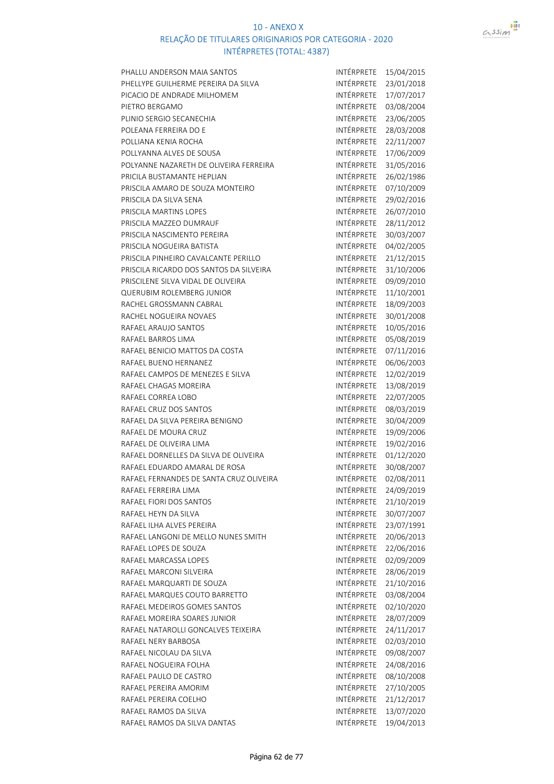

| PHALLU ANDERSON MAIA SANTOS             | INTÉRPRETE        | 15/04/2015 |
|-----------------------------------------|-------------------|------------|
| PHELLYPE GUILHERME PEREIRA DA SILVA     | INTÉRPRETE        | 23/01/2018 |
| PICACIO DE ANDRADE MILHOMEM             | INTÉRPRETE        | 17/07/2017 |
| PIETRO BERGAMO                          | INTÉRPRETE        | 03/08/2004 |
| PLINIO SERGIO SECANECHIA                | INTÉRPRETE        | 23/06/2005 |
| POLEANA FERREIRA DO E                   | INTÉRPRETE        | 28/03/2008 |
| POLLIANA KENIA ROCHA                    | INTÉRPRETE        | 22/11/2007 |
| POLLYANNA ALVES DE SOUSA                | INTÉRPRETE        | 17/06/2009 |
| POLYANNE NAZARETH DE OLIVEIRA FERREIRA  | INTÉRPRETE        | 31/05/2016 |
| PRICILA BUSTAMANTE HEPLIAN              | INTÉRPRETE        | 26/02/1986 |
| PRISCILA AMARO DE SOUZA MONTEIRO        | INTÉRPRETE        | 07/10/2009 |
| PRISCILA DA SILVA SENA                  | <b>INTÉRPRETE</b> | 29/02/2016 |
| PRISCILA MARTINS LOPES                  | INTÉRPRETE        | 26/07/2010 |
| PRISCILA MAZZEO DUMRAUF                 | INTÉRPRETE        | 28/11/2012 |
| PRISCILA NASCIMENTO PEREIRA             | INTÉRPRETE        | 30/03/2007 |
| PRISCILA NOGUEIRA BATISTA               | INTÉRPRETE        | 04/02/2005 |
| PRISCILA PINHEIRO CAVALCANTE PERILLO    | INTÉRPRETE        | 21/12/2015 |
| PRISCILA RICARDO DOS SANTOS DA SILVEIRA | INTÉRPRETE        | 31/10/2006 |
| PRISCILENE SILVA VIDAL DE OLIVEIRA      | INTÉRPRETE        | 09/09/2010 |
| QUERUBIM ROLEMBERG JUNIOR               | INTÉRPRETE        | 11/10/2001 |
| RACHEL GROSSMANN CABRAL                 | INTÉRPRETE        | 18/09/2003 |
| RACHEL NOGUEIRA NOVAES                  | INTÉRPRETE        | 30/01/2008 |
| RAFAEL ARAUJO SANTOS                    | INTÉRPRETE        | 10/05/2016 |
| RAFAEL BARROS LIMA                      | INTÉRPRETE        | 05/08/2019 |
| RAFAEL BENICIO MATTOS DA COSTA          | INTÉRPRETE        | 07/11/2016 |
| RAFAEL BUENO HERNANEZ                   | INTÉRPRETE        | 06/06/2003 |
| RAFAEL CAMPOS DE MENEZES E SILVA        | INTÉRPRETE        | 12/02/2019 |
| RAFAEL CHAGAS MOREIRA                   | INTÉRPRETE        | 13/08/2019 |
| RAFAEL CORREA LOBO                      | INTÉRPRETE        | 22/07/2005 |
| RAFAEL CRUZ DOS SANTOS                  | INTÉRPRETE        | 08/03/2019 |
| RAFAEL DA SILVA PEREIRA BENIGNO         | INTÉRPRETE        | 30/04/2009 |
| RAFAEL DE MOURA CRUZ                    | INTÉRPRETE        | 19/09/2006 |
| RAFAEL DE OLIVEIRA LIMA                 | INTÉRPRETE        | 19/02/2016 |
| RAFAEL DORNELLES DA SILVA DE OLIVEIRA   | INTÉRPRETE        | 01/12/2020 |
| RAFAEL EDUARDO AMARAL DE ROSA           | INTÉRPRETE        | 30/08/2007 |
| RAFAEL FERNANDES DE SANTA CRUZ OLIVEIRA | <b>INTÉRPRETE</b> | 02/08/2011 |
| RAFAEL FERREIRA LIMA                    | INTÉRPRETE        | 24/09/2019 |
| RAFAEL FIORI DOS SANTOS                 | INTÉRPRETE        | 21/10/2019 |
| RAFAEL HEYN DA SILVA                    | INTÉRPRETE        | 30/07/2007 |
| RAFAEL ILHA ALVES PEREIRA               | INTÉRPRETE        | 23/07/1991 |
| RAFAEL LANGONI DE MELLO NUNES SMITH     | INTÉRPRETE        | 20/06/2013 |
| RAFAEL LOPES DE SOUZA                   | INTÉRPRETE        | 22/06/2016 |
| RAFAEL MARCASSA LOPES                   | INTÉRPRETE        | 02/09/2009 |
| RAFAEL MARCONI SILVEIRA                 | INTÉRPRETE        | 28/06/2019 |
| RAFAEL MARQUARTI DE SOUZA               | INTÉRPRETE        | 21/10/2016 |
| RAFAEL MARQUES COUTO BARRETTO           | <b>INTÉRPRETE</b> | 03/08/2004 |
| RAFAEL MEDEIROS GOMES SANTOS            | INTÉRPRETE        | 02/10/2020 |
| RAFAEL MOREIRA SOARES JUNIOR            | INTÉRPRETE        | 28/07/2009 |
| RAFAEL NATAROLLI GONCALVES TEIXEIRA     | INTÉRPRETE        | 24/11/2017 |
| RAFAEL NERY BARBOSA                     | INTÉRPRETE        | 02/03/2010 |
| RAFAEL NICOLAU DA SILVA                 | INTÉRPRETE        | 09/08/2007 |
| RAFAEL NOGUEIRA FOLHA                   | INTÉRPRETE        | 24/08/2016 |
| RAFAEL PAULO DE CASTRO                  | INTÉRPRETE        | 08/10/2008 |
| RAFAEL PEREIRA AMORIM                   | INTÉRPRETE        | 27/10/2005 |
| RAFAEL PEREIRA COELHO                   | INTÉRPRETE        | 21/12/2017 |
| RAFAEL RAMOS DA SILVA                   | INTÉRPRETE        | 13/07/2020 |
| RAFAEL RAMOS DA SILVA DANTAS            | INTÉRPRETE        | 19/04/2013 |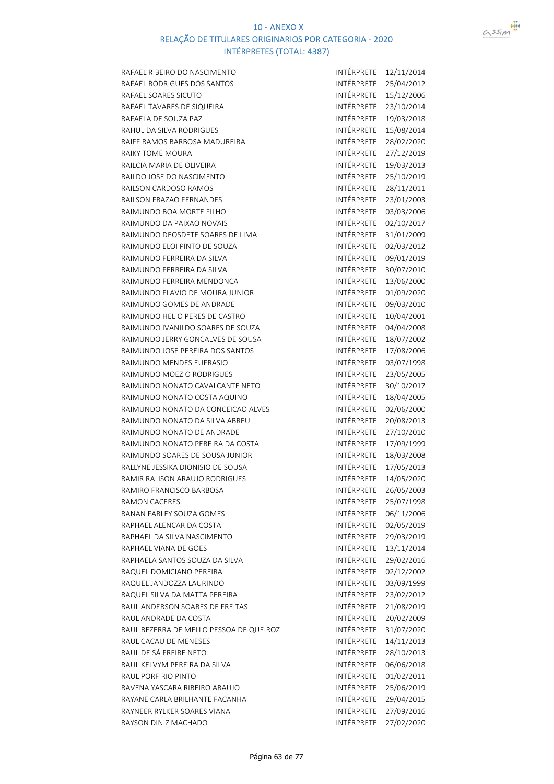

RAFAEL RIBEIRO DO NASCIMENTO **INTÉRPRETE** 12/11/2014 RAFAEL RODRIGUES DOS SANTOS **INTÉRPRETE** 25/04/2012 RAFAEL SOARES SICUTO **INTÉRPRETE** 15/12/2006 RAFAEL TAVARES DE SIQUEIRA INTÉRPRETE 23/10/2014 RAFAELA DE SOUZA PAZ<br>INTÉRPRETE 19/03/2018 RAHUL DA SILVA RODRIGUES **INTÉRPRETE** 15/08/2014 RAIFF RAMOS BARBOSA MADUREIRA INTÉRPRETE 28/02/2020 RAIKY TOME MOURA<br>
INTÉRPRETE 27/12/2019 RAILCIA MARIA DE OLIVEIRA **INTÉRPRETE** 19/03/2013 RAILDO JOSE DO NASCIMENTO **INTÉRPRETE** 25/10/2019 RAILSON CARDOSO RAMOS<br>INTÉRPRETE 28/11/2011 RAILSON FRAZAO FERNANDES **INTÉRPRETE** 23/01/2003 RAIMUNDO BOA MORTE FILHO **INTÉRPRETE** 03/03/2006 RAIMUNDO DA PAIXAO NOVAIS **INTÉRPRETE** 02/10/2017 RAIMUNDO DEOSDETE SOARES DE LIMA INTÉRPRETE 31/01/2009 RAIMUNDO ELOI PINTO DE SOUZA INTÉRPRETE 02/03/2012 RAIMUNDO FERREIRA DA SILVA INTÉRPRETE 09/01/2019 RAIMUNDO FERREIRA DA SILVA INTÉRPRETE 30/07/2010 RAIMUNDO FERREIRA MENDONCA INTÉRPRETE 13/06/2000 RAIMUNDO FLAVIO DE MOURA JUNIOR **INTÉRPRETE** 01/09/2020 RAIMUNDO GOMES DE ANDRADE INTÉRPRETE 09/03/2010 RAIMUNDO HELIO PERES DE CASTRO **INTÉRPRETE** 10/04/2001 RAIMUNDO IVANILDO SOARES DE SOUZA INTÉRPRETE 04/04/2008 RAIMUNDO JERRY GONCALVES DE SOUSA INTÉRPRETE 18/07/2002 RAIMUNDO JOSE PEREIRA DOS SANTOS **INTÉRPRETE** 17/08/2006 RAIMUNDO MENDES EUFRASIO INTÉRPRETE 03/07/1998 RAIMUNDO MOEZIO RODRIGUES **INTÉRPRETE** 23/05/2005 RAIMUNDO NONATO CAVALCANTE NETO INTÉRPRETE 30/10/2017 RAIMUNDO NONATO COSTA AQUINO INTÉRPRETE 18/04/2005 RAIMUNDO NONATO DA CONCEICAO ALVES INTÉRPRETE 02/06/2000 RAIMUNDO NONATO DA SILVA ABREU INTÉRPRETE 20/08/2013 RAIMUNDO NONATO DE ANDRADE INTÉRPRETE 27/10/2010 RAIMUNDO NONATO PEREIRA DA COSTA INTÉRPRETE 17/09/1999 RAIMUNDO SOARES DE SOUSA JUNIOR INTÉRPRETE 18/03/2008 RALLYNE JESSIKA DIONISIO DE SOUSA INTÉRPRETE 17/05/2013 RAMIR RALISON ARAUJO RODRIGUES **INTÉRPRETE** 14/05/2020 RAMIRO FRANCISCO BARBOSA INTÉRPRETE 26/05/2003 RAMON CACERES **INTÉRPRETE** 25/07/1998 RANAN FARLEY SOUZA GOMES **INTÉRPRETE** 06/11/2006 RAPHAEL ALENCAR DA COSTA **INTÉRPRETE** 02/05/2019 RAPHAEL DA SILVA NASCIMENTO **INTÉRPRETE** 29/03/2019 RAPHAEL VIANA DE GOES **INTÉRPRETE** 13/11/2014 RAPHAELA SANTOS SOUZA DA SILVA INTÉRPRETE 29/02/2016 RAQUEL DOMICIANO PEREIRA INTÉRPRETE 02/12/2002 RAQUEL JANDOZZA LAURINDO INTÉRPRETE 03/09/1999 RAQUEL SILVA DA MATTA PEREIRA INTÉRPRETE 23/02/2012 RAUL ANDERSON SOARES DE FREITAS INTÉRPRETE 21/08/2019 RAUL ANDRADE DA COSTA INTÉRPRETE 20/02/2009 RAUL BEZERRA DE MELLO PESSOA DE QUEIROZ INTÉRPRETE 31/07/2020 RAUL CACAU DE MENESES **INTÉRPRETE** 14/11/2013 RAUL DE SÁ FREIRE NETO **INTÉRPRETE** 28/10/2013 RAUL KELVYM PEREIRA DA SILVA INTÉRPRETE 06/06/2018 RAUL PORFIRIO PINTO **INTÉRPRETE** 01/02/2011 RAVENA YASCARA RIBEIRO ARAUJO INTÉRPRETE 25/06/2019 RAYANE CARLA BRILHANTE FACANHA RAYNEER RYLKER SOARES VIANA INTÉRPRETE 27/09/2016 RAYSON DINIZ MACHADO **INTÉRPRETE** 27/02/2020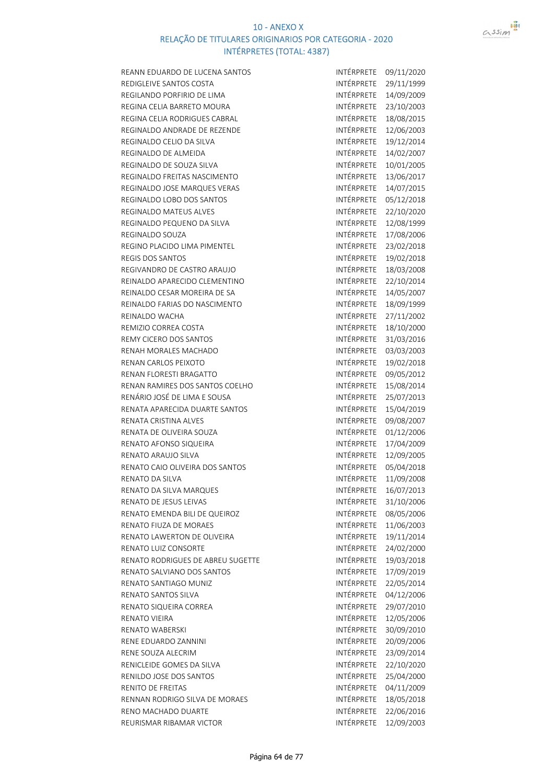

| REANN EDUARDO DE LUCENA SANTOS    | INTÉRPRETE               | 09/11/2020 |
|-----------------------------------|--------------------------|------------|
| REDIGLEIVE SANTOS COSTA           | INTÉRPRETE               | 29/11/1999 |
| REGILANDO PORFIRIO DE LIMA        | INTÉRPRETE               | 14/09/2009 |
| REGINA CELIA BARRETO MOURA        | INTÉRPRETE               | 23/10/2003 |
| REGINA CELIA RODRIGUES CABRAL     | INTÉRPRETE               | 18/08/2015 |
| REGINALDO ANDRADE DE REZENDE      | INTÉRPRETE               | 12/06/2003 |
| REGINALDO CELIO DA SILVA          | INTÉRPRETE               | 19/12/2014 |
| REGINALDO DE ALMEIDA              | INTÉRPRETE               | 14/02/2007 |
| REGINALDO DE SOUZA SILVA          | INTÉRPRETE               | 10/01/2005 |
| REGINALDO FREITAS NASCIMENTO      | INTÉRPRETE               | 13/06/2017 |
| REGINALDO JOSE MARQUES VERAS      | INTÉRPRETE               | 14/07/2015 |
| REGINALDO LOBO DOS SANTOS         | INTÉRPRETE               | 05/12/2018 |
| REGINALDO MATEUS ALVES            | INTÉRPRETE               | 22/10/2020 |
| REGINALDO PEQUENO DA SILVA        | INTÉRPRETE               | 12/08/1999 |
| REGINALDO SOUZA                   | INTÉRPRETE               | 17/08/2006 |
| REGINO PLACIDO LIMA PIMENTEL      | INTÉRPRETE               | 23/02/2018 |
| <b>REGIS DOS SANTOS</b>           | INTÉRPRETE               | 19/02/2018 |
| REGIVANDRO DE CASTRO ARAUJO       | INTÉRPRETE               | 18/03/2008 |
| REINALDO APARECIDO CLEMENTINO     | INTÉRPRETE               | 22/10/2014 |
| REINALDO CESAR MOREIRA DE SA      | INTÉRPRETE               | 14/05/2007 |
| REINALDO FARIAS DO NASCIMENTO     | INTÉRPRETE               | 18/09/1999 |
| REINALDO WACHA                    | INTÉRPRETE               | 27/11/2002 |
| REMIZIO CORREA COSTA              | INTÉRPRETE               | 18/10/2000 |
| REMY CICERO DOS SANTOS            | INTÉRPRETE               | 31/03/2016 |
| RENAH MORALES MACHADO             | INTÉRPRETE               | 03/03/2003 |
| RENAN CARLOS PEIXOTO              | INTÉRPRETE               | 19/02/2018 |
| RENAN FLORESTI BRAGATTO           | INTÉRPRETE               | 09/05/2012 |
| RENAN RAMIRES DOS SANTOS COELHO   | INTÉRPRETE               | 15/08/2014 |
| RENÁRIO JOSÉ DE LIMA E SOUSA      | INTÉRPRETE               | 25/07/2013 |
| RENATA APARECIDA DUARTE SANTOS    | INTÉRPRETE               | 15/04/2019 |
| RENATA CRISTINA ALVES             | INTÉRPRETE               | 09/08/2007 |
| RENATA DE OLIVEIRA SOUZA          | INTÉRPRETE               | 01/12/2006 |
| RENATO AFONSO SIQUEIRA            | INTÉRPRETE               | 17/04/2009 |
| RENATO ARAUJO SILVA               | INTÉRPRETE               | 12/09/2005 |
| RENATO CAIO OLIVEIRA DOS SANTOS   | INTÉRPRETE               | 05/04/2018 |
| RENATO DA SILVA                   | INTÉRPRETE               | 11/09/2008 |
| RENATO DA SILVA MARQUES           | INTÉRPRETE               | 16/07/2013 |
| RENATO DE JESUS LEIVAS            | INTÉRPRETE               | 31/10/2006 |
| RENATO EMENDA BILI DE QUEIROZ     | INTÉRPRETE               | 08/05/2006 |
| RENATO FIUZA DE MORAES            | INTÉRPRETE               | 11/06/2003 |
| RENATO LAWERTON DE OLIVEIRA       | INTÉRPRETE               | 19/11/2014 |
| RENATO LUIZ CONSORTE              | INTÉRPRETE               | 24/02/2000 |
| RENATO RODRIGUES DE ABREU SUGETTE | <b>INTÉRPRETE</b>        | 19/03/2018 |
| RENATO SALVIANO DOS SANTOS        | <b>INTÉRPRETE</b>        | 17/09/2019 |
| RENATO SANTIAGO MUNIZ             | INTÉRPRETE               |            |
|                                   |                          | 22/05/2014 |
| RENATO SANTOS SILVA               | INTÉRPRETE<br>INTÉRPRETE | 04/12/2006 |
| RENATO SIQUEIRA CORREA            | INTÉRPRETE               | 29/07/2010 |
| RENATO VIEIRA                     |                          | 12/05/2006 |
| <b>RENATO WABERSKI</b>            | INTÉRPRETE               | 30/09/2010 |
| RENE EDUARDO ZANNINI              | INTÉRPRETE               | 20/09/2006 |
| RENE SOUZA ALECRIM                | INTÉRPRETE               | 23/09/2014 |
| RENICLEIDE GOMES DA SILVA         | INTÉRPRETE               | 22/10/2020 |
| RENILDO JOSE DOS SANTOS           | INTÉRPRETE               | 25/04/2000 |
| RENITO DE FREITAS                 | INTÉRPRETE               | 04/11/2009 |
| RENNAN RODRIGO SILVA DE MORAES    | INTÉRPRETE               | 18/05/2018 |
| RENO MACHADO DUARTE               | INTÉRPRETE               | 22/06/2016 |
| REURISMAR RIBAMAR VICTOR          | INTÉRPRETE               | 12/09/2003 |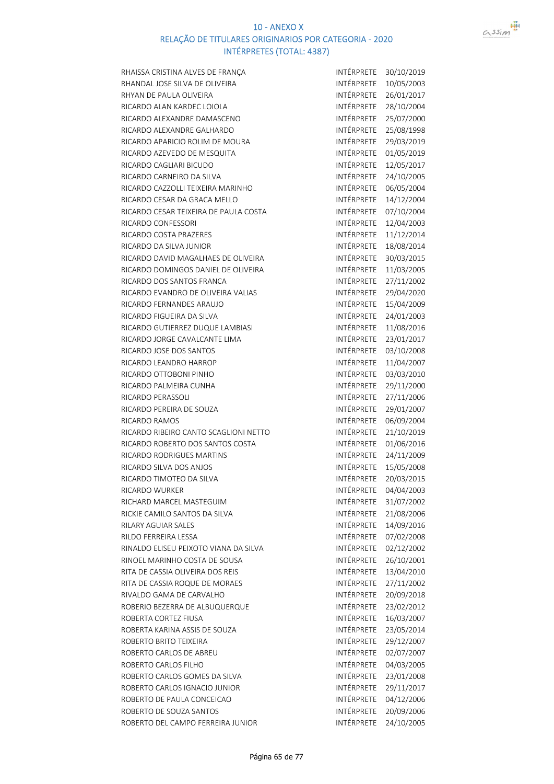

| RHAISSA CRISTINA ALVES DE FRANÇA                       | INTÉRPRETE        | 30/10/2019 |
|--------------------------------------------------------|-------------------|------------|
| RHANDAL JOSE SILVA DE OLIVEIRA                         | <b>INTÉRPRETE</b> | 10/05/2003 |
| RHYAN DE PAULA OLIVEIRA                                | INTÉRPRETE        | 26/01/2017 |
| RICARDO ALAN KARDEC LOIOLA                             | INTÉRPRETE        | 28/10/2004 |
| RICARDO ALEXANDRE DAMASCENO                            | INTÉRPRETE        | 25/07/2000 |
| RICARDO ALEXANDRE GALHARDO                             | INTÉRPRETE        | 25/08/1998 |
| RICARDO APARICIO ROLIM DE MOURA                        | INTÉRPRETE        | 29/03/2019 |
| RICARDO AZEVEDO DE MESQUITA                            | INTÉRPRETE        | 01/05/2019 |
| RICARDO CAGLIARI BICUDO                                | INTÉRPRETE        | 12/05/2017 |
| RICARDO CARNEIRO DA SILVA                              | INTÉRPRETE        | 24/10/2005 |
| RICARDO CAZZOLLI TEIXEIRA MARINHO                      | INTÉRPRETE        | 06/05/2004 |
| RICARDO CESAR DA GRACA MELLO                           | <b>INTÉRPRETE</b> | 14/12/2004 |
| RICARDO CESAR TEIXEIRA DE PAULA COSTA                  | INTÉRPRETE        | 07/10/2004 |
| RICARDO CONFESSORI                                     | INTÉRPRETE        | 12/04/2003 |
| RICARDO COSTA PRAZERES                                 | INTÉRPRETE        | 11/12/2014 |
| RICARDO DA SILVA JUNIOR                                | INTÉRPRETE        | 18/08/2014 |
| RICARDO DAVID MAGALHAES DE OLIVEIRA                    | INTÉRPRETE        | 30/03/2015 |
| RICARDO DOMINGOS DANIEL DE OLIVEIRA                    | <b>INTÉRPRETE</b> | 11/03/2005 |
| RICARDO DOS SANTOS FRANCA                              | INTÉRPRETE        | 27/11/2002 |
| RICARDO EVANDRO DE OLIVEIRA VALIAS                     | INTÉRPRETE        | 29/04/2020 |
| RICARDO FERNANDES ARAUJO                               | INTÉRPRETE        | 15/04/2009 |
| RICARDO FIGUEIRA DA SILVA                              | INTÉRPRETE        | 24/01/2003 |
| RICARDO GUTIERREZ DUQUE LAMBIASI                       | <b>INTÉRPRETE</b> | 11/08/2016 |
| RICARDO JORGE CAVALCANTE LIMA                          | INTÉRPRETE        | 23/01/2017 |
| RICARDO JOSE DOS SANTOS                                | INTÉRPRETE        | 03/10/2008 |
| RICARDO LEANDRO HARROP                                 | INTÉRPRETE        | 11/04/2007 |
| RICARDO OTTOBONI PINHO                                 | <b>INTÉRPRETE</b> | 03/03/2010 |
| RICARDO PALMEIRA CUNHA                                 | INTÉRPRETE        | 29/11/2000 |
| RICARDO PERASSOLI                                      | INTÉRPRETE        | 27/11/2006 |
| RICARDO PEREIRA DE SOUZA                               | INTÉRPRETE        | 29/01/2007 |
| <b>RICARDO RAMOS</b>                                   | INTÉRPRETE        | 06/09/2004 |
| RICARDO RIBEIRO CANTO SCAGLIONI NETTO                  | INTÉRPRETE        | 21/10/2019 |
| RICARDO ROBERTO DOS SANTOS COSTA                       | INTÉRPRETE        | 01/06/2016 |
| <b>RICARDO RODRIGUES MARTINS</b>                       | INTÉRPRETE        | 24/11/2009 |
| RICARDO SILVA DOS ANJOS                                | INTÉRPRETE        | 15/05/2008 |
| RICARDO TIMOTEO DA SILVA                               | <b>INTÉRPRETE</b> | 20/03/2015 |
| RICARDO WURKER                                         | INTÉRPRETE        | 04/04/2003 |
| RICHARD MARCEL MASTEGUIM                               | INTÉRPRETE        | 31/07/2002 |
| RICKIE CAMILO SANTOS DA SILVA                          | INTÉRPRETE        | 21/08/2006 |
| RILARY AGUIAR SALES                                    | <b>INTÉRPRETE</b> | 14/09/2016 |
| RILDO FERREIRA LESSA                                   | INTÉRPRETE        | 07/02/2008 |
| RINALDO ELISEU PEIXOTO VIANA DA SILVA                  | INTÉRPRETE        | 02/12/2002 |
| RINOEL MARINHO COSTA DE SOUSA                          | INTÉRPRETE        | 26/10/2001 |
| RITA DE CASSIA OLIVEIRA DOS REIS                       | INTÉRPRETE        | 13/04/2010 |
| RITA DE CASSIA ROQUE DE MORAES                         | INTÉRPRETE        | 27/11/2002 |
| RIVALDO GAMA DE CARVALHO                               | INTÉRPRETE        |            |
|                                                        | INTÉRPRETE        | 20/09/2018 |
| ROBERIO BEZERRA DE ALBUQUERQUE<br>ROBERTA CORTEZ FIUSA | INTÉRPRETE        | 23/02/2012 |
|                                                        | INTÉRPRETE        | 16/03/2007 |
| ROBERTA KARINA ASSIS DE SOUZA                          | INTÉRPRETE        | 23/05/2014 |
| ROBERTO BRITO TEIXEIRA                                 | INTÉRPRETE        | 29/12/2007 |
| ROBERTO CARLOS DE ABREU                                |                   | 02/07/2007 |
| ROBERTO CARLOS FILHO                                   | INTÉRPRETE        | 04/03/2005 |
| ROBERTO CARLOS GOMES DA SILVA                          | INTÉRPRETE        | 23/01/2008 |
| ROBERTO CARLOS IGNACIO JUNIOR                          | INTÉRPRETE        | 29/11/2017 |
| ROBERTO DE PAULA CONCEICAO                             | INTÉRPRETE        | 04/12/2006 |
| ROBERTO DE SOUZA SANTOS                                | INTÉRPRETE        | 20/09/2006 |
| ROBERTO DEL CAMPO FERREIRA JUNIOR                      | INTÉRPRETE        | 24/10/2005 |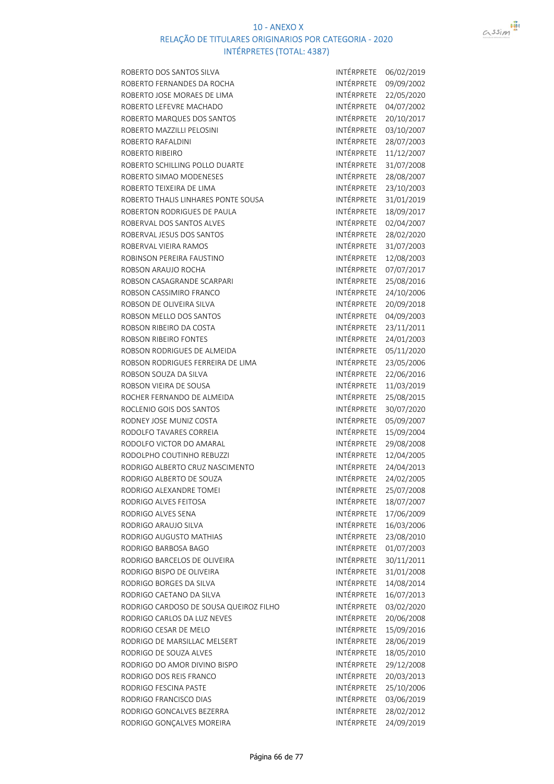

| ROBERTO DOS SANTOS SILVA               | INTÉRPRETE        | 06/02/2019 |
|----------------------------------------|-------------------|------------|
| ROBERTO FERNANDES DA ROCHA             | INTÉRPRETE        | 09/09/2002 |
| ROBERTO JOSE MORAES DE LIMA            | INTÉRPRETE        | 22/05/2020 |
| ROBERTO LEFEVRE MACHADO                | INTÉRPRETE        | 04/07/2002 |
| ROBERTO MARQUES DOS SANTOS             | INTÉRPRETE        | 20/10/2017 |
| ROBERTO MAZZILLI PELOSINI              | INTÉRPRETE        | 03/10/2007 |
| ROBERTO RAFALDINI                      | INTÉRPRETE        | 28/07/2003 |
| ROBERTO RIBEIRO                        | INTÉRPRETE        | 11/12/2007 |
| ROBERTO SCHILLING POLLO DUARTE         | INTÉRPRETE        | 31/07/2008 |
| ROBERTO SIMAO MODENESES                | INTÉRPRETE        | 28/08/2007 |
| ROBERTO TEIXEIRA DE LIMA               | INTÉRPRETE        | 23/10/2003 |
| ROBERTO THALIS LINHARES PONTE SOUSA    | INTÉRPRETE        | 31/01/2019 |
| ROBERTON RODRIGUES DE PAULA            | INTÉRPRETE        | 18/09/2017 |
| ROBERVAL DOS SANTOS ALVES              | INTÉRPRETE        | 02/04/2007 |
| ROBERVAL JESUS DOS SANTOS              | INTÉRPRETE        | 28/02/2020 |
| ROBERVAL VIEIRA RAMOS                  | INTÉRPRETE        | 31/07/2003 |
| ROBINSON PEREIRA FAUSTINO              | INTÉRPRETE        | 12/08/2003 |
| ROBSON ARAUJO ROCHA                    | INTÉRPRETE        | 07/07/2017 |
| ROBSON CASAGRANDE SCARPARI             | INTÉRPRETE        | 25/08/2016 |
| ROBSON CASSIMIRO FRANCO                | INTÉRPRETE        | 24/10/2006 |
| ROBSON DE OLIVEIRA SILVA               | INTÉRPRETE        | 20/09/2018 |
| ROBSON MELLO DOS SANTOS                | INTÉRPRETE        | 04/09/2003 |
| ROBSON RIBEIRO DA COSTA                | INTÉRPRETE        | 23/11/2011 |
| ROBSON RIBEIRO FONTES                  | INTÉRPRETE        | 24/01/2003 |
| ROBSON RODRIGUES DE ALMEIDA            | INTÉRPRETE        | 05/11/2020 |
| ROBSON RODRIGUES FERREIRA DE LIMA      | INTÉRPRETE        | 23/05/2006 |
| ROBSON SOUZA DA SILVA                  | INTÉRPRETE        | 22/06/2016 |
| ROBSON VIEIRA DE SOUSA                 | INTÉRPRETE        | 11/03/2019 |
| ROCHER FERNANDO DE ALMEIDA             | INTÉRPRETE        | 25/08/2015 |
| ROCLENIO GOIS DOS SANTOS               | INTÉRPRETE        | 30/07/2020 |
| RODNEY JOSE MUNIZ COSTA                | INTÉRPRETE        | 05/09/2007 |
| RODOLFO TAVARES CORREIA                | INTÉRPRETE        | 15/09/2004 |
| RODOLFO VICTOR DO AMARAL               | INTÉRPRETE        | 29/08/2008 |
| RODOLPHO COUTINHO REBUZZI              | INTÉRPRETE        | 12/04/2005 |
| RODRIGO ALBERTO CRUZ NASCIMENTO        | INTÉRPRETE        | 24/04/2013 |
| RODRIGO ALBERTO DE SOUZA               | INTÉRPRETE        | 24/02/2005 |
| RODRIGO ALEXANDRE TOMEI                | INTÉRPRETE        | 25/07/2008 |
| RODRIGO ALVES FEITOSA                  | INTÉRPRETE        | 18/07/2007 |
| RODRIGO ALVES SENA                     | INTÉRPRETE        | 17/06/2009 |
| RODRIGO ARAUJO SILVA                   | INTÉRPRETE        | 16/03/2006 |
| RODRIGO AUGUSTO MATHIAS                | <b>INTÉRPRETE</b> | 23/08/2010 |
| RODRIGO BARBOSA BAGO                   | <b>INTÉRPRETE</b> | 01/07/2003 |
| RODRIGO BARCELOS DE OLIVEIRA           | <b>INTÉRPRETE</b> | 30/11/2011 |
| RODRIGO BISPO DE OLIVEIRA              | INTÉRPRETE        | 31/01/2008 |
| RODRIGO BORGES DA SILVA                | INTÉRPRETE        |            |
|                                        | INTÉRPRETE        | 14/08/2014 |
| RODRIGO CAETANO DA SILVA               | INTÉRPRETE        | 16/07/2013 |
| RODRIGO CARDOSO DE SOUSA QUEIROZ FILHO |                   | 03/02/2020 |
| RODRIGO CARLOS DA LUZ NEVES            | INTÉRPRETE        | 20/06/2008 |
| RODRIGO CESAR DE MELO                  | INTÉRPRETE        | 15/09/2016 |
| RODRIGO DE MARSILLAC MELSERT           | INTÉRPRETE        | 28/06/2019 |
| RODRIGO DE SOUZA ALVES                 | INTÉRPRETE        | 18/05/2010 |
| RODRIGO DO AMOR DIVINO BISPO           | INTÉRPRETE        | 29/12/2008 |
| RODRIGO DOS REIS FRANCO                | INTÉRPRETE        | 20/03/2013 |
| RODRIGO FESCINA PASTE                  | INTÉRPRETE        | 25/10/2006 |
| RODRIGO FRANCISCO DIAS                 | INTÉRPRETE        | 03/06/2019 |
| RODRIGO GONCALVES BEZERRA              | INTÉRPRETE        | 28/02/2012 |
| RODRIGO GONÇALVES MOREIRA              | INTÉRPRETE        | 24/09/2019 |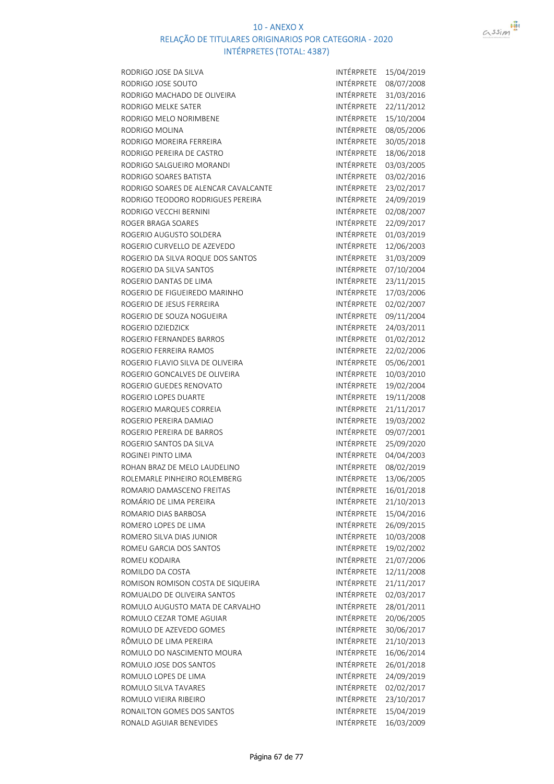



| RODRIGO JOSE DA SILVA                | INTÉRPRETE        | 15/04/2019 |
|--------------------------------------|-------------------|------------|
| RODRIGO JOSE SOUTO                   | INTÉRPRETE        | 08/07/2008 |
| RODRIGO MACHADO DE OLIVEIRA          | INTÉRPRETE        | 31/03/2016 |
| RODRIGO MELKE SATER                  | INTÉRPRETE        | 22/11/2012 |
| RODRIGO MELO NORIMBENE               | INTÉRPRETE        | 15/10/2004 |
| RODRIGO MOLINA                       | INTÉRPRETE        | 08/05/2006 |
| RODRIGO MOREIRA FERREIRA             | INTÉRPRETE        | 30/05/2018 |
| RODRIGO PEREIRA DE CASTRO            | INTÉRPRETE        | 18/06/2018 |
| RODRIGO SALGUEIRO MORANDI            | INTÉRPRETE        | 03/03/2005 |
| RODRIGO SOARES BATISTA               | INTÉRPRETE        | 03/02/2016 |
| RODRIGO SOARES DE ALENCAR CAVALCANTE | INTÉRPRETE        | 23/02/2017 |
| RODRIGO TEODORO RODRIGUES PEREIRA    | INTÉRPRETE        | 24/09/2019 |
| RODRIGO VECCHI BERNINI               | INTÉRPRETE        | 02/08/2007 |
| ROGER BRAGA SOARES                   | INTÉRPRETE        | 22/09/2017 |
| ROGERIO AUGUSTO SOLDERA              | INTÉRPRETE        | 01/03/2019 |
| ROGERIO CURVELLO DE AZEVEDO          | INTÉRPRETE        | 12/06/2003 |
| ROGERIO DA SILVA ROQUE DOS SANTOS    | INTÉRPRETE        | 31/03/2009 |
| ROGERIO DA SILVA SANTOS              | INTÉRPRETE        | 07/10/2004 |
| ROGERIO DANTAS DE LIMA               | INTÉRPRETE        | 23/11/2015 |
| ROGERIO DE FIGUEIREDO MARINHO        | INTÉRPRETE        | 17/03/2006 |
| ROGERIO DE JESUS FERREIRA            | INTÉRPRETE        | 02/02/2007 |
| ROGERIO DE SOUZA NOGUEIRA            | INTÉRPRETE        | 09/11/2004 |
| ROGERIO DZIEDZICK                    | INTÉRPRETE        | 24/03/2011 |
| ROGERIO FERNANDES BARROS             | INTÉRPRETE        | 01/02/2012 |
| ROGERIO FERREIRA RAMOS               | INTÉRPRETE        | 22/02/2006 |
| ROGERIO FLAVIO SILVA DE OLIVEIRA     | INTÉRPRETE        | 05/06/2001 |
| ROGERIO GONCALVES DE OLIVEIRA        | INTÉRPRETE        | 10/03/2010 |
| ROGERIO GUEDES RENOVATO              | INTÉRPRETE        | 19/02/2004 |
| ROGERIO LOPES DUARTE                 | INTÉRPRETE        | 19/11/2008 |
| ROGERIO MARQUES CORREIA              | INTÉRPRETE        | 21/11/2017 |
| ROGERIO PEREIRA DAMIAO               | INTÉRPRETE        | 19/03/2002 |
| ROGERIO PEREIRA DE BARROS            | INTÉRPRETE        | 09/07/2001 |
| ROGERIO SANTOS DA SILVA              | INTÉRPRETE        | 25/09/2020 |
| ROGINEI PINTO LIMA                   | INTÉRPRETE        | 04/04/2003 |
| ROHAN BRAZ DE MELO LAUDELINO         | INTÉRPRETE        | 08/02/2019 |
| ROLEMARLE PINHEIRO ROLEMBERG         | INTÉRPRETE        | 13/06/2005 |
| ROMARIO DAMASCENO FREITAS            | INTÉRPRETE        | 16/01/2018 |
| ROMÁRIO DE LIMA PEREIRA              | INTÉRPRETE        | 21/10/2013 |
| ROMARIO DIAS BARBOSA                 | <b>INTÉRPRETE</b> | 15/04/2016 |
| ROMERO LOPES DE LIMA                 | INTÉRPRETE        | 26/09/2015 |
| ROMERO SILVA DIAS JUNIOR             | INTÉRPRETE        | 10/03/2008 |
| ROMEU GARCIA DOS SANTOS              | INTÉRPRETE        | 19/02/2002 |
| ROMEU KODAIRA                        | INTÉRPRETE        | 21/07/2006 |
| ROMILDO DA COSTA                     | INTÉRPRETE        | 12/11/2008 |
| ROMISON ROMISON COSTA DE SIQUEIRA    | INTÉRPRETE        | 21/11/2017 |
| ROMUALDO DE OLIVEIRA SANTOS          | INTÉRPRETE        | 02/03/2017 |
| ROMULO AUGUSTO MATA DE CARVALHO      | INTÉRPRETE        | 28/01/2011 |
| ROMULO CEZAR TOME AGUIAR             | INTÉRPRETE        | 20/06/2005 |
| ROMULO DE AZEVEDO GOMES              | INTÉRPRETE        | 30/06/2017 |
| RÔMULO DE LIMA PEREIRA               | INTÉRPRETE        | 21/10/2013 |
| ROMULO DO NASCIMENTO MOURA           | INTÉRPRETE        | 16/06/2014 |
| ROMULO JOSE DOS SANTOS               | INTÉRPRETE        | 26/01/2018 |
| ROMULO LOPES DE LIMA                 | INTÉRPRETE        | 24/09/2019 |
| ROMULO SILVA TAVARES                 | INTÉRPRETE        | 02/02/2017 |
| ROMULO VIEIRA RIBEIRO                | INTÉRPRETE        | 23/10/2017 |
| RONAILTON GOMES DOS SANTOS           | INTÉRPRETE        | 15/04/2019 |
| RONALD AGUIAR BENEVIDES              | INTÉRPRETE        | 16/03/2009 |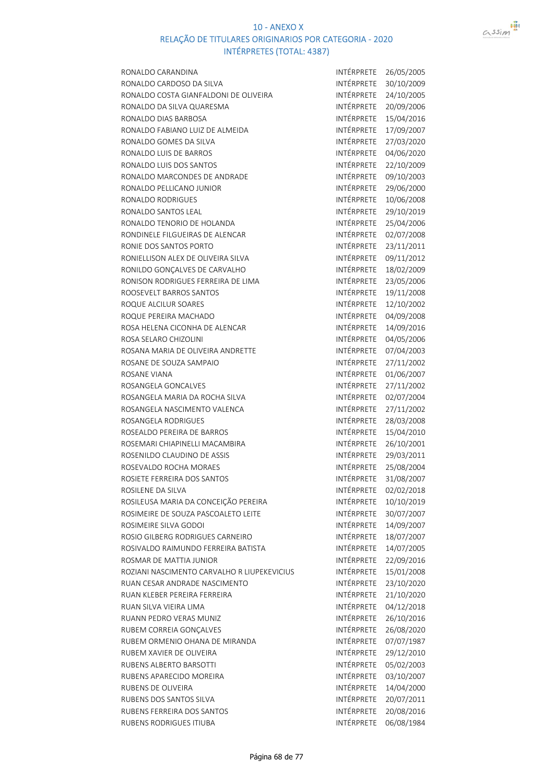



| RONALDO CARANDINA                           | INTÉRPRETE        | 26/05/2005 |
|---------------------------------------------|-------------------|------------|
| RONALDO CARDOSO DA SILVA                    | INTÉRPRETE        | 30/10/2009 |
| RONALDO COSTA GIANFALDONI DE OLIVEIRA       | INTÉRPRETE        | 24/10/2005 |
| RONALDO DA SILVA QUARESMA                   | INTÉRPRETE        | 20/09/2006 |
| RONALDO DIAS BARBOSA                        | INTÉRPRETE        | 15/04/2016 |
| RONALDO FABIANO LUIZ DE ALMEIDA             | INTÉRPRETE        | 17/09/2007 |
| RONALDO GOMES DA SILVA                      | INTÉRPRETE        | 27/03/2020 |
| RONALDO LUIS DE BARROS                      | INTÉRPRETE        | 04/06/2020 |
| RONALDO LUIS DOS SANTOS                     | INTÉRPRETE        | 22/10/2009 |
| RONALDO MARCONDES DE ANDRADE                | INTÉRPRETE        | 09/10/2003 |
| RONALDO PELLICANO JUNIOR                    | INTÉRPRETE        | 29/06/2000 |
| RONALDO RODRIGUES                           | INTÉRPRETE        | 10/06/2008 |
| RONALDO SANTOS LEAL                         | INTÉRPRETE        | 29/10/2019 |
| RONALDO TENORIO DE HOLANDA                  | INTÉRPRETE        | 25/04/2006 |
| RONDINELE FILGUEIRAS DE ALENCAR             | INTÉRPRETE        | 02/07/2008 |
| RONIE DOS SANTOS PORTO                      | INTÉRPRETE        | 23/11/2011 |
| RONIELLISON ALEX DE OLIVEIRA SILVA          | INTÉRPRETE        | 09/11/2012 |
| RONILDO GONÇALVES DE CARVALHO               | INTÉRPRETE        | 18/02/2009 |
| RONISON RODRIGUES FERREIRA DE LIMA          | INTÉRPRETE        | 23/05/2006 |
| ROOSEVELT BARROS SANTOS                     | INTÉRPRETE        | 19/11/2008 |
| ROQUE ALCILUR SOARES                        | INTÉRPRETE        | 12/10/2002 |
| ROQUE PEREIRA MACHADO                       | INTÉRPRETE        | 04/09/2008 |
| ROSA HELENA CICONHA DE ALENCAR              | INTÉRPRETE        | 14/09/2016 |
| ROSA SELARO CHIZOLINI                       | INTÉRPRETE        | 04/05/2006 |
| ROSANA MARIA DE OLIVEIRA ANDRETTE           | INTÉRPRETE        | 07/04/2003 |
| ROSANE DE SOUZA SAMPAIO                     | INTÉRPRETE        | 27/11/2002 |
| ROSANE VIANA                                | INTÉRPRETE        | 01/06/2007 |
| ROSANGELA GONCALVES                         | INTÉRPRETE        | 27/11/2002 |
| ROSANGELA MARIA DA ROCHA SILVA              | INTÉRPRETE        | 02/07/2004 |
| ROSANGELA NASCIMENTO VALENCA                | INTÉRPRETE        | 27/11/2002 |
| ROSANGELA RODRIGUES                         | INTÉRPRETE        | 28/03/2008 |
| ROSEALDO PEREIRA DE BARROS                  | INTÉRPRETE        | 15/04/2010 |
| ROSEMARI CHIAPINELLI MACAMBIRA              | INTÉRPRETE        | 26/10/2001 |
| ROSENILDO CLAUDINO DE ASSIS                 | INTÉRPRETE        | 29/03/2011 |
| ROSEVALDO ROCHA MORAES                      | INTÉRPRETE        | 25/08/2004 |
| ROSIETE FERREIRA DOS SANTOS                 | INTÉRPRETE        | 31/08/2007 |
| ROSILENE DA SILVA                           | INTÉRPRETE        | 02/02/2018 |
| ROSILEUSA MARIA DA CONCEIÇÃO PEREIRA        | INTÉRPRETE        | 10/10/2019 |
| ROSIMEIRE DE SOUZA PASCOALETO LEITE         | INTÉRPRETE        | 30/07/2007 |
| ROSIMEIRE SILVA GODOI                       | <b>INTÉRPRETE</b> | 14/09/2007 |
| ROSIO GILBERG RODRIGUES CARNEIRO            | INTÉRPRETE        | 18/07/2007 |
| ROSIVALDO RAIMUNDO FERREIRA BATISTA         | INTÉRPRETE        | 14/07/2005 |
| ROSMAR DE MATTIA JUNIOR                     | INTÉRPRETE        | 22/09/2016 |
| ROZIANI NASCIMENTO CARVALHO R LIUPEKEVICIUS | INTÉRPRETE        | 15/01/2008 |
| RUAN CESAR ANDRADE NASCIMENTO               | INTÉRPRETE        | 23/10/2020 |
| RUAN KLEBER PEREIRA FERREIRA                | <b>INTÉRPRETE</b> | 21/10/2020 |
| RUAN SILVA VIEIRA LIMA                      | INTÉRPRETE        | 04/12/2018 |
| RUANN PEDRO VERAS MUNIZ                     | INTÉRPRETE        | 26/10/2016 |
| RUBEM CORREIA GONÇALVES                     | INTÉRPRETE        | 26/08/2020 |
| RUBEM ORMENIO OHANA DE MIRANDA              | INTÉRPRETE        | 07/07/1987 |
| RUBEM XAVIER DE OLIVEIRA                    | INTÉRPRETE        | 29/12/2010 |
| RUBENS ALBERTO BARSOTTI                     | INTÉRPRETE        | 05/02/2003 |
| RUBENS APARECIDO MOREIRA                    | INTÉRPRETE        | 03/10/2007 |
| RUBENS DE OLIVEIRA                          | INTÉRPRETE        | 14/04/2000 |
| RUBENS DOS SANTOS SILVA                     | INTÉRPRETE        | 20/07/2011 |
| RUBENS FERREIRA DOS SANTOS                  | INTÉRPRETE        | 20/08/2016 |
| RUBENS RODRIGUES ITIUBA                     | INTÉRPRETE        | 06/08/1984 |
|                                             |                   |            |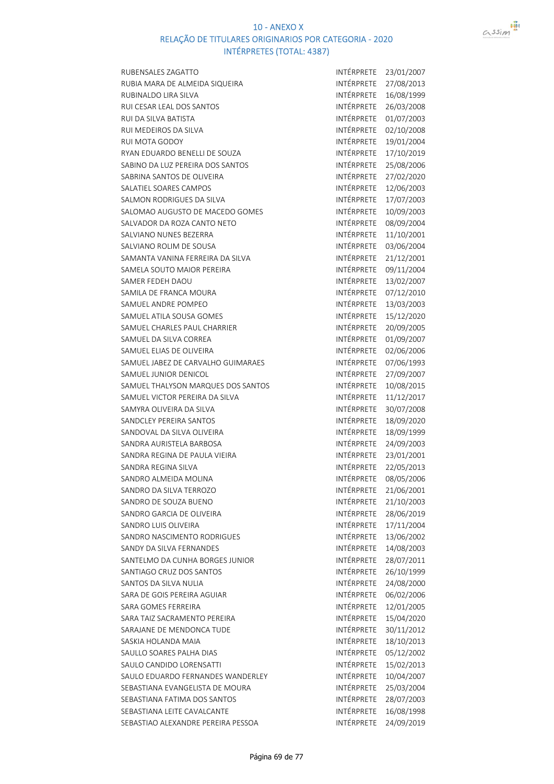



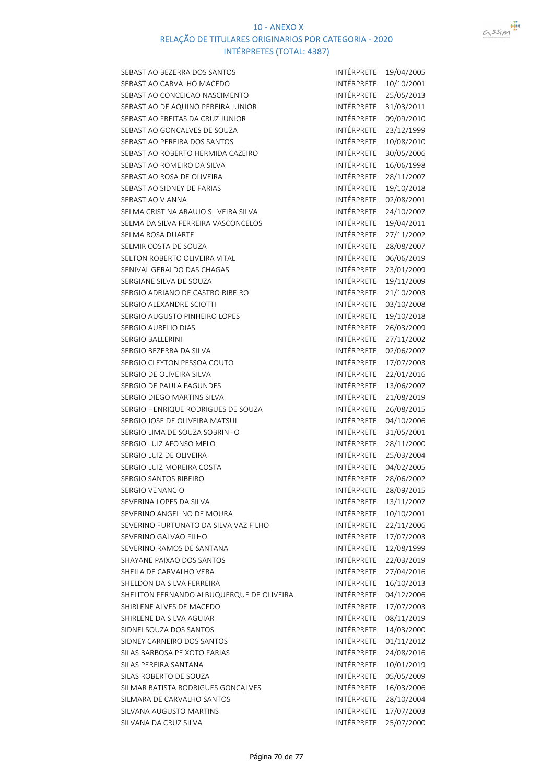

| SEBASTIAO BEZERRA DOS SANTOS              | INTÉRPRETE        | 19/04/2005 |
|-------------------------------------------|-------------------|------------|
| SEBASTIAO CARVALHO MACEDO                 | INTÉRPRETE        | 10/10/2001 |
| SEBASTIAO CONCEICAO NASCIMENTO            | <b>INTÉRPRETE</b> | 25/05/2013 |
| SEBASTIAO DE AQUINO PEREIRA JUNIOR        | INTÉRPRETE        | 31/03/2011 |
| SEBASTIAO FREITAS DA CRUZ JUNIOR          | INTÉRPRETE        | 09/09/2010 |
| SEBASTIAO GONCALVES DE SOUZA              | INTÉRPRETE        | 23/12/1999 |
| SEBASTIAO PEREIRA DOS SANTOS              | INTÉRPRETE        | 10/08/2010 |
| SEBASTIAO ROBERTO HERMIDA CAZEIRO         | INTÉRPRETE        | 30/05/2006 |
| SEBASTIAO ROMEIRO DA SILVA                | INTÉRPRETE        | 16/06/1998 |
| SEBASTIAO ROSA DE OLIVEIRA                | INTÉRPRETE        | 28/11/2007 |
| SEBASTIAO SIDNEY DE FARIAS                | INTÉRPRETE        | 19/10/2018 |
| SEBASTIAO VIANNA                          | INTÉRPRETE        | 02/08/2001 |
| SELMA CRISTINA ARAUJO SILVEIRA SILVA      | INTÉRPRETE        | 24/10/2007 |
| SELMA DA SILVA FERREIRA VASCONCELOS       | INTÉRPRETE        | 19/04/2011 |
| SELMA ROSA DUARTE                         | INTÉRPRETE        | 27/11/2002 |
| SELMIR COSTA DE SOUZA                     | INTÉRPRETE        | 28/08/2007 |
| SELTON ROBERTO OLIVEIRA VITAL             | INTÉRPRETE        | 06/06/2019 |
| SENIVAL GERALDO DAS CHAGAS                | INTÉRPRETE        | 23/01/2009 |
|                                           | INTÉRPRETE        | 19/11/2009 |
| SERGIANE SILVA DE SOUZA                   | INTÉRPRETE        |            |
| SERGIO ADRIANO DE CASTRO RIBEIRO          |                   | 21/10/2003 |
| SERGIO ALEXANDRE SCIOTTI                  | INTÉRPRETE        | 03/10/2008 |
| SERGIO AUGUSTO PINHEIRO LOPES             | <b>INTÉRPRETE</b> | 19/10/2018 |
| SERGIO AURELIO DIAS                       | INTÉRPRETE        | 26/03/2009 |
| <b>SERGIO BALLERINI</b>                   | <b>INTÉRPRETE</b> | 27/11/2002 |
| SERGIO BEZERRA DA SILVA                   | INTÉRPRETE        | 02/06/2007 |
| SERGIO CLEYTON PESSOA COUTO               | INTÉRPRETE        | 17/07/2003 |
| SERGIO DE OLIVEIRA SILVA                  | INTÉRPRETE        | 22/01/2016 |
| SERGIO DE PAULA FAGUNDES                  | INTÉRPRETE        | 13/06/2007 |
| SERGIO DIEGO MARTINS SILVA                | INTÉRPRETE        | 21/08/2019 |
| SERGIO HENRIQUE RODRIGUES DE SOUZA        | INTÉRPRETE        | 26/08/2015 |
| SERGIO JOSE DE OLIVEIRA MATSUI            | INTÉRPRETE        | 04/10/2006 |
| SERGIO LIMA DE SOUZA SOBRINHO             | INTÉRPRETE        | 31/05/2001 |
| SERGIO LUIZ AFONSO MELO                   | INTÉRPRETE        | 28/11/2000 |
| SERGIO LUIZ DE OLIVEIRA                   | INTÉRPRETE        | 25/03/2004 |
| SERGIO LUIZ MOREIRA COSTA                 | INTÉRPRETE        | 04/02/2005 |
| SERGIO SANTOS RIBEIRO                     | INTÉRPRETE        | 28/06/2002 |
| SERGIO VENANCIO                           | INTÉRPRETE        | 28/09/2015 |
| SEVERINA LOPES DA SILVA                   | INTÉRPRETE        | 13/11/2007 |
| SEVERINO ANGELINO DE MOURA                | INTÉRPRETE        | 10/10/2001 |
| SEVERINO FURTUNATO DA SILVA VAZ FILHO     | INTÉRPRETE        | 22/11/2006 |
| SEVERINO GALVAO FILHO                     | INTÉRPRETE        | 17/07/2003 |
| SEVERINO RAMOS DE SANTANA                 | INTÉRPRETE        | 12/08/1999 |
| SHAYANE PAIXAO DOS SANTOS                 | INTÉRPRETE        | 22/03/2019 |
| SHEILA DE CARVALHO VERA                   | INTÉRPRETE        | 27/04/2016 |
| SHELDON DA SILVA FERREIRA                 | INTÉRPRETE        | 16/10/2013 |
| SHELITON FERNANDO ALBUQUERQUE DE OLIVEIRA | INTÉRPRETE        | 04/12/2006 |
| SHIRLENE ALVES DE MACEDO                  | INTÉRPRETE        | 17/07/2003 |
| SHIRLENE DA SILVA AGUIAR                  | INTÉRPRETE        | 08/11/2019 |
| SIDNEI SOUZA DOS SANTOS                   | INTÉRPRETE        | 14/03/2000 |
| SIDNEY CARNEIRO DOS SANTOS                | INTÉRPRETE        | 01/11/2012 |
| SILAS BARBOSA PEIXOTO FARIAS              | INTÉRPRETE        | 24/08/2016 |
| SILAS PEREIRA SANTANA                     | INTÉRPRETE        | 10/01/2019 |
| SILAS ROBERTO DE SOUZA                    | INTÉRPRETE        | 05/05/2009 |
| SILMAR BATISTA RODRIGUES GONCALVES        | INTÉRPRETE        | 16/03/2006 |
| SILMARA DE CARVALHO SANTOS                | INTÉRPRETE        | 28/10/2004 |
| SILVANA AUGUSTO MARTINS                   | INTÉRPRETE        | 17/07/2003 |
| SILVANA DA CRUZ SILVA                     | INTÉRPRETE        | 25/07/2000 |
|                                           |                   |            |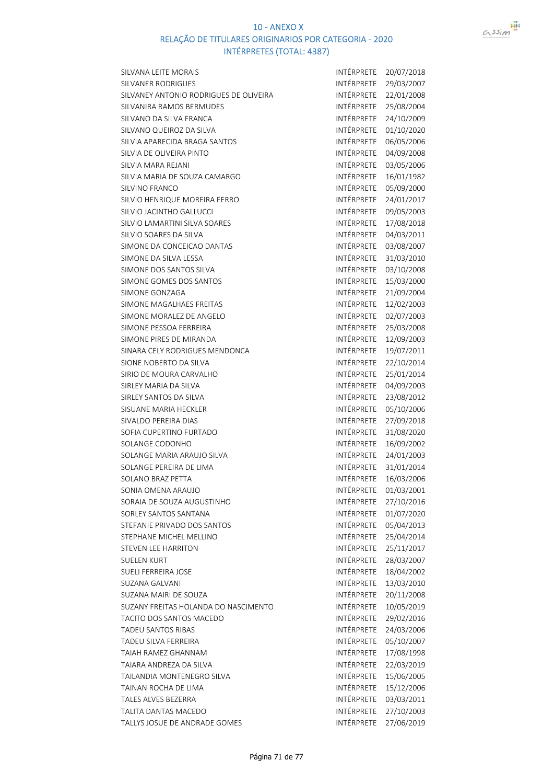

| SILVANA LEITE MORAIS                   | INTÉRPRETE        | 20/07/2018 |
|----------------------------------------|-------------------|------------|
| SILVANER RODRIGUES                     | INTÉRPRETE        | 29/03/2007 |
| SILVANEY ANTONIO RODRIGUES DE OLIVEIRA | INTÉRPRETE        | 22/01/2008 |
| SILVANIRA RAMOS BERMUDES               | <b>INTÉRPRETE</b> | 25/08/2004 |
| SILVANO DA SILVA FRANCA                | INTÉRPRETE        | 24/10/2009 |
| SILVANO QUEIROZ DA SILVA               | INTÉRPRETE        | 01/10/2020 |
| SILVIA APARECIDA BRAGA SANTOS          | INTÉRPRETE        | 06/05/2006 |
| SILVIA DE OLIVEIRA PINTO               | INTÉRPRETE        | 04/09/2008 |
| SILVIA MARA REJANI                     | INTÉRPRETE        | 03/05/2006 |
| SILVIA MARIA DE SOUZA CAMARGO          | INTÉRPRETE        | 16/01/1982 |
| SILVINO FRANCO                         | INTÉRPRETE        | 05/09/2000 |
| SILVIO HENRIQUE MOREIRA FERRO          | INTÉRPRETE        | 24/01/2017 |
| SILVIO JACINTHO GALLUCCI               | INTÉRPRETE        | 09/05/2003 |
| SILVIO LAMARTINI SILVA SOARES          | INTÉRPRETE        | 17/08/2018 |
| SILVIO SOARES DA SILVA                 | INTÉRPRETE        | 04/03/2011 |
| SIMONE DA CONCEICAO DANTAS             | INTÉRPRETE        | 03/08/2007 |
| SIMONE DA SILVA LESSA                  | INTÉRPRETE        | 31/03/2010 |
| SIMONE DOS SANTOS SILVA                | INTÉRPRETE        | 03/10/2008 |
| SIMONE GOMES DOS SANTOS                | <b>INTÉRPRETE</b> | 15/03/2000 |
| SIMONE GONZAGA                         | INTÉRPRETE        | 21/09/2004 |
| SIMONE MAGALHAES FREITAS               | INTÉRPRETE        | 12/02/2003 |
| SIMONE MORALEZ DE ANGELO               | INTÉRPRETE        | 02/07/2003 |
| SIMONE PESSOA FERREIRA                 | INTÉRPRETE        | 25/03/2008 |
| SIMONE PIRES DE MIRANDA                | INTÉRPRETE        | 12/09/2003 |
| SINARA CELY RODRIGUES MENDONCA         | INTÉRPRETE        | 19/07/2011 |
| SIONE NOBERTO DA SILVA                 | INTÉRPRETE        | 22/10/2014 |
| SIRIO DE MOURA CARVALHO                | INTÉRPRETE        | 25/01/2014 |
| SIRLEY MARIA DA SILVA                  | INTÉRPRETE        | 04/09/2003 |
| SIRLEY SANTOS DA SILVA                 | INTÉRPRETE        | 23/08/2012 |
| SISUANE MARIA HECKLER                  | INTÉRPRETE        | 05/10/2006 |
| SIVALDO PEREIRA DIAS                   | INTÉRPRETE        | 27/09/2018 |
| SOFIA CUPERTINO FURTADO                | INTÉRPRETE        | 31/08/2020 |
| SOLANGE CODONHO                        | INTÉRPRETE        | 16/09/2002 |
| SOLANGE MARIA ARAUJO SILVA             | INTÉRPRETE        | 24/01/2003 |
| SOLANGE PEREIRA DE LIMA                | INTÉRPRETE        | 31/01/2014 |
| SOLANO BRAZ PETTA                      | INTÉRPRETE        | 16/03/2006 |
| SONIA OMENA ARAUJO                     | INTÉRPRETE        | 01/03/2001 |
| SORAIA DE SOUZA AUGUSTINHO             | INTÉRPRETE        | 27/10/2016 |
| SORLEY SANTOS SANTANA                  | INTÉRPRETE        | 01/07/2020 |
| STEFANIE PRIVADO DOS SANTOS            | INTÉRPRETE        | 05/04/2013 |
| STEPHANE MICHEL MELLINO                | INTÉRPRETE        | 25/04/2014 |
| <b>STEVEN LEE HARRITON</b>             | INTÉRPRETE        | 25/11/2017 |
| <b>SUELEN KURT</b>                     | INTÉRPRETE        | 28/03/2007 |
| SUELI FERREIRA JOSE                    | <b>INTÉRPRETE</b> | 18/04/2002 |
| SUZANA GALVANI                         | INTÉRPRETE        | 13/03/2010 |
| SUZANA MAIRI DE SOUZA                  | INTÉRPRETE        | 20/11/2008 |
| SUZANY FREITAS HOLANDA DO NASCIMENTO   | INTÉRPRETE        | 10/05/2019 |
| TACITO DOS SANTOS MACEDO               | INTÉRPRETE        | 29/02/2016 |
| TADEU SANTOS RIBAS                     | INTÉRPRETE        | 24/03/2006 |
| TADEU SILVA FERREIRA                   | INTÉRPRETE        | 05/10/2007 |
| TAIAH RAMEZ GHANNAM                    | INTÉRPRETE        | 17/08/1998 |
| TAIARA ANDREZA DA SILVA                | INTÉRPRETE        | 22/03/2019 |
| TAILANDIA MONTENEGRO SILVA             | INTÉRPRETE        | 15/06/2005 |
| TAINAN ROCHA DE LIMA                   | INTÉRPRETE        | 15/12/2006 |
| TALES ALVES BEZERRA                    | INTÉRPRETE        | 03/03/2011 |
| TALITA DANTAS MACEDO                   | INTÉRPRETE        | 27/10/2003 |
| TALLYS JOSUE DE ANDRADE GOMES          | INTÉRPRETE        | 27/06/2019 |
|                                        |                   |            |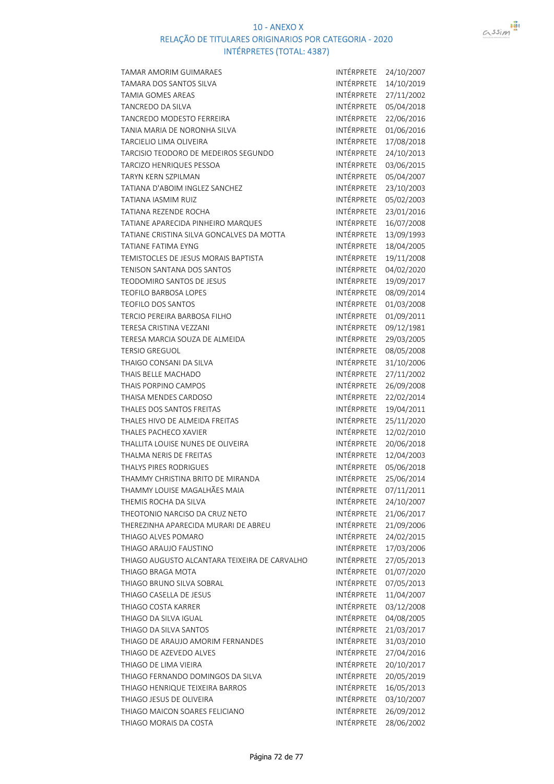

| <b>TAMAR AMORIM GUIMARAES</b>                 | INTÉRPRETE        | 24/10/2007 |
|-----------------------------------------------|-------------------|------------|
| TAMARA DOS SANTOS SILVA                       | <b>INTÉRPRETE</b> | 14/10/2019 |
| <b>TAMIA GOMES AREAS</b>                      | INTÉRPRETE        | 27/11/2002 |
| TANCREDO DA SILVA                             | INTÉRPRETE        | 05/04/2018 |
| TANCREDO MODESTO FERREIRA                     | INTÉRPRETE        | 22/06/2016 |
| TANIA MARIA DE NORONHA SILVA                  | <b>INTÉRPRETE</b> | 01/06/2016 |
| TARCIELIO LIMA OLIVEIRA                       | INTÉRPRETE        | 17/08/2018 |
| TARCISIO TEODORO DE MEDEIROS SEGUNDO          | INTÉRPRETE        | 24/10/2013 |
| TARCIZO HENRIQUES PESSOA                      | INTÉRPRETE        | 03/06/2015 |
| <b>TARYN KERN SZPILMAN</b>                    | INTÉRPRETE        | 05/04/2007 |
| TATIANA D'ABOIM INGLEZ SANCHEZ                | INTÉRPRETE        | 23/10/2003 |
| <b>TATIANA IASMIM RUIZ</b>                    | INTÉRPRETE        | 05/02/2003 |
| <b>TATIANA REZENDE ROCHA</b>                  | INTÉRPRETE        | 23/01/2016 |
| TATIANE APARECIDA PINHEIRO MARQUES            | INTÉRPRETE        | 16/07/2008 |
| TATIANE CRISTINA SILVA GONCALVES DA MOTTA     | INTÉRPRETE        | 13/09/1993 |
| <b>TATIANE FATIMA EYNG</b>                    | INTÉRPRETE        | 18/04/2005 |
| TEMISTOCLES DE JESUS MORAIS BAPTISTA          | INTÉRPRETE        | 19/11/2008 |
| TENISON SANTANA DOS SANTOS                    | INTÉRPRETE        | 04/02/2020 |
| <b>TEODOMIRO SANTOS DE JESUS</b>              | INTÉRPRETE        | 19/09/2017 |
|                                               | INTÉRPRETE        |            |
| <b>TEOFILO BARBOSA LOPES</b>                  |                   | 08/09/2014 |
| <b>TEOFILO DOS SANTOS</b>                     | INTÉRPRETE        | 01/03/2008 |
| TERCIO PEREIRA BARBOSA FILHO                  | INTÉRPRETE        | 01/09/2011 |
| TERESA CRISTINA VEZZANI                       | INTÉRPRETE        | 09/12/1981 |
| TERESA MARCIA SOUZA DE ALMEIDA                | INTÉRPRETE        | 29/03/2005 |
| <b>TERSIO GREGUOL</b>                         | INTÉRPRETE        | 08/05/2008 |
| THAIGO CONSANI DA SILVA                       | INTÉRPRETE        | 31/10/2006 |
| THAIS BELLE MACHADO                           | INTÉRPRETE        | 27/11/2002 |
| <b>THAIS PORPINO CAMPOS</b>                   | INTÉRPRETE        | 26/09/2008 |
| THAISA MENDES CARDOSO                         | INTÉRPRETE        | 22/02/2014 |
| THALES DOS SANTOS FREITAS                     | INTÉRPRETE        | 19/04/2011 |
| THALES HIVO DE ALMEIDA FREITAS                | INTÉRPRETE        | 25/11/2020 |
| <b>THALES PACHECO XAVIER</b>                  | INTÉRPRETE        | 12/02/2010 |
| THALLITA LOUISE NUNES DE OLIVEIRA             | <b>INTÉRPRETE</b> | 20/06/2018 |
| THALMA NERIS DE FREITAS                       | INTÉRPRETE        | 12/04/2003 |
| <b>THALYS PIRES RODRIGUES</b>                 | INTÉRPRETE        | 05/06/2018 |
| THAMMY CHRISTINA BRITO DE MIRANDA             | INTÉRPRETE        | 25/06/2014 |
| THAMMY LOUISE MAGALHÃES MAIA                  | INTÉRPRETE        | 07/11/2011 |
| THEMIS ROCHA DA SILVA                         | INTÉRPRETE        | 24/10/2007 |
| THEOTONIO NARCISO DA CRUZ NETO                | INTÉRPRETE        | 21/06/2017 |
| THEREZINHA APARECIDA MURARI DE ABREU          | INTÉRPRETE        | 21/09/2006 |
| THIAGO ALVES POMARO                           | INTÉRPRETE        | 24/02/2015 |
| THIAGO ARAUJO FAUSTINO                        | INTÉRPRETE        | 17/03/2006 |
| THIAGO AUGUSTO ALCANTARA TEIXEIRA DE CARVALHO | INTÉRPRETE        | 27/05/2013 |
| THIAGO BRAGA MOTA                             | INTÉRPRETE        | 01/07/2020 |
| THIAGO BRUNO SILVA SOBRAL                     | INTÉRPRETE        | 07/05/2013 |
| THIAGO CASELLA DE JESUS                       | INTÉRPRETE        | 11/04/2007 |
| THIAGO COSTA KARRER                           | INTÉRPRETE        | 03/12/2008 |
| THIAGO DA SILVA IGUAL                         | INTÉRPRETE        | 04/08/2005 |
| THIAGO DA SILVA SANTOS                        | INTÉRPRETE        | 21/03/2017 |
| THIAGO DE ARAUJO AMORIM FERNANDES             | INTÉRPRETE        | 31/03/2010 |
| THIAGO DE AZEVEDO ALVES                       | INTÉRPRETE        | 27/04/2016 |
| THIAGO DE LIMA VIEIRA                         | INTÉRPRETE        | 20/10/2017 |
| THIAGO FERNANDO DOMINGOS DA SILVA             | INTÉRPRETE        | 20/05/2019 |
| THIAGO HENRIQUE TEIXEIRA BARROS               | INTÉRPRETE        | 16/05/2013 |
| THIAGO JESUS DE OLIVEIRA                      | INTÉRPRETE        | 03/10/2007 |
| THIAGO MAICON SOARES FELICIANO                | INTÉRPRETE        | 26/09/2012 |
| THIAGO MORAIS DA COSTA                        | INTÉRPRETE        | 28/06/2002 |
|                                               |                   |            |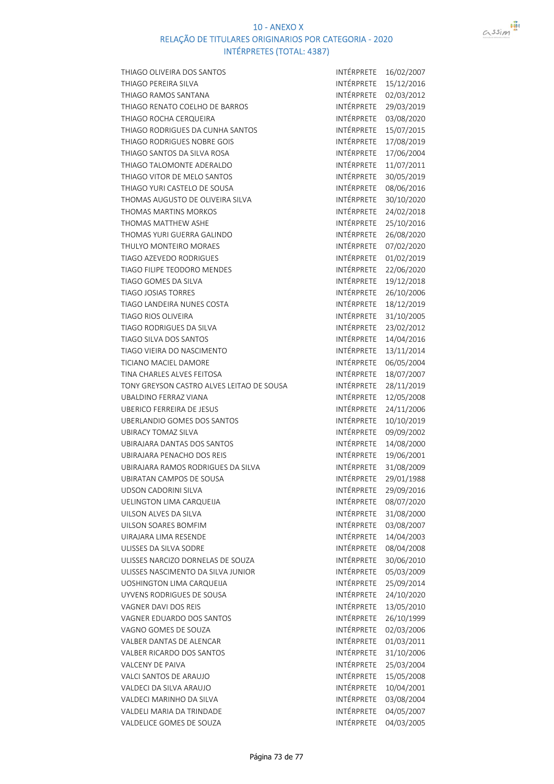

| THIAGO OLIVEIRA DOS SANTOS                        | INTÉRPRETE               | 16/02/2007               |
|---------------------------------------------------|--------------------------|--------------------------|
| THIAGO PEREIRA SILVA                              | INTÉRPRETE               | 15/12/2016               |
| THIAGO RAMOS SANTANA                              | INTÉRPRETE               | 02/03/2012               |
| THIAGO RENATO COELHO DE BARROS                    | INTÉRPRETE               | 29/03/2019               |
| THIAGO ROCHA CERQUEIRA                            | INTÉRPRETE               | 03/08/2020               |
| THIAGO RODRIGUES DA CUNHA SANTOS                  | INTÉRPRETE               | 15/07/2015               |
| THIAGO RODRIGUES NOBRE GOIS                       | INTÉRPRETE               | 17/08/2019               |
| THIAGO SANTOS DA SILVA ROSA                       | INTÉRPRETE               | 17/06/2004               |
| THIAGO TALOMONTE ADERALDO                         | INTÉRPRETE               | 11/07/2011               |
| THIAGO VITOR DE MELO SANTOS                       | INTÉRPRETE               | 30/05/2019               |
| THIAGO YURI CASTELO DE SOUSA                      | INTÉRPRETE               | 08/06/2016               |
| THOMAS AUGUSTO DE OLIVEIRA SILVA                  | INTÉRPRETE               | 30/10/2020               |
| <b>THOMAS MARTINS MORKOS</b>                      | INTÉRPRETE               | 24/02/2018               |
| THOMAS MATTHEW ASHE                               | INTÉRPRETE               | 25/10/2016               |
| THOMAS YURI GUERRA GALINDO                        | INTÉRPRETE               | 26/08/2020               |
| THULYO MONTEIRO MORAES                            | INTÉRPRETE               | 07/02/2020               |
| TIAGO AZEVEDO RODRIGUES                           | <b>INTÉRPRETE</b>        | 01/02/2019               |
| TIAGO FILIPE TEODORO MENDES                       | INTÉRPRETE               | 22/06/2020               |
| TIAGO GOMES DA SILVA                              | INTÉRPRETE               | 19/12/2018               |
| <b>TIAGO JOSIAS TORRES</b>                        | INTÉRPRETE               | 26/10/2006               |
| TIAGO LANDEIRA NUNES COSTA                        | INTÉRPRETE               | 18/12/2019               |
| <b>TIAGO RIOS OLIVEIRA</b>                        | INTÉRPRETE               | 31/10/2005               |
| TIAGO RODRIGUES DA SILVA                          | INTÉRPRETE               | 23/02/2012               |
| TIAGO SILVA DOS SANTOS                            | INTÉRPRETE               | 14/04/2016               |
| TIAGO VIEIRA DO NASCIMENTO                        | INTÉRPRETE               | 13/11/2014               |
| TICIANO MACIEL DAMORE                             | INTÉRPRETE               | 06/05/2004               |
| TINA CHARLES ALVES FEITOSA                        | INTÉRPRETE               | 18/07/2007               |
| TONY GREYSON CASTRO ALVES LEITAO DE SOUSA         | INTÉRPRETE               | 28/11/2019               |
| <b>UBALDINO FERRAZ VIANA</b>                      | INTÉRPRETE               | 12/05/2008               |
| <b>UBERICO FERREIRA DE JESUS</b>                  | INTÉRPRETE               | 24/11/2006               |
| UBERLANDIO GOMES DOS SANTOS                       | INTÉRPRETE               | 10/10/2019               |
| <b>UBIRACY TOMAZ SILVA</b>                        | INTÉRPRETE               | 09/09/2002               |
| UBIRAJARA DANTAS DOS SANTOS                       | INTÉRPRETE               | 14/08/2000               |
| UBIRAJARA PENACHO DOS REIS                        | INTÉRPRETE               | 19/06/2001               |
| UBIRAJARA RAMOS RODRIGUES DA SILVA                | INTÉRPRETE               | 31/08/2009               |
| UBIRATAN CAMPOS DE SOUSA                          | INTÉRPRETE               | 29/01/1988               |
| UDSON CADORINI SILVA                              | INTÉRPRETE               | 29/09/2016               |
| UELINGTON LIMA CARQUEIJA                          | INTÉRPRETE               | 08/07/2020               |
| UILSON ALVES DA SILVA                             | INTÉRPRETE               | 31/08/2000               |
| UILSON SOARES BOMFIM                              | INTÉRPRETE               | 03/08/2007               |
| UIRAJARA LIMA RESENDE                             | INTÉRPRETE               | 14/04/2003               |
| ULISSES DA SILVA SODRE                            | INTÉRPRETE               | 08/04/2008               |
| ULISSES NARCIZO DORNELAS DE SOUZA                 | INTÉRPRETE               | 30/06/2010               |
| ULISSES NASCIMENTO DA SILVA JUNIOR                | <b>INTÉRPRETE</b>        | 05/03/2009               |
| UOSHINGTON LIMA CARQUEIJA                         | INTÉRPRETE               | 25/09/2014               |
| UYVENS RODRIGUES DE SOUSA                         | INTÉRPRETE               | 24/10/2020               |
| VAGNER DAVI DOS REIS                              | INTÉRPRETE               | 13/05/2010               |
| VAGNER EDUARDO DOS SANTOS                         | INTÉRPRETE               | 26/10/1999               |
| VAGNO GOMES DE SOUZA                              | INTÉRPRETE               | 02/03/2006               |
| VALBER DANTAS DE ALENCAR                          | INTÉRPRETE               | 01/03/2011               |
| VALBER RICARDO DOS SANTOS                         | INTÉRPRETE               | 31/10/2006               |
| VALCENY DE PAIVA                                  | INTÉRPRETE<br>INTÉRPRETE | 25/03/2004               |
| VALCI SANTOS DE ARAUJO<br>VALDECI DA SILVA ARAUJO | INTÉRPRETE               | 15/05/2008               |
| VALDECI MARINHO DA SILVA                          | INTÉRPRETE               | 10/04/2001<br>03/08/2004 |
| VALDELI MARIA DA TRINDADE                         | INTÉRPRETE               | 04/05/2007               |
| VALDELICE GOMES DE SOUZA                          | INTÉRPRETE               | 04/03/2005               |
|                                                   |                          |                          |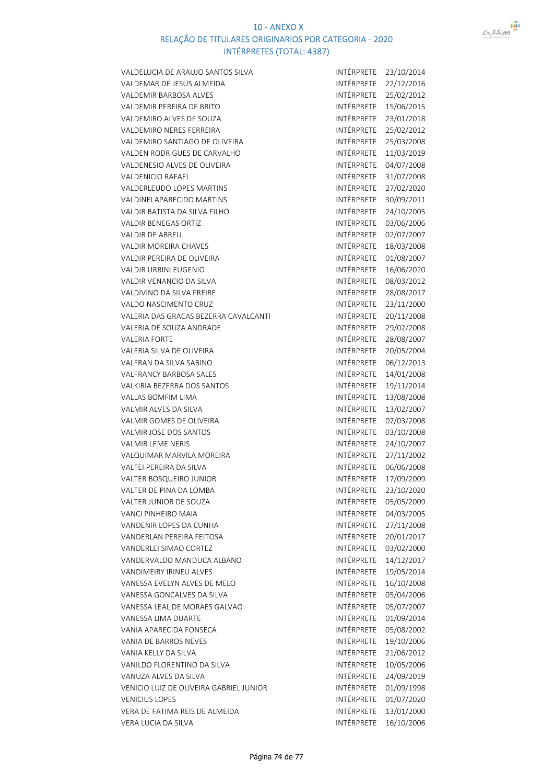

| VALDELUCIA DE ARAUJO SANTOS SILVA       | INTÉRPRETE        | 23/10/2014               |
|-----------------------------------------|-------------------|--------------------------|
| VALDEMAR DE JESUS ALMEIDA               | INTÉRPRETE        | 22/12/2016               |
| <b>VALDEMIR BARBOSA ALVES</b>           | INTÉRPRETE        | 25/02/2012               |
| <b>VALDEMIR PEREIRA DE BRITO</b>        | INTÉRPRETE        | 15/06/2015               |
| VALDEMIRO ALVES DE SOUZA                | INTÉRPRETE        | 23/01/2018               |
| <b>VALDEMIRO NERES FERREIRA</b>         | <b>INTÉRPRETE</b> | 25/02/2012               |
| VALDEMIRO SANTIAGO DE OLIVEIRA          | INTÉRPRETE        | 25/03/2008               |
| <b>VALDEN RODRIGUES DE CARVALHO</b>     | INTÉRPRETE        | 11/03/2019               |
| VALDENESIO ALVES DE OLIVEIRA            | INTÉRPRETE        | 04/07/2008               |
| <b>VALDENICIO RAFAEL</b>                | INTÉRPRETE        | 31/07/2008               |
| VALDERLEUDO LOPES MARTINS               | INTÉRPRETE        | 27/02/2020               |
| <b>VALDINEI APARECIDO MARTINS</b>       | INTÉRPRETE        | 30/09/2011               |
| VALDIR BATISTA DA SILVA FILHO           | INTÉRPRETE        | 24/10/2005               |
| <b>VALDIR BENEGAS ORTIZ</b>             | INTÉRPRETE        | 03/06/2006               |
| <b>VALDIR DE ABREU</b>                  | INTÉRPRETE        | 02/07/2007               |
| <b>VALDIR MOREIRA CHAVES</b>            | <b>INTÉRPRETE</b> | 18/03/2008               |
| VALDIR PEREIRA DE OLIVEIRA              | INTÉRPRETE        | 01/08/2007               |
| <b>VALDIR URBINI EUGENIO</b>            | INTÉRPRETE        | 16/06/2020               |
| VALDIR VENANCIO DA SILVA                | INTÉRPRETE        | 08/03/2012               |
| VALDIVINO DA SILVA FREIRE               | INTÉRPRETE        | 28/08/2017               |
| VALDO NASCIMENTO CRUZ                   | <b>INTÉRPRETE</b> | 23/11/2000               |
| VALERIA DAS GRACAS BEZERRA CAVALCANTI   | INTÉRPRETE        | 20/11/2008               |
| VALERIA DE SOUZA ANDRADE                | INTÉRPRETE        | 29/02/2008               |
| <b>VALERIA FORTE</b>                    | INTÉRPRETE        | 28/08/2007               |
| VALERIA SILVA DE OLIVEIRA               | INTÉRPRETE        | 20/05/2004               |
| VALFRAN DA SILVA SABINO                 | INTÉRPRETE        | 06/12/2013               |
| <b>VALFRANCY BARBOSA SALES</b>          | INTÉRPRETE        | 14/01/2008               |
| VALKIRIA BEZERRA DOS SANTOS             | INTÉRPRETE        | 19/11/2014               |
| <b>VALLAS BOMFIM LIMA</b>               | INTÉRPRETE        | 13/08/2008               |
| VALMIR ALVES DA SILVA                   | INTÉRPRETE        | 13/02/2007               |
| VALMIR GOMES DE OLIVEIRA                | INTÉRPRETE        | 07/03/2008               |
| VALMIR JOSE DOS SANTOS                  | INTÉRPRETE        | 03/10/2008               |
| <b>VALMIR LEME NERIS</b>                | INTÉRPRETE        | 24/10/2007               |
| VALQUIMAR MARVILA MOREIRA               | INTÉRPRETE        | 27/11/2002               |
| VALTEI PEREIRA DA SILVA                 | INTÉRPRETE        | 06/06/2008               |
| <b>VALTER BOSQUEIRO JUNIOR</b>          | INTÉRPRETE        | 17/09/2009               |
| VALTER DE PINA DA LOMBA                 | INTÉRPRETE        | 23/10/2020               |
| VALTER JUNIOR DE SOUZA                  | INTÉRPRETE        | 05/05/2009               |
|                                         | INTÉRPRETE        |                          |
| VANCI PINHEIRO MAIA                     | INTÉRPRETE        | 04/03/2005               |
| VANDENIR LOPES DA CUNHA                 | INTÉRPRETE        | 27/11/2008<br>20/01/2017 |
| VANDERLAN PEREIRA FEITOSA               | INTÉRPRETE        | 03/02/2000               |
| VANDERLEI SIMAO CORTEZ                  |                   |                          |
| VANDERVALDO MANDUCA ALBANO              | INTÉRPRETE        | 14/12/2017               |
| VANDIMEIRY IRINEU ALVES                 | INTÉRPRETE        | 19/05/2014               |
| VANESSA EVELYN ALVES DE MELO            | INTÉRPRETE        | 16/10/2008               |
| VANESSA GONCALVES DA SILVA              | <b>INTÉRPRETE</b> | 05/04/2006               |
| VANESSA LEAL DE MORAES GALVAO           | INTÉRPRETE        | 05/07/2007               |
| VANESSA LIMA DUARTE                     | INTÉRPRETE        | 01/09/2014               |
| VANIA APARECIDA FONSECA                 | INTÉRPRETE        | 05/08/2002               |
| VANIA DE BARROS NEVES                   | INTÉRPRETE        | 19/10/2006               |
| VANIA KELLY DA SILVA                    | INTÉRPRETE        | 21/06/2012               |
| VANILDO FLORENTINO DA SILVA             | INTÉRPRETE        | 10/05/2006               |
| VANUZA ALVES DA SILVA                   | INTÉRPRETE        | 24/09/2019               |
| VENICIO LUIZ DE OLIVEIRA GABRIEL JUNIOR | INTÉRPRETE        | 01/09/1998               |
| <b>VENICIUS LOPES</b>                   | INTÉRPRETE        | 01/07/2020               |
| VERA DE FATIMA REIS DE ALMEIDA          | INTÉRPRETE        | 13/01/2000               |
| VERA LUCIA DA SILVA                     | INTÉRPRETE        | 16/10/2006               |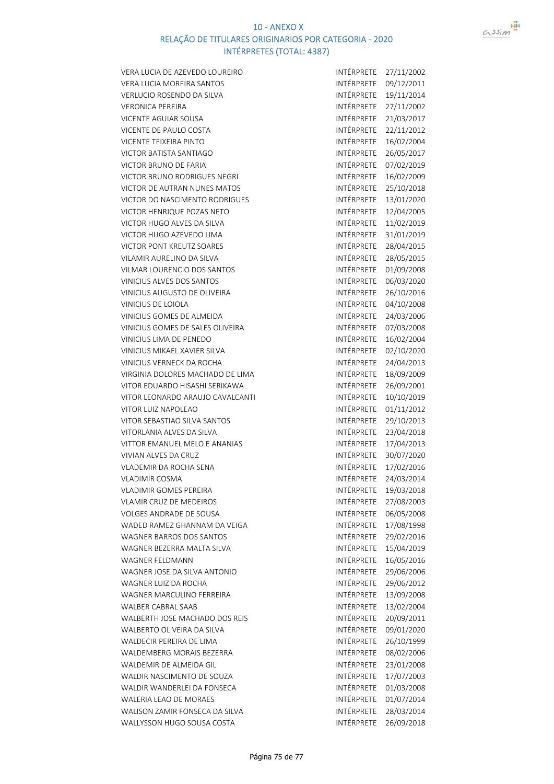

VERA LUCIA DE AZEVEDO LOUREIRO INTÉRPRETE 27/11/2002 VERA LUCIA MOREIRA SANTOS **INTÉRPRETE** 09/12/2011 VERLUCIO ROSENDO DA SILVA INTÉRPRETE 19/11/2014 VERONICA PEREIRA INTÉRPRETE 27/11/2002 VICENTE AGUIAR SOUSA<br>INTÉRPRETE 21/03/2017 VICENTE DE PAULO COSTA **INTÉRPRETE** 22/11/2012 VICENTE TEIXEIRA PINTO **INTÉRPRETE** 16/02/2004 VICTOR BATISTA SANTIAGO **INTÉRPRETE 26/05/2017** VICTOR BRUNO DE FARIA INTÉRPRETE 07/02/2019 VICTOR BRUNO RODRIGUES NEGRI INTÉRPRETE 16/02/2009 VICTOR DE AUTRAN NUNES MATOS **INTÉRPRETE** 25/10/2018 VICTOR DO NASCIMENTO RODRIGUES INTÉRPRETE 13/01/2020 VICTOR HENRIQUE POZAS NETO **INTÉRPRETE** 12/04/2005 VICTOR HUGO ALVES DA SILVA INTÉRPRETE 11/02/2019 VICTOR HUGO AZEVEDO LIMA INTÉRPRETE 31/01/2019 VICTOR PONT KREUTZ SOARES INTÉRPRETE 28/04/2015 VILAMIR AURELINO DA SILVA INTÉRPRETE 28/05/2015 VILMAR LOURENCIO DOS SANTOS INTÉRPRETE 01/09/2008 VINICIUS ALVES DOS SANTOS **INTÉRPRETE** 06/03/2020 VINICIUS AUGUSTO DE OLIVEIRA INTÉRPRETE 26/10/2016 VINICIUS DE LOIOLA **INTÉRPRETE** 04/10/2008 VINICIUS GOMES DE ALMEIDA INTÉRPRETE 24/03/2006 VINICIUS GOMES DE SALES OLIVEIRA INTÉRPRETE 07/03/2008 VINICIUS LIMA DE PENEDO **INTÉRPRETE** 16/02/2004 VINICIUS MIKAEL XAVIER SILVA INTÉRPRETE 02/10/2020 VINICIUS VERNECK DA ROCHA INTÉRPRETE 24/04/2013 VIRGINIA DOLORES MACHADO DE LIMA INTÉRPRETE 18/09/2009 VITOR EDUARDO HISASHI SERIKAWA INTÉRPRETE 26/09/2001 VITOR LEONARDO ARAUJO CAVALCANTI INTÉRPRETE 10/10/2019 VITOR LUIZ NAPOLEAO **INTÉRPRETE 01/11/2012** VITOR SEBASTIAO SILVA SANTOS INTÉRPRETE 29/10/2013 VITORLANIA ALVES DA SILVA INTÉRPRETE 23/04/2018 VITTOR EMANUEL MELO E ANANIAS INTÉRPRETE 17/04/2013 VIVIAN ALVES DA CRUZ **INTÉRPRETE** 30/07/2020 VLADEMIR DA ROCHA SENA INTÉRPRETE 17/02/2016 VLADIMIR COSMA INTÉRPRETE 24/03/2014 VLADIMIR GOMES PEREIRA **INTÉRPRETE** 19/03/2018 VLAMIR CRUZ DE MEDEIROS **INTÉRPRETE 27/08/2003** VOLGES ANDRADE DE SOUSA INTÉRPRETE 06/05/2008 WADED RAMEZ GHANNAM DA VEIGA<br>INTÉRPRETE 17/08/1998 WAGNER BARROS DOS SANTOS **INTÉRPRETE** 29/02/2016 WAGNER BEZERRA MALTA SILVA **INTÉRPRETE** 15/04/2019 WAGNER FELDMANN **INTÉRPRETE** 16/05/2016 WAGNER JOSE DA SILVA ANTONIO INTÉRPRETE 29/06/2006 WAGNER LUIZ DA ROCHA **INTÉRPRETE** 29/06/2012 WAGNER MARCULINO FERREIRA **INTÉRPRETE** 13/09/2008 WALBER CABRAL SAAB INTÉRPRETE 13/02/2004 WALBERTH JOSE MACHADO DOS REIS **INTÉRPRETE** 20/09/2011 WALBERTO OLIVEIRA DA SILVA INTÉRPRETE 09/01/2020 WALDECIR PEREIRA DE LIMA INTÉRPRETE 26/10/1999 WALDEMBERG MORAIS BEZERRA INTÉRPRETE 08/02/2006 WALDEMIR DE ALMEIDA GIL **INTÉRPRETE** 23/01/2008 WALDIR NASCIMENTO DE SOUZA INTÉRPRETE 17/07/2003 WALDIR WANDERLEI DA FONSECA<br>INTÉRPRETE 01/03/2008 WALERIA LEAO DE MORAES INTÉRPRETE 01/07/2014 WALISON ZAMIR FONSECA DA SILVA INTÉRPRETE 28/03/2014 WALLYSSON HUGO SOUSA COSTA INTÉRPRETE 26/09/2018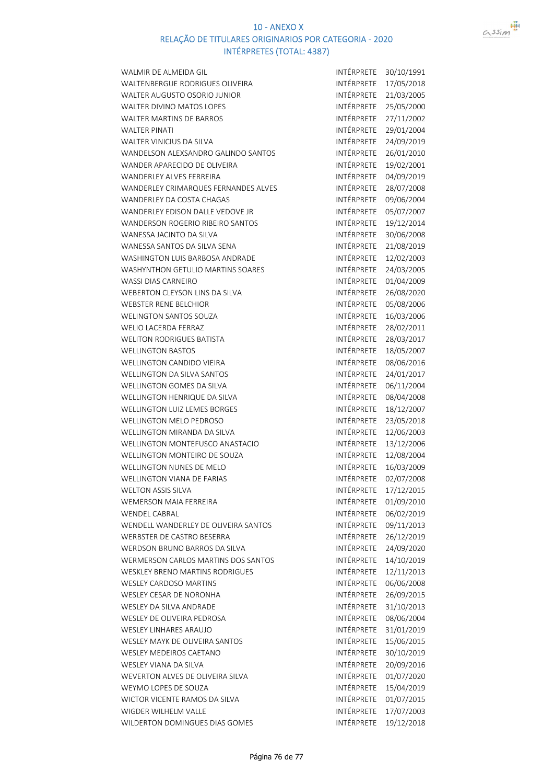



| WALTENBERGUE RODRIGUES OLIVEIRA            | INTÉRPRETE        | 17/05/2018 |
|--------------------------------------------|-------------------|------------|
| WALTER AUGUSTO OSORIO JUNIOR               | INTÉRPRETE        | 21/03/2005 |
| WALTER DIVINO MATOS LOPES                  | INTÉRPRETE        | 25/05/2000 |
| <b>WALTER MARTINS DE BARROS</b>            | INTÉRPRETE        | 27/11/2002 |
| <b>WALTER PINATI</b>                       | INTÉRPRETE        | 29/01/2004 |
| WALTER VINICIUS DA SILVA                   | INTÉRPRETE        | 24/09/2019 |
| WANDELSON ALEXSANDRO GALINDO SANTOS        | INTÉRPRETE        | 26/01/2010 |
| WANDER APARECIDO DE OLIVEIRA               | INTÉRPRETE        | 19/02/2001 |
| WANDERLEY ALVES FERREIRA                   | INTÉRPRETE        | 04/09/2019 |
| WANDERLEY CRIMARQUES FERNANDES ALVES       | INTÉRPRETE        | 28/07/2008 |
| WANDERLEY DA COSTA CHAGAS                  | INTÉRPRETE        | 09/06/2004 |
| WANDERLEY EDISON DALLE VEDOVE JR           | INTÉRPRETE        | 05/07/2007 |
| WANDERSON ROGERIO RIBEIRO SANTOS           | INTÉRPRETE        | 19/12/2014 |
| WANESSA JACINTO DA SILVA                   | INTÉRPRETE        | 30/06/2008 |
| WANESSA SANTOS DA SILVA SENA               | INTÉRPRETE        | 21/08/2019 |
| WASHINGTON LUIS BARBOSA ANDRADE            | INTÉRPRETE        | 12/02/2003 |
| WASHYNTHON GETULIO MARTINS SOARES          | INTÉRPRETE        | 24/03/2005 |
| <b>WASSI DIAS CARNEIRO</b>                 | INTÉRPRETE        | 01/04/2009 |
| WEBERTON CLEYSON LINS DA SILVA             | INTÉRPRETE        | 26/08/2020 |
| <b>WEBSTER RENE BELCHIOR</b>               | INTÉRPRETE        | 05/08/2006 |
| <b>WELINGTON SANTOS SOUZA</b>              | INTÉRPRETE        | 16/03/2006 |
| <b>WELIO LACERDA FERRAZ</b>                | INTÉRPRETE        | 28/02/2011 |
| <b>WELITON RODRIGUES BATISTA</b>           | INTÉRPRETE        | 28/03/2017 |
| <b>WELLINGTON BASTOS</b>                   | INTÉRPRETE        | 18/05/2007 |
| WELLINGTON CANDIDO VIEIRA                  | INTÉRPRETE        | 08/06/2016 |
| <b>WELLINGTON DA SILVA SANTOS</b>          | INTÉRPRETE        | 24/01/2017 |
| WELLINGTON GOMES DA SILVA                  | INTÉRPRETE        | 06/11/2004 |
| WELLINGTON HENRIQUE DA SILVA               | INTÉRPRETE        | 08/04/2008 |
| <b>WELLINGTON LUIZ LEMES BORGES</b>        | INTÉRPRETE        | 18/12/2007 |
| <b>WELLINGTON MELO PEDROSO</b>             | INTÉRPRETE        | 23/05/2018 |
| WELLINGTON MIRANDA DA SILVA                | INTÉRPRETE        | 12/06/2003 |
| WELLINGTON MONTEFUSCO ANASTACIO            | INTÉRPRETE        | 13/12/2006 |
| WELLINGTON MONTEIRO DE SOUZA               | INTÉRPRETE        | 12/08/2004 |
| <b>WELLINGTON NUNES DE MELO</b>            | INTÉRPRETE        | 16/03/2009 |
| <b>WELLINGTON VIANA DE FARIAS</b>          | INTÉRPRETE        | 02/07/2008 |
| <b>WELTON ASSIS SILVA</b>                  | INTÉRPRETE        | 17/12/2015 |
| <b>WEMERSON MAIA FERREIRA</b>              | INTÉRPRETE        | 01/09/2010 |
| <b>WENDEL CABRAL</b>                       | <b>INTÉRPRETE</b> | 06/02/2019 |
| WENDELL WANDERLEY DE OLIVEIRA SANTOS       | INTÉRPRETE        | 09/11/2013 |
| <b>WERBSTER DE CASTRO BESERRA</b>          | INTÉRPRETE        | 26/12/2019 |
| WERDSON BRUNO BARROS DA SILVA              | INTÉRPRETE        | 24/09/2020 |
| <b>WERMERSON CARLOS MARTINS DOS SANTOS</b> | INTÉRPRETE        | 14/10/2019 |
| <b>WESKLEY BRENO MARTINS RODRIGUES</b>     | INTÉRPRETE        | 12/11/2013 |
| <b>WESLEY CARDOSO MARTINS</b>              | INTÉRPRETE        | 06/06/2008 |
| WESLEY CESAR DE NORONHA                    | INTÉRPRETE        | 26/09/2015 |
| <b>WESLEY DA SILVA ANDRADE</b>             | INTÉRPRETE        | 31/10/2013 |
| WESLEY DE OLIVEIRA PEDROSA                 | INTÉRPRETE        | 08/06/2004 |
| <b>WESLEY LINHARES ARAUJO</b>              | <b>INTÉRPRETE</b> | 31/01/2019 |
| WESLEY MAYK DE OLIVEIRA SANTOS             | INTÉRPRETE        | 15/06/2015 |
| <b>WESLEY MEDEIROS CAETANO</b>             | <b>INTÉRPRETE</b> | 30/10/2019 |
| WESLEY VIANA DA SILVA                      | INTÉRPRETE        |            |
|                                            | INTÉRPRETE        | 20/09/2016 |
| WEVERTON ALVES DE OLIVEIRA SILVA           | INTÉRPRETE        | 01/07/2020 |
| WEYMO LOPES DE SOUZA                       | INTÉRPRETE        | 15/04/2019 |
| WICTOR VICENTE RAMOS DA SILVA              |                   | 01/07/2015 |
| WIGDER WILHELM VALLE                       | INTÉRPRETE        | 17/07/2003 |
| WILDERTON DOMINGUES DIAS GOMES             | INTÉRPRETE        | 19/12/2018 |